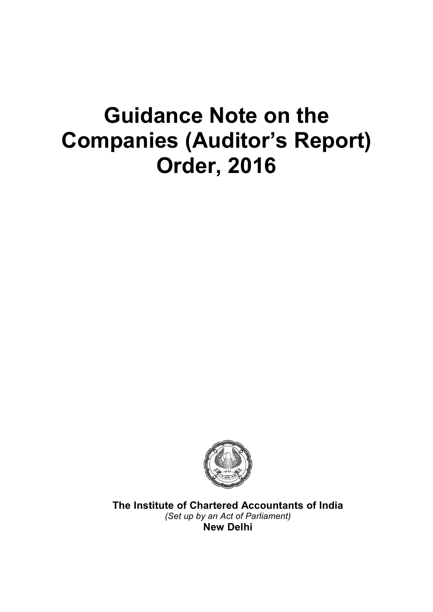# Guidance Note on the Companies (Auditor's Report) Order, 2016



The Institute of Chartered Accountants of India *(Set up by an Act of Parliament)* New Delhi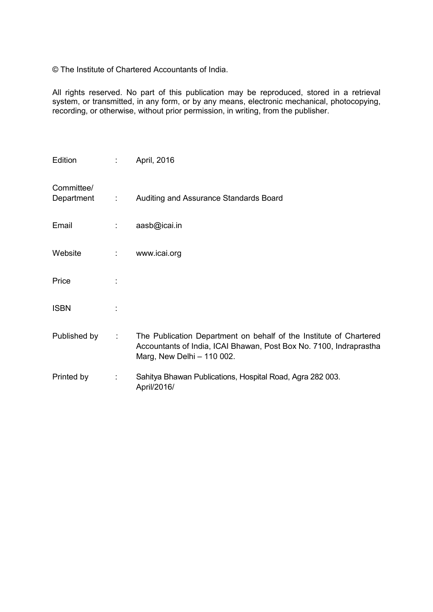© The Institute of Chartered Accountants of India.

All rights reserved. No part of this publication may be reproduced, stored in a retrieval system, or transmitted, in any form, or by any means, electronic mechanical, photocopying, recording, or otherwise, without prior permission, in writing, from the publisher.

| Edition                  | $\mathbb{Z}^{\mathbb{Z}}$                                 | April, 2016                                                                                                                                                            |
|--------------------------|-----------------------------------------------------------|------------------------------------------------------------------------------------------------------------------------------------------------------------------------|
| Committee/<br>Department | $\mathcal{I}^{\mathcal{I}}$ , $\mathcal{I}^{\mathcal{I}}$ | Auditing and Assurance Standards Board                                                                                                                                 |
| Email                    | $\mathcal{L}_{\rm{max}}$                                  | aasb@icai.in                                                                                                                                                           |
| Website                  | ÷                                                         | www.icai.org                                                                                                                                                           |
| Price                    |                                                           |                                                                                                                                                                        |
| <b>ISBN</b>              |                                                           |                                                                                                                                                                        |
| Published by             | ÷                                                         | The Publication Department on behalf of the Institute of Chartered<br>Accountants of India, ICAI Bhawan, Post Box No. 7100, Indraprastha<br>Marg, New Delhi - 110 002. |
| Printed by               | ÷                                                         | Sahitya Bhawan Publications, Hospital Road, Agra 282 003.<br>April/2016/                                                                                               |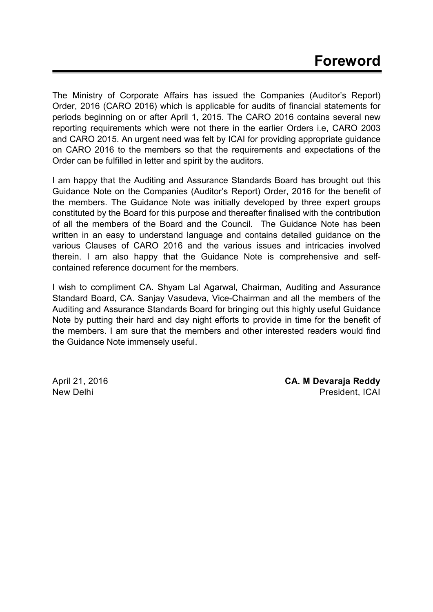# Foreword

The Ministry of Corporate Affairs has issued the Companies (Auditor's Report) Order, 2016 (CARO 2016) which is applicable for audits of financial statements for periods beginning on or after April 1, 2015. The CARO 2016 contains several new reporting requirements which were not there in the earlier Orders i.e, CARO 2003 and CARO 2015. An urgent need was felt by ICAI for providing appropriate guidance on CARO 2016 to the members so that the requirements and expectations of the Order can be fulfilled in letter and spirit by the auditors.

I am happy that the Auditing and Assurance Standards Board has brought out this Guidance Note on the Companies (Auditor's Report) Order, 2016 for the benefit of the members. The Guidance Note was initially developed by three expert groups constituted by the Board for this purpose and thereafter finalised with the contribution of all the members of the Board and the Council. The Guidance Note has been written in an easy to understand language and contains detailed guidance on the various Clauses of CARO 2016 and the various issues and intricacies involved therein. I am also happy that the Guidance Note is comprehensive and selfcontained reference document for the members.

I wish to compliment CA. Shyam Lal Agarwal, Chairman, Auditing and Assurance Standard Board, CA. Sanjay Vasudeva, Vice-Chairman and all the members of the Auditing and Assurance Standards Board for bringing out this highly useful Guidance Note by putting their hard and day night efforts to provide in time for the benefit of the members. I am sure that the members and other interested readers would find the Guidance Note immensely useful.

April 21, 2016 New Delhi

CA. M Devaraja Reddy President, ICAI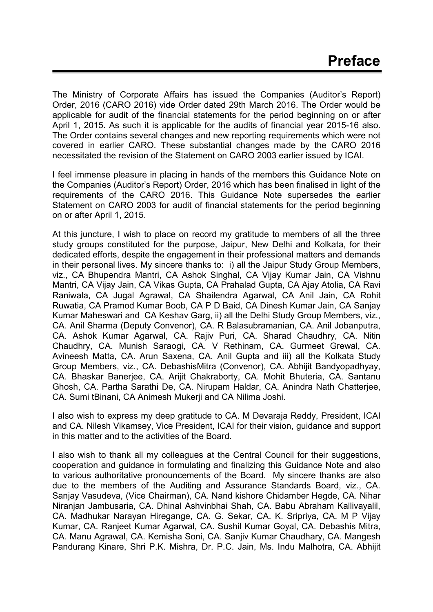The Ministry of Corporate Affairs has issued the Companies (Auditor's Report) Order, 2016 (CARO 2016) vide Order dated 29th March 2016. The Order would be applicable for audit of the financial statements for the period beginning on or after April 1, 2015. As such it is applicable for the audits of financial year 2015-16 also. The Order contains several changes and new reporting requirements which were not covered in earlier CARO. These substantial changes made by the CARO 2016 necessitated the revision of the Statement on CARO 2003 earlier issued by ICAI.

I feel immense pleasure in placing in hands of the members this Guidance Note on the Companies (Auditor's Report) Order, 2016 which has been finalised in light of the requirements of the CARO 2016. This Guidance Note supersedes the earlier Statement on CARO 2003 for audit of financial statements for the period beginning on or after April 1, 2015.

At this juncture, I wish to place on record my gratitude to members of all the three study groups constituted for the purpose, Jaipur, New Delhi and Kolkata, for their dedicated efforts, despite the engagement in their professional matters and demands in their personal lives. My sincere thanks to: i) all the Jaipur Study Group Members, viz., CA Bhupendra Mantri, CA Ashok Singhal, CA Vijay Kumar Jain, CA Vishnu Mantri, CA Vijay Jain, CA Vikas Gupta, CA Prahalad Gupta, CA Ajay Atolia, CA Ravi Raniwala, CA Jugal Agrawal, CA Shailendra Agarwal, CA Anil Jain, CA Rohit Ruwatia, CA Pramod Kumar Boob, CA P D Baid, CA Dinesh Kumar Jain, CA Sanjay Kumar Maheswari and CA Keshav Garg, ii) all the Delhi Study Group Members, viz., CA. Anil Sharma (Deputy Convenor), CA. R Balasubramanian, CA. Anil Jobanputra, CA. Ashok Kumar Agarwal, CA. Rajiv Puri, CA. Sharad Chaudhry, CA. Nitin Chaudhry, CA. Munish Saraogi, CA. V Rethinam, CA. Gurmeet Grewal, CA. Avineesh Matta, CA. Arun Saxena, CA. Anil Gupta and iii) all the Kolkata Study Group Members, viz., CA. DebashisMitra (Convenor), CA. Abhijit Bandyopadhyay, CA. Bhaskar Banerjee, CA. Arijit Chakraborty, CA. Mohit Bhuteria, CA. Santanu Ghosh, CA. Partha Sarathi De, CA. Nirupam Haldar, CA. Anindra Nath Chatterjee, CA. Sumi tBinani, CA Animesh Mukerji and CA Nilima Joshi.

I also wish to express my deep gratitude to CA. M Devaraja Reddy, President, ICAI and CA. Nilesh Vikamsey, Vice President, ICAI for their vision, guidance and support in this matter and to the activities of the Board.

I also wish to thank all my colleagues at the Central Council for their suggestions, cooperation and guidance in formulating and finalizing this Guidance Note and also to various authoritative pronouncements of the Board. My sincere thanks are also due to the members of the Auditing and Assurance Standards Board, viz., CA. Sanjay Vasudeva, (Vice Chairman), CA. Nand kishore Chidamber Hegde, CA. Nihar Niranjan Jambusaria, CA. Dhinal Ashvinbhai Shah, CA. Babu Abraham Kallivayalil, CA. Madhukar Narayan Hiregange, CA. G. Sekar, CA. K. Sripriya, CA. M P Vijay Kumar, CA. Ranjeet Kumar Agarwal, CA. Sushil Kumar Goyal, CA. Debashis Mitra, CA. Manu Agrawal, CA. Kemisha Soni, CA. Sanjiv Kumar Chaudhary, CA. Mangesh Pandurang Kinare, Shri P.K. Mishra, Dr. P.C. Jain, Ms. Indu Malhotra, CA. Abhijit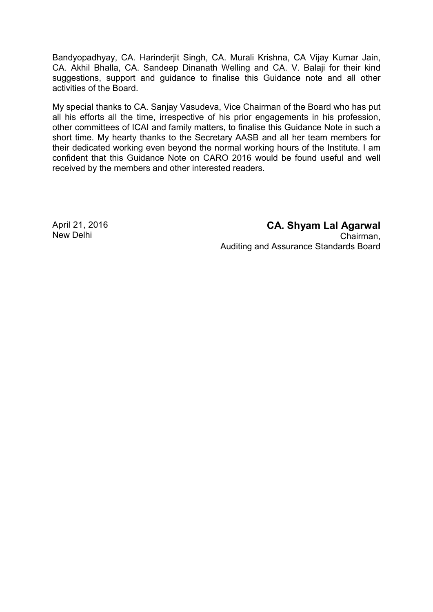Bandyopadhyay, CA. Harinderjit Singh, CA. Murali Krishna, CA Vijay Kumar Jain, CA. Akhil Bhalla, CA. Sandeep Dinanath Welling and CA. V. Balaji for their kind suggestions, support and guidance to finalise this Guidance note and all other activities of the Board.

My special thanks to CA. Sanjay Vasudeva, Vice Chairman of the Board who has put all his efforts all the time, irrespective of his prior engagements in his profession, other committees of ICAI and family matters, to finalise this Guidance Note in such a short time. My hearty thanks to the Secretary AASB and all her team members for their dedicated working even beyond the normal working hours of the Institute. I am confident that this Guidance Note on CARO 2016 would be found useful and well received by the members and other interested readers.

April 21, 2016 New Delhi

CA. Shyam Lal Agarwal Chairman, Auditing and Assurance Standards Board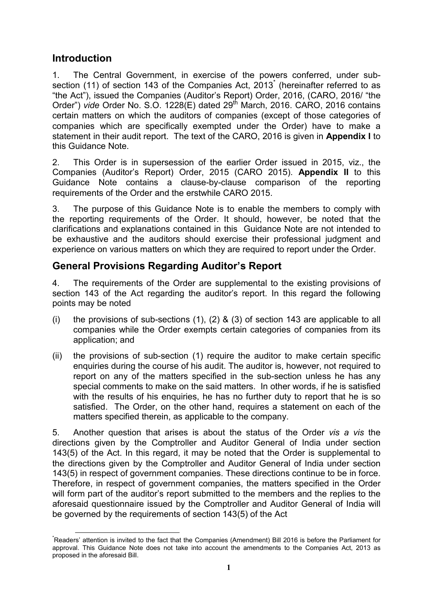# **Introduction**

1. The Central Government, in exercise of the powers conferred, under subsection (11) of section 143 of the Companies Act,  $2013$ <sup>\*</sup> (hereinafter referred to as "the Act"), issued the Companies (Auditor's Report) Order, 2016, (CARO, 2016/ "the Order") *vide* Order No. S.O. 1228(E) dated 29<sup>th</sup> March, 2016. CARO, 2016 contains certain matters on which the auditors of companies (except of those categories of companies which are specifically exempted under the Order) have to make a statement in their audit report. The text of the CARO, 2016 is given in **Appendix I** to this Guidance Note.

2. This Order is in supersession of the earlier Order issued in 2015, viz., the Companies (Auditor's Report) Order, 2015 (CARO 2015). Appendix II to this Guidance Note contains a clause-by-clause comparison of the reporting requirements of the Order and the erstwhile CARO 2015.

3. The purpose of this Guidance Note is to enable the members to comply with the reporting requirements of the Order. It should, however, be noted that the clarifications and explanations contained in this Guidance Note are not intended to be exhaustive and the auditors should exercise their professional judgment and experience on various matters on which they are required to report under the Order.

# General Provisions Regarding Auditor's Report

4. The requirements of the Order are supplemental to the existing provisions of section 143 of the Act regarding the auditor's report. In this regard the following points may be noted

- (i) the provisions of sub-sections  $(1)$ ,  $(2)$  &  $(3)$  of section 143 are applicable to all companies while the Order exempts certain categories of companies from its application; and
- (ii) the provisions of sub-section (1) require the auditor to make certain specific enquiries during the course of his audit. The auditor is, however, not required to report on any of the matters specified in the sub-section unless he has any special comments to make on the said matters. In other words, if he is satisfied with the results of his enquiries, he has no further duty to report that he is so satisfied. The Order, on the other hand, requires a statement on each of the matters specified therein, as applicable to the company.

5. Another question that arises is about the status of the Order *vis a vis* the directions given by the Comptroller and Auditor General of India under section 143(5) of the Act. In this regard, it may be noted that the Order is supplemental to the directions given by the Comptroller and Auditor General of India under section 143(5) in respect of government companies. These directions continue to be in force. Therefore, in respect of government companies, the matters specified in the Order will form part of the auditor's report submitted to the members and the replies to the aforesaid questionnaire issued by the Comptroller and Auditor General of India will be governed by the requirements of section 143(5) of the Act

**EXECTS**<br>Readers' attention is invited to the fact that the Companies (Amendment) Bill 2016 is before the Parliament for approval. This Guidance Note does not take into account the amendments to the Companies Act, 2013 as proposed in the aforesaid Bill.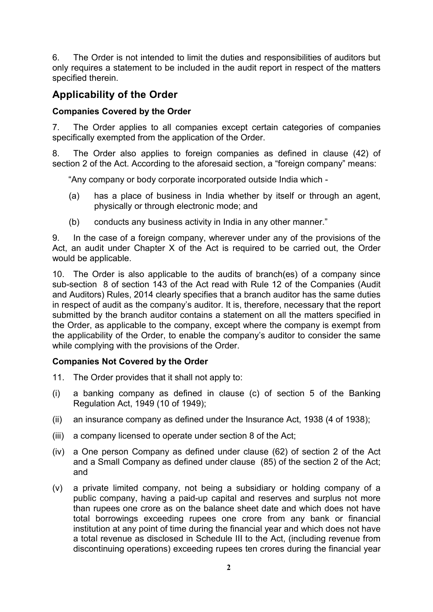6. The Order is not intended to limit the duties and responsibilities of auditors but only requires a statement to be included in the audit report in respect of the matters specified therein.

# Applicability of the Order

# Companies Covered by the Order

7. The Order applies to all companies except certain categories of companies specifically exempted from the application of the Order.

8. The Order also applies to foreign companies as defined in clause (42) of section 2 of the Act. According to the aforesaid section, a "foreign company" means:

"Any company or body corporate incorporated outside India which -

- (a) has a place of business in India whether by itself or through an agent, physically or through electronic mode; and
- (b) conducts any business activity in India in any other manner."

9. In the case of a foreign company, wherever under any of the provisions of the Act, an audit under Chapter X of the Act is required to be carried out, the Order would be applicable.

10. The Order is also applicable to the audits of branch(es) of a company since sub-section 8 of section 143 of the Act read with Rule 12 of the Companies (Audit and Auditors) Rules, 2014 clearly specifies that a branch auditor has the same duties in respect of audit as the company's auditor. It is, therefore, necessary that the report submitted by the branch auditor contains a statement on all the matters specified in the Order, as applicable to the company, except where the company is exempt from the applicability of the Order, to enable the company's auditor to consider the same while complying with the provisions of the Order.

# Companies Not Covered by the Order

- 11. The Order provides that it shall not apply to:
- (i) a banking company as defined in clause (c) of section 5 of the Banking Regulation Act, 1949 (10 of 1949);
- (ii) an insurance company as defined under the Insurance Act, 1938 (4 of 1938);
- (iii) a company licensed to operate under section 8 of the Act;
- (iv) a One person Company as defined under clause (62) of section 2 of the Act and a Small Company as defined under clause (85) of the section 2 of the Act; and
- (v) a private limited company, not being a subsidiary or holding company of a public company, having a paid-up capital and reserves and surplus not more than rupees one crore as on the balance sheet date and which does not have total borrowings exceeding rupees one crore from any bank or financial institution at any point of time during the financial year and which does not have a total revenue as disclosed in Schedule III to the Act, (including revenue from discontinuing operations) exceeding rupees ten crores during the financial year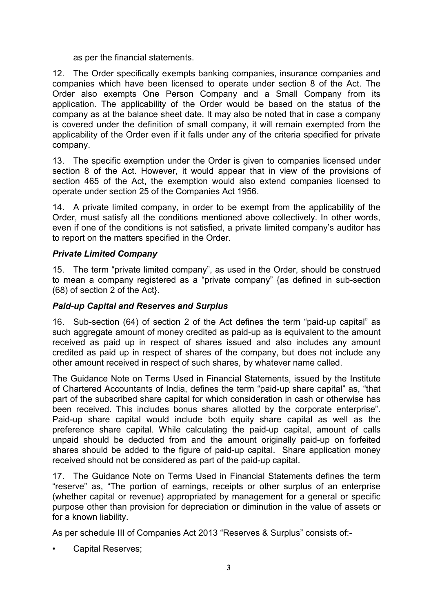as per the financial statements.

12. The Order specifically exempts banking companies, insurance companies and companies which have been licensed to operate under section 8 of the Act. The Order also exempts One Person Company and a Small Company from its application. The applicability of the Order would be based on the status of the company as at the balance sheet date. It may also be noted that in case a company is covered under the definition of small company, it will remain exempted from the applicability of the Order even if it falls under any of the criteria specified for private company.

13. The specific exemption under the Order is given to companies licensed under section 8 of the Act. However, it would appear that in view of the provisions of section 465 of the Act, the exemption would also extend companies licensed to operate under section 25 of the Companies Act 1956.

14. A private limited company, in order to be exempt from the applicability of the Order, must satisfy all the conditions mentioned above collectively. In other words, even if one of the conditions is not satisfied, a private limited company's auditor has to report on the matters specified in the Order.

# *Private Limited Company*

15. The term "private limited company", as used in the Order, should be construed to mean a company registered as a "private company" {as defined in sub-section (68) of section 2 of the Act}.

# *Paid-up Capital and Reserves and Surplus*

16. Sub-section (64) of section 2 of the Act defines the term "paid-up capital" as such aggregate amount of money credited as paid-up as is equivalent to the amount received as paid up in respect of shares issued and also includes any amount credited as paid up in respect of shares of the company, but does not include any other amount received in respect of such shares, by whatever name called.

The Guidance Note on Terms Used in Financial Statements, issued by the Institute of Chartered Accountants of India, defines the term "paid-up share capital" as, "that part of the subscribed share capital for which consideration in cash or otherwise has been received. This includes bonus shares allotted by the corporate enterprise". Paid-up share capital would include both equity share capital as well as the preference share capital. While calculating the paid-up capital, amount of calls unpaid should be deducted from and the amount originally paid-up on forfeited shares should be added to the figure of paid-up capital. Share application money received should not be considered as part of the paid-up capital.

17. The Guidance Note on Terms Used in Financial Statements defines the term "reserve" as, "The portion of earnings, receipts or other surplus of an enterprise (whether capital or revenue) appropriated by management for a general or specific purpose other than provision for depreciation or diminution in the value of assets or for a known liability.

As per schedule III of Companies Act 2013 "Reserves & Surplus" consists of:-

• Capital Reserves;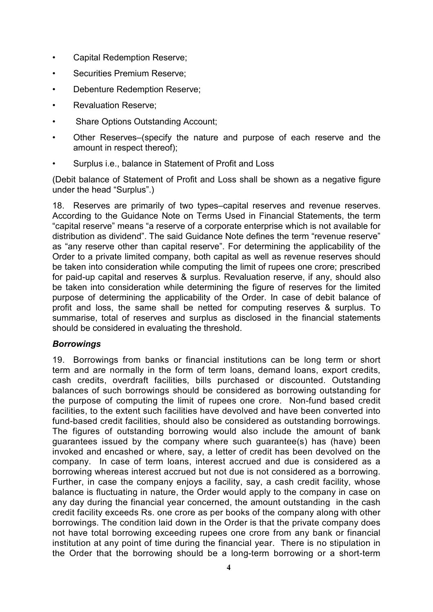- Capital Redemption Reserve;
- Securities Premium Reserve;
- Debenture Redemption Reserve;
- Revaluation Reserve;
- Share Options Outstanding Account;
- Other Reserves–(specify the nature and purpose of each reserve and the amount in respect thereof);
- Surplus *i.e.*, balance in Statement of Profit and Loss

(Debit balance of Statement of Profit and Loss shall be shown as a negative figure under the head "Surplus".)

18. Reserves are primarily of two types–capital reserves and revenue reserves. According to the Guidance Note on Terms Used in Financial Statements, the term "capital reserve" means "a reserve of a corporate enterprise which is not available for distribution as dividend". The said Guidance Note defines the term "revenue reserve" as "any reserve other than capital reserve". For determining the applicability of the Order to a private limited company, both capital as well as revenue reserves should be taken into consideration while computing the limit of rupees one crore; prescribed for paid-up capital and reserves & surplus. Revaluation reserve, if any, should also be taken into consideration while determining the figure of reserves for the limited purpose of determining the applicability of the Order. In case of debit balance of profit and loss, the same shall be netted for computing reserves & surplus. To summarise, total of reserves and surplus as disclosed in the financial statements should be considered in evaluating the threshold.

# *Borrowings*

19. Borrowings from banks or financial institutions can be long term or short term and are normally in the form of term loans, demand loans, export credits, cash credits, overdraft facilities, bills purchased or discounted. Outstanding balances of such borrowings should be considered as borrowing outstanding for the purpose of computing the limit of rupees one crore. Non-fund based credit facilities, to the extent such facilities have devolved and have been converted into fund-based credit facilities, should also be considered as outstanding borrowings. The figures of outstanding borrowing would also include the amount of bank guarantees issued by the company where such guarantee(s) has (have) been invoked and encashed or where, say, a letter of credit has been devolved on the company. In case of term loans, interest accrued and due is considered as a borrowing whereas interest accrued but not due is not considered as a borrowing. Further, in case the company enjoys a facility, say, a cash credit facility, whose balance is fluctuating in nature, the Order would apply to the company in case on any day during the financial year concerned, the amount outstanding in the cash credit facility exceeds Rs. one crore as per books of the company along with other borrowings. The condition laid down in the Order is that the private company does not have total borrowing exceeding rupees one crore from any bank or financial institution at any point of time during the financial year. There is no stipulation in the Order that the borrowing should be a long-term borrowing or a short-term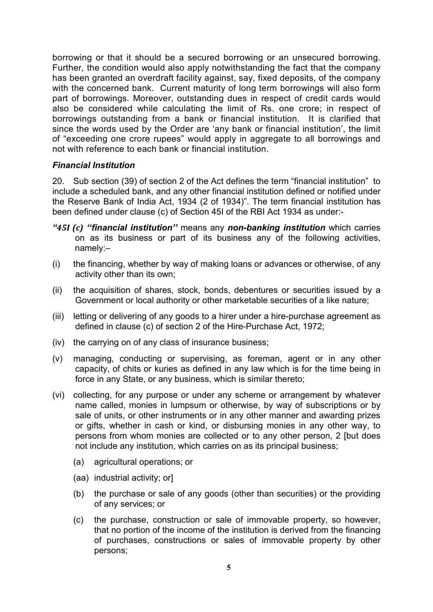borrowing or that it should be a secured borrowing or an unsecured borrowing. Further, the condition would also apply notwithstanding the fact that the company has been granted an overdraft facility against, say, fixed deposits, of the company with the concerned bank. Current maturity of long term borrowings will also form part of borrowings. Moreover, outstanding dues in respect of credit cards would also be considered while calculating the limit of Rs. one crore; in respect of borrowings outstanding from a bank or financial institution. It is clarified that since the words used by the Order are 'any bank or financial institution', the limit of "exceeding one crore rupees" would apply in aggregate to all borrowings and not with reference to each bank or financial institution.

# *Financial Institution*

20. Sub section (39) of section 2 of the Act defines the term "financial institution" to include a scheduled bank, and any other financial institution defined or notified under the Reserve Bank of India Act, 1934 (2 of 1934)". The term financial institution has been defined under clause (c) of Section 45I of the RBI Act 1934 as under:-

- *"45I (c) ''financial institution''* means any *non-banking institution* which carries on as its business or part of its business any of the following activities, namely:–
- (i) the financing, whether by way of making loans or advances or otherwise, of any activity other than its own;
- (ii) the acquisition of shares, stock, bonds, debentures or securities issued by a Government or local authority or other marketable securities of a like nature;
- (iii) letting or delivering of any goods to a hirer under a hire-purchase agreement as defined in clause (c) of section 2 of the Hire-Purchase Act, 1972;
- (iv) the carrying on of any class of insurance business;
- (v) managing, conducting or supervising, as foreman, agent or in any other capacity, of chits or kuries as defined in any law which is for the time being in force in any State, or any business, which is similar thereto;
- (vi) collecting, for any purpose or under any scheme or arrangement by whatever name called, monies in lumpsum or otherwise, by way of subscriptions or by sale of units, or other instruments or in any other manner and awarding prizes or gifts, whether in cash or kind, or disbursing monies in any other way, to persons from whom monies are collected or to any other person, 2 [but does not include any institution, which carries on as its principal business;
	- (a) agricultural operations; or
	- (aa) industrial activity; or]
	- (b) the purchase or sale of any goods (other than securities) or the providing of any services; or
	- (c) the purchase, construction or sale of immovable property, so however, that no portion of the income of the institution is derived from the financing of purchases, constructions or sales of immovable property by other persons;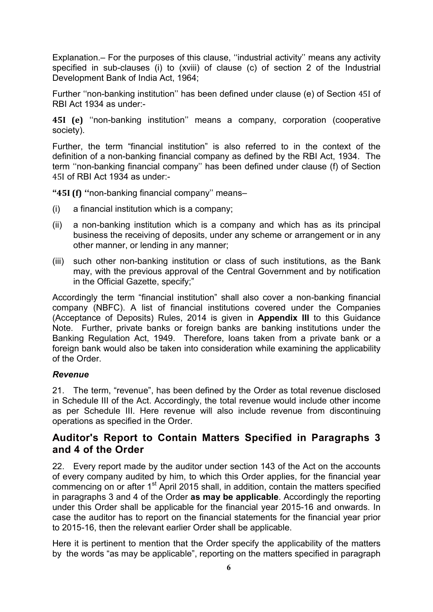Explanation.– For the purposes of this clause, ''industrial activity'' means any activity specified in sub-clauses (i) to (xviii) of clause (c) of section 2 of the Industrial Development Bank of India Act, 1964;

Further ''non-banking institution'' has been defined under clause (e) of Section 45I of RBI Act 1934 as under:-

45I (e) ''non-banking institution'' means a company, corporation (cooperative society).

Further, the term "financial institution" is also referred to in the context of the definition of a non-banking financial company as defined by the RBI Act, 1934. The term ''non-banking financial company'' has been defined under clause (f) of Section 45I of RBI Act 1934 as under:-

"45I (f) ''non-banking financial company'' means–

- (i) a financial institution which is a company;
- (ii) a non-banking institution which is a company and which has as its principal business the receiving of deposits, under any scheme or arrangement or in any other manner, or lending in any manner;
- (iii) such other non-banking institution or class of such institutions, as the Bank may, with the previous approval of the Central Government and by notification in the Official Gazette, specify;"

Accordingly the term "financial institution" shall also cover a non-banking financial company (NBFC). A list of financial institutions covered under the Companies (Acceptance of Deposits) Rules, 2014 is given in Appendix III to this Guidance Note. Further, private banks or foreign banks are banking institutions under the Banking Regulation Act, 1949. Therefore, loans taken from a private bank or a foreign bank would also be taken into consideration while examining the applicability of the Order.

# *Revenue*

21. The term, "revenue", has been defined by the Order as total revenue disclosed in Schedule III of the Act. Accordingly, the total revenue would include other income as per Schedule III. Here revenue will also include revenue from discontinuing operations as specified in the Order.

# Auditor's Report to Contain Matters Specified in Paragraphs 3 and 4 of the Order

22. Every report made by the auditor under section 143 of the Act on the accounts of every company audited by him, to which this Order applies, for the financial year commencing on or after 1<sup>st</sup> April 2015 shall, in addition, contain the matters specified in paragraphs 3 and 4 of the Order as may be applicable. Accordingly the reporting under this Order shall be applicable for the financial year 2015-16 and onwards. In case the auditor has to report on the financial statements for the financial year prior to 2015-16, then the relevant earlier Order shall be applicable.

Here it is pertinent to mention that the Order specify the applicability of the matters by the words "as may be applicable", reporting on the matters specified in paragraph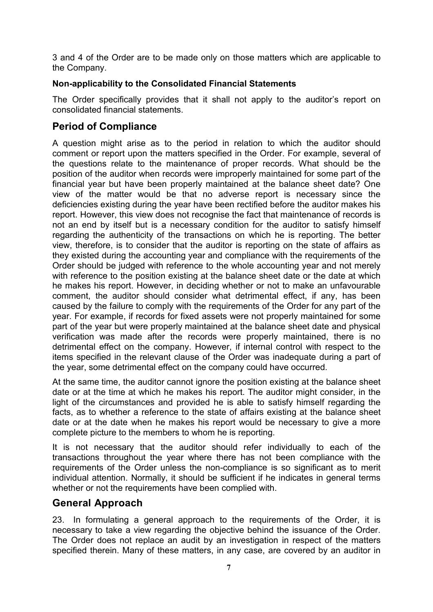3 and 4 of the Order are to be made only on those matters which are applicable to the Company.

# Non-applicability to the Consolidated Financial Statements

The Order specifically provides that it shall not apply to the auditor's report on consolidated financial statements.

# Period of Compliance

A question might arise as to the period in relation to which the auditor should comment or report upon the matters specified in the Order. For example, several of the questions relate to the maintenance of proper records. What should be the position of the auditor when records were improperly maintained for some part of the financial year but have been properly maintained at the balance sheet date? One view of the matter would be that no adverse report is necessary since the deficiencies existing during the year have been rectified before the auditor makes his report. However, this view does not recognise the fact that maintenance of records is not an end by itself but is a necessary condition for the auditor to satisfy himself regarding the authenticity of the transactions on which he is reporting. The better view, therefore, is to consider that the auditor is reporting on the state of affairs as they existed during the accounting year and compliance with the requirements of the Order should be judged with reference to the whole accounting year and not merely with reference to the position existing at the balance sheet date or the date at which he makes his report. However, in deciding whether or not to make an unfavourable comment, the auditor should consider what detrimental effect, if any, has been caused by the failure to comply with the requirements of the Order for any part of the year. For example, if records for fixed assets were not properly maintained for some part of the year but were properly maintained at the balance sheet date and physical verification was made after the records were properly maintained, there is no detrimental effect on the company. However, if internal control with respect to the items specified in the relevant clause of the Order was inadequate during a part of the year, some detrimental effect on the company could have occurred.

At the same time, the auditor cannot ignore the position existing at the balance sheet date or at the time at which he makes his report. The auditor might consider, in the light of the circumstances and provided he is able to satisfy himself regarding the facts, as to whether a reference to the state of affairs existing at the balance sheet date or at the date when he makes his report would be necessary to give a more complete picture to the members to whom he is reporting.

It is not necessary that the auditor should refer individually to each of the transactions throughout the year where there has not been compliance with the requirements of the Order unless the non-compliance is so significant as to merit individual attention. Normally, it should be sufficient if he indicates in general terms whether or not the requirements have been complied with.

# General Approach

23. In formulating a general approach to the requirements of the Order, it is necessary to take a view regarding the objective behind the issuance of the Order. The Order does not replace an audit by an investigation in respect of the matters specified therein. Many of these matters, in any case, are covered by an auditor in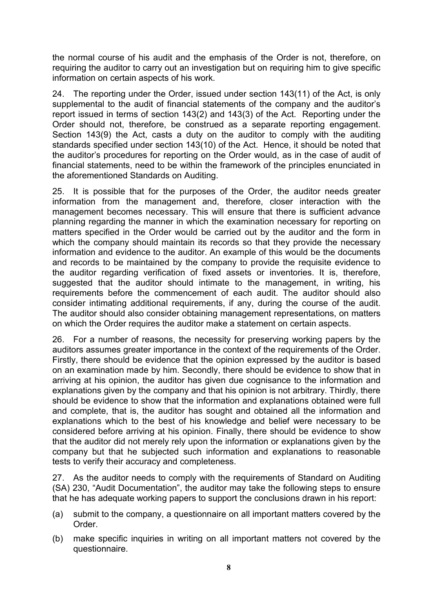the normal course of his audit and the emphasis of the Order is not, therefore, on requiring the auditor to carry out an investigation but on requiring him to give specific information on certain aspects of his work.

24. The reporting under the Order, issued under section 143(11) of the Act, is only supplemental to the audit of financial statements of the company and the auditor's report issued in terms of section 143(2) and 143(3) of the Act. Reporting under the Order should not, therefore, be construed as a separate reporting engagement. Section 143(9) the Act, casts a duty on the auditor to comply with the auditing standards specified under section 143(10) of the Act. Hence, it should be noted that the auditor's procedures for reporting on the Order would, as in the case of audit of financial statements, need to be within the framework of the principles enunciated in the aforementioned Standards on Auditing.

25. It is possible that for the purposes of the Order, the auditor needs greater information from the management and, therefore, closer interaction with the management becomes necessary. This will ensure that there is sufficient advance planning regarding the manner in which the examination necessary for reporting on matters specified in the Order would be carried out by the auditor and the form in which the company should maintain its records so that they provide the necessary information and evidence to the auditor. An example of this would be the documents and records to be maintained by the company to provide the requisite evidence to the auditor regarding verification of fixed assets or inventories. It is, therefore, suggested that the auditor should intimate to the management, in writing, his requirements before the commencement of each audit. The auditor should also consider intimating additional requirements, if any, during the course of the audit. The auditor should also consider obtaining management representations, on matters on which the Order requires the auditor make a statement on certain aspects.

26. For a number of reasons, the necessity for preserving working papers by the auditors assumes greater importance in the context of the requirements of the Order. Firstly, there should be evidence that the opinion expressed by the auditor is based on an examination made by him. Secondly, there should be evidence to show that in arriving at his opinion, the auditor has given due cognisance to the information and explanations given by the company and that his opinion is not arbitrary. Thirdly, there should be evidence to show that the information and explanations obtained were full and complete, that is, the auditor has sought and obtained all the information and explanations which to the best of his knowledge and belief were necessary to be considered before arriving at his opinion. Finally, there should be evidence to show that the auditor did not merely rely upon the information or explanations given by the company but that he subjected such information and explanations to reasonable tests to verify their accuracy and completeness.

27. As the auditor needs to comply with the requirements of Standard on Auditing (SA) 230, "Audit Documentation", the auditor may take the following steps to ensure that he has adequate working papers to support the conclusions drawn in his report:

- (a) submit to the company, a questionnaire on all important matters covered by the Order.
- (b) make specific inquiries in writing on all important matters not covered by the questionnaire.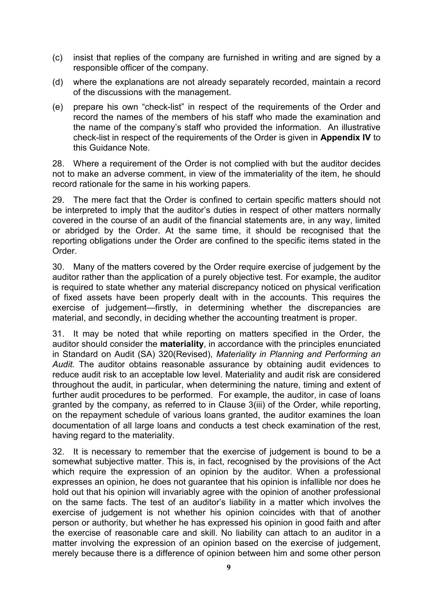- (c) insist that replies of the company are furnished in writing and are signed by a responsible officer of the company.
- (d) where the explanations are not already separately recorded, maintain a record of the discussions with the management.
- (e) prepare his own "check-list" in respect of the requirements of the Order and record the names of the members of his staff who made the examination and the name of the company's staff who provided the information. An illustrative check-list in respect of the requirements of the Order is given in Appendix IV to this Guidance Note.

28. Where a requirement of the Order is not complied with but the auditor decides not to make an adverse comment, in view of the immateriality of the item, he should record rationale for the same in his working papers.

29. The mere fact that the Order is confined to certain specific matters should not be interpreted to imply that the auditor's duties in respect of other matters normally covered in the course of an audit of the financial statements are, in any way, limited or abridged by the Order. At the same time, it should be recognised that the reporting obligations under the Order are confined to the specific items stated in the Order.

30. Many of the matters covered by the Order require exercise of judgement by the auditor rather than the application of a purely objective test. For example, the auditor is required to state whether any material discrepancy noticed on physical verification of fixed assets have been properly dealt with in the accounts. This requires the exercise of judgement—firstly, in determining whether the discrepancies are material, and secondly, in deciding whether the accounting treatment is proper.

31. It may be noted that while reporting on matters specified in the Order, the auditor should consider the materiality, in accordance with the principles enunciated in Standard on Audit (SA) 320(Revised), *Materiality in Planning and Performing an Audit.* The auditor obtains reasonable assurance by obtaining audit evidences to reduce audit risk to an acceptable low level. Materiality and audit risk are considered throughout the audit, in particular, when determining the nature, timing and extent of further audit procedures to be performed. For example, the auditor, in case of loans granted by the company, as referred to in Clause 3(iii) of the Order, while reporting, on the repayment schedule of various loans granted, the auditor examines the loan documentation of all large loans and conducts a test check examination of the rest, having regard to the materiality.

32. It is necessary to remember that the exercise of judgement is bound to be a somewhat subjective matter. This is, in fact, recognised by the provisions of the Act which require the expression of an opinion by the auditor. When a professional expresses an opinion, he does not guarantee that his opinion is infallible nor does he hold out that his opinion will invariably agree with the opinion of another professional on the same facts. The test of an auditor's liability in a matter which involves the exercise of judgement is not whether his opinion coincides with that of another person or authority, but whether he has expressed his opinion in good faith and after the exercise of reasonable care and skill. No liability can attach to an auditor in a matter involving the expression of an opinion based on the exercise of judgement, merely because there is a difference of opinion between him and some other person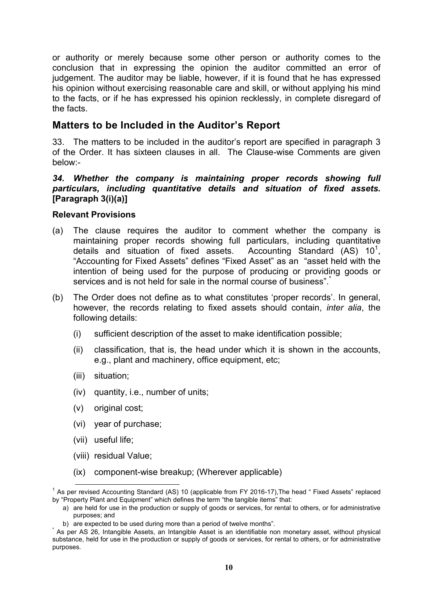or authority or merely because some other person or authority comes to the conclusion that in expressing the opinion the auditor committed an error of judgement. The auditor may be liable, however, if it is found that he has expressed his opinion without exercising reasonable care and skill, or without applying his mind to the facts, or if he has expressed his opinion recklessly, in complete disregard of the facts.

# Matters to be Included in the Auditor's Report

33. The matters to be included in the auditor's report are specified in paragraph 3 of the Order. It has sixteen clauses in all. The Clause-wise Comments are given below:-

# *34. Whether the company is maintaining proper records showing full particulars, including quantitative details and situation of fixed assets.*  [Paragraph 3(i)(a)]

# Relevant Provisions

- (a) The clause requires the auditor to comment whether the company is maintaining proper records showing full particulars, including quantitative details and situation of fixed assets. Accounting Standard  $(AS)$  10<sup>1</sup>, "Accounting for Fixed Assets" defines "Fixed Asset" as an "asset held with the intention of being used for the purpose of producing or providing goods or services and is not held for sale in the normal course of business".
- (b) The Order does not define as to what constitutes 'proper records'. In general, however, the records relating to fixed assets should contain, *inter alia*, the following details:
	- (i) sufficient description of the asset to make identification possible;
	- (ii) classification, that is, the head under which it is shown in the accounts, e.g., plant and machinery, office equipment, etc;
	- (iii) situation;
	- (iv) quantity, i.e., number of units;
	- (v) original cost;
	- (vi) year of purchase;
	- (vii) useful life;
	- (viii) residual Value;
	- (ix) component-wise breakup; (Wherever applicable)

<sup>&</sup>lt;sup>1</sup> As per revised Accounting Standard (AS) 10 (applicable from FY 2016-17). The head " Fixed Assets" replaced by "Property Plant and Equipment" which defines the term "the tangible items" that:

a) are held for use in the production or supply of goods or services, for rental to others, or for administrative purposes; and

b) are expected to be used during more than a period of twelve months".

<sup>\*</sup> As per AS 26, Intangible Assets, an Intangible Asset is an identifiable non monetary asset, without physical substance, held for use in the production or supply of goods or services, for rental to others, or for administrative purposes.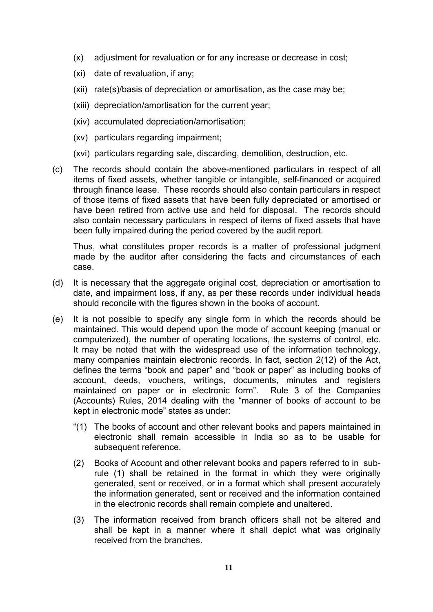- (x) adjustment for revaluation or for any increase or decrease in cost;
- (xi) date of revaluation, if any;
- (xii) rate(s)/basis of depreciation or amortisation, as the case may be;
- (xiii) depreciation/amortisation for the current year;
- (xiv) accumulated depreciation/amortisation;
- (xv) particulars regarding impairment;
- (xvi) particulars regarding sale, discarding, demolition, destruction, etc.
- (c) The records should contain the above-mentioned particulars in respect of all items of fixed assets, whether tangible or intangible, self-financed or acquired through finance lease. These records should also contain particulars in respect of those items of fixed assets that have been fully depreciated or amortised or have been retired from active use and held for disposal. The records should also contain necessary particulars in respect of items of fixed assets that have been fully impaired during the period covered by the audit report.

Thus, what constitutes proper records is a matter of professional judgment made by the auditor after considering the facts and circumstances of each case.

- (d) It is necessary that the aggregate original cost, depreciation or amortisation to date, and impairment loss, if any, as per these records under individual heads should reconcile with the figures shown in the books of account.
- (e) It is not possible to specify any single form in which the records should be maintained. This would depend upon the mode of account keeping (manual or computerized), the number of operating locations, the systems of control, etc. It may be noted that with the widespread use of the information technology, many companies maintain electronic records. In fact, section 2(12) of the Act, defines the terms "book and paper" and "book or paper" as including books of account, deeds, vouchers, writings, documents, minutes and registers maintained on paper or in electronic form". Rule 3 of the Companies (Accounts) Rules, 2014 dealing with the "manner of books of account to be kept in electronic mode" states as under:
	- "(1) The books of account and other relevant books and papers maintained in electronic shall remain accessible in India so as to be usable for subsequent reference.
	- (2) Books of Account and other relevant books and papers referred to in subrule (1) shall be retained in the format in which they were originally generated, sent or received, or in a format which shall present accurately the information generated, sent or received and the information contained in the electronic records shall remain complete and unaltered.
	- (3) The information received from branch officers shall not be altered and shall be kept in a manner where it shall depict what was originally received from the branches.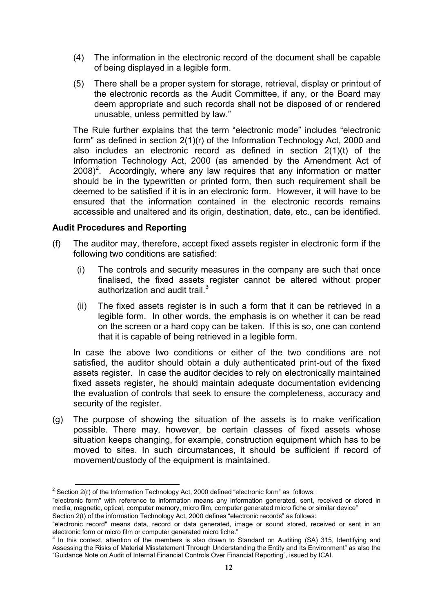- (4) The information in the electronic record of the document shall be capable of being displayed in a legible form.
- (5) There shall be a proper system for storage, retrieval, display or printout of the electronic records as the Audit Committee, if any, or the Board may deem appropriate and such records shall not be disposed of or rendered unusable, unless permitted by law."

The Rule further explains that the term "electronic mode" includes "electronic form" as defined in section 2(1)(r) of the Information Technology Act, 2000 and also includes an electronic record as defined in section 2(1)(t) of the Information Technology Act, 2000 (as amended by the Amendment Act of  $2008)^2$ . Accordingly, where any law requires that any information or matter should be in the typewritten or printed form, then such requirement shall be deemed to be satisfied if it is in an electronic form. However, it will have to be ensured that the information contained in the electronic records remains accessible and unaltered and its origin, destination, date, etc., can be identified.

# Audit Procedures and Reporting

- (f) The auditor may, therefore, accept fixed assets register in electronic form if the following two conditions are satisfied:
	- (i) The controls and security measures in the company are such that once finalised, the fixed assets register cannot be altered without proper authorization and audit trail.<sup>3</sup>
	- (ii) The fixed assets register is in such a form that it can be retrieved in a legible form. In other words, the emphasis is on whether it can be read on the screen or a hard copy can be taken. If this is so, one can contend that it is capable of being retrieved in a legible form.

In case the above two conditions or either of the two conditions are not satisfied, the auditor should obtain a duly authenticated print-out of the fixed assets register. In case the auditor decides to rely on electronically maintained fixed assets register, he should maintain adequate documentation evidencing the evaluation of controls that seek to ensure the completeness, accuracy and security of the register.

(g) The purpose of showing the situation of the assets is to make verification possible. There may, however, be certain classes of fixed assets whose situation keeps changing, for example, construction equipment which has to be moved to sites. In such circumstances, it should be sufficient if record of movement/custody of the equipment is maintained.

 $2^2$  Section 2(r) of the Information Technology Act, 2000 defined "electronic form" as follows:

<sup>&</sup>quot;electronic form" with reference to information means any information generated, sent, received or stored in media, magnetic, optical, computer memory, micro film, computer generated micro fiche or similar device"

Section 2(t) of the information Technology Act, 2000 defines "electronic records" as follows:

<sup>&</sup>quot;electronic record" means data, record or data generated, image or sound stored, received or sent in an electronic form or micro film or computer generated micro fiche."

<sup>&</sup>lt;sup>3</sup> In this context, attention of the members is also drawn to Standard on Auditing (SA) 315, Identifying and Assessing the Risks of Material Misstatement Through Understanding the Entity and Its Environment" as also the "Guidance Note on Audit of Internal Financial Controls Over Financial Reporting", issued by ICAI.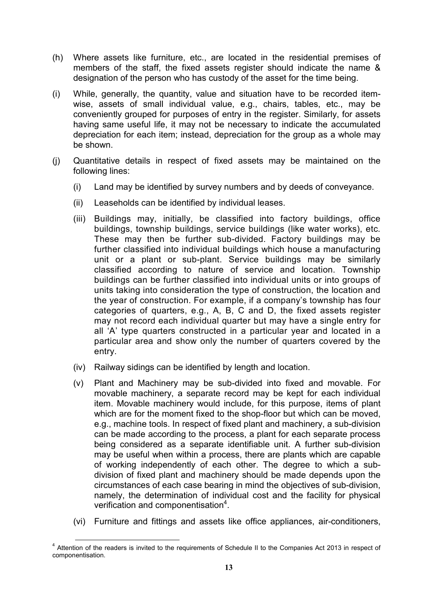- (h) Where assets like furniture, etc., are located in the residential premises of members of the staff, the fixed assets register should indicate the name & designation of the person who has custody of the asset for the time being.
- (i) While, generally, the quantity, value and situation have to be recorded itemwise, assets of small individual value, e.g., chairs, tables, etc., may be conveniently grouped for purposes of entry in the register. Similarly, for assets having same useful life, it may not be necessary to indicate the accumulated depreciation for each item; instead, depreciation for the group as a whole may be shown.
- (j) Quantitative details in respect of fixed assets may be maintained on the following lines:
	- (i) Land may be identified by survey numbers and by deeds of conveyance.
	- (ii) Leaseholds can be identified by individual leases.
	- (iii) Buildings may, initially, be classified into factory buildings, office buildings, township buildings, service buildings (like water works), etc. These may then be further sub-divided. Factory buildings may be further classified into individual buildings which house a manufacturing unit or a plant or sub-plant. Service buildings may be similarly classified according to nature of service and location. Township buildings can be further classified into individual units or into groups of units taking into consideration the type of construction, the location and the year of construction. For example, if a company's township has four categories of quarters, e.g., A, B, C and D, the fixed assets register may not record each individual quarter but may have a single entry for all 'A' type quarters constructed in a particular year and located in a particular area and show only the number of quarters covered by the entry.
	- (iv) Railway sidings can be identified by length and location.
	- (v) Plant and Machinery may be sub-divided into fixed and movable. For movable machinery, a separate record may be kept for each individual item. Movable machinery would include, for this purpose, items of plant which are for the moment fixed to the shop-floor but which can be moved, e.g., machine tools. In respect of fixed plant and machinery, a sub-division can be made according to the process, a plant for each separate process being considered as a separate identifiable unit. A further sub-division may be useful when within a process, there are plants which are capable of working independently of each other. The degree to which a subdivision of fixed plant and machinery should be made depends upon the circumstances of each case bearing in mind the objectives of sub-division, namely, the determination of individual cost and the facility for physical verification and componentisation<sup>4</sup>.
	- (vi) Furniture and fittings and assets like office appliances, air-conditioners,

<sup>4</sup> Attention of the readers is invited to the requirements of Schedule II to the Companies Act 2013 in respect of componentisation.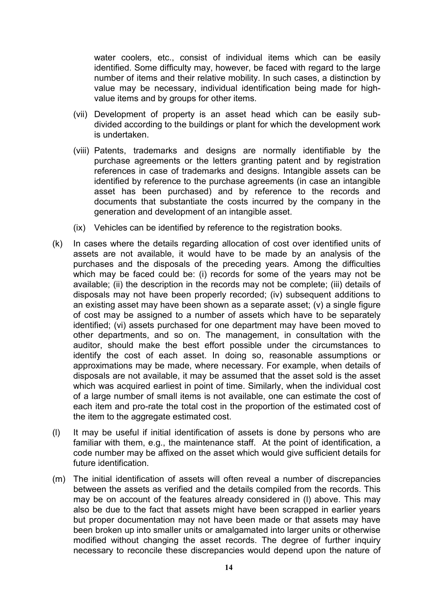water coolers, etc., consist of individual items which can be easily identified. Some difficulty may, however, be faced with regard to the large number of items and their relative mobility. In such cases, a distinction by value may be necessary, individual identification being made for highvalue items and by groups for other items.

- (vii) Development of property is an asset head which can be easily subdivided according to the buildings or plant for which the development work is undertaken.
- (viii) Patents, trademarks and designs are normally identifiable by the purchase agreements or the letters granting patent and by registration references in case of trademarks and designs. Intangible assets can be identified by reference to the purchase agreements (in case an intangible asset has been purchased) and by reference to the records and documents that substantiate the costs incurred by the company in the generation and development of an intangible asset.
- (ix) Vehicles can be identified by reference to the registration books.
- (k) In cases where the details regarding allocation of cost over identified units of assets are not available, it would have to be made by an analysis of the purchases and the disposals of the preceding years. Among the difficulties which may be faced could be: (i) records for some of the years may not be available; (ii) the description in the records may not be complete; (iii) details of disposals may not have been properly recorded; (iv) subsequent additions to an existing asset may have been shown as a separate asset; (v) a single figure of cost may be assigned to a number of assets which have to be separately identified; (vi) assets purchased for one department may have been moved to other departments, and so on. The management, in consultation with the auditor, should make the best effort possible under the circumstances to identify the cost of each asset. In doing so, reasonable assumptions or approximations may be made, where necessary. For example, when details of disposals are not available, it may be assumed that the asset sold is the asset which was acquired earliest in point of time. Similarly, when the individual cost of a large number of small items is not available, one can estimate the cost of each item and pro-rate the total cost in the proportion of the estimated cost of the item to the aggregate estimated cost.
- (l) It may be useful if initial identification of assets is done by persons who are familiar with them, e.g., the maintenance staff. At the point of identification, a code number may be affixed on the asset which would give sufficient details for future identification.
- (m) The initial identification of assets will often reveal a number of discrepancies between the assets as verified and the details compiled from the records. This may be on account of the features already considered in (l) above. This may also be due to the fact that assets might have been scrapped in earlier years but proper documentation may not have been made or that assets may have been broken up into smaller units or amalgamated into larger units or otherwise modified without changing the asset records. The degree of further inquiry necessary to reconcile these discrepancies would depend upon the nature of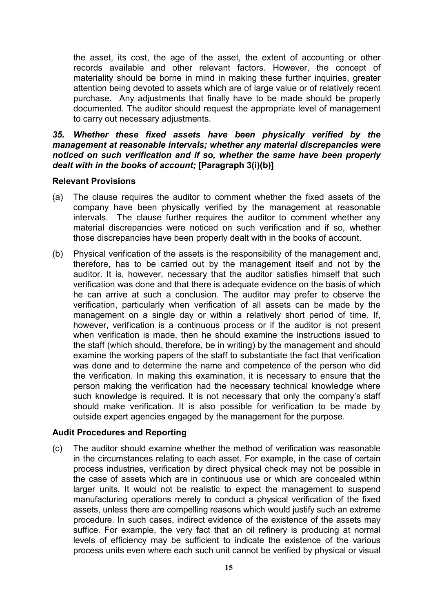the asset, its cost, the age of the asset, the extent of accounting or other records available and other relevant factors. However, the concept of materiality should be borne in mind in making these further inquiries, greater attention being devoted to assets which are of large value or of relatively recent purchase. Any adjustments that finally have to be made should be properly documented. The auditor should request the appropriate level of management to carry out necessary adjustments.

#### *35. Whether these fixed assets have been physically verified by the management at reasonable intervals; whether any material discrepancies were noticed on such verification and if so, whether the same have been properly dealt with in the books of account;* [Paragraph 3(i)(b)]

#### Relevant Provisions

- (a) The clause requires the auditor to comment whether the fixed assets of the company have been physically verified by the management at reasonable intervals. The clause further requires the auditor to comment whether any material discrepancies were noticed on such verification and if so, whether those discrepancies have been properly dealt with in the books of account.
- (b) Physical verification of the assets is the responsibility of the management and, therefore, has to be carried out by the management itself and not by the auditor. It is, however, necessary that the auditor satisfies himself that such verification was done and that there is adequate evidence on the basis of which he can arrive at such a conclusion. The auditor may prefer to observe the verification, particularly when verification of all assets can be made by the management on a single day or within a relatively short period of time. If, however, verification is a continuous process or if the auditor is not present when verification is made, then he should examine the instructions issued to the staff (which should, therefore, be in writing) by the management and should examine the working papers of the staff to substantiate the fact that verification was done and to determine the name and competence of the person who did the verification. In making this examination, it is necessary to ensure that the person making the verification had the necessary technical knowledge where such knowledge is required. It is not necessary that only the company's staff should make verification. It is also possible for verification to be made by outside expert agencies engaged by the management for the purpose.

# Audit Procedures and Reporting

(c) The auditor should examine whether the method of verification was reasonable in the circumstances relating to each asset. For example, in the case of certain process industries, verification by direct physical check may not be possible in the case of assets which are in continuous use or which are concealed within larger units. It would not be realistic to expect the management to suspend manufacturing operations merely to conduct a physical verification of the fixed assets, unless there are compelling reasons which would justify such an extreme procedure. In such cases, indirect evidence of the existence of the assets may suffice. For example, the very fact that an oil refinery is producing at normal levels of efficiency may be sufficient to indicate the existence of the various process units even where each such unit cannot be verified by physical or visual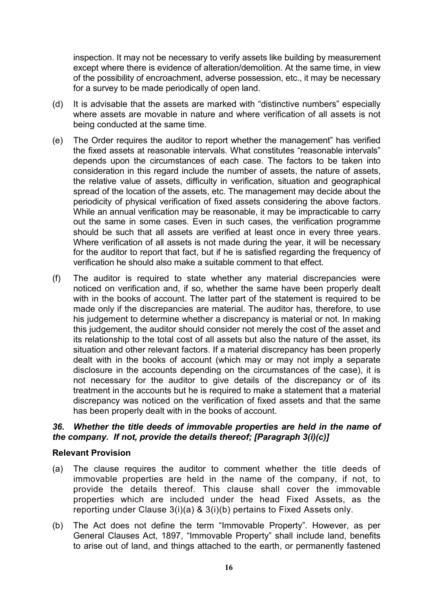inspection. It may not be necessary to verify assets like building by measurement except where there is evidence of alteration/demolition. At the same time, in view of the possibility of encroachment, adverse possession, etc., it may be necessary for a survey to be made periodically of open land.

- (d) It is advisable that the assets are marked with "distinctive numbers" especially where assets are movable in nature and where verification of all assets is not being conducted at the same time.
- (e) The Order requires the auditor to report whether the management" has verified the fixed assets at reasonable intervals. What constitutes "reasonable intervals" depends upon the circumstances of each case. The factors to be taken into consideration in this regard include the number of assets, the nature of assets, the relative value of assets, difficulty in verification, situation and geographical spread of the location of the assets, etc. The management may decide about the periodicity of physical verification of fixed assets considering the above factors. While an annual verification may be reasonable, it may be impracticable to carry out the same in some cases. Even in such cases, the verification programme should be such that all assets are verified at least once in every three years. Where verification of all assets is not made during the year, it will be necessary for the auditor to report that fact, but if he is satisfied regarding the frequency of verification he should also make a suitable comment to that effect.
- (f) The auditor is required to state whether any material discrepancies were noticed on verification and, if so, whether the same have been properly dealt with in the books of account. The latter part of the statement is required to be made only if the discrepancies are material. The auditor has, therefore, to use his judgement to determine whether a discrepancy is material or not. In making this judgement, the auditor should consider not merely the cost of the asset and its relationship to the total cost of all assets but also the nature of the asset, its situation and other relevant factors. If a material discrepancy has been properly dealt with in the books of account (which may or may not imply a separate disclosure in the accounts depending on the circumstances of the case), it is not necessary for the auditor to give details of the discrepancy or of its treatment in the accounts but he is required to make a statement that a material discrepancy was noticed on the verification of fixed assets and that the same has been properly dealt with in the books of account.

# *36. Whether the title deeds of immovable properties are held in the name of the company. If not, provide the details thereof; [Paragraph 3(i)(c)]*

# Relevant Provision

- (a) The clause requires the auditor to comment whether the title deeds of immovable properties are held in the name of the company, if not, to provide the details thereof. This clause shall cover the immovable properties which are included under the head Fixed Assets, as the reporting under Clause 3(i)(a) & 3(i)(b) pertains to Fixed Assets only.
- (b) The Act does not define the term "Immovable Property". However, as per General Clauses Act, 1897, "Immovable Property" shall include land, benefits to arise out of land, and things attached to the earth, or permanently fastened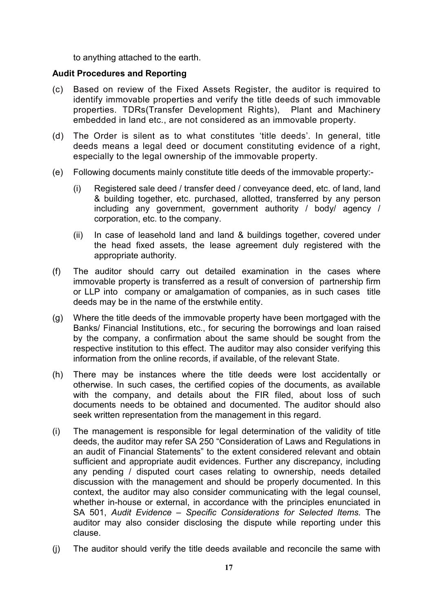to anything attached to the earth.

- (c) Based on review of the Fixed Assets Register, the auditor is required to identify immovable properties and verify the title deeds of such immovable properties. TDRs(Transfer Development Rights), Plant and Machinery embedded in land etc., are not considered as an immovable property.
- (d) The Order is silent as to what constitutes 'title deeds'. In general, title deeds means a legal deed or document constituting evidence of a right, especially to the legal ownership of the immovable property.
- (e) Following documents mainly constitute title deeds of the immovable property:-
	- (i) Registered sale deed / transfer deed / conveyance deed, etc. of land, land & building together, etc. purchased, allotted, transferred by any person including any government, government authority / body/ agency / corporation, etc. to the company.
	- (ii) In case of leasehold land and land & buildings together, covered under the head fixed assets, the lease agreement duly registered with the appropriate authority.
- (f) The auditor should carry out detailed examination in the cases where immovable property is transferred as a result of conversion of partnership firm or LLP into company or amalgamation of companies, as in such cases title deeds may be in the name of the erstwhile entity.
- (g) Where the title deeds of the immovable property have been mortgaged with the Banks/ Financial Institutions, etc., for securing the borrowings and loan raised by the company, a confirmation about the same should be sought from the respective institution to this effect. The auditor may also consider verifying this information from the online records, if available, of the relevant State.
- (h) There may be instances where the title deeds were lost accidentally or otherwise. In such cases, the certified copies of the documents, as available with the company, and details about the FIR filed, about loss of such documents needs to be obtained and documented. The auditor should also seek written representation from the management in this regard.
- (i) The management is responsible for legal determination of the validity of title deeds, the auditor may refer SA 250 "Consideration of Laws and Regulations in an audit of Financial Statements" to the extent considered relevant and obtain sufficient and appropriate audit evidences. Further any discrepancy, including any pending / disputed court cases relating to ownership, needs detailed discussion with the management and should be properly documented. In this context, the auditor may also consider communicating with the legal counsel, whether in-house or external, in accordance with the principles enunciated in SA 501, *Audit Evidence – Specific Considerations for Selected Items.* The auditor may also consider disclosing the dispute while reporting under this clause.
- (j) The auditor should verify the title deeds available and reconcile the same with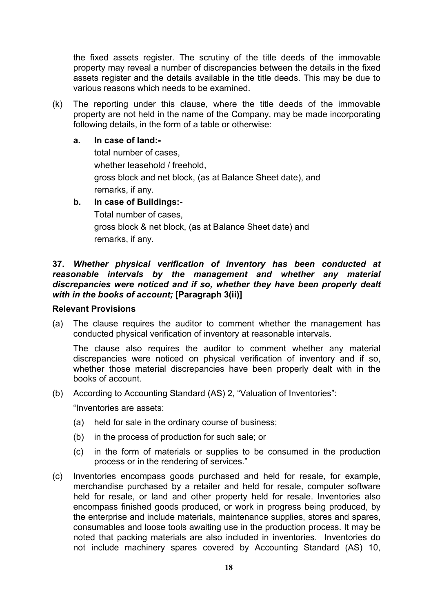the fixed assets register. The scrutiny of the title deeds of the immovable property may reveal a number of discrepancies between the details in the fixed assets register and the details available in the title deeds. This may be due to various reasons which needs to be examined.

(k) The reporting under this clause, where the title deeds of the immovable property are not held in the name of the Company, may be made incorporating following details, in the form of a table or otherwise:

# a. In case of land:-

total number of cases, whether leasehold / freehold. gross block and net block, (as at Balance Sheet date), and remarks, if any.

# b. In case of Buildings:-

Total number of cases, gross block & net block, (as at Balance Sheet date) and remarks, if any.

# 37. *Whether physical verification of inventory has been conducted at reasonable intervals by the management and whether any material discrepancies were noticed and if so, whether they have been properly dealt with in the books of account;* [Paragraph 3(ii)]

# Relevant Provisions

(a) The clause requires the auditor to comment whether the management has conducted physical verification of inventory at reasonable intervals.

The clause also requires the auditor to comment whether any material discrepancies were noticed on physical verification of inventory and if so, whether those material discrepancies have been properly dealt with in the books of account.

(b) According to Accounting Standard (AS) 2, "Valuation of Inventories":

"Inventories are assets:

- (a) held for sale in the ordinary course of business;
- (b) in the process of production for such sale; or
- (c) in the form of materials or supplies to be consumed in the production process or in the rendering of services."
- (c) Inventories encompass goods purchased and held for resale, for example, merchandise purchased by a retailer and held for resale, computer software held for resale, or land and other property held for resale. Inventories also encompass finished goods produced, or work in progress being produced, by the enterprise and include materials, maintenance supplies, stores and spares, consumables and loose tools awaiting use in the production process. It may be noted that packing materials are also included in inventories. Inventories do not include machinery spares covered by Accounting Standard (AS) 10,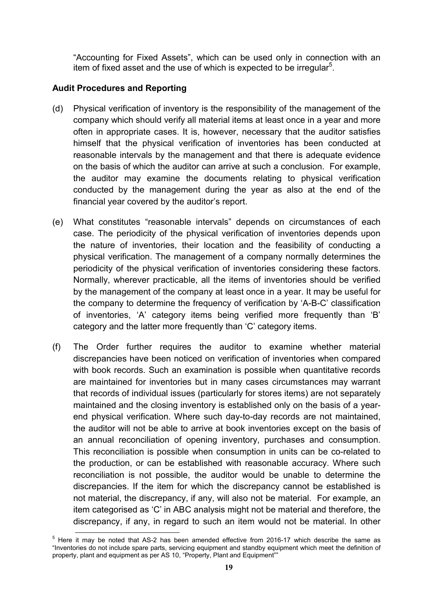"Accounting for Fixed Assets", which can be used only in connection with an item of fixed asset and the use of which is expected to be irregular<sup>5</sup>.

- (d) Physical verification of inventory is the responsibility of the management of the company which should verify all material items at least once in a year and more often in appropriate cases. It is, however, necessary that the auditor satisfies himself that the physical verification of inventories has been conducted at reasonable intervals by the management and that there is adequate evidence on the basis of which the auditor can arrive at such a conclusion. For example, the auditor may examine the documents relating to physical verification conducted by the management during the year as also at the end of the financial year covered by the auditor's report.
- (e) What constitutes "reasonable intervals" depends on circumstances of each case. The periodicity of the physical verification of inventories depends upon the nature of inventories, their location and the feasibility of conducting a physical verification. The management of a company normally determines the periodicity of the physical verification of inventories considering these factors. Normally, wherever practicable, all the items of inventories should be verified by the management of the company at least once in a year. It may be useful for the company to determine the frequency of verification by 'A-B-C' classification of inventories, 'A' category items being verified more frequently than 'B' category and the latter more frequently than 'C' category items.
- (f) The Order further requires the auditor to examine whether material discrepancies have been noticed on verification of inventories when compared with book records. Such an examination is possible when quantitative records are maintained for inventories but in many cases circumstances may warrant that records of individual issues (particularly for stores items) are not separately maintained and the closing inventory is established only on the basis of a yearend physical verification. Where such day-to-day records are not maintained, the auditor will not be able to arrive at book inventories except on the basis of an annual reconciliation of opening inventory, purchases and consumption. This reconciliation is possible when consumption in units can be co-related to the production, or can be established with reasonable accuracy. Where such reconciliation is not possible, the auditor would be unable to determine the discrepancies. If the item for which the discrepancy cannot be established is not material, the discrepancy, if any, will also not be material. For example, an item categorised as 'C' in ABC analysis might not be material and therefore, the discrepancy, if any, in regard to such an item would not be material. In other

<sup>5</sup> Here it may be noted that AS-2 has been amended effective from 2016-17 which describe the same as "Inventories do not include spare parts, servicing equipment and standby equipment which meet the definition of property, plant and equipment as per AS 10, "Property, Plant and Equipment""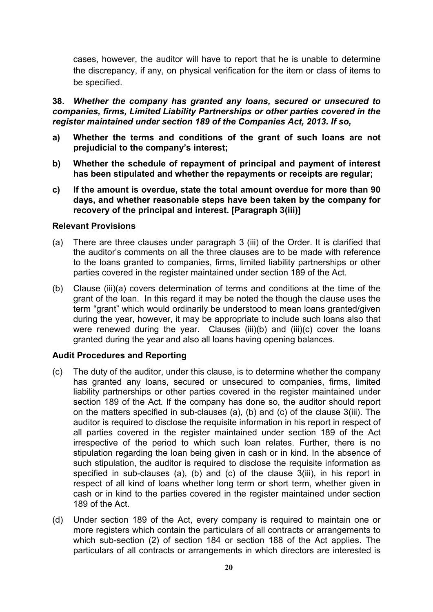cases, however, the auditor will have to report that he is unable to determine the discrepancy, if any, on physical verification for the item or class of items to be specified.

# 38. *Whether the company has granted any loans, secured or unsecured to companies, firms, Limited Liability Partnerships or other parties covered in the register maintained under section 189 of the Companies Act, 2013. If so,*

- a) Whether the terms and conditions of the grant of such loans are not prejudicial to the company's interest;
- b) Whether the schedule of repayment of principal and payment of interest has been stipulated and whether the repayments or receipts are regular;
- c) If the amount is overdue, state the total amount overdue for more than 90 days, and whether reasonable steps have been taken by the company for recovery of the principal and interest. [Paragraph 3(iii)]

# Relevant Provisions

- (a) There are three clauses under paragraph 3 (iii) of the Order. It is clarified that the auditor's comments on all the three clauses are to be made with reference to the loans granted to companies, firms, limited liability partnerships or other parties covered in the register maintained under section 189 of the Act.
- (b) Clause (iii)(a) covers determination of terms and conditions at the time of the grant of the loan. In this regard it may be noted the though the clause uses the term "grant" which would ordinarily be understood to mean loans granted/given during the year, however, it may be appropriate to include such loans also that were renewed during the year. Clauses (iii)(b) and (iii)(c) cover the loans granted during the year and also all loans having opening balances.

- (c) The duty of the auditor, under this clause, is to determine whether the company has granted any loans, secured or unsecured to companies, firms, limited liability partnerships or other parties covered in the register maintained under section 189 of the Act. If the company has done so, the auditor should report on the matters specified in sub-clauses (a), (b) and (c) of the clause 3(iii). The auditor is required to disclose the requisite information in his report in respect of all parties covered in the register maintained under section 189 of the Act irrespective of the period to which such loan relates. Further, there is no stipulation regarding the loan being given in cash or in kind. In the absence of such stipulation, the auditor is required to disclose the requisite information as specified in sub-clauses (a), (b) and (c) of the clause 3(iii), in his report in respect of all kind of loans whether long term or short term, whether given in cash or in kind to the parties covered in the register maintained under section 189 of the Act.
- (d) Under section 189 of the Act, every company is required to maintain one or more registers which contain the particulars of all contracts or arrangements to which sub-section (2) of section 184 or section 188 of the Act applies. The particulars of all contracts or arrangements in which directors are interested is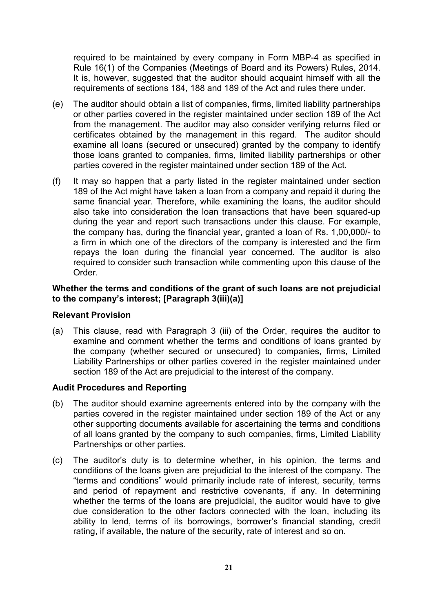required to be maintained by every company in Form MBP-4 as specified in Rule 16(1) of the Companies (Meetings of Board and its Powers) Rules, 2014. It is, however, suggested that the auditor should acquaint himself with all the requirements of sections 184, 188 and 189 of the Act and rules there under.

- (e) The auditor should obtain a list of companies, firms, limited liability partnerships or other parties covered in the register maintained under section 189 of the Act from the management. The auditor may also consider verifying returns filed or certificates obtained by the management in this regard. The auditor should examine all loans (secured or unsecured) granted by the company to identify those loans granted to companies, firms, limited liability partnerships or other parties covered in the register maintained under section 189 of the Act.
- (f) It may so happen that a party listed in the register maintained under section 189 of the Act might have taken a loan from a company and repaid it during the same financial year. Therefore, while examining the loans, the auditor should also take into consideration the loan transactions that have been squared-up during the year and report such transactions under this clause. For example, the company has, during the financial year, granted a loan of Rs. 1,00,000/- to a firm in which one of the directors of the company is interested and the firm repays the loan during the financial year concerned. The auditor is also required to consider such transaction while commenting upon this clause of the Order.

# Whether the terms and conditions of the grant of such loans are not prejudicial to the company's interest; [Paragraph 3(iii)(a)]

# Relevant Provision

(a) This clause, read with Paragraph 3 (iii) of the Order, requires the auditor to examine and comment whether the terms and conditions of loans granted by the company (whether secured or unsecured) to companies, firms, Limited Liability Partnerships or other parties covered in the register maintained under section 189 of the Act are prejudicial to the interest of the company.

- (b) The auditor should examine agreements entered into by the company with the parties covered in the register maintained under section 189 of the Act or any other supporting documents available for ascertaining the terms and conditions of all loans granted by the company to such companies, firms, Limited Liability Partnerships or other parties.
- (c) The auditor's duty is to determine whether, in his opinion, the terms and conditions of the loans given are prejudicial to the interest of the company. The "terms and conditions" would primarily include rate of interest, security, terms and period of repayment and restrictive covenants, if any. In determining whether the terms of the loans are prejudicial, the auditor would have to give due consideration to the other factors connected with the loan, including its ability to lend, terms of its borrowings, borrower's financial standing, credit rating, if available, the nature of the security, rate of interest and so on.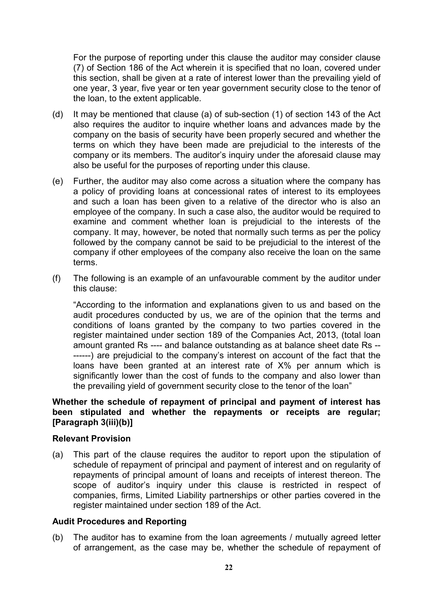For the purpose of reporting under this clause the auditor may consider clause (7) of Section 186 of the Act wherein it is specified that no loan, covered under this section, shall be given at a rate of interest lower than the prevailing yield of one year, 3 year, five year or ten year government security close to the tenor of the loan, to the extent applicable.

- (d) It may be mentioned that clause (a) of sub-section (1) of section 143 of the Act also requires the auditor to inquire whether loans and advances made by the company on the basis of security have been properly secured and whether the terms on which they have been made are prejudicial to the interests of the company or its members. The auditor's inquiry under the aforesaid clause may also be useful for the purposes of reporting under this clause.
- (e) Further, the auditor may also come across a situation where the company has a policy of providing loans at concessional rates of interest to its employees and such a loan has been given to a relative of the director who is also an employee of the company. In such a case also, the auditor would be required to examine and comment whether loan is prejudicial to the interests of the company. It may, however, be noted that normally such terms as per the policy followed by the company cannot be said to be prejudicial to the interest of the company if other employees of the company also receive the loan on the same terms.
- (f) The following is an example of an unfavourable comment by the auditor under this clause:

"According to the information and explanations given to us and based on the audit procedures conducted by us, we are of the opinion that the terms and conditions of loans granted by the company to two parties covered in the register maintained under section 189 of the Companies Act, 2013, (total loan amount granted Rs ---- and balance outstanding as at balance sheet date Rs -- ------) are prejudicial to the company's interest on account of the fact that the loans have been granted at an interest rate of X% per annum which is significantly lower than the cost of funds to the company and also lower than the prevailing yield of government security close to the tenor of the loan"

# Whether the schedule of repayment of principal and payment of interest has been stipulated and whether the repayments or receipts are regular; [Paragraph 3(iii)(b)]

# Relevant Provision

(a) This part of the clause requires the auditor to report upon the stipulation of schedule of repayment of principal and payment of interest and on regularity of repayments of principal amount of loans and receipts of interest thereon. The scope of auditor's inquiry under this clause is restricted in respect of companies, firms, Limited Liability partnerships or other parties covered in the register maintained under section 189 of the Act.

# Audit Procedures and Reporting

(b) The auditor has to examine from the loan agreements / mutually agreed letter of arrangement, as the case may be, whether the schedule of repayment of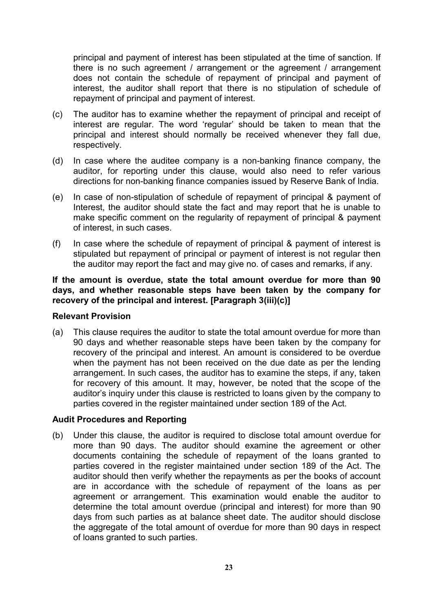principal and payment of interest has been stipulated at the time of sanction. If there is no such agreement / arrangement or the agreement / arrangement does not contain the schedule of repayment of principal and payment of interest, the auditor shall report that there is no stipulation of schedule of repayment of principal and payment of interest.

- (c) The auditor has to examine whether the repayment of principal and receipt of interest are regular. The word 'regular' should be taken to mean that the principal and interest should normally be received whenever they fall due, respectively.
- (d) In case where the auditee company is a non-banking finance company, the auditor, for reporting under this clause, would also need to refer various directions for non-banking finance companies issued by Reserve Bank of India.
- (e) In case of non-stipulation of schedule of repayment of principal & payment of Interest, the auditor should state the fact and may report that he is unable to make specific comment on the regularity of repayment of principal & payment of interest, in such cases.
- (f) In case where the schedule of repayment of principal & payment of interest is stipulated but repayment of principal or payment of interest is not regular then the auditor may report the fact and may give no. of cases and remarks, if any.

# If the amount is overdue, state the total amount overdue for more than 90 days, and whether reasonable steps have been taken by the company for recovery of the principal and interest. [Paragraph 3(iii)(c)]

# Relevant Provision

(a) This clause requires the auditor to state the total amount overdue for more than 90 days and whether reasonable steps have been taken by the company for recovery of the principal and interest. An amount is considered to be overdue when the payment has not been received on the due date as per the lending arrangement. In such cases, the auditor has to examine the steps, if any, taken for recovery of this amount. It may, however, be noted that the scope of the auditor's inquiry under this clause is restricted to loans given by the company to parties covered in the register maintained under section 189 of the Act.

# Audit Procedures and Reporting

(b) Under this clause, the auditor is required to disclose total amount overdue for more than 90 days. The auditor should examine the agreement or other documents containing the schedule of repayment of the loans granted to parties covered in the register maintained under section 189 of the Act. The auditor should then verify whether the repayments as per the books of account are in accordance with the schedule of repayment of the loans as per agreement or arrangement. This examination would enable the auditor to determine the total amount overdue (principal and interest) for more than 90 days from such parties as at balance sheet date. The auditor should disclose the aggregate of the total amount of overdue for more than 90 days in respect of loans granted to such parties.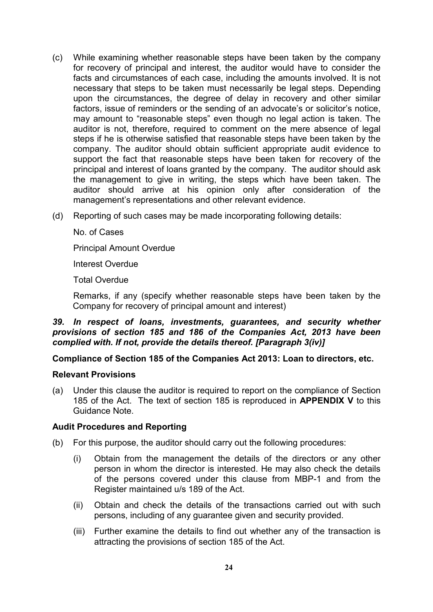- (c) While examining whether reasonable steps have been taken by the company for recovery of principal and interest, the auditor would have to consider the facts and circumstances of each case, including the amounts involved. It is not necessary that steps to be taken must necessarily be legal steps. Depending upon the circumstances, the degree of delay in recovery and other similar factors, issue of reminders or the sending of an advocate's or solicitor's notice, may amount to "reasonable steps" even though no legal action is taken. The auditor is not, therefore, required to comment on the mere absence of legal steps if he is otherwise satisfied that reasonable steps have been taken by the company. The auditor should obtain sufficient appropriate audit evidence to support the fact that reasonable steps have been taken for recovery of the principal and interest of loans granted by the company. The auditor should ask the management to give in writing, the steps which have been taken. The auditor should arrive at his opinion only after consideration of the management's representations and other relevant evidence.
- (d) Reporting of such cases may be made incorporating following details:

No. of Cases

Principal Amount Overdue

Interest Overdue

Total Overdue

Remarks, if any (specify whether reasonable steps have been taken by the Company for recovery of principal amount and interest)

# *39. In respect of loans, investments, guarantees, and security whether provisions of section 185 and 186 of the Companies Act, 2013 have been complied with. If not, provide the details thereof. [Paragraph 3(iv)]*

#### Compliance of Section 185 of the Companies Act 2013: Loan to directors, etc.

#### Relevant Provisions

(a) Under this clause the auditor is required to report on the compliance of Section 185 of the Act. The text of section 185 is reproduced in APPENDIX V to this Guidance Note.

- (b) For this purpose, the auditor should carry out the following procedures:
	- (i) Obtain from the management the details of the directors or any other person in whom the director is interested. He may also check the details of the persons covered under this clause from MBP-1 and from the Register maintained u/s 189 of the Act.
	- (ii) Obtain and check the details of the transactions carried out with such persons, including of any guarantee given and security provided.
	- (iii) Further examine the details to find out whether any of the transaction is attracting the provisions of section 185 of the Act.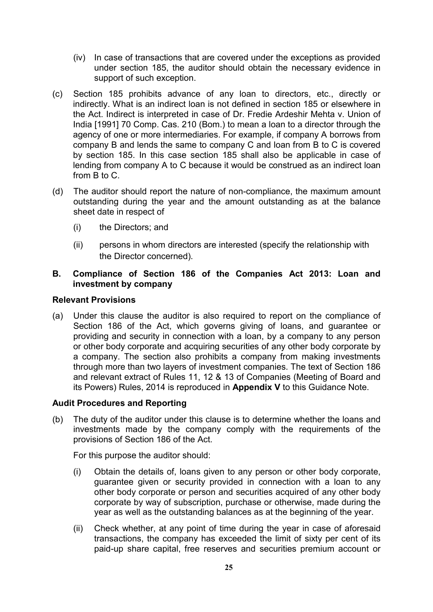- (iv) In case of transactions that are covered under the exceptions as provided under section 185, the auditor should obtain the necessary evidence in support of such exception.
- (c) Section 185 prohibits advance of any loan to directors, etc., directly or indirectly. What is an indirect loan is not defined in section 185 or elsewhere in the Act. Indirect is interpreted in case of Dr. Fredie Ardeshir Mehta v. Union of India [1991] 70 Comp. Cas. 210 (Bom.) to mean a loan to a director through the agency of one or more intermediaries. For example, if company A borrows from company B and lends the same to company C and loan from B to C is covered by section 185. In this case section 185 shall also be applicable in case of lending from company A to C because it would be construed as an indirect loan from B to C.
- (d) The auditor should report the nature of non-compliance, the maximum amount outstanding during the year and the amount outstanding as at the balance sheet date in respect of
	- (i) the Directors; and
	- (ii) persons in whom directors are interested (specify the relationship with the Director concerned).

# B. Compliance of Section 186 of the Companies Act 2013: Loan and investment by company

# Relevant Provisions

(a) Under this clause the auditor is also required to report on the compliance of Section 186 of the Act, which governs giving of loans, and guarantee or providing and security in connection with a loan, by a company to any person or other body corporate and acquiring securities of any other body corporate by a company. The section also prohibits a company from making investments through more than two layers of investment companies. The text of Section 186 and relevant extract of Rules 11, 12 & 13 of Companies (Meeting of Board and its Powers) Rules, 2014 is reproduced in Appendix V to this Guidance Note.

# Audit Procedures and Reporting

(b) The duty of the auditor under this clause is to determine whether the loans and investments made by the company comply with the requirements of the provisions of Section 186 of the Act.

For this purpose the auditor should:

- (i) Obtain the details of, loans given to any person or other body corporate, guarantee given or security provided in connection with a loan to any other body corporate or person and securities acquired of any other body corporate by way of subscription, purchase or otherwise, made during the year as well as the outstanding balances as at the beginning of the year.
- (ii) Check whether, at any point of time during the year in case of aforesaid transactions, the company has exceeded the limit of sixty per cent of its paid-up share capital, free reserves and securities premium account or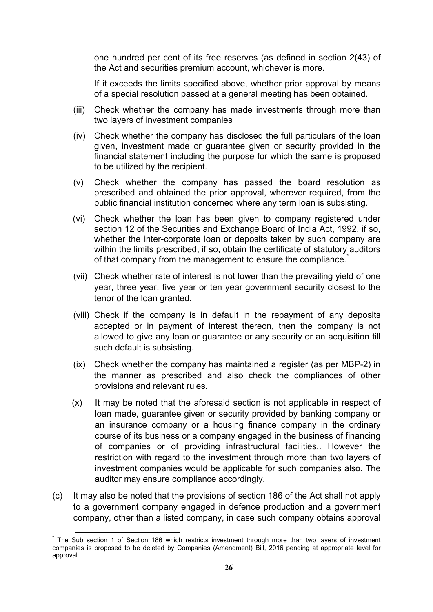one hundred per cent of its free reserves (as defined in section 2(43) of the Act and securities premium account, whichever is more.

If it exceeds the limits specified above, whether prior approval by means of a special resolution passed at a general meeting has been obtained.

- (iii) Check whether the company has made investments through more than two layers of investment companies
- (iv) Check whether the company has disclosed the full particulars of the loan given, investment made or guarantee given or security provided in the financial statement including the purpose for which the same is proposed to be utilized by the recipient.
- (v) Check whether the company has passed the board resolution as prescribed and obtained the prior approval, wherever required, from the public financial institution concerned where any term loan is subsisting.
- (vi) Check whether the loan has been given to company registered under section 12 of the Securities and Exchange Board of India Act, 1992, if so, whether the inter-corporate loan or deposits taken by such company are within the limits prescribed, if so, obtain the certificate of statutory auditors of that company from the management to ensure the compliance.
- (vii) Check whether rate of interest is not lower than the prevailing yield of one year, three year, five year or ten year government security closest to the tenor of the loan granted.
- (viii) Check if the company is in default in the repayment of any deposits accepted or in payment of interest thereon, then the company is not allowed to give any loan or guarantee or any security or an acquisition till such default is subsisting.
- (ix) Check whether the company has maintained a register (as per MBP-2) in the manner as prescribed and also check the compliances of other provisions and relevant rules.
- (x) It may be noted that the aforesaid section is not applicable in respect of loan made, guarantee given or security provided by banking company or an insurance company or a housing finance company in the ordinary course of its business or a company engaged in the business of financing of companies or of providing infrastructural facilities,. However the restriction with regard to the investment through more than two layers of investment companies would be applicable for such companies also. The auditor may ensure compliance accordingly.
- (c) It may also be noted that the provisions of section 186 of the Act shall not apply to a government company engaged in defence production and a government company, other than a listed company, in case such company obtains approval

\* The Sub section 1 of Section 186 which restricts investment through more than two layers of investment companies is proposed to be deleted by Companies (Amendment) Bill, 2016 pending at appropriate level for approval.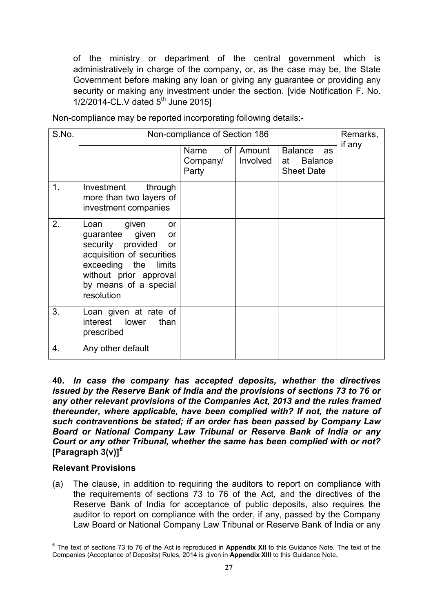of the ministry or department of the central government which is administratively in charge of the company, or, as the case may be, the State Government before making any loan or giving any guarantee or providing any security or making any investment under the section. [vide Notification F. No.  $1/2/2014$ -CL.V dated  $5<sup>th</sup>$  June 2015]

| S.No. | Non-compliance of Section 186                                                                                                                                                                           | Remarks,                                     |                    |                                                                   |        |
|-------|---------------------------------------------------------------------------------------------------------------------------------------------------------------------------------------------------------|----------------------------------------------|--------------------|-------------------------------------------------------------------|--------|
|       |                                                                                                                                                                                                         | Name<br>of <sub>1</sub><br>Company/<br>Party | Amount<br>Involved | <b>Balance</b><br>as<br><b>Balance</b><br>at<br><b>Sheet Date</b> | if any |
| 1.    | Investment<br>through<br>more than two layers of<br>investment companies                                                                                                                                |                                              |                    |                                                                   |        |
| 2.    | given<br>Loan<br><b>or</b><br>guarantee given<br>or<br>security provided<br>or<br>acquisition of securities<br>exceeding the<br>limits<br>without prior approval<br>by means of a special<br>resolution |                                              |                    |                                                                   |        |
| 3.    | Loan given at rate of<br>interest lower<br>than<br>prescribed                                                                                                                                           |                                              |                    |                                                                   |        |
| 4.    | Any other default                                                                                                                                                                                       |                                              |                    |                                                                   |        |

Non-compliance may be reported incorporating following details:-

40. *In case the company has accepted deposits, whether the directives issued by the Reserve Bank of India and the provisions of sections 73 to 76 or any other relevant provisions of the Companies Act, 2013 and the rules framed thereunder, where applicable, have been complied with? If not, the nature of such contraventions be stated; if an order has been passed by Company Law Board or National Company Law Tribunal or Reserve Bank of India or any Court or any other Tribunal, whether the same has been complied with or not?*  [Paragraph 3(v)]*<sup>6</sup>*

# Relevant Provisions

(a) The clause, in addition to requiring the auditors to report on compliance with the requirements of sections 73 to 76 of the Act, and the directives of the Reserve Bank of India for acceptance of public deposits, also requires the auditor to report on compliance with the order, if any, passed by the Company Law Board or National Company Law Tribunal or Reserve Bank of India or any

 $6$  The text of sections 73 to 76 of the Act is reproduced in **Appendix XII** to this Guidance Note. The text of the Companies (Acceptance of Deposits) Rules, 2014 is given in Appendix XIII to this Guidance Note.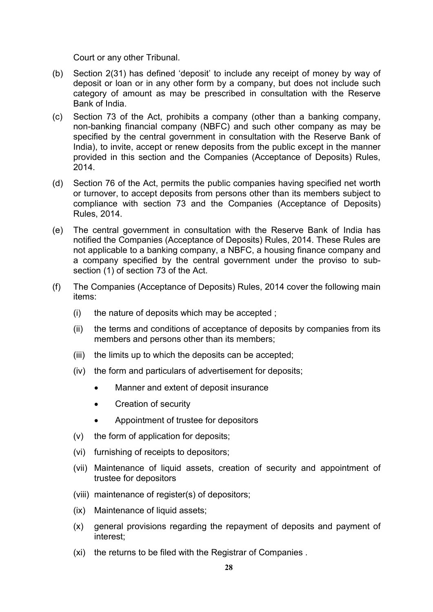Court or any other Tribunal.

- (b) Section 2(31) has defined 'deposit' to include any receipt of money by way of deposit or loan or in any other form by a company, but does not include such category of amount as may be prescribed in consultation with the Reserve Bank of India.
- (c) Section 73 of the Act, prohibits a company (other than a banking company, non-banking financial company (NBFC) and such other company as may be specified by the central government in consultation with the Reserve Bank of India), to invite, accept or renew deposits from the public except in the manner provided in this section and the Companies (Acceptance of Deposits) Rules, 2014.
- (d) Section 76 of the Act, permits the public companies having specified net worth or turnover, to accept deposits from persons other than its members subject to compliance with section 73 and the Companies (Acceptance of Deposits) Rules, 2014.
- (e) The central government in consultation with the Reserve Bank of India has notified the Companies (Acceptance of Deposits) Rules, 2014. These Rules are not applicable to a banking company, a NBFC, a housing finance company and a company specified by the central government under the proviso to subsection (1) of section 73 of the Act.
- (f) The Companies (Acceptance of Deposits) Rules, 2014 cover the following main items:
	- (i) the nature of deposits which may be accepted ;
	- (ii) the terms and conditions of acceptance of deposits by companies from its members and persons other than its members;
	- (iii) the limits up to which the deposits can be accepted;
	- (iv) the form and particulars of advertisement for deposits;
		- Manner and extent of deposit insurance
		- Creation of security
		- Appointment of trustee for depositors
	- (v) the form of application for deposits;
	- (vi) furnishing of receipts to depositors;
	- (vii) Maintenance of liquid assets, creation of security and appointment of trustee for depositors
	- (viii) maintenance of register(s) of depositors;
	- (ix) Maintenance of liquid assets;
	- (x) general provisions regarding the repayment of deposits and payment of interest;
	- (xi) the returns to be filed with the Registrar of Companies .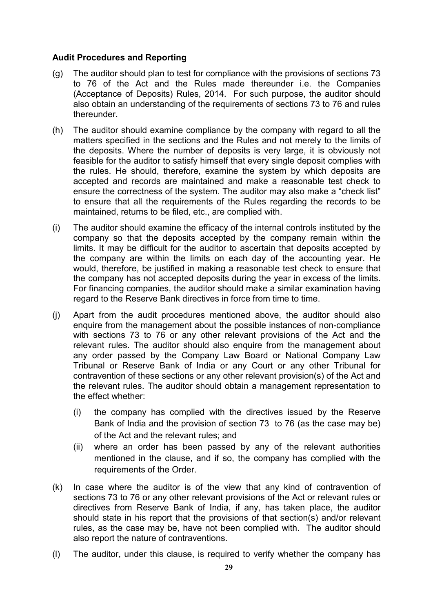- (g) The auditor should plan to test for compliance with the provisions of sections 73 to 76 of the Act and the Rules made thereunder i.e. the Companies (Acceptance of Deposits) Rules, 2014. For such purpose, the auditor should also obtain an understanding of the requirements of sections 73 to 76 and rules thereunder.
- (h) The auditor should examine compliance by the company with regard to all the matters specified in the sections and the Rules and not merely to the limits of the deposits. Where the number of deposits is very large, it is obviously not feasible for the auditor to satisfy himself that every single deposit complies with the rules. He should, therefore, examine the system by which deposits are accepted and records are maintained and make a reasonable test check to ensure the correctness of the system. The auditor may also make a "check list" to ensure that all the requirements of the Rules regarding the records to be maintained, returns to be filed, etc., are complied with.
- (i) The auditor should examine the efficacy of the internal controls instituted by the company so that the deposits accepted by the company remain within the limits. It may be difficult for the auditor to ascertain that deposits accepted by the company are within the limits on each day of the accounting year. He would, therefore, be justified in making a reasonable test check to ensure that the company has not accepted deposits during the year in excess of the limits. For financing companies, the auditor should make a similar examination having regard to the Reserve Bank directives in force from time to time.
- (j) Apart from the audit procedures mentioned above, the auditor should also enquire from the management about the possible instances of non-compliance with sections 73 to 76 or any other relevant provisions of the Act and the relevant rules. The auditor should also enquire from the management about any order passed by the Company Law Board or National Company Law Tribunal or Reserve Bank of India or any Court or any other Tribunal for contravention of these sections or any other relevant provision(s) of the Act and the relevant rules. The auditor should obtain a management representation to the effect whether:
	- (i) the company has complied with the directives issued by the Reserve Bank of India and the provision of section 73 to 76 (as the case may be) of the Act and the relevant rules; and
	- (ii) where an order has been passed by any of the relevant authorities mentioned in the clause, and if so, the company has complied with the requirements of the Order.
- (k) In case where the auditor is of the view that any kind of contravention of sections 73 to 76 or any other relevant provisions of the Act or relevant rules or directives from Reserve Bank of India, if any, has taken place, the auditor should state in his report that the provisions of that section(s) and/or relevant rules, as the case may be, have not been complied with. The auditor should also report the nature of contraventions.
- (l) The auditor, under this clause, is required to verify whether the company has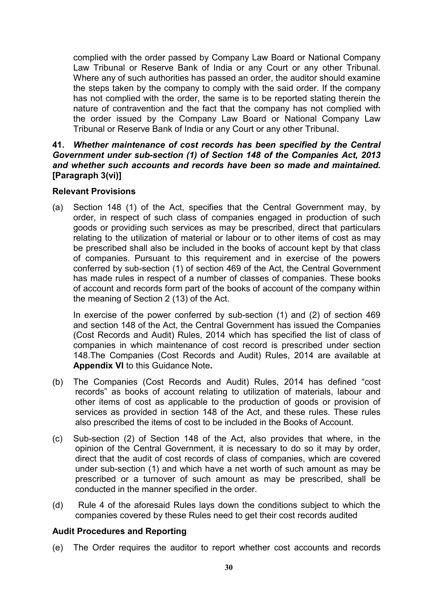complied with the order passed by Company Law Board or National Company Law Tribunal or Reserve Bank of India or any Court or any other Tribunal. Where any of such authorities has passed an order, the auditor should examine the steps taken by the company to comply with the said order. If the company has not complied with the order, the same is to be reported stating therein the nature of contravention and the fact that the company has not complied with the order issued by the Company Law Board or National Company Law Tribunal or Reserve Bank of India or any Court or any other Tribunal.

# 41. *Whether maintenance of cost records has been specified by the Central Government under sub-section (1) of Section 148 of the Companies Act, 2013 and whether such accounts and records have been so made and maintained.*  [Paragraph 3(vi)]

# Relevant Provisions

(a) Section 148 (1) of the Act, specifies that the Central Government may, by order, in respect of such class of companies engaged in production of such goods or providing such services as may be prescribed, direct that particulars relating to the utilization of material or labour or to other items of cost as may be prescribed shall also be included in the books of account kept by that class of companies. Pursuant to this requirement and in exercise of the powers conferred by sub-section (1) of section 469 of the Act, the Central Government has made rules in respect of a number of classes of companies. These books of account and records form part of the books of account of the company within the meaning of Section 2 (13) of the Act.

In exercise of the power conferred by sub-section (1) and (2) of section 469 and section 148 of the Act, the Central Government has issued the Companies (Cost Records and Audit) Rules, 2014 which has specified the list of class of companies in which maintenance of cost record is prescribed under section 148.The Companies (Cost Records and Audit) Rules, 2014 are available at Appendix VI to this Guidance Note.

- (b) The Companies (Cost Records and Audit) Rules, 2014 has defined "cost records" as books of account relating to utilization of materials, labour and other items of cost as applicable to the production of goods or provision of services as provided in section 148 of the Act, and these rules. These rules also prescribed the items of cost to be included in the Books of Account.
- (c) Sub-section (2) of Section 148 of the Act, also provides that where, in the opinion of the Central Government, it is necessary to do so it may by order, direct that the audit of cost records of class of companies, which are covered under sub-section (1) and which have a net worth of such amount as may be prescribed or a turnover of such amount as may be prescribed, shall be conducted in the manner specified in the order.
- (d) Rule 4 of the aforesaid Rules lays down the conditions subject to which the companies covered by these Rules need to get their cost records audited

# Audit Procedures and Reporting

(e) The Order requires the auditor to report whether cost accounts and records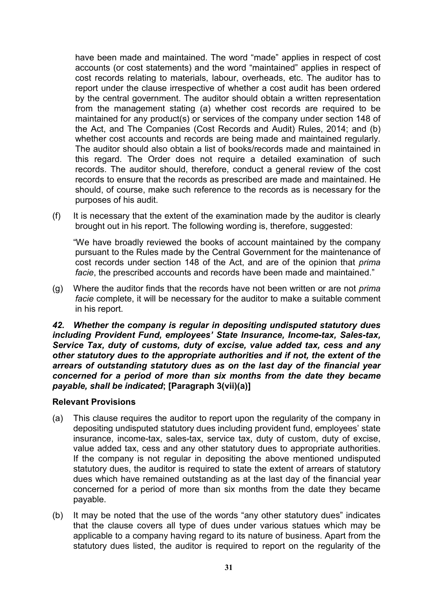have been made and maintained. The word "made" applies in respect of cost accounts (or cost statements) and the word "maintained" applies in respect of cost records relating to materials, labour, overheads, etc. The auditor has to report under the clause irrespective of whether a cost audit has been ordered by the central government. The auditor should obtain a written representation from the management stating (a) whether cost records are required to be maintained for any product(s) or services of the company under section 148 of the Act, and The Companies (Cost Records and Audit) Rules, 2014; and (b) whether cost accounts and records are being made and maintained regularly. The auditor should also obtain a list of books/records made and maintained in this regard. The Order does not require a detailed examination of such records. The auditor should, therefore, conduct a general review of the cost records to ensure that the records as prescribed are made and maintained. He should, of course, make such reference to the records as is necessary for the purposes of his audit.

(f) It is necessary that the extent of the examination made by the auditor is clearly brought out in his report. The following wording is, therefore, suggested:

"We have broadly reviewed the books of account maintained by the company pursuant to the Rules made by the Central Government for the maintenance of cost records under section 148 of the Act, and are of the opinion that *prima facie*, the prescribed accounts and records have been made and maintained."

(g) Where the auditor finds that the records have not been written or are not *prima facie* complete, it will be necessary for the auditor to make a suitable comment in his report.

*42. Whether the company is regular in depositing undisputed statutory dues including Provident Fund, employees' State Insurance, Income-tax, Sales-tax, Service Tax, duty of customs, duty of excise, value added tax, cess and any other statutory dues to the appropriate authorities and if not, the extent of the arrears of outstanding statutory dues as on the last day of the financial year concerned for a period of more than six months from the date they became payable, shall be indicated*; [Paragraph 3(vii)(a)]

#### Relevant Provisions

- (a) This clause requires the auditor to report upon the regularity of the company in depositing undisputed statutory dues including provident fund, employees' state insurance, income-tax, sales-tax, service tax, duty of custom, duty of excise, value added tax, cess and any other statutory dues to appropriate authorities. If the company is not regular in depositing the above mentioned undisputed statutory dues, the auditor is required to state the extent of arrears of statutory dues which have remained outstanding as at the last day of the financial year concerned for a period of more than six months from the date they became payable.
- (b) It may be noted that the use of the words "any other statutory dues" indicates that the clause covers all type of dues under various statues which may be applicable to a company having regard to its nature of business. Apart from the statutory dues listed, the auditor is required to report on the regularity of the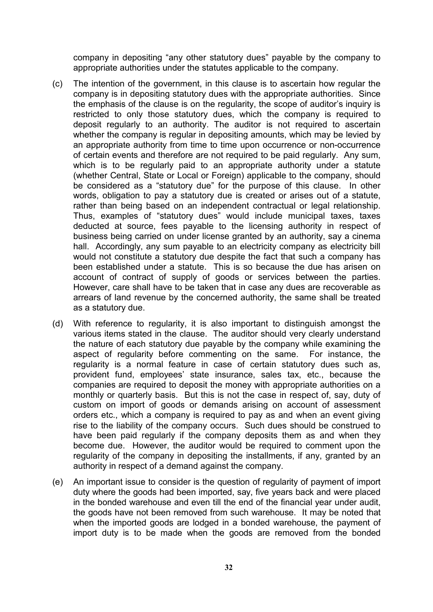company in depositing "any other statutory dues" payable by the company to appropriate authorities under the statutes applicable to the company.

- (c) The intention of the government, in this clause is to ascertain how regular the company is in depositing statutory dues with the appropriate authorities. Since the emphasis of the clause is on the regularity, the scope of auditor's inquiry is restricted to only those statutory dues, which the company is required to deposit regularly to an authority. The auditor is not required to ascertain whether the company is regular in depositing amounts, which may be levied by an appropriate authority from time to time upon occurrence or non-occurrence of certain events and therefore are not required to be paid regularly. Any sum, which is to be regularly paid to an appropriate authority under a statute (whether Central, State or Local or Foreign) applicable to the company, should be considered as a "statutory due" for the purpose of this clause. In other words, obligation to pay a statutory due is created or arises out of a statute, rather than being based on an independent contractual or legal relationship. Thus, examples of "statutory dues" would include municipal taxes, taxes deducted at source, fees payable to the licensing authority in respect of business being carried on under license granted by an authority, say a cinema hall. Accordingly, any sum payable to an electricity company as electricity bill would not constitute a statutory due despite the fact that such a company has been established under a statute. This is so because the due has arisen on account of contract of supply of goods or services between the parties. However, care shall have to be taken that in case any dues are recoverable as arrears of land revenue by the concerned authority, the same shall be treated as a statutory due.
- (d) With reference to regularity, it is also important to distinguish amongst the various items stated in the clause. The auditor should very clearly understand the nature of each statutory due payable by the company while examining the aspect of regularity before commenting on the same. For instance, the regularity is a normal feature in case of certain statutory dues such as, provident fund, employees' state insurance, sales tax, etc., because the companies are required to deposit the money with appropriate authorities on a monthly or quarterly basis. But this is not the case in respect of, say, duty of custom on import of goods or demands arising on account of assessment orders etc., which a company is required to pay as and when an event giving rise to the liability of the company occurs. Such dues should be construed to have been paid regularly if the company deposits them as and when they become due. However, the auditor would be required to comment upon the regularity of the company in depositing the installments, if any, granted by an authority in respect of a demand against the company.
- (e) An important issue to consider is the question of regularity of payment of import duty where the goods had been imported, say, five years back and were placed in the bonded warehouse and even till the end of the financial year under audit, the goods have not been removed from such warehouse. It may be noted that when the imported goods are lodged in a bonded warehouse, the payment of import duty is to be made when the goods are removed from the bonded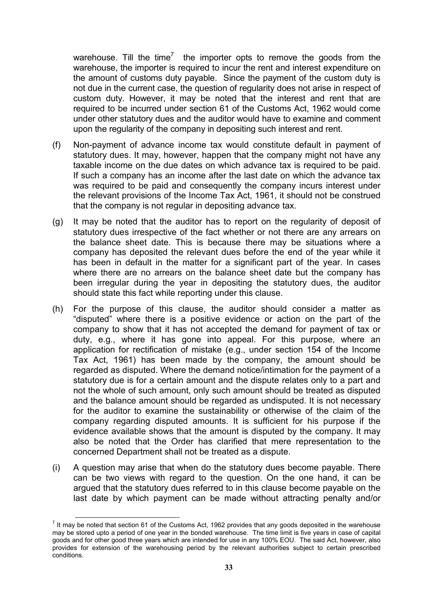warehouse. Till the time<sup>7</sup> the importer opts to remove the goods from the warehouse, the importer is required to incur the rent and interest expenditure on the amount of customs duty payable. Since the payment of the custom duty is not due in the current case, the question of regularity does not arise in respect of custom duty. However, it may be noted that the interest and rent that are required to be incurred under section 61 of the Customs Act, 1962 would come under other statutory dues and the auditor would have to examine and comment upon the regularity of the company in depositing such interest and rent.

- (f) Non-payment of advance income tax would constitute default in payment of statutory dues. It may, however, happen that the company might not have any taxable income on the due dates on which advance tax is required to be paid. If such a company has an income after the last date on which the advance tax was required to be paid and consequently the company incurs interest under the relevant provisions of the Income Tax Act, 1961, it should not be construed that the company is not regular in depositing advance tax.
- (g) It may be noted that the auditor has to report on the regularity of deposit of statutory dues irrespective of the fact whether or not there are any arrears on the balance sheet date. This is because there may be situations where a company has deposited the relevant dues before the end of the year while it has been in default in the matter for a significant part of the year. In cases where there are no arrears on the balance sheet date but the company has been irregular during the year in depositing the statutory dues, the auditor should state this fact while reporting under this clause.
- (h) For the purpose of this clause, the auditor should consider a matter as "disputed" where there is a positive evidence or action on the part of the company to show that it has not accepted the demand for payment of tax or duty, e.g., where it has gone into appeal. For this purpose, where an application for rectification of mistake (e.g., under section 154 of the Income Tax Act, 1961) has been made by the company, the amount should be regarded as disputed. Where the demand notice/intimation for the payment of a statutory due is for a certain amount and the dispute relates only to a part and not the whole of such amount, only such amount should be treated as disputed and the balance amount should be regarded as undisputed. It is not necessary for the auditor to examine the sustainability or otherwise of the claim of the company regarding disputed amounts. It is sufficient for his purpose if the evidence available shows that the amount is disputed by the company. It may also be noted that the Order has clarified that mere representation to the concerned Department shall not be treated as a dispute.
- (i) A question may arise that when do the statutory dues become payable. There can be two views with regard to the question. On the one hand, it can be argued that the statutory dues referred to in this clause become payable on the last date by which payment can be made without attracting penalty and/or

 $<sup>7</sup>$  It may be noted that section 61 of the Customs Act, 1962 provides that any goods deposited in the warehouse</sup> may be stored upto a period of one year in the bonded warehouse. The time limit is five years in case of capital goods and for other good three years which are intended for use in any 100% EOU. The said Act, however, also provides for extension of the warehousing period by the relevant authorities subject to certain prescribed conditions.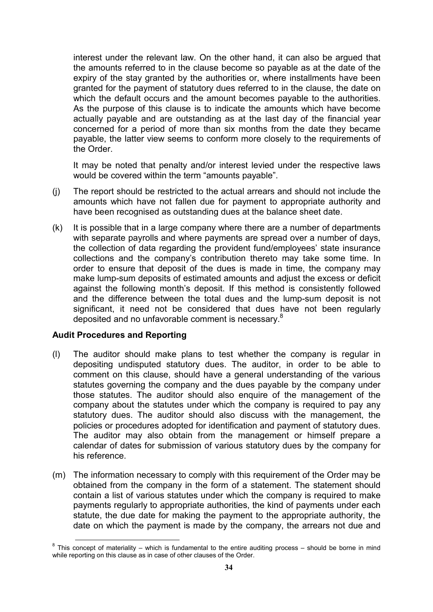interest under the relevant law. On the other hand, it can also be argued that the amounts referred to in the clause become so payable as at the date of the expiry of the stay granted by the authorities or, where installments have been granted for the payment of statutory dues referred to in the clause, the date on which the default occurs and the amount becomes payable to the authorities. As the purpose of this clause is to indicate the amounts which have become actually payable and are outstanding as at the last day of the financial year concerned for a period of more than six months from the date they became payable, the latter view seems to conform more closely to the requirements of the Order.

It may be noted that penalty and/or interest levied under the respective laws would be covered within the term "amounts payable".

- (j) The report should be restricted to the actual arrears and should not include the amounts which have not fallen due for payment to appropriate authority and have been recognised as outstanding dues at the balance sheet date.
- (k) It is possible that in a large company where there are a number of departments with separate payrolls and where payments are spread over a number of days, the collection of data regarding the provident fund/employees' state insurance collections and the company's contribution thereto may take some time. In order to ensure that deposit of the dues is made in time, the company may make lump-sum deposits of estimated amounts and adjust the excess or deficit against the following month's deposit. If this method is consistently followed and the difference between the total dues and the lump-sum deposit is not significant, it need not be considered that dues have not been regularly deposited and no unfavorable comment is necessary.<sup>8</sup>

#### Audit Procedures and Reporting

- (l) The auditor should make plans to test whether the company is regular in depositing undisputed statutory dues. The auditor, in order to be able to comment on this clause, should have a general understanding of the various statutes governing the company and the dues payable by the company under those statutes. The auditor should also enquire of the management of the company about the statutes under which the company is required to pay any statutory dues. The auditor should also discuss with the management, the policies or procedures adopted for identification and payment of statutory dues. The auditor may also obtain from the management or himself prepare a calendar of dates for submission of various statutory dues by the company for his reference.
- (m) The information necessary to comply with this requirement of the Order may be obtained from the company in the form of a statement. The statement should contain a list of various statutes under which the company is required to make payments regularly to appropriate authorities, the kind of payments under each statute, the due date for making the payment to the appropriate authority, the date on which the payment is made by the company, the arrears not due and

 $8$  This concept of materiality – which is fundamental to the entire auditing process – should be borne in mind while reporting on this clause as in case of other clauses of the Order.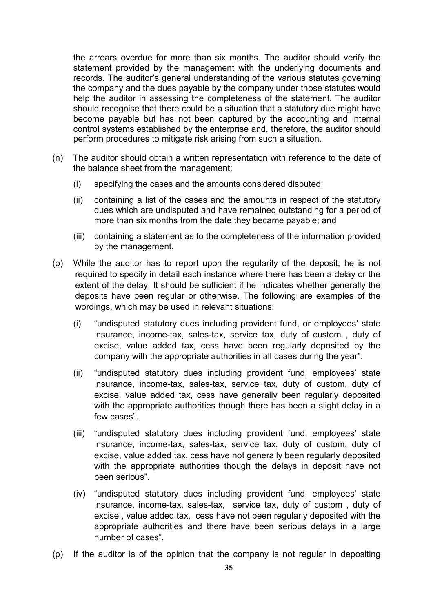the arrears overdue for more than six months. The auditor should verify the statement provided by the management with the underlying documents and records. The auditor's general understanding of the various statutes governing the company and the dues payable by the company under those statutes would help the auditor in assessing the completeness of the statement. The auditor should recognise that there could be a situation that a statutory due might have become payable but has not been captured by the accounting and internal control systems established by the enterprise and, therefore, the auditor should perform procedures to mitigate risk arising from such a situation.

- (n) The auditor should obtain a written representation with reference to the date of the balance sheet from the management:
	- (i) specifying the cases and the amounts considered disputed;
	- (ii) containing a list of the cases and the amounts in respect of the statutory dues which are undisputed and have remained outstanding for a period of more than six months from the date they became payable; and
	- (iii) containing a statement as to the completeness of the information provided by the management.
- (o) While the auditor has to report upon the regularity of the deposit, he is not required to specify in detail each instance where there has been a delay or the extent of the delay. It should be sufficient if he indicates whether generally the deposits have been regular or otherwise. The following are examples of the wordings, which may be used in relevant situations:
	- (i) "undisputed statutory dues including provident fund, or employees' state insurance, income-tax, sales-tax, service tax, duty of custom , duty of excise, value added tax, cess have been regularly deposited by the company with the appropriate authorities in all cases during the year".
	- (ii) "undisputed statutory dues including provident fund, employees' state insurance, income-tax, sales-tax, service tax, duty of custom, duty of excise, value added tax, cess have generally been regularly deposited with the appropriate authorities though there has been a slight delay in a few cases".
	- (iii) "undisputed statutory dues including provident fund, employees' state insurance, income-tax, sales-tax, service tax, duty of custom, duty of excise, value added tax, cess have not generally been regularly deposited with the appropriate authorities though the delays in deposit have not been serious".
	- (iv) "undisputed statutory dues including provident fund, employees' state insurance, income-tax, sales-tax, service tax, duty of custom , duty of excise , value added tax, cess have not been regularly deposited with the appropriate authorities and there have been serious delays in a large number of cases".
- (p) If the auditor is of the opinion that the company is not regular in depositing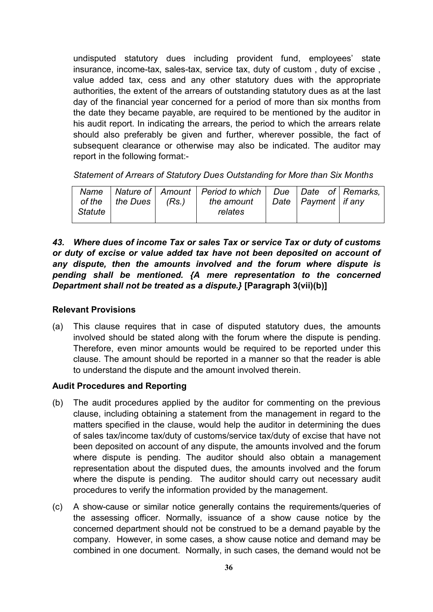undisputed statutory dues including provident fund, employees' state insurance, income-tax, sales-tax, service tax, duty of custom , duty of excise , value added tax, cess and any other statutory dues with the appropriate authorities, the extent of the arrears of outstanding statutory dues as at the last day of the financial year concerned for a period of more than six months from the date they became payable, are required to be mentioned by the auditor in his audit report. In indicating the arrears, the period to which the arrears relate should also preferably be given and further, wherever possible, the fact of subsequent clearance or otherwise may also be indicated. The auditor may report in the following format:-

*Statement of Arrears of Statutory Dues Outstanding for More than Six Months*

|                |                               | Name   Nature of   Amount   Period to which   Due   Date of   Remarks, |                         |  |
|----------------|-------------------------------|------------------------------------------------------------------------|-------------------------|--|
| <b>Statute</b> | of the $ $ the Dues $ $ (Rs.) | the amount<br>relates                                                  | Date   Payment   if any |  |
|                |                               |                                                                        |                         |  |

*43. Where dues of income Tax or sales Tax or service Tax or duty of customs or duty of excise or value added tax have not been deposited on account of any dispute, then the amounts involved and the forum where dispute is pending shall be mentioned. {A mere representation to the concerned Department shall not be treated as a dispute.}* [Paragraph 3(vii)(b)]

#### Relevant Provisions

(a) This clause requires that in case of disputed statutory dues, the amounts involved should be stated along with the forum where the dispute is pending. Therefore, even minor amounts would be required to be reported under this clause. The amount should be reported in a manner so that the reader is able to understand the dispute and the amount involved therein.

# Audit Procedures and Reporting

- (b) The audit procedures applied by the auditor for commenting on the previous clause, including obtaining a statement from the management in regard to the matters specified in the clause, would help the auditor in determining the dues of sales tax/income tax/duty of customs/service tax/duty of excise that have not been deposited on account of any dispute, the amounts involved and the forum where dispute is pending. The auditor should also obtain a management representation about the disputed dues, the amounts involved and the forum where the dispute is pending. The auditor should carry out necessary audit procedures to verify the information provided by the management.
- (c) A show-cause or similar notice generally contains the requirements/queries of the assessing officer. Normally, issuance of a show cause notice by the concerned department should not be construed to be a demand payable by the company. However, in some cases, a show cause notice and demand may be combined in one document. Normally, in such cases, the demand would not be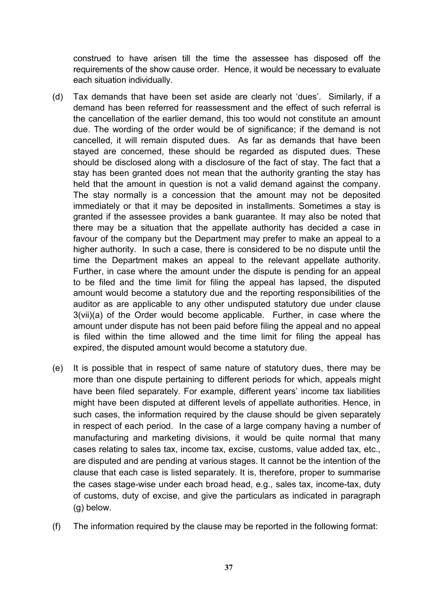construed to have arisen till the time the assessee has disposed off the requirements of the show cause order. Hence, it would be necessary to evaluate each situation individually.

- (d) Tax demands that have been set aside are clearly not 'dues'. Similarly, if a demand has been referred for reassessment and the effect of such referral is the cancellation of the earlier demand, this too would not constitute an amount due. The wording of the order would be of significance; if the demand is not cancelled, it will remain disputed dues. As far as demands that have been stayed are concerned, these should be regarded as disputed dues. These should be disclosed along with a disclosure of the fact of stay. The fact that a stay has been granted does not mean that the authority granting the stay has held that the amount in question is not a valid demand against the company. The stay normally is a concession that the amount may not be deposited immediately or that it may be deposited in installments. Sometimes a stay is granted if the assessee provides a bank guarantee. It may also be noted that there may be a situation that the appellate authority has decided a case in favour of the company but the Department may prefer to make an appeal to a higher authority. In such a case, there is considered to be no dispute until the time the Department makes an appeal to the relevant appellate authority. Further, in case where the amount under the dispute is pending for an appeal to be filed and the time limit for filing the appeal has lapsed, the disputed amount would become a statutory due and the reporting responsibilities of the auditor as are applicable to any other undisputed statutory due under clause 3(vii)(a) of the Order would become applicable. Further, in case where the amount under dispute has not been paid before filing the appeal and no appeal is filed within the time allowed and the time limit for filing the appeal has expired, the disputed amount would become a statutory due.
- (e) It is possible that in respect of same nature of statutory dues, there may be more than one dispute pertaining to different periods for which, appeals might have been filed separately. For example, different years' income tax liabilities might have been disputed at different levels of appellate authorities. Hence, in such cases, the information required by the clause should be given separately in respect of each period. In the case of a large company having a number of manufacturing and marketing divisions, it would be quite normal that many cases relating to sales tax, income tax, excise, customs, value added tax, etc., are disputed and are pending at various stages. It cannot be the intention of the clause that each case is listed separately. It is, therefore, proper to summarise the cases stage-wise under each broad head, e.g., sales tax, income-tax, duty of customs, duty of excise, and give the particulars as indicated in paragraph (g) below.
- (f) The information required by the clause may be reported in the following format: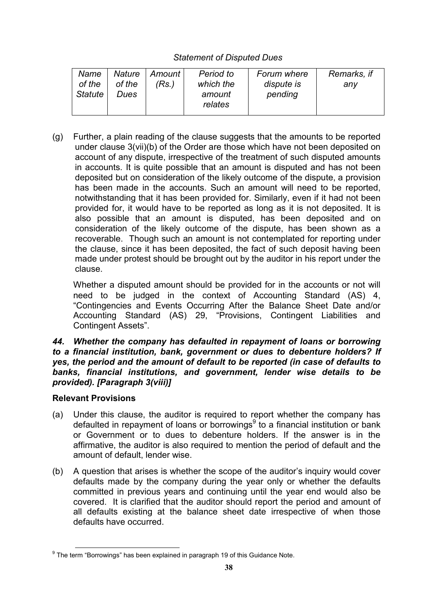# *Statement of Disputed Dues*

| Name    | Nature      | Amount | Period to         | Forum where | Remarks, if |
|---------|-------------|--------|-------------------|-------------|-------------|
| of the  | of the      | (Rs.)  | which the         | dispute is  | anv         |
| Statute | <b>Dues</b> |        | amount<br>relates | pending     |             |

(g) Further, a plain reading of the clause suggests that the amounts to be reported under clause 3(vii)(b) of the Order are those which have not been deposited on account of any dispute, irrespective of the treatment of such disputed amounts in accounts. It is quite possible that an amount is disputed and has not been deposited but on consideration of the likely outcome of the dispute, a provision has been made in the accounts. Such an amount will need to be reported. notwithstanding that it has been provided for. Similarly, even if it had not been provided for, it would have to be reported as long as it is not deposited. It is also possible that an amount is disputed, has been deposited and on consideration of the likely outcome of the dispute, has been shown as a recoverable. Though such an amount is not contemplated for reporting under the clause, since it has been deposited, the fact of such deposit having been made under protest should be brought out by the auditor in his report under the clause.

Whether a disputed amount should be provided for in the accounts or not will need to be judged in the context of Accounting Standard (AS) 4, "Contingencies and Events Occurring After the Balance Sheet Date and/or Accounting Standard (AS) 29, "Provisions, Contingent Liabilities and Contingent Assets".

#### *44. Whether the company has defaulted in repayment of loans or borrowing to a financial institution, bank, government or dues to debenture holders? If yes, the period and the amount of default to be reported (in case of defaults to banks, financial institutions, and government, lender wise details to be provided). [Paragraph 3(viii)]*

# Relevant Provisions

- (a) Under this clause, the auditor is required to report whether the company has defaulted in repayment of loans or borrowings $9$  to a financial institution or bank or Government or to dues to debenture holders. If the answer is in the affirmative, the auditor is also required to mention the period of default and the amount of default, lender wise.
- (b) A question that arises is whether the scope of the auditor's inquiry would cover defaults made by the company during the year only or whether the defaults committed in previous years and continuing until the year end would also be covered. It is clarified that the auditor should report the period and amount of all defaults existing at the balance sheet date irrespective of when those defaults have occurred.

 $9$  The term "Borrowings" has been explained in paragraph 19 of this Guidance Note.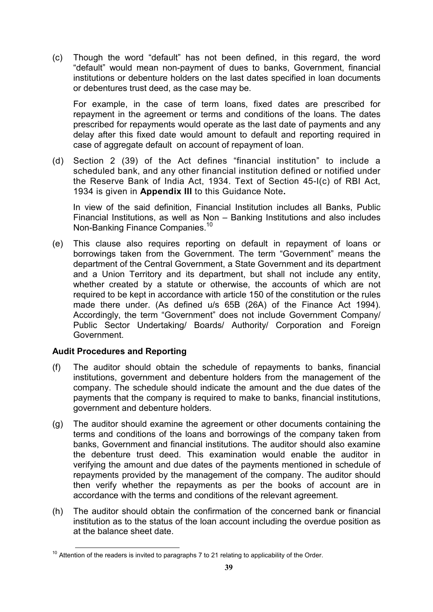(c) Though the word "default" has not been defined, in this regard, the word "default" would mean non-payment of dues to banks, Government, financial institutions or debenture holders on the last dates specified in loan documents or debentures trust deed, as the case may be.

For example, in the case of term loans, fixed dates are prescribed for repayment in the agreement or terms and conditions of the loans. The dates prescribed for repayments would operate as the last date of payments and any delay after this fixed date would amount to default and reporting required in case of aggregate default on account of repayment of loan.

(d) Section 2 (39) of the Act defines "financial institution" to include a scheduled bank, and any other financial institution defined or notified under the Reserve Bank of India Act, 1934. Text of Section 45-I(c) of RBI Act, 1934 is given in Appendix III to this Guidance Note.

In view of the said definition, Financial Institution includes all Banks, Public Financial Institutions, as well as Non – Banking Institutions and also includes Non-Banking Finance Companies.<sup>10</sup>

(e) This clause also requires reporting on default in repayment of loans or borrowings taken from the Government. The term "Government" means the department of the Central Government, a State Government and its department and a Union Territory and its department, but shall not include any entity, whether created by a statute or otherwise, the accounts of which are not required to be kept in accordance with article 150 of the constitution or the rules made there under. (As defined u/s 65B (26A) of the Finance Act 1994). Accordingly, the term "Government" does not include Government Company/ Public Sector Undertaking/ Boards/ Authority/ Corporation and Foreign Government.

#### Audit Procedures and Reporting

- (f) The auditor should obtain the schedule of repayments to banks, financial institutions, government and debenture holders from the management of the company. The schedule should indicate the amount and the due dates of the payments that the company is required to make to banks, financial institutions, government and debenture holders.
- (g) The auditor should examine the agreement or other documents containing the terms and conditions of the loans and borrowings of the company taken from banks, Government and financial institutions. The auditor should also examine the debenture trust deed. This examination would enable the auditor in verifying the amount and due dates of the payments mentioned in schedule of repayments provided by the management of the company. The auditor should then verify whether the repayments as per the books of account are in accordance with the terms and conditions of the relevant agreement.
- (h) The auditor should obtain the confirmation of the concerned bank or financial institution as to the status of the loan account including the overdue position as at the balance sheet date.

 $10$  Attention of the readers is invited to paragraphs 7 to 21 relating to applicability of the Order.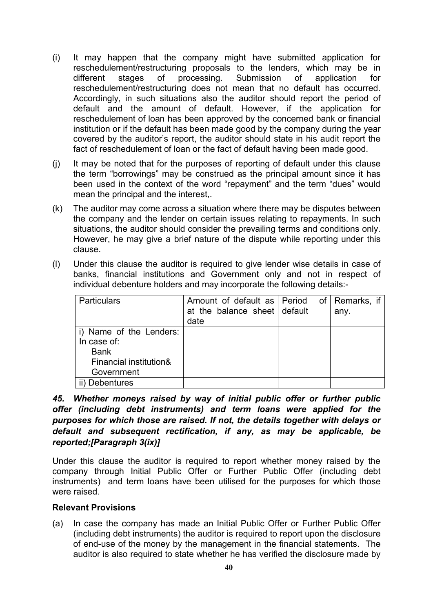- (i) It may happen that the company might have submitted application for reschedulement/restructuring proposals to the lenders, which may be in different stages of processing. Submission of application for reschedulement/restructuring does not mean that no default has occurred. Accordingly, in such situations also the auditor should report the period of default and the amount of default. However, if the application for reschedulement of loan has been approved by the concerned bank or financial institution or if the default has been made good by the company during the year covered by the auditor's report, the auditor should state in his audit report the fact of reschedulement of loan or the fact of default having been made good.
- (j) It may be noted that for the purposes of reporting of default under this clause the term "borrowings" may be construed as the principal amount since it has been used in the context of the word "repayment" and the term "dues" would mean the principal and the interest,.
- (k) The auditor may come across a situation where there may be disputes between the company and the lender on certain issues relating to repayments. In such situations, the auditor should consider the prevailing terms and conditions only. However, he may give a brief nature of the dispute while reporting under this clause.
- (l) Under this clause the auditor is required to give lender wise details in case of banks, financial institutions and Government only and not in respect of individual debenture holders and may incorporate the following details:-

| Particulars              | Amount of default as   Period of   Remarks, if<br>at the balance sheet default<br>date | any. |
|--------------------------|----------------------------------------------------------------------------------------|------|
| (i) Name of the Lenders: |                                                                                        |      |
| In case of:              |                                                                                        |      |
| <b>Bank</b>              |                                                                                        |      |
| Financial institution&   |                                                                                        |      |
| Government               |                                                                                        |      |
| ii) Debentures           |                                                                                        |      |

*45. Whether moneys raised by way of initial public offer or further public offer (including debt instruments) and term loans were applied for the purposes for which those are raised. If not, the details together with delays or default and subsequent rectification, if any, as may be applicable, be reported;[Paragraph 3(ix)]*

Under this clause the auditor is required to report whether money raised by the company through Initial Public Offer or Further Public Offer (including debt instruments) and term loans have been utilised for the purposes for which those were raised.

#### Relevant Provisions

(a) In case the company has made an Initial Public Offer or Further Public Offer (including debt instruments) the auditor is required to report upon the disclosure of end-use of the money by the management in the financial statements. The auditor is also required to state whether he has verified the disclosure made by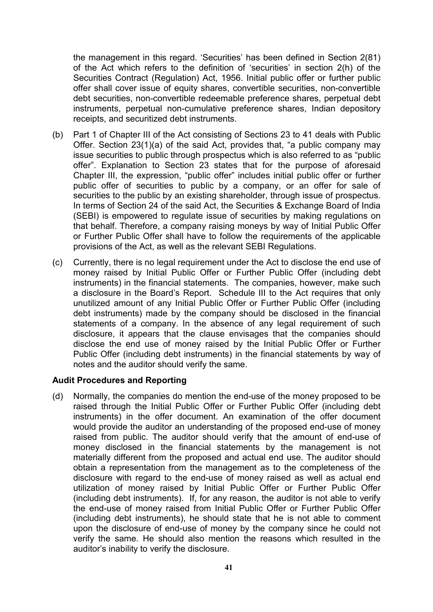the management in this regard. 'Securities' has been defined in Section 2(81) of the Act which refers to the definition of 'securities' in section 2(h) of the Securities Contract (Regulation) Act, 1956. Initial public offer or further public offer shall cover issue of equity shares, convertible securities, non-convertible debt securities, non-convertible redeemable preference shares, perpetual debt instruments, perpetual non-cumulative preference shares, Indian depository receipts, and securitized debt instruments.

- (b) Part 1 of Chapter III of the Act consisting of Sections 23 to 41 deals with Public Offer. Section 23(1)(a) of the said Act, provides that, "a public company may issue securities to public through prospectus which is also referred to as "public offer". Explanation to Section 23 states that for the purpose of aforesaid Chapter III, the expression, "public offer" includes initial public offer or further public offer of securities to public by a company, or an offer for sale of securities to the public by an existing shareholder, through issue of prospectus. In terms of Section 24 of the said Act, the Securities & Exchange Board of India (SEBI) is empowered to regulate issue of securities by making regulations on that behalf. Therefore, a company raising moneys by way of Initial Public Offer or Further Public Offer shall have to follow the requirements of the applicable provisions of the Act, as well as the relevant SEBI Regulations.
- (c) Currently, there is no legal requirement under the Act to disclose the end use of money raised by Initial Public Offer or Further Public Offer (including debt instruments) in the financial statements. The companies, however, make such a disclosure in the Board's Report. Schedule III to the Act requires that only unutilized amount of any Initial Public Offer or Further Public Offer (including debt instruments) made by the company should be disclosed in the financial statements of a company. In the absence of any legal requirement of such disclosure, it appears that the clause envisages that the companies should disclose the end use of money raised by the Initial Public Offer or Further Public Offer (including debt instruments) in the financial statements by way of notes and the auditor should verify the same.

#### Audit Procedures and Reporting

(d) Normally, the companies do mention the end-use of the money proposed to be raised through the Initial Public Offer or Further Public Offer (including debt instruments) in the offer document. An examination of the offer document would provide the auditor an understanding of the proposed end-use of money raised from public. The auditor should verify that the amount of end-use of money disclosed in the financial statements by the management is not materially different from the proposed and actual end use. The auditor should obtain a representation from the management as to the completeness of the disclosure with regard to the end-use of money raised as well as actual end utilization of money raised by Initial Public Offer or Further Public Offer (including debt instruments). If, for any reason, the auditor is not able to verify the end-use of money raised from Initial Public Offer or Further Public Offer (including debt instruments), he should state that he is not able to comment upon the disclosure of end-use of money by the company since he could not verify the same. He should also mention the reasons which resulted in the auditor's inability to verify the disclosure.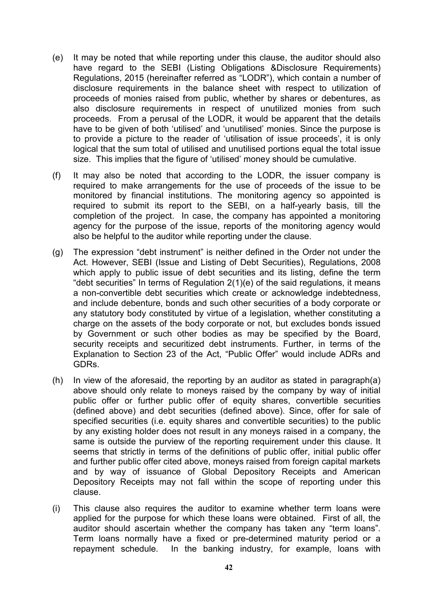- (e) It may be noted that while reporting under this clause, the auditor should also have regard to the SEBI (Listing Obligations &Disclosure Requirements) Regulations, 2015 (hereinafter referred as "LODR"), which contain a number of disclosure requirements in the balance sheet with respect to utilization of proceeds of monies raised from public, whether by shares or debentures, as also disclosure requirements in respect of unutilized monies from such proceeds. From a perusal of the LODR, it would be apparent that the details have to be given of both 'utilised' and 'unutilised' monies. Since the purpose is to provide a picture to the reader of 'utilisation of issue proceeds', it is only logical that the sum total of utilised and unutilised portions equal the total issue size. This implies that the figure of 'utilised' money should be cumulative.
- (f) It may also be noted that according to the LODR, the issuer company is required to make arrangements for the use of proceeds of the issue to be monitored by financial institutions. The monitoring agency so appointed is required to submit its report to the SEBI, on a half-yearly basis, till the completion of the project. In case, the company has appointed a monitoring agency for the purpose of the issue, reports of the monitoring agency would also be helpful to the auditor while reporting under the clause.
- (g) The expression "debt instrument" is neither defined in the Order not under the Act. However, SEBI (Issue and Listing of Debt Securities), Regulations, 2008 which apply to public issue of debt securities and its listing, define the term "debt securities" In terms of Regulation 2(1)(e) of the said regulations, it means a non-convertible debt securities which create or acknowledge indebtedness, and include debenture, bonds and such other securities of a body corporate or any statutory body constituted by virtue of a legislation, whether constituting a charge on the assets of the body corporate or not, but excludes bonds issued by Government or such other bodies as may be specified by the Board, security receipts and securitized debt instruments. Further, in terms of the Explanation to Section 23 of the Act, "Public Offer" would include ADRs and GDRs.
- (h) In view of the aforesaid, the reporting by an auditor as stated in paragraph(a) above should only relate to moneys raised by the company by way of initial public offer or further public offer of equity shares, convertible securities (defined above) and debt securities (defined above). Since, offer for sale of specified securities (i.e. equity shares and convertible securities) to the public by any existing holder does not result in any moneys raised in a company, the same is outside the purview of the reporting requirement under this clause. It seems that strictly in terms of the definitions of public offer, initial public offer and further public offer cited above, moneys raised from foreign capital markets and by way of issuance of Global Depository Receipts and American Depository Receipts may not fall within the scope of reporting under this clause.
- (i) This clause also requires the auditor to examine whether term loans were applied for the purpose for which these loans were obtained. First of all, the auditor should ascertain whether the company has taken any "term loans". Term loans normally have a fixed or pre-determined maturity period or a repayment schedule. In the banking industry, for example, loans with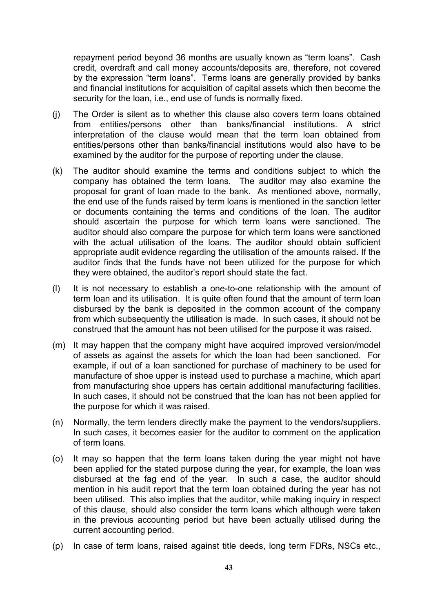repayment period beyond 36 months are usually known as "term loans". Cash credit, overdraft and call money accounts/deposits are, therefore, not covered by the expression "term loans". Terms loans are generally provided by banks and financial institutions for acquisition of capital assets which then become the security for the loan, i.e., end use of funds is normally fixed.

- (j) The Order is silent as to whether this clause also covers term loans obtained from entities/persons other than banks/financial institutions. A strict interpretation of the clause would mean that the term loan obtained from entities/persons other than banks/financial institutions would also have to be examined by the auditor for the purpose of reporting under the clause.
- (k) The auditor should examine the terms and conditions subject to which the company has obtained the term loans. The auditor may also examine the proposal for grant of loan made to the bank. As mentioned above, normally, the end use of the funds raised by term loans is mentioned in the sanction letter or documents containing the terms and conditions of the loan. The auditor should ascertain the purpose for which term loans were sanctioned. The auditor should also compare the purpose for which term loans were sanctioned with the actual utilisation of the loans. The auditor should obtain sufficient appropriate audit evidence regarding the utilisation of the amounts raised. If the auditor finds that the funds have not been utilized for the purpose for which they were obtained, the auditor's report should state the fact.
- (l) It is not necessary to establish a one-to-one relationship with the amount of term loan and its utilisation. It is quite often found that the amount of term loan disbursed by the bank is deposited in the common account of the company from which subsequently the utilisation is made. In such cases, it should not be construed that the amount has not been utilised for the purpose it was raised.
- (m) It may happen that the company might have acquired improved version/model of assets as against the assets for which the loan had been sanctioned. For example, if out of a loan sanctioned for purchase of machinery to be used for manufacture of shoe upper is instead used to purchase a machine, which apart from manufacturing shoe uppers has certain additional manufacturing facilities. In such cases, it should not be construed that the loan has not been applied for the purpose for which it was raised.
- (n) Normally, the term lenders directly make the payment to the vendors/suppliers. In such cases, it becomes easier for the auditor to comment on the application of term loans.
- (o) It may so happen that the term loans taken during the year might not have been applied for the stated purpose during the year, for example, the loan was disbursed at the fag end of the year. In such a case, the auditor should mention in his audit report that the term loan obtained during the year has not been utilised. This also implies that the auditor, while making inquiry in respect of this clause, should also consider the term loans which although were taken in the previous accounting period but have been actually utilised during the current accounting period.
- (p) In case of term loans, raised against title deeds, long term FDRs, NSCs etc.,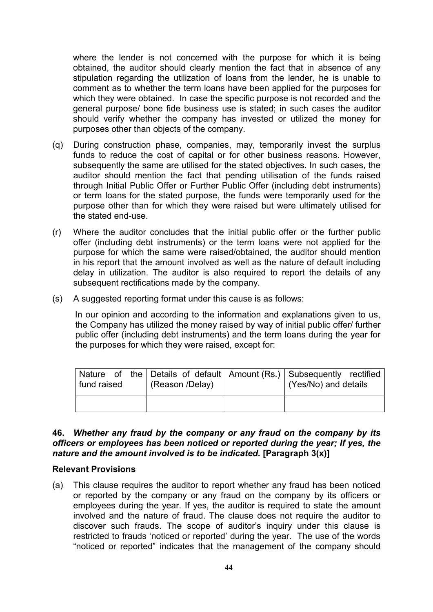where the lender is not concerned with the purpose for which it is being obtained, the auditor should clearly mention the fact that in absence of any stipulation regarding the utilization of loans from the lender, he is unable to comment as to whether the term loans have been applied for the purposes for which they were obtained. In case the specific purpose is not recorded and the general purpose/ bone fide business use is stated; in such cases the auditor should verify whether the company has invested or utilized the money for purposes other than objects of the company.

- (q) During construction phase, companies, may, temporarily invest the surplus funds to reduce the cost of capital or for other business reasons. However, subsequently the same are utilised for the stated objectives. In such cases, the auditor should mention the fact that pending utilisation of the funds raised through Initial Public Offer or Further Public Offer (including debt instruments) or term loans for the stated purpose, the funds were temporarily used for the purpose other than for which they were raised but were ultimately utilised for the stated end-use.
- (r) Where the auditor concludes that the initial public offer or the further public offer (including debt instruments) or the term loans were not applied for the purpose for which the same were raised/obtained, the auditor should mention in his report that the amount involved as well as the nature of default including delay in utilization. The auditor is also required to report the details of any subsequent rectifications made by the company.
- (s) A suggested reporting format under this cause is as follows:

In our opinion and according to the information and explanations given to us, the Company has utilized the money raised by way of initial public offer/ further public offer (including debt instruments) and the term loans during the year for the purposes for which they were raised, except for:

| I fund raised |  | Nature of the Details of default Amount (Rs.) Subsequently rectified<br>(Reason /Delay) | (Yes/No) and details |  |
|---------------|--|-----------------------------------------------------------------------------------------|----------------------|--|
|               |  |                                                                                         |                      |  |

#### 46. *Whether any fraud by the company or any fraud on the company by its officers or employees has been noticed or reported during the year; If yes, the nature and the amount involved is to be indicated.* [Paragraph 3(x)]

#### Relevant Provisions

(a) This clause requires the auditor to report whether any fraud has been noticed or reported by the company or any fraud on the company by its officers or employees during the year. If yes, the auditor is required to state the amount involved and the nature of fraud. The clause does not require the auditor to discover such frauds. The scope of auditor's inquiry under this clause is restricted to frauds 'noticed or reported' during the year. The use of the words "noticed or reported" indicates that the management of the company should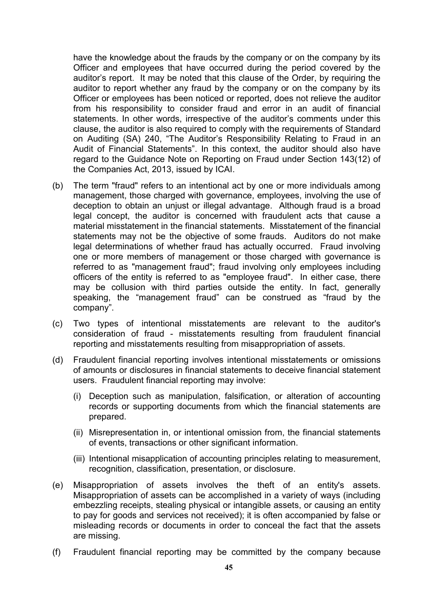have the knowledge about the frauds by the company or on the company by its Officer and employees that have occurred during the period covered by the auditor's report. It may be noted that this clause of the Order, by requiring the auditor to report whether any fraud by the company or on the company by its Officer or employees has been noticed or reported, does not relieve the auditor from his responsibility to consider fraud and error in an audit of financial statements. In other words, irrespective of the auditor's comments under this clause, the auditor is also required to comply with the requirements of Standard on Auditing (SA) 240, "The Auditor's Responsibility Relating to Fraud in an Audit of Financial Statements". In this context, the auditor should also have regard to the Guidance Note on Reporting on Fraud under Section 143(12) of the Companies Act, 2013, issued by ICAI.

- (b) The term "fraud" refers to an intentional act by one or more individuals among management, those charged with governance, employees, involving the use of deception to obtain an unjust or illegal advantage. Although fraud is a broad legal concept, the auditor is concerned with fraudulent acts that cause a material misstatement in the financial statements. Misstatement of the financial statements may not be the objective of some frauds. Auditors do not make legal determinations of whether fraud has actually occurred. Fraud involving one or more members of management or those charged with governance is referred to as "management fraud"; fraud involving only employees including officers of the entity is referred to as "employee fraud". In either case, there may be collusion with third parties outside the entity. In fact, generally speaking, the "management fraud" can be construed as "fraud by the company".
- (c) Two types of intentional misstatements are relevant to the auditor's consideration of fraud - misstatements resulting from fraudulent financial reporting and misstatements resulting from misappropriation of assets.
- (d) Fraudulent financial reporting involves intentional misstatements or omissions of amounts or disclosures in financial statements to deceive financial statement users. Fraudulent financial reporting may involve:
	- (i) Deception such as manipulation, falsification, or alteration of accounting records or supporting documents from which the financial statements are prepared.
	- (ii) Misrepresentation in, or intentional omission from, the financial statements of events, transactions or other significant information.
	- (iii) Intentional misapplication of accounting principles relating to measurement, recognition, classification, presentation, or disclosure.
- (e) Misappropriation of assets involves the theft of an entity's assets. Misappropriation of assets can be accomplished in a variety of ways (including embezzling receipts, stealing physical or intangible assets, or causing an entity to pay for goods and services not received); it is often accompanied by false or misleading records or documents in order to conceal the fact that the assets are missing.
- (f) Fraudulent financial reporting may be committed by the company because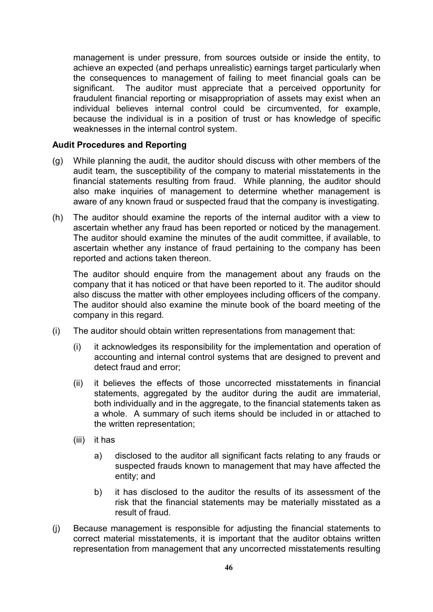management is under pressure, from sources outside or inside the entity, to achieve an expected (and perhaps unrealistic) earnings target particularly when the consequences to management of failing to meet financial goals can be significant. The auditor must appreciate that a perceived opportunity for fraudulent financial reporting or misappropriation of assets may exist when an individual believes internal control could be circumvented, for example, because the individual is in a position of trust or has knowledge of specific weaknesses in the internal control system.

#### Audit Procedures and Reporting

- (g) While planning the audit, the auditor should discuss with other members of the audit team, the susceptibility of the company to material misstatements in the financial statements resulting from fraud. While planning, the auditor should also make inquiries of management to determine whether management is aware of any known fraud or suspected fraud that the company is investigating.
- (h) The auditor should examine the reports of the internal auditor with a view to ascertain whether any fraud has been reported or noticed by the management. The auditor should examine the minutes of the audit committee, if available, to ascertain whether any instance of fraud pertaining to the company has been reported and actions taken thereon.

The auditor should enquire from the management about any frauds on the company that it has noticed or that have been reported to it. The auditor should also discuss the matter with other employees including officers of the company. The auditor should also examine the minute book of the board meeting of the company in this regard.

- (i) The auditor should obtain written representations from management that:
	- (i) it acknowledges its responsibility for the implementation and operation of accounting and internal control systems that are designed to prevent and detect fraud and error;
	- (ii) it believes the effects of those uncorrected misstatements in financial statements, aggregated by the auditor during the audit are immaterial, both individually and in the aggregate, to the financial statements taken as a whole. A summary of such items should be included in or attached to the written representation;
	- (iii) it has
		- a) disclosed to the auditor all significant facts relating to any frauds or suspected frauds known to management that may have affected the entity; and
		- b) it has disclosed to the auditor the results of its assessment of the risk that the financial statements may be materially misstated as a result of fraud.
- (j) Because management is responsible for adjusting the financial statements to correct material misstatements, it is important that the auditor obtains written representation from management that any uncorrected misstatements resulting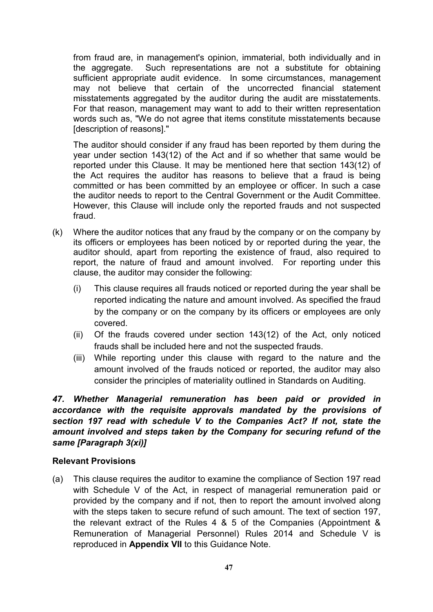from fraud are, in management's opinion, immaterial, both individually and in the aggregate. Such representations are not a substitute for obtaining sufficient appropriate audit evidence. In some circumstances, management may not believe that certain of the uncorrected financial statement misstatements aggregated by the auditor during the audit are misstatements. For that reason, management may want to add to their written representation words such as, "We do not agree that items constitute misstatements because [description of reasons]."

The auditor should consider if any fraud has been reported by them during the year under section 143(12) of the Act and if so whether that same would be reported under this Clause. It may be mentioned here that section 143(12) of the Act requires the auditor has reasons to believe that a fraud is being committed or has been committed by an employee or officer. In such a case the auditor needs to report to the Central Government or the Audit Committee. However, this Clause will include only the reported frauds and not suspected fraud.

- (k) Where the auditor notices that any fraud by the company or on the company by its officers or employees has been noticed by or reported during the year, the auditor should, apart from reporting the existence of fraud, also required to report, the nature of fraud and amount involved. For reporting under this clause, the auditor may consider the following:
	- (i) This clause requires all frauds noticed or reported during the year shall be reported indicating the nature and amount involved. As specified the fraud by the company or on the company by its officers or employees are only covered.
	- (ii) Of the frauds covered under section 143(12) of the Act, only noticed frauds shall be included here and not the suspected frauds.
	- (iii) While reporting under this clause with regard to the nature and the amount involved of the frauds noticed or reported, the auditor may also consider the principles of materiality outlined in Standards on Auditing.

# *47. Whether Managerial remuneration has been paid or provided in accordance with the requisite approvals mandated by the provisions of section 197 read with schedule V to the Companies Act? If not, state the amount involved and steps taken by the Company for securing refund of the same [Paragraph 3(xi)]*

#### Relevant Provisions

(a) This clause requires the auditor to examine the compliance of Section 197 read with Schedule V of the Act, in respect of managerial remuneration paid or provided by the company and if not, then to report the amount involved along with the steps taken to secure refund of such amount. The text of section 197, the relevant extract of the Rules 4 & 5 of the Companies (Appointment & Remuneration of Managerial Personnel) Rules 2014 and Schedule V is reproduced in Appendix VII to this Guidance Note.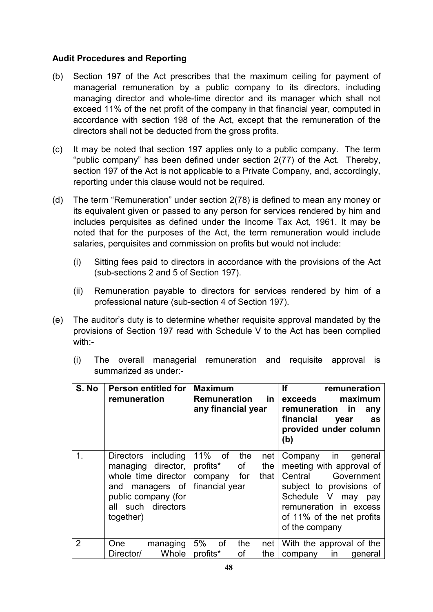## Audit Procedures and Reporting

- (b) Section 197 of the Act prescribes that the maximum ceiling for payment of managerial remuneration by a public company to its directors, including managing director and whole-time director and its manager which shall not exceed 11% of the net profit of the company in that financial year, computed in accordance with section 198 of the Act, except that the remuneration of the directors shall not be deducted from the gross profits.
- (c) It may be noted that section 197 applies only to a public company. The term "public company" has been defined under section 2(77) of the Act. Thereby, section 197 of the Act is not applicable to a Private Company, and, accordingly, reporting under this clause would not be required.
- (d) The term "Remuneration" under section 2(78) is defined to mean any money or its equivalent given or passed to any person for services rendered by him and includes perquisites as defined under the Income Tax Act, 1961. It may be noted that for the purposes of the Act, the term remuneration would include salaries, perquisites and commission on profits but would not include:
	- (i) Sitting fees paid to directors in accordance with the provisions of the Act (sub-sections 2 and 5 of Section 197).
	- (ii) Remuneration payable to directors for services rendered by him of a professional nature (sub-section 4 of Section 197).
- (e) The auditor's duty is to determine whether requisite approval mandated by the provisions of Section 197 read with Schedule V to the Act has been complied with:-

|  |                       | (i) The overall managerial remuneration and requisite approval is |  |  |
|--|-----------------------|-------------------------------------------------------------------|--|--|
|  | summarized as under:- |                                                                   |  |  |

| S. No          | <b>Person entitled for</b><br>remuneration                                                                                                    | <b>Maximum</b><br><b>Remuneration</b><br>any financial year | <u>in</u>                              | lf<br>remuneration<br>exceeds<br>maximum<br>remuneration<br>- in<br>any<br>financial<br>year<br>as<br>provided under column<br>(b)                                                                       |
|----------------|-----------------------------------------------------------------------------------------------------------------------------------------------|-------------------------------------------------------------|----------------------------------------|----------------------------------------------------------------------------------------------------------------------------------------------------------------------------------------------------------|
| $\mathbf{1}$ . | Directors including<br>managing director,<br>whole time director<br>and managers of<br>public company (for<br>all such directors<br>together) | 11% of<br>profits*<br>company<br>financial year             | the<br>net<br>of<br>the<br>for<br>that | Company in<br>general<br>meeting with approval of<br>Central Government<br>subject to provisions of<br>Schedule V<br>may<br>pay<br>remuneration in excess<br>of 11% of the net profits<br>of the company |
| $\overline{2}$ | <b>One</b><br>managing<br>Whole<br>Director/                                                                                                  | 5%<br>οf<br>profits*                                        | the<br>net<br>οf<br>the                | With the approval of the<br>in<br>general<br>company                                                                                                                                                     |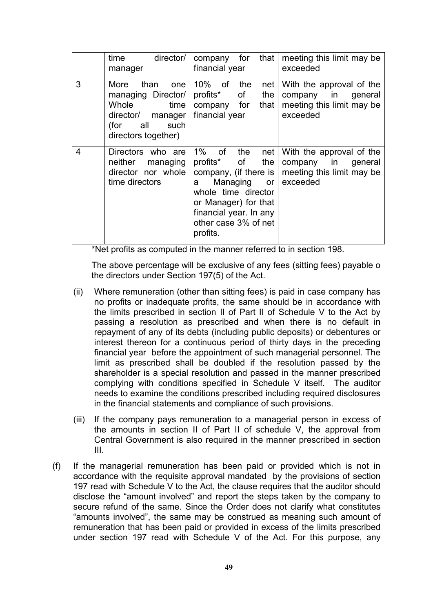|   | director/<br>time<br>manager                                                                                                  | company for<br>that $ $<br>financial year                                                                                                                                                           | meeting this limit may be<br>exceeded                                                      |
|---|-------------------------------------------------------------------------------------------------------------------------------|-----------------------------------------------------------------------------------------------------------------------------------------------------------------------------------------------------|--------------------------------------------------------------------------------------------|
| 3 | More<br>than<br>one<br>managing Director/<br>Whole<br>time<br>director/ manager<br>(for<br>all<br>such<br>directors together) | 10% of the<br>net<br>of<br>profits*<br>the<br>company for<br>that<br>financial year                                                                                                                 | With the approval of the<br>company in<br>general<br>meeting this limit may be<br>exceeded |
| 4 | Directors who are<br>neither<br>managing<br>director nor whole<br>time directors                                              | 1% of<br>the<br>net<br>profits* of<br>the<br>company, (if there is<br>Managing or<br>a<br>whole time director<br>or Manager) for that<br>financial year. In any<br>other case 3% of net<br>profits. | With the approval of the<br>company in<br>general<br>meeting this limit may be<br>exceeded |

\*Net profits as computed in the manner referred to in section 198.

The above percentage will be exclusive of any fees (sitting fees) payable o the directors under Section 197(5) of the Act.

- (ii) Where remuneration (other than sitting fees) is paid in case company has no profits or inadequate profits, the same should be in accordance with the limits prescribed in section II of Part II of Schedule V to the Act by passing a resolution as prescribed and when there is no default in repayment of any of its debts (including public deposits) or debentures or interest thereon for a continuous period of thirty days in the preceding financial year before the appointment of such managerial personnel. The limit as prescribed shall be doubled if the resolution passed by the shareholder is a special resolution and passed in the manner prescribed complying with conditions specified in Schedule V itself. The auditor needs to examine the conditions prescribed including required disclosures in the financial statements and compliance of such provisions.
- (iii) If the company pays remuneration to a managerial person in excess of the amounts in section II of Part II of schedule V, the approval from Central Government is also required in the manner prescribed in section III.
- (f) If the managerial remuneration has been paid or provided which is not in accordance with the requisite approval mandated by the provisions of section 197 read with Schedule V to the Act, the clause requires that the auditor should disclose the "amount involved" and report the steps taken by the company to secure refund of the same. Since the Order does not clarify what constitutes "amounts involved", the same may be construed as meaning such amount of remuneration that has been paid or provided in excess of the limits prescribed under section 197 read with Schedule V of the Act. For this purpose, any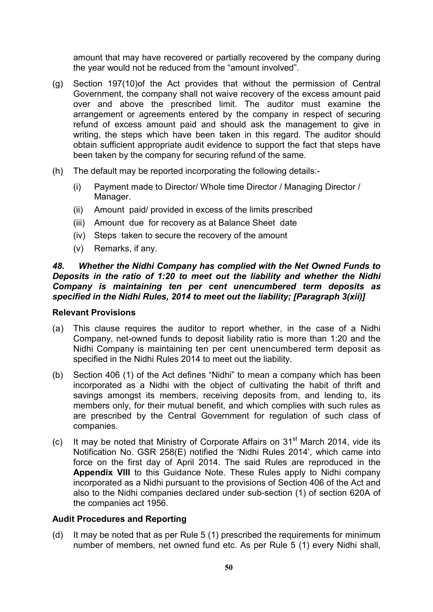amount that may have recovered or partially recovered by the company during the year would not be reduced from the "amount involved".

- (g) Section 197(10)of the Act provides that without the permission of Central Government, the company shall not waive recovery of the excess amount paid over and above the prescribed limit. The auditor must examine the arrangement or agreements entered by the company in respect of securing refund of excess amount paid and should ask the management to give in writing, the steps which have been taken in this regard. The auditor should obtain sufficient appropriate audit evidence to support the fact that steps have been taken by the company for securing refund of the same.
- (h) The default may be reported incorporating the following details:-
	- (i) Payment made to Director/ Whole time Director / Managing Director / Manager.
	- (ii) Amount paid/ provided in excess of the limits prescribed
	- (iii) Amount due for recovery as at Balance Sheet date
	- (iv) Steps taken to secure the recovery of the amount
	- (v) Remarks, if any.

#### *48. Whether the Nidhi Company has complied with the Net Owned Funds to Deposits in the ratio of 1:20 to meet out the liability and whether the Nidhi Company is maintaining ten per cent unencumbered term deposits as specified in the Nidhi Rules, 2014 to meet out the liability; [Paragraph 3(xii)]*

#### Relevant Provisions

- (a) This clause requires the auditor to report whether, in the case of a Nidhi Company, net-owned funds to deposit liability ratio is more than 1:20 and the Nidhi Company is maintaining ten per cent unencumbered term deposit as specified in the Nidhi Rules 2014 to meet out the liability.
- (b) Section 406 (1) of the Act defines "Nidhi" to mean a company which has been incorporated as a Nidhi with the object of cultivating the habit of thrift and savings amongst its members, receiving deposits from, and lending to, its members only, for their mutual benefit, and which complies with such rules as are prescribed by the Central Government for regulation of such class of companies.
- (c) It may be noted that Ministry of Corporate Affairs on  $31<sup>st</sup>$  March 2014, vide its Notification No. GSR 258(E) notified the 'Nidhi Rules 2014', which came into force on the first day of April 2014. The said Rules are reproduced in the Appendix VIII to this Guidance Note. These Rules apply to Nidhi company incorporated as a Nidhi pursuant to the provisions of Section 406 of the Act and also to the Nidhi companies declared under sub-section (1) of section 620A of the companies act 1956.

#### Audit Procedures and Reporting

(d) It may be noted that as per Rule 5 (1) prescribed the requirements for minimum number of members, net owned fund etc. As per Rule 5 (1) every Nidhi shall,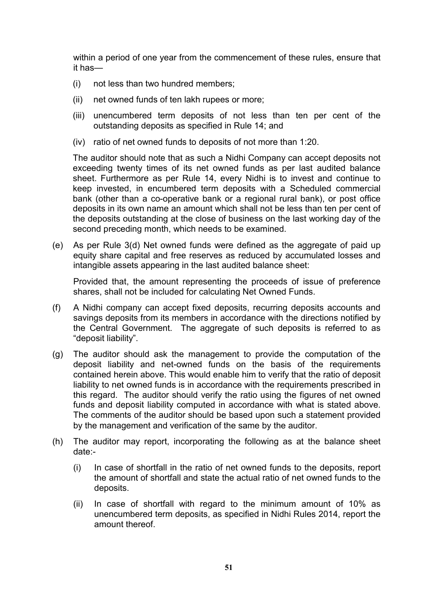within a period of one year from the commencement of these rules, ensure that it has—

- (i) not less than two hundred members;
- (ii) net owned funds of ten lakh rupees or more;
- (iii) unencumbered term deposits of not less than ten per cent of the outstanding deposits as specified in Rule 14; and
- (iv) ratio of net owned funds to deposits of not more than 1:20.

The auditor should note that as such a Nidhi Company can accept deposits not exceeding twenty times of its net owned funds as per last audited balance sheet. Furthermore as per Rule 14, every Nidhi is to invest and continue to keep invested, in encumbered term deposits with a Scheduled commercial bank (other than a co-operative bank or a regional rural bank), or post office deposits in its own name an amount which shall not be less than ten per cent of the deposits outstanding at the close of business on the last working day of the second preceding month, which needs to be examined.

(e) As per Rule 3(d) Net owned funds were defined as the aggregate of paid up equity share capital and free reserves as reduced by accumulated losses and intangible assets appearing in the last audited balance sheet:

Provided that, the amount representing the proceeds of issue of preference shares, shall not be included for calculating Net Owned Funds.

- (f) A Nidhi company can accept fixed deposits, recurring deposits accounts and savings deposits from its members in accordance with the directions notified by the Central Government. The aggregate of such deposits is referred to as "deposit liability".
- (g) The auditor should ask the management to provide the computation of the deposit liability and net-owned funds on the basis of the requirements contained herein above. This would enable him to verify that the ratio of deposit liability to net owned funds is in accordance with the requirements prescribed in this regard. The auditor should verify the ratio using the figures of net owned funds and deposit liability computed in accordance with what is stated above. The comments of the auditor should be based upon such a statement provided by the management and verification of the same by the auditor.
- (h) The auditor may report, incorporating the following as at the balance sheet date:-
	- (i) In case of shortfall in the ratio of net owned funds to the deposits, report the amount of shortfall and state the actual ratio of net owned funds to the deposits.
	- (ii) In case of shortfall with regard to the minimum amount of 10% as unencumbered term deposits, as specified in Nidhi Rules 2014, report the amount thereof.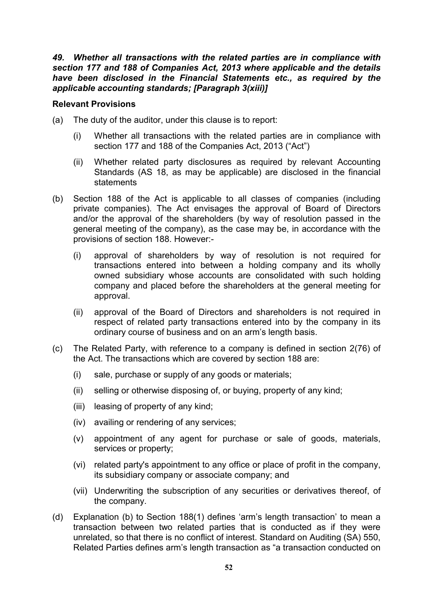*49. Whether all transactions with the related parties are in compliance with section 177 and 188 of Companies Act, 2013 where applicable and the details have been disclosed in the Financial Statements etc., as required by the applicable accounting standards; [Paragraph 3(xiii)]*

#### Relevant Provisions

- (a) The duty of the auditor, under this clause is to report:
	- (i) Whether all transactions with the related parties are in compliance with section 177 and 188 of the Companies Act, 2013 ("Act")
	- (ii) Whether related party disclosures as required by relevant Accounting Standards (AS 18, as may be applicable) are disclosed in the financial statements
- (b) Section 188 of the Act is applicable to all classes of companies (including private companies). The Act envisages the approval of Board of Directors and/or the approval of the shareholders (by way of resolution passed in the general meeting of the company), as the case may be, in accordance with the provisions of section 188. However:-
	- (i) approval of shareholders by way of resolution is not required for transactions entered into between a holding company and its wholly owned subsidiary whose accounts are consolidated with such holding company and placed before the shareholders at the general meeting for approval.
	- (ii) approval of the Board of Directors and shareholders is not required in respect of related party transactions entered into by the company in its ordinary course of business and on an arm's length basis.
- (c) The Related Party, with reference to a company is defined in section 2(76) of the Act. The transactions which are covered by section 188 are:
	- (i) sale, purchase or supply of any goods or materials;
	- (ii) selling or otherwise disposing of, or buying, property of any kind;
	- (iii) leasing of property of any kind;
	- (iv) availing or rendering of any services;
	- (v) appointment of any agent for purchase or sale of goods, materials, services or property;
	- (vi) related party's appointment to any office or place of profit in the company, its subsidiary company or associate company; and
	- (vii) Underwriting the subscription of any securities or derivatives thereof, of the company.
- (d) Explanation (b) to Section 188(1) defines 'arm's length transaction' to mean a transaction between two related parties that is conducted as if they were unrelated, so that there is no conflict of interest. Standard on Auditing (SA) 550, Related Parties defines arm's length transaction as "a transaction conducted on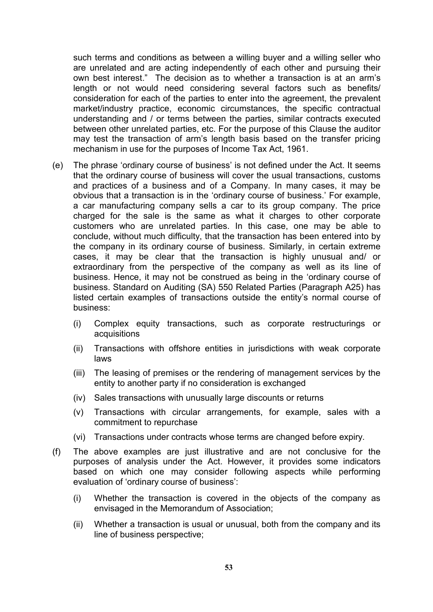such terms and conditions as between a willing buyer and a willing seller who are unrelated and are acting independently of each other and pursuing their own best interest." The decision as to whether a transaction is at an arm's length or not would need considering several factors such as benefits/ consideration for each of the parties to enter into the agreement, the prevalent market/industry practice, economic circumstances, the specific contractual understanding and / or terms between the parties, similar contracts executed between other unrelated parties, etc. For the purpose of this Clause the auditor may test the transaction of arm's length basis based on the transfer pricing mechanism in use for the purposes of Income Tax Act, 1961.

- (e) The phrase 'ordinary course of business' is not defined under the Act. It seems that the ordinary course of business will cover the usual transactions, customs and practices of a business and of a Company. In many cases, it may be obvious that a transaction is in the 'ordinary course of business.' For example, a car manufacturing company sells a car to its group company. The price charged for the sale is the same as what it charges to other corporate customers who are unrelated parties. In this case, one may be able to conclude, without much difficulty, that the transaction has been entered into by the company in its ordinary course of business. Similarly, in certain extreme cases, it may be clear that the transaction is highly unusual and/ or extraordinary from the perspective of the company as well as its line of business. Hence, it may not be construed as being in the 'ordinary course of business. Standard on Auditing (SA) 550 Related Parties (Paragraph A25) has listed certain examples of transactions outside the entity's normal course of business:
	- (i) Complex equity transactions, such as corporate restructurings or acquisitions
	- (ii) Transactions with offshore entities in jurisdictions with weak corporate laws
	- (iii) The leasing of premises or the rendering of management services by the entity to another party if no consideration is exchanged
	- (iv) Sales transactions with unusually large discounts or returns
	- (v) Transactions with circular arrangements, for example, sales with a commitment to repurchase
	- (vi) Transactions under contracts whose terms are changed before expiry.
- (f) The above examples are just illustrative and are not conclusive for the purposes of analysis under the Act. However, it provides some indicators based on which one may consider following aspects while performing evaluation of 'ordinary course of business':
	- (i) Whether the transaction is covered in the objects of the company as envisaged in the Memorandum of Association;
	- (ii) Whether a transaction is usual or unusual, both from the company and its line of business perspective;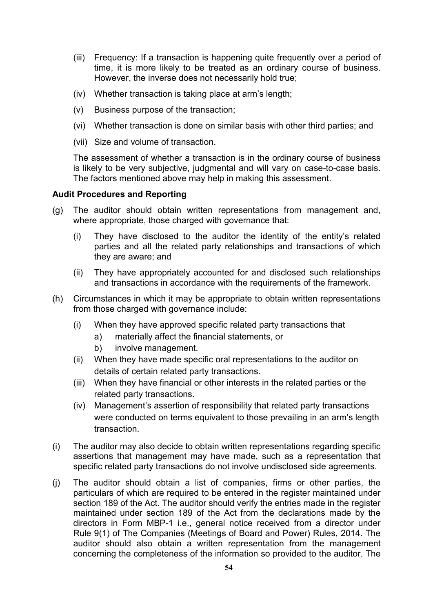- (iii) Frequency: If a transaction is happening quite frequently over a period of time, it is more likely to be treated as an ordinary course of business. However, the inverse does not necessarily hold true;
- (iv) Whether transaction is taking place at arm's length;
- (v) Business purpose of the transaction;
- (vi) Whether transaction is done on similar basis with other third parties; and
- (vii) Size and volume of transaction.

The assessment of whether a transaction is in the ordinary course of business is likely to be very subjective, judgmental and will vary on case-to-case basis. The factors mentioned above may help in making this assessment.

#### Audit Procedures and Reporting

- (g) The auditor should obtain written representations from management and, where appropriate, those charged with governance that:
	- (i) They have disclosed to the auditor the identity of the entity's related parties and all the related party relationships and transactions of which they are aware; and
	- (ii) They have appropriately accounted for and disclosed such relationships and transactions in accordance with the requirements of the framework.
- (h) Circumstances in which it may be appropriate to obtain written representations from those charged with governance include:
	- (i) When they have approved specific related party transactions that
		- a) materially affect the financial statements, or
		- b) involve management.
	- (ii) When they have made specific oral representations to the auditor on details of certain related party transactions.
	- (iii) When they have financial or other interests in the related parties or the related party transactions.
	- (iv) Management's assertion of responsibility that related party transactions were conducted on terms equivalent to those prevailing in an arm's length transaction.
- (i) The auditor may also decide to obtain written representations regarding specific assertions that management may have made, such as a representation that specific related party transactions do not involve undisclosed side agreements.
- (j) The auditor should obtain a list of companies, firms or other parties, the particulars of which are required to be entered in the register maintained under section 189 of the Act. The auditor should verify the entries made in the register maintained under section 189 of the Act from the declarations made by the directors in Form MBP-1 i.e., general notice received from a director under Rule 9(1) of The Companies (Meetings of Board and Power) Rules, 2014. The auditor should also obtain a written representation from the management concerning the completeness of the information so provided to the auditor. The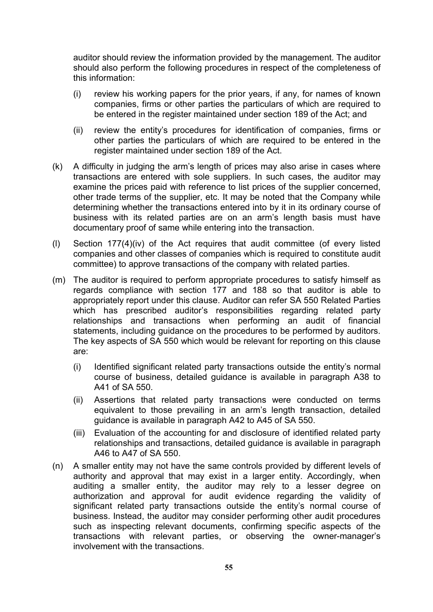auditor should review the information provided by the management. The auditor should also perform the following procedures in respect of the completeness of this information:

- (i) review his working papers for the prior years, if any, for names of known companies, firms or other parties the particulars of which are required to be entered in the register maintained under section 189 of the Act; and
- (ii) review the entity's procedures for identification of companies, firms or other parties the particulars of which are required to be entered in the register maintained under section 189 of the Act.
- (k) A difficulty in judging the arm's length of prices may also arise in cases where transactions are entered with sole suppliers. In such cases, the auditor may examine the prices paid with reference to list prices of the supplier concerned, other trade terms of the supplier, etc. It may be noted that the Company while determining whether the transactions entered into by it in its ordinary course of business with its related parties are on an arm's length basis must have documentary proof of same while entering into the transaction.
- (l) Section 177(4)(iv) of the Act requires that audit committee (of every listed companies and other classes of companies which is required to constitute audit committee) to approve transactions of the company with related parties.
- (m) The auditor is required to perform appropriate procedures to satisfy himself as regards compliance with section 177 and 188 so that auditor is able to appropriately report under this clause. Auditor can refer SA 550 Related Parties which has prescribed auditor's responsibilities regarding related party relationships and transactions when performing an audit of financial statements, including guidance on the procedures to be performed by auditors. The key aspects of SA 550 which would be relevant for reporting on this clause are:
	- (i) Identified significant related party transactions outside the entity's normal course of business, detailed guidance is available in paragraph A38 to A41 of SA 550.
	- (ii) Assertions that related party transactions were conducted on terms equivalent to those prevailing in an arm's length transaction, detailed guidance is available in paragraph A42 to A45 of SA 550.
	- (iii) Evaluation of the accounting for and disclosure of identified related party relationships and transactions, detailed guidance is available in paragraph A46 to A47 of SA 550.
- (n) A smaller entity may not have the same controls provided by different levels of authority and approval that may exist in a larger entity. Accordingly, when auditing a smaller entity, the auditor may rely to a lesser degree on authorization and approval for audit evidence regarding the validity of significant related party transactions outside the entity's normal course of business. Instead, the auditor may consider performing other audit procedures such as inspecting relevant documents, confirming specific aspects of the transactions with relevant parties, or observing the owner-manager's involvement with the transactions.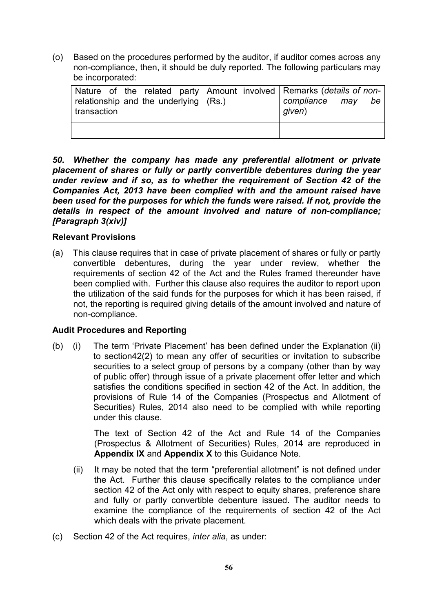(o) Based on the procedures performed by the auditor, if auditor comes across any non-compliance, then, it should be duly reported. The following particulars may be incorporated:

| Nature of the related party   Amount involved   Remarks (details of non-<br>relationship and the underlying $ (Rs.)$<br>transaction | compliance may<br>be<br>given) |
|-------------------------------------------------------------------------------------------------------------------------------------|--------------------------------|
|                                                                                                                                     |                                |

*50. Whether the company has made any preferential allotment or private placement of shares or fully or partly convertible debentures during the year under review and if so, as to whether the requirement of Section 42 of the Companies Act, 2013 have been complied with and the amount raised have been used for the purposes for which the funds were raised. If not, provide the details in respect of the amount involved and nature of non-compliance; [Paragraph 3(xiv)]*

## Relevant Provisions

(a) This clause requires that in case of private placement of shares or fully or partly convertible debentures, during the year under review, whether the requirements of section 42 of the Act and the Rules framed thereunder have been complied with. Further this clause also requires the auditor to report upon the utilization of the said funds for the purposes for which it has been raised, if not, the reporting is required giving details of the amount involved and nature of non-compliance.

#### Audit Procedures and Reporting

(b) (i) The term 'Private Placement' has been defined under the Explanation (ii) to section42(2) to mean any offer of securities or invitation to subscribe securities to a select group of persons by a company (other than by way of public offer) through issue of a private placement offer letter and which satisfies the conditions specified in section 42 of the Act. In addition, the provisions of Rule 14 of the Companies (Prospectus and Allotment of Securities) Rules, 2014 also need to be complied with while reporting under this clause.

> The text of Section 42 of the Act and Rule 14 of the Companies (Prospectus & Allotment of Securities) Rules, 2014 are reproduced in Appendix IX and Appendix X to this Guidance Note.

- (ii) It may be noted that the term "preferential allotment" is not defined under the Act. Further this clause specifically relates to the compliance under section 42 of the Act only with respect to equity shares, preference share and fully or partly convertible debenture issued. The auditor needs to examine the compliance of the requirements of section 42 of the Act which deals with the private placement.
- (c) Section 42 of the Act requires, *inter alia*, as under: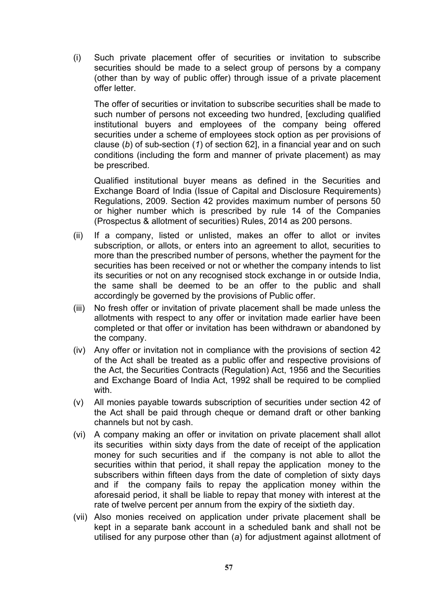(i) Such private placement offer of securities or invitation to subscribe securities should be made to a select group of persons by a company (other than by way of public offer) through issue of a private placement offer letter.

The offer of securities or invitation to subscribe securities shall be made to such number of persons not exceeding two hundred, [excluding qualified institutional buyers and employees of the company being offered securities under a scheme of employees stock option as per provisions of clause (*b*) of sub-section (*1*) of section 62], in a financial year and on such conditions (including the form and manner of private placement) as may be prescribed.

Qualified institutional buyer means as defined in the Securities and Exchange Board of India (Issue of Capital and Disclosure Requirements) Regulations, 2009. Section 42 provides maximum number of persons 50 or higher number which is prescribed by rule 14 of the Companies (Prospectus & allotment of securities) Rules, 2014 as 200 persons.

- (ii) If a company, listed or unlisted, makes an offer to allot or invites subscription, or allots, or enters into an agreement to allot, securities to more than the prescribed number of persons, whether the payment for the securities has been received or not or whether the company intends to list its securities or not on any recognised stock exchange in or outside India, the same shall be deemed to be an offer to the public and shall accordingly be governed by the provisions of Public offer.
- (iii) No fresh offer or invitation of private placement shall be made unless the allotments with respect to any offer or invitation made earlier have been completed or that offer or invitation has been withdrawn or abandoned by the company.
- (iv) Any offer or invitation not in compliance with the provisions of section 42 of the Act shall be treated as a public offer and respective provisions of the Act, the Securities Contracts (Regulation) Act, 1956 and the Securities and Exchange Board of India Act, 1992 shall be required to be complied with.
- (v) All monies payable towards subscription of securities under section 42 of the Act shall be paid through cheque or demand draft or other banking channels but not by cash.
- (vi) A company making an offer or invitation on private placement shall allot its securities within sixty days from the date of receipt of the application money for such securities and if the company is not able to allot the securities within that period, it shall repay the application money to the subscribers within fifteen days from the date of completion of sixty days and if the company fails to repay the application money within the aforesaid period, it shall be liable to repay that money with interest at the rate of twelve percent per annum from the expiry of the sixtieth day.
- (vii) Also monies received on application under private placement shall be kept in a separate bank account in a scheduled bank and shall not be utilised for any purpose other than (*a*) for adjustment against allotment of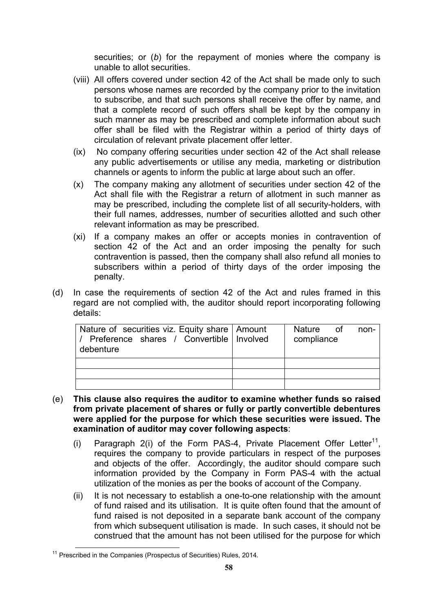securities; or (*b*) for the repayment of monies where the company is unable to allot securities.

- (viii) All offers covered under section 42 of the Act shall be made only to such persons whose names are recorded by the company prior to the invitation to subscribe, and that such persons shall receive the offer by name, and that a complete record of such offers shall be kept by the company in such manner as may be prescribed and complete information about such offer shall be filed with the Registrar within a period of thirty days of circulation of relevant private placement offer letter.
- (ix) No company offering securities under section 42 of the Act shall release any public advertisements or utilise any media, marketing or distribution channels or agents to inform the public at large about such an offer.
- (x) The company making any allotment of securities under section 42 of the Act shall file with the Registrar a return of allotment in such manner as may be prescribed, including the complete list of all security-holders, with their full names, addresses, number of securities allotted and such other relevant information as may be prescribed.
- (xi) If a company makes an offer or accepts monies in contravention of section 42 of the Act and an order imposing the penalty for such contravention is passed, then the company shall also refund all monies to subscribers within a period of thirty days of the order imposing the penalty.
- (d) In case the requirements of section 42 of the Act and rules framed in this regard are not complied with, the auditor should report incorporating following details:

| Nature of securities viz. Equity share   Amount<br>Preference shares / Convertible   Involved<br>debenture | Nature of<br>compliance | non- |
|------------------------------------------------------------------------------------------------------------|-------------------------|------|
|                                                                                                            |                         |      |
|                                                                                                            |                         |      |
|                                                                                                            |                         |      |

- (e) This clause also requires the auditor to examine whether funds so raised from private placement of shares or fully or partly convertible debentures were applied for the purpose for which these securities were issued. The examination of auditor may cover following aspects:
	- (i) Paragraph 2(i) of the Form PAS-4, Private Placement Offer Letter<sup>11</sup>, requires the company to provide particulars in respect of the purposes and objects of the offer. Accordingly, the auditor should compare such information provided by the Company in Form PAS-4 with the actual utilization of the monies as per the books of account of the Company.
	- (ii) It is not necessary to establish a one-to-one relationship with the amount of fund raised and its utilisation. It is quite often found that the amount of fund raised is not deposited in a separate bank account of the company from which subsequent utilisation is made. In such cases, it should not be construed that the amount has not been utilised for the purpose for which

<sup>&</sup>lt;sup>11</sup> Prescribed in the Companies (Prospectus of Securities) Rules, 2014.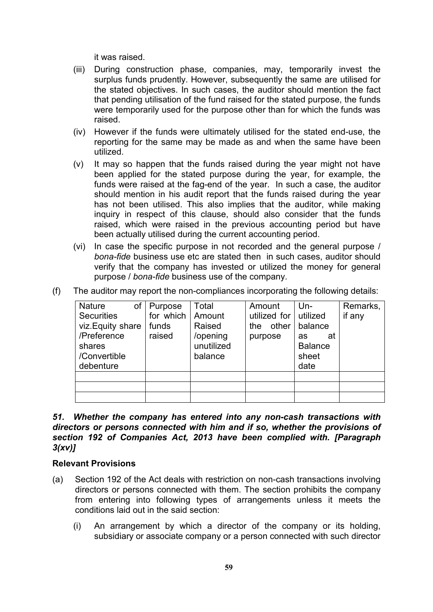it was raised.

- (iii) During construction phase, companies, may, temporarily invest the surplus funds prudently. However, subsequently the same are utilised for the stated objectives. In such cases, the auditor should mention the fact that pending utilisation of the fund raised for the stated purpose, the funds were temporarily used for the purpose other than for which the funds was raised.
- (iv) However if the funds were ultimately utilised for the stated end-use, the reporting for the same may be made as and when the same have been utilized.
- (v) It may so happen that the funds raised during the year might not have been applied for the stated purpose during the year, for example, the funds were raised at the fag-end of the year. In such a case, the auditor should mention in his audit report that the funds raised during the year has not been utilised. This also implies that the auditor, while making inquiry in respect of this clause, should also consider that the funds raised, which were raised in the previous accounting period but have been actually utilised during the current accounting period.
- (vi) In case the specific purpose in not recorded and the general purpose / *bona-fide* business use etc are stated then in such cases, auditor should verify that the company has invested or utilized the money for general purpose / *bona-fide* business use of the company.
- (f) The auditor may report the non-compliances incorporating the following details:

| Nature            | of   Purpose | Total      | Amount       | $Un-$          | Remarks, |
|-------------------|--------------|------------|--------------|----------------|----------|
| <b>Securities</b> | for which    | Amount     | utilized for | utilized       | if any   |
| viz. Equity share | funds        | Raised     | other<br>the | balance        |          |
| /Preference       | raised       | /opening   | purpose      | at<br>as       |          |
| shares            |              | unutilized |              | <b>Balance</b> |          |
| /Convertible      |              | balance    |              | sheet          |          |
| debenture         |              |            |              | date           |          |
|                   |              |            |              |                |          |
|                   |              |            |              |                |          |
|                   |              |            |              |                |          |

## *51. Whether the company has entered into any non-cash transactions with directors or persons connected with him and if so, whether the provisions of section 192 of Companies Act, 2013 have been complied with. [Paragraph 3(xv)]*

#### Relevant Provisions

- (a) Section 192 of the Act deals with restriction on non-cash transactions involving directors or persons connected with them. The section prohibits the company from entering into following types of arrangements unless it meets the conditions laid out in the said section:
	- (i) An arrangement by which a director of the company or its holding, subsidiary or associate company or a person connected with such director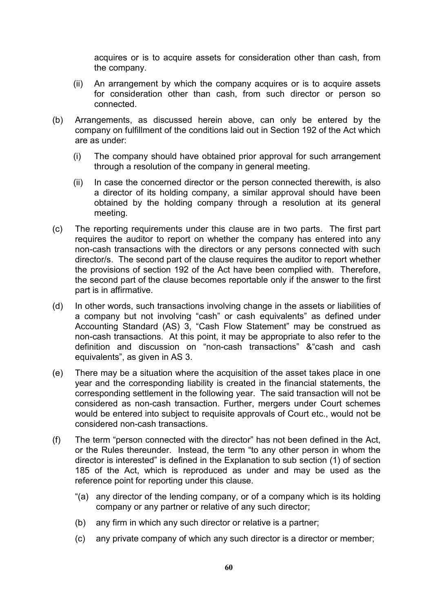acquires or is to acquire assets for consideration other than cash, from the company.

- (ii) An arrangement by which the company acquires or is to acquire assets for consideration other than cash, from such director or person so connected.
- (b) Arrangements, as discussed herein above, can only be entered by the company on fulfillment of the conditions laid out in Section 192 of the Act which are as under:
	- (i) The company should have obtained prior approval for such arrangement through a resolution of the company in general meeting.
	- (ii) In case the concerned director or the person connected therewith, is also a director of its holding company, a similar approval should have been obtained by the holding company through a resolution at its general meeting.
- (c) The reporting requirements under this clause are in two parts. The first part requires the auditor to report on whether the company has entered into any non-cash transactions with the directors or any persons connected with such director/s. The second part of the clause requires the auditor to report whether the provisions of section 192 of the Act have been complied with. Therefore, the second part of the clause becomes reportable only if the answer to the first part is in affirmative.
- (d) In other words, such transactions involving change in the assets or liabilities of a company but not involving "cash" or cash equivalents" as defined under Accounting Standard (AS) 3, "Cash Flow Statement" may be construed as non-cash transactions. At this point, it may be appropriate to also refer to the definition and discussion on "non-cash transactions" &"cash and cash equivalents", as given in AS 3.
- (e) There may be a situation where the acquisition of the asset takes place in one year and the corresponding liability is created in the financial statements, the corresponding settlement in the following year. The said transaction will not be considered as non-cash transaction. Further, mergers under Court schemes would be entered into subject to requisite approvals of Court etc., would not be considered non-cash transactions.
- (f) The term "person connected with the director" has not been defined in the Act, or the Rules thereunder. Instead, the term "to any other person in whom the director is interested" is defined in the Explanation to sub section (1) of section 185 of the Act, which is reproduced as under and may be used as the reference point for reporting under this clause.
	- "(a) any director of the lending company, or of a company which is its holding company or any partner or relative of any such director;
	- (b) any firm in which any such director or relative is a partner;
	- (c) any private company of which any such director is a director or member;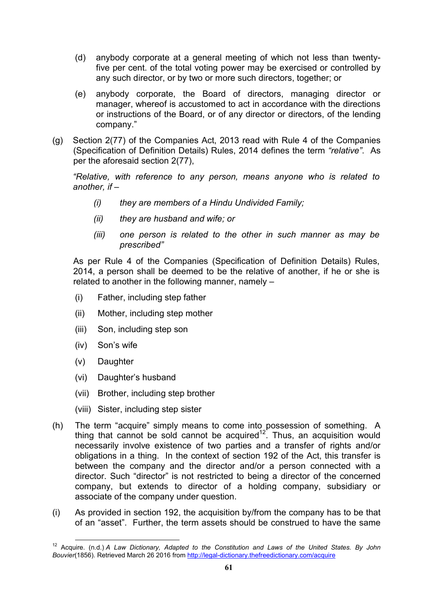- (d) anybody corporate at a general meeting of which not less than twentyfive per cent. of the total voting power may be exercised or controlled by any such director, or by two or more such directors, together; or
- (e) anybody corporate, the Board of directors, managing director or manager, whereof is accustomed to act in accordance with the directions or instructions of the Board, or of any director or directors, of the lending company."
- (g) Section 2(77) of the Companies Act, 2013 read with Rule 4 of the Companies (Specification of Definition Details) Rules, 2014 defines the term *"relative"*. As per the aforesaid section 2(77),

*"Relative, with reference to any person, means anyone who is related to another, if –*

- *(i) they are members of a Hindu Undivided Family;*
- *(ii) they are husband and wife; or*
- *(iii) one person is related to the other in such manner as may be prescribed"*

As per Rule 4 of the Companies (Specification of Definition Details) Rules, 2014, a person shall be deemed to be the relative of another, if he or she is related to another in the following manner, namely –

- (i) Father, including step father
- (ii) Mother, including step mother
- (iii) Son, including step son
- (iv) Son's wife
- (v) Daughter
- (vi) Daughter's husband
- (vii) Brother, including step brother
- (viii) Sister, including step sister
- (h) The term "acquire" simply means to come into possession of something. A thing that cannot be sold cannot be acquired<sup>12</sup>. Thus, an acquisition would necessarily involve existence of two parties and a transfer of rights and/or obligations in a thing. In the context of section 192 of the Act, this transfer is between the company and the director and/or a person connected with a director. Such "director" is not restricted to being a director of the concerned company, but extends to director of a holding company, subsidiary or associate of the company under question.
- (i) As provided in section 192, the acquisition by/from the company has to be that of an "asset". Further, the term assets should be construed to have the same

<sup>12</sup> Acquire. (n.d.) *A Law Dictionary, Adapted to the Constitution and Laws of the United States. By John Bouvier*(1856). Retrieved March 26 2016 from http://legal-dictionary.thefreedictionary.com/acquire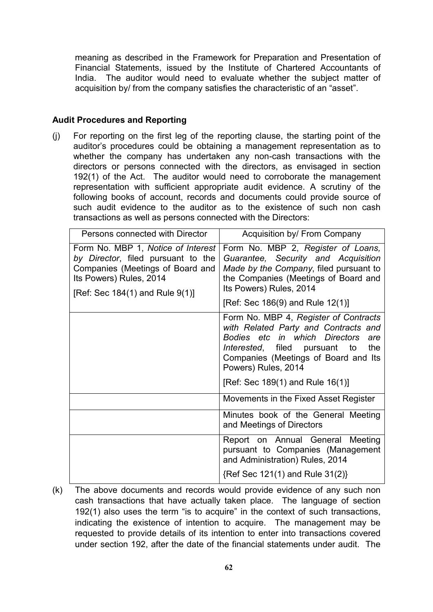meaning as described in the Framework for Preparation and Presentation of Financial Statements, issued by the Institute of Chartered Accountants of India. The auditor would need to evaluate whether the subject matter of acquisition by/ from the company satisfies the characteristic of an "asset".

## Audit Procedures and Reporting

(j) For reporting on the first leg of the reporting clause, the starting point of the auditor's procedures could be obtaining a management representation as to whether the company has undertaken any non-cash transactions with the directors or persons connected with the directors, as envisaged in section 192(1) of the Act. The auditor would need to corroborate the management representation with sufficient appropriate audit evidence. A scrutiny of the following books of account, records and documents could provide source of such audit evidence to the auditor as to the existence of such non cash transactions as well as persons connected with the Directors:

| Persons connected with Director                                                                                                                                                 | <b>Acquisition by/ From Company</b>                                                                                                                                                                                                     |
|---------------------------------------------------------------------------------------------------------------------------------------------------------------------------------|-----------------------------------------------------------------------------------------------------------------------------------------------------------------------------------------------------------------------------------------|
| Form No. MBP 1, Notice of Interest<br>by Director, filed pursuant to the<br>Companies (Meetings of Board and<br>Its Powers) Rules, 2014<br>[Ref: Sec $184(1)$ and Rule $9(1)$ ] | Form No. MBP 2, Register of Loans,<br>Guarantee, Security and Acquisition<br>Made by the Company, filed pursuant to<br>the Companies (Meetings of Board and<br>Its Powers) Rules, 2014                                                  |
|                                                                                                                                                                                 | [Ref: Sec 186(9) and Rule 12(1)]                                                                                                                                                                                                        |
|                                                                                                                                                                                 | Form No. MBP 4, Register of Contracts<br>with Related Party and Contracts and<br>Bodies etc in which Directors<br>are<br><i>Interested</i> , filed pursuant<br>the<br>to<br>Companies (Meetings of Board and Its<br>Powers) Rules, 2014 |
|                                                                                                                                                                                 | [Ref: Sec 189(1) and Rule 16(1)]                                                                                                                                                                                                        |
|                                                                                                                                                                                 | Movements in the Fixed Asset Register                                                                                                                                                                                                   |
|                                                                                                                                                                                 | Minutes book of the General Meeting<br>and Meetings of Directors                                                                                                                                                                        |
|                                                                                                                                                                                 | Report on Annual General Meeting<br>pursuant to Companies (Management<br>and Administration) Rules, 2014                                                                                                                                |
|                                                                                                                                                                                 | {Ref Sec 121(1) and Rule 31(2)}                                                                                                                                                                                                         |

(k) The above documents and records would provide evidence of any such non cash transactions that have actually taken place. The language of section 192(1) also uses the term "is to acquire" in the context of such transactions, indicating the existence of intention to acquire. The management may be requested to provide details of its intention to enter into transactions covered under section 192, after the date of the financial statements under audit. The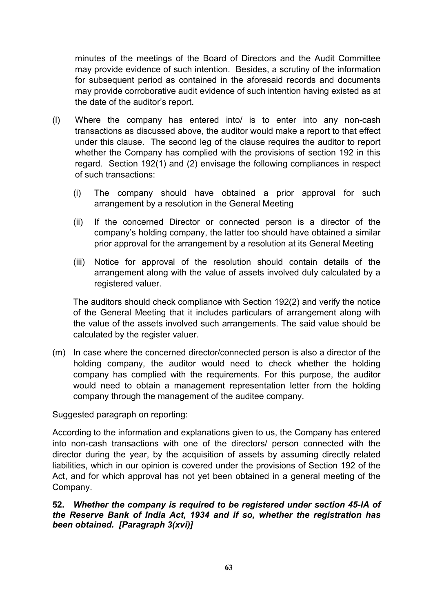minutes of the meetings of the Board of Directors and the Audit Committee may provide evidence of such intention. Besides, a scrutiny of the information for subsequent period as contained in the aforesaid records and documents may provide corroborative audit evidence of such intention having existed as at the date of the auditor's report.

- (l) Where the company has entered into/ is to enter into any non-cash transactions as discussed above, the auditor would make a report to that effect under this clause. The second leg of the clause requires the auditor to report whether the Company has complied with the provisions of section 192 in this regard. Section 192(1) and (2) envisage the following compliances in respect of such transactions:
	- (i) The company should have obtained a prior approval for such arrangement by a resolution in the General Meeting
	- (ii) If the concerned Director or connected person is a director of the company's holding company, the latter too should have obtained a similar prior approval for the arrangement by a resolution at its General Meeting
	- (iii) Notice for approval of the resolution should contain details of the arrangement along with the value of assets involved duly calculated by a registered valuer.

The auditors should check compliance with Section 192(2) and verify the notice of the General Meeting that it includes particulars of arrangement along with the value of the assets involved such arrangements. The said value should be calculated by the register valuer.

(m) In case where the concerned director/connected person is also a director of the holding company, the auditor would need to check whether the holding company has complied with the requirements. For this purpose, the auditor would need to obtain a management representation letter from the holding company through the management of the auditee company.

Suggested paragraph on reporting:

According to the information and explanations given to us, the Company has entered into non-cash transactions with one of the directors/ person connected with the director during the year, by the acquisition of assets by assuming directly related liabilities, which in our opinion is covered under the provisions of Section 192 of the Act, and for which approval has not yet been obtained in a general meeting of the Company.

## 52. *Whether the company is required to be registered under section 45-IA of the Reserve Bank of India Act, 1934 and if so, whether the registration has been obtained. [Paragraph 3(xvi)]*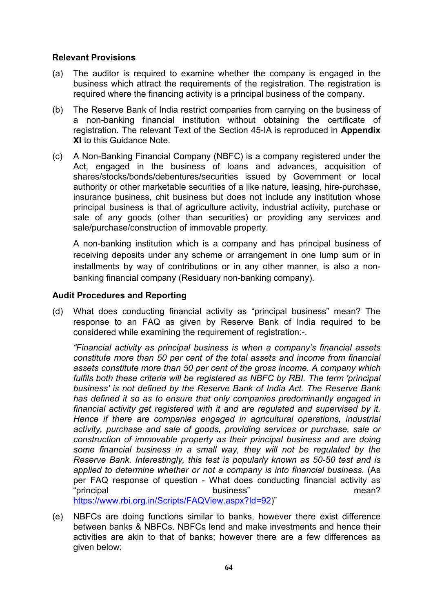## Relevant Provisions

- (a) The auditor is required to examine whether the company is engaged in the business which attract the requirements of the registration. The registration is required where the financing activity is a principal business of the company.
- (b) The Reserve Bank of India restrict companies from carrying on the business of a non-banking financial institution without obtaining the certificate of registration. The relevant Text of the Section 45-IA is reproduced in Appendix XI to this Guidance Note.
- (c) A Non-Banking Financial Company (NBFC) is a company registered under the Act, engaged in the business of loans and advances, acquisition of shares/stocks/bonds/debentures/securities issued by Government or local authority or other marketable securities of a like nature, leasing, hire-purchase, insurance business, chit business but does not include any institution whose principal business is that of agriculture activity, industrial activity, purchase or sale of any goods (other than securities) or providing any services and sale/purchase/construction of immovable property.

A non-banking institution which is a company and has principal business of receiving deposits under any scheme or arrangement in one lump sum or in installments by way of contributions or in any other manner, is also a nonbanking financial company (Residuary non-banking company).

## Audit Procedures and Reporting

(d) What does conducting financial activity as "principal business" mean? The response to an FAQ as given by Reserve Bank of India required to be considered while examining the requirement of registration:-.

*"Financial activity as principal business is when a company's financial assets constitute more than 50 per cent of the total assets and income from financial assets constitute more than 50 per cent of the gross income. A company which fulfils both these criteria will be registered as NBFC by RBI. The term 'principal business' is not defined by the Reserve Bank of India Act. The Reserve Bank has defined it so as to ensure that only companies predominantly engaged in financial activity get registered with it and are regulated and supervised by it. Hence if there are companies engaged in agricultural operations, industrial activity, purchase and sale of goods, providing services or purchase, sale or construction of immovable property as their principal business and are doing some financial business in a small way, they will not be regulated by the Reserve Bank. Interestingly, this test is popularly known as 50-50 test and is applied to determine whether or not a company is into financial business.* (As per FAQ response of question - What does conducting financial activity as "principal business" mean? https://www.rbi.org.in/Scripts/FAQView.aspx?Id=92)"

(e) NBFCs are doing functions similar to banks, however there exist difference between banks & NBFCs. NBFCs lend and make investments and hence their activities are akin to that of banks; however there are a few differences as given below: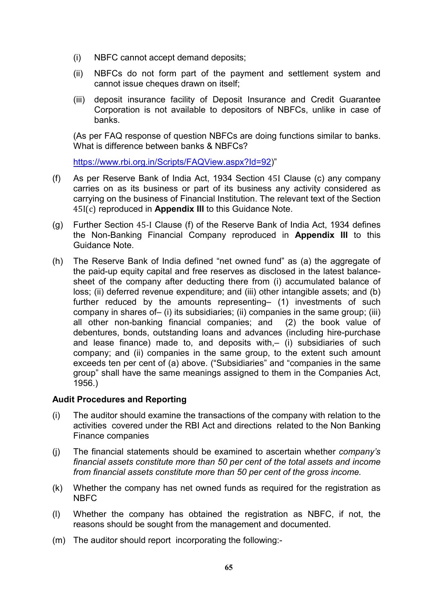- (i) NBFC cannot accept demand deposits;
- (ii) NBFCs do not form part of the payment and settlement system and cannot issue cheques drawn on itself;
- (iii) deposit insurance facility of Deposit Insurance and Credit Guarantee Corporation is not available to depositors of NBFCs, unlike in case of banks.

(As per FAQ response of question NBFCs are doing functions similar to banks. What is difference between banks & NBFCs?

https://www.rbi.org.in/Scripts/FAQView.aspx?Id=92)"

- (f) As per Reserve Bank of India Act, 1934 Section 45I Clause (c) any company carries on as its business or part of its business any activity considered as carrying on the business of Financial Institution. The relevant text of the Section 45I(c) reproduced in Appendix III to this Guidance Note.
- (g) Further Section 45-I Clause (f) of the Reserve Bank of India Act, 1934 defines the Non-Banking Financial Company reproduced in Appendix III to this Guidance Note.
- (h) The Reserve Bank of India defined "net owned fund" as (a) the aggregate of the paid-up equity capital and free reserves as disclosed in the latest balancesheet of the company after deducting there from (i) accumulated balance of loss; (ii) deferred revenue expenditure; and (iii) other intangible assets; and (b) further reduced by the amounts representing– (1) investments of such company in shares of– (i) its subsidiaries; (ii) companies in the same group; (iii) all other non-banking financial companies; and (2) the book value of debentures, bonds, outstanding loans and advances (including hire-purchase and lease finance) made to, and deposits with,– (i) subsidiaries of such company; and (ii) companies in the same group, to the extent such amount exceeds ten per cent of (a) above. ("Subsidiaries" and "companies in the same group" shall have the same meanings assigned to them in the Companies Act, 1956.)

#### Audit Procedures and Reporting

- (i) The auditor should examine the transactions of the company with relation to the activities covered under the RBI Act and directions related to the Non Banking Finance companies
- (j) The financial statements should be examined to ascertain whether *company's financial assets constitute more than 50 per cent of the total assets and income from financial assets constitute more than 50 per cent of the gross income.*
- (k) Whether the company has net owned funds as required for the registration as NBFC
- (l) Whether the company has obtained the registration as NBFC, if not, the reasons should be sought from the management and documented.
- (m) The auditor should report incorporating the following:-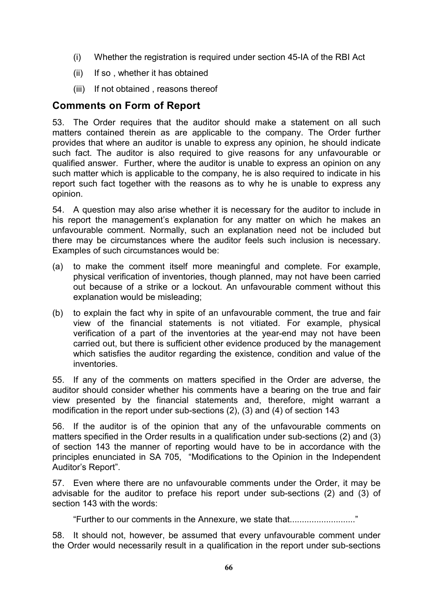- (i) Whether the registration is required under section 45-IA of the RBI Act
- (ii) If so , whether it has obtained
- (iii) If not obtained , reasons thereof

# Comments on Form of Report

53. The Order requires that the auditor should make a statement on all such matters contained therein as are applicable to the company. The Order further provides that where an auditor is unable to express any opinion, he should indicate such fact. The auditor is also required to give reasons for any unfavourable or qualified answer. Further, where the auditor is unable to express an opinion on any such matter which is applicable to the company, he is also required to indicate in his report such fact together with the reasons as to why he is unable to express any opinion.

54. A question may also arise whether it is necessary for the auditor to include in his report the management's explanation for any matter on which he makes an unfavourable comment. Normally, such an explanation need not be included but there may be circumstances where the auditor feels such inclusion is necessary. Examples of such circumstances would be:

- (a) to make the comment itself more meaningful and complete. For example, physical verification of inventories, though planned, may not have been carried out because of a strike or a lockout. An unfavourable comment without this explanation would be misleading;
- (b) to explain the fact why in spite of an unfavourable comment, the true and fair view of the financial statements is not vitiated. For example, physical verification of a part of the inventories at the year-end may not have been carried out, but there is sufficient other evidence produced by the management which satisfies the auditor regarding the existence, condition and value of the inventories.

55. If any of the comments on matters specified in the Order are adverse, the auditor should consider whether his comments have a bearing on the true and fair view presented by the financial statements and, therefore, might warrant a modification in the report under sub-sections (2), (3) and (4) of section 143

56. If the auditor is of the opinion that any of the unfavourable comments on matters specified in the Order results in a qualification under sub-sections (2) and (3) of section 143 the manner of reporting would have to be in accordance with the principles enunciated in SA 705, "Modifications to the Opinion in the Independent Auditor's Report".

57. Even where there are no unfavourable comments under the Order, it may be advisable for the auditor to preface his report under sub-sections (2) and (3) of section 143 with the words:

"Further to our comments in the Annexure, we state that..........................."

58. It should not, however, be assumed that every unfavourable comment under the Order would necessarily result in a qualification in the report under sub-sections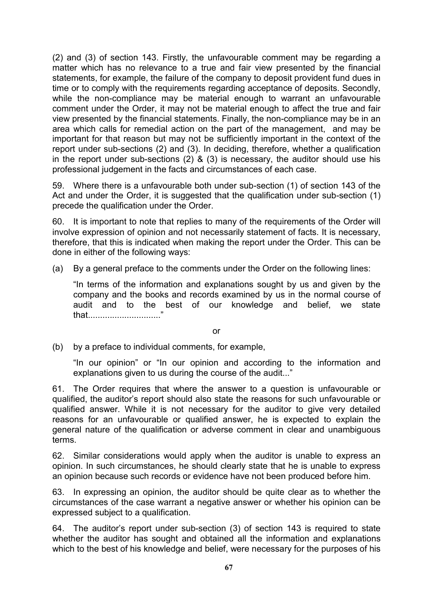(2) and (3) of section 143. Firstly, the unfavourable comment may be regarding a matter which has no relevance to a true and fair view presented by the financial statements, for example, the failure of the company to deposit provident fund dues in time or to comply with the requirements regarding acceptance of deposits. Secondly, while the non-compliance may be material enough to warrant an unfavourable comment under the Order, it may not be material enough to affect the true and fair view presented by the financial statements. Finally, the non-compliance may be in an area which calls for remedial action on the part of the management, and may be important for that reason but may not be sufficiently important in the context of the report under sub-sections (2) and (3). In deciding, therefore, whether a qualification in the report under sub-sections  $(2)$  &  $(3)$  is necessary, the auditor should use his professional judgement in the facts and circumstances of each case.

59. Where there is a unfavourable both under sub-section (1) of section 143 of the Act and under the Order, it is suggested that the qualification under sub-section (1) precede the qualification under the Order.

60. It is important to note that replies to many of the requirements of the Order will involve expression of opinion and not necessarily statement of facts. It is necessary, therefore, that this is indicated when making the report under the Order. This can be done in either of the following ways:

(a) By a general preface to the comments under the Order on the following lines:

"In terms of the information and explanations sought by us and given by the company and the books and records examined by us in the normal course of audit and to the best of our knowledge and belief, we state that.............................."

or

(b) by a preface to individual comments, for example,

"In our opinion" or "In our opinion and according to the information and explanations given to us during the course of the audit..."

61. The Order requires that where the answer to a question is unfavourable or qualified, the auditor's report should also state the reasons for such unfavourable or qualified answer. While it is not necessary for the auditor to give very detailed reasons for an unfavourable or qualified answer, he is expected to explain the general nature of the qualification or adverse comment in clear and unambiguous terms.

62. Similar considerations would apply when the auditor is unable to express an opinion. In such circumstances, he should clearly state that he is unable to express an opinion because such records or evidence have not been produced before him.

63. In expressing an opinion, the auditor should be quite clear as to whether the circumstances of the case warrant a negative answer or whether his opinion can be expressed subject to a qualification.

64. The auditor's report under sub-section (3) of section 143 is required to state whether the auditor has sought and obtained all the information and explanations which to the best of his knowledge and belief, were necessary for the purposes of his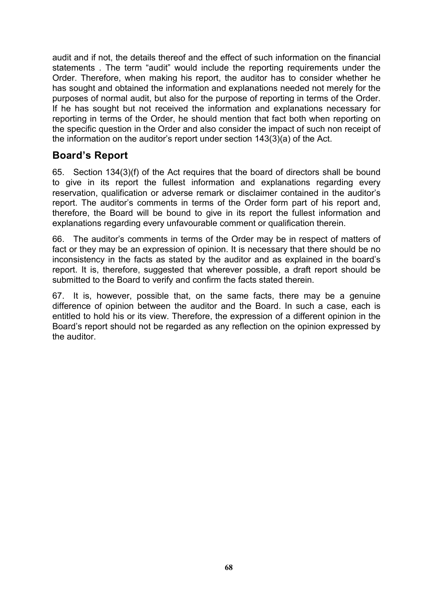audit and if not, the details thereof and the effect of such information on the financial statements . The term "audit" would include the reporting requirements under the Order. Therefore, when making his report, the auditor has to consider whether he has sought and obtained the information and explanations needed not merely for the purposes of normal audit, but also for the purpose of reporting in terms of the Order. If he has sought but not received the information and explanations necessary for reporting in terms of the Order, he should mention that fact both when reporting on the specific question in the Order and also consider the impact of such non receipt of the information on the auditor's report under section 143(3)(a) of the Act.

## Board's Report

65. Section 134(3)(f) of the Act requires that the board of directors shall be bound to give in its report the fullest information and explanations regarding every reservation, qualification or adverse remark or disclaimer contained in the auditor's report. The auditor's comments in terms of the Order form part of his report and, therefore, the Board will be bound to give in its report the fullest information and explanations regarding every unfavourable comment or qualification therein.

66. The auditor's comments in terms of the Order may be in respect of matters of fact or they may be an expression of opinion. It is necessary that there should be no inconsistency in the facts as stated by the auditor and as explained in the board's report. It is, therefore, suggested that wherever possible, a draft report should be submitted to the Board to verify and confirm the facts stated therein.

67. It is, however, possible that, on the same facts, there may be a genuine difference of opinion between the auditor and the Board. In such a case, each is entitled to hold his or its view. Therefore, the expression of a different opinion in the Board's report should not be regarded as any reflection on the opinion expressed by the auditor.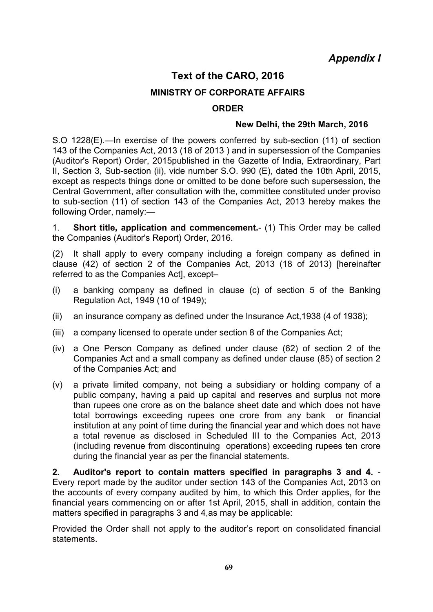*Appendix I*

## Text of the CARO, 2016

#### MINISTRY OF CORPORATE AFFAIRS

#### ORDER

#### New Delhi, the 29th March, 2016

S.O 1228(E).—In exercise of the powers conferred by sub-section (11) of section 143 of the Companies Act, 2013 (18 of 2013 ) and in supersession of the Companies (Auditor's Report) Order, 2015published in the Gazette of India, Extraordinary, Part II, Section 3, Sub-section (ii), vide number S.O. 990 (E), dated the 10th April, 2015, except as respects things done or omitted to be done before such supersession, the Central Government, after consultation with the, committee constituted under proviso to sub-section (11) of section 143 of the Companies Act, 2013 hereby makes the following Order, namely:—

1. Short title, application and commencement.- (1) This Order may be called the Companies (Auditor's Report) Order, 2016.

(2) It shall apply to every company including a foreign company as defined in clause (42) of section 2 of the Companies Act, 2013 (18 of 2013) [hereinafter referred to as the Companies Act], except–

- (i) a banking company as defined in clause (c) of section 5 of the Banking Regulation Act, 1949 (10 of 1949);
- (ii) an insurance company as defined under the Insurance Act,1938 (4 of 1938);
- (iii) a company licensed to operate under section 8 of the Companies Act;
- (iv) a One Person Company as defined under clause (62) of section 2 of the Companies Act and a small company as defined under clause (85) of section 2 of the Companies Act; and
- (v) a private limited company, not being a subsidiary or holding company of a public company, having a paid up capital and reserves and surplus not more than rupees one crore as on the balance sheet date and which does not have total borrowings exceeding rupees one crore from any bank or financial institution at any point of time during the financial year and which does not have a total revenue as disclosed in Scheduled III to the Companies Act, 2013 (including revenue from discontinuing operations) exceeding rupees ten crore during the financial year as per the financial statements.

2. Auditor's report to contain matters specified in paragraphs 3 and 4. - Every report made by the auditor under section 143 of the Companies Act, 2013 on the accounts of every company audited by him, to which this Order applies, for the financial years commencing on or after 1st April, 2015, shall in addition, contain the matters specified in paragraphs 3 and 4,as may be applicable:

Provided the Order shall not apply to the auditor's report on consolidated financial statements.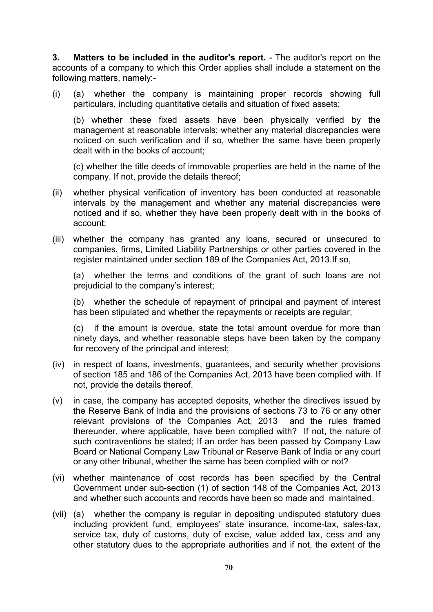3. Matters to be included in the auditor's report. - The auditor's report on the accounts of a company to which this Order applies shall include a statement on the following matters, namely:-

(i) (a) whether the company is maintaining proper records showing full particulars, including quantitative details and situation of fixed assets;

(b) whether these fixed assets have been physically verified by the management at reasonable intervals; whether any material discrepancies were noticed on such verification and if so, whether the same have been properly dealt with in the books of account;

(c) whether the title deeds of immovable properties are held in the name of the company. If not, provide the details thereof;

- (ii) whether physical verification of inventory has been conducted at reasonable intervals by the management and whether any material discrepancies were noticed and if so, whether they have been properly dealt with in the books of account;
- (iii) whether the company has granted any loans, secured or unsecured to companies, firms, Limited Liability Partnerships or other parties covered in the register maintained under section 189 of the Companies Act, 2013.If so,

(a) whether the terms and conditions of the grant of such loans are not prejudicial to the company's interest;

(b) whether the schedule of repayment of principal and payment of interest has been stipulated and whether the repayments or receipts are regular;

(c) if the amount is overdue, state the total amount overdue for more than ninety days, and whether reasonable steps have been taken by the company for recovery of the principal and interest;

- (iv) in respect of loans, investments, guarantees, and security whether provisions of section 185 and 186 of the Companies Act, 2013 have been complied with. If not, provide the details thereof.
- (v) in case, the company has accepted deposits, whether the directives issued by the Reserve Bank of India and the provisions of sections 73 to 76 or any other relevant provisions of the Companies Act, 2013 and the rules framed thereunder, where applicable, have been complied with? If not, the nature of such contraventions be stated; If an order has been passed by Company Law Board or National Company Law Tribunal or Reserve Bank of India or any court or any other tribunal, whether the same has been complied with or not?
- (vi) whether maintenance of cost records has been specified by the Central Government under sub-section (1) of section 148 of the Companies Act, 2013 and whether such accounts and records have been so made and maintained.
- (vii) (a) whether the company is regular in depositing undisputed statutory dues including provident fund, employees' state insurance, income-tax, sales-tax, service tax, duty of customs, duty of excise, value added tax, cess and any other statutory dues to the appropriate authorities and if not, the extent of the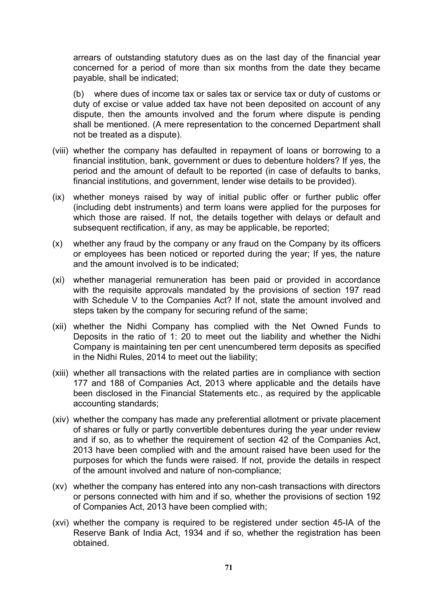arrears of outstanding statutory dues as on the last day of the financial year concerned for a period of more than six months from the date they became payable, shall be indicated;

(b) where dues of income tax or sales tax or service tax or duty of customs or duty of excise or value added tax have not been deposited on account of any dispute, then the amounts involved and the forum where dispute is pending shall be mentioned. (A mere representation to the concerned Department shall not be treated as a dispute).

- (viii) whether the company has defaulted in repayment of loans or borrowing to a financial institution, bank, government or dues to debenture holders? If yes, the period and the amount of default to be reported (in case of defaults to banks, financial institutions, and government, lender wise details to be provided).
- (ix) whether moneys raised by way of initial public offer or further public offer (including debt instruments) and term loans were applied for the purposes for which those are raised. If not, the details together with delays or default and subsequent rectification, if any, as may be applicable, be reported;
- (x) whether any fraud by the company or any fraud on the Company by its officers or employees has been noticed or reported during the year; If yes, the nature and the amount involved is to be indicated;
- (xi) whether managerial remuneration has been paid or provided in accordance with the requisite approvals mandated by the provisions of section 197 read with Schedule V to the Companies Act? If not, state the amount involved and steps taken by the company for securing refund of the same;
- (xii) whether the Nidhi Company has complied with the Net Owned Funds to Deposits in the ratio of 1: 20 to meet out the liability and whether the Nidhi Company is maintaining ten per cent unencumbered term deposits as specified in the Nidhi Rules, 2014 to meet out the liability;
- (xiii) whether all transactions with the related parties are in compliance with section 177 and 188 of Companies Act, 2013 where applicable and the details have been disclosed in the Financial Statements etc., as required by the applicable accounting standards;
- (xiv) whether the company has made any preferential allotment or private placement of shares or fully or partly convertible debentures during the year under review and if so, as to whether the requirement of section 42 of the Companies Act, 2013 have been complied with and the amount raised have been used for the purposes for which the funds were raised. If not, provide the details in respect of the amount involved and nature of non-compliance;
- (xv) whether the company has entered into any non-cash transactions with directors or persons connected with him and if so, whether the provisions of section 192 of Companies Act, 2013 have been complied with;
- (xvi) whether the company is required to be registered under section 45-IA of the Reserve Bank of India Act, 1934 and if so, whether the registration has been obtained.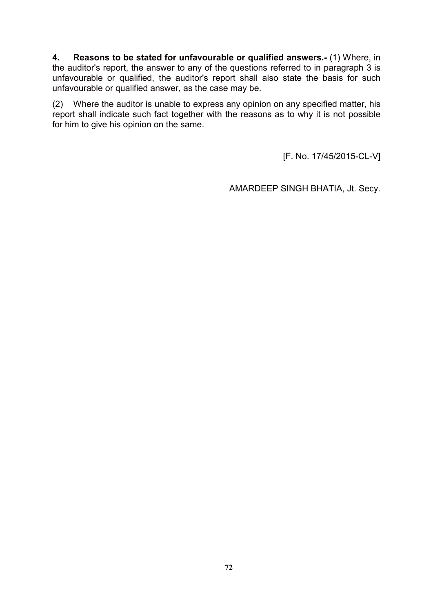4. Reasons to be stated for unfavourable or qualified answers.- (1) Where, in the auditor's report, the answer to any of the questions referred to in paragraph 3 is unfavourable or qualified, the auditor's report shall also state the basis for such unfavourable or qualified answer, as the case may be.

(2) Where the auditor is unable to express any opinion on any specified matter, his report shall indicate such fact together with the reasons as to why it is not possible for him to give his opinion on the same.

[F. No. 17/45/2015-CL-V]

AMARDEEP SINGH BHATIA, Jt. Secy.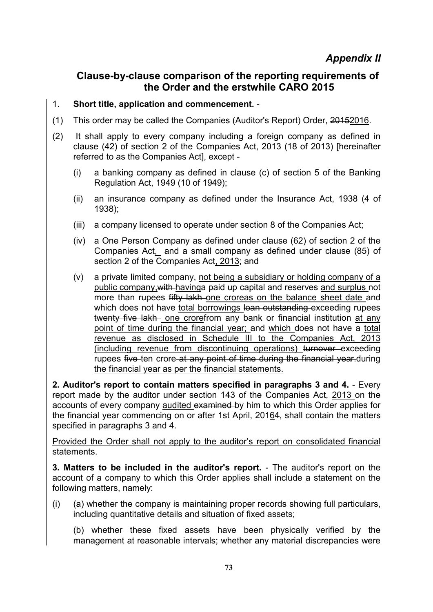# Clause-by-clause comparison of the reporting requirements of the Order and the erstwhile CARO 2015

### 1. Short title, application and commencement. -

- (1) This order may be called the Companies (Auditor's Report) Order, 20152016.
- (2) It shall apply to every company including a foreign company as defined in clause (42) of section 2 of the Companies Act, 2013 (18 of 2013) [hereinafter referred to as the Companies Act], except -
	- (i) a banking company as defined in clause (c) of section 5 of the Banking Regulation Act, 1949 (10 of 1949);
	- (ii) an insurance company as defined under the Insurance Act, 1938 (4 of 1938);
	- (iii) a company licensed to operate under section 8 of the Companies Act;
	- (iv) a One Person Company as defined under clause (62) of section 2 of the Companies Act, and a small company as defined under clause (85) of section 2 of the Companies Act, 2013; and
	- (v) a private limited company, not being a subsidiary or holding company of a public company,with havinga paid up capital and reserves and surplus not more than rupees fifty lakh one croreas on the balance sheet date and which does not have total borrowings loan outstanding exceeding rupees twenty five lakh one crorefrom any bank or financial institution at any point of time during the financial year; and which does not have a total revenue as disclosed in Schedule III to the Companies Act, 2013 (including revenue from discontinuing operations) turnover exceeding rupees five ten crore at any point of time during the financial year during the financial year as per the financial statements.

2. Auditor's report to contain matters specified in paragraphs 3 and 4. - Every report made by the auditor under section 143 of the Companies Act, 2013 on the accounts of every company audited examined by him to which this Order applies for the financial year commencing on or after 1st April, 20164, shall contain the matters specified in paragraphs 3 and 4.

Provided the Order shall not apply to the auditor's report on consolidated financial statements.

3. Matters to be included in the auditor's report. - The auditor's report on the account of a company to which this Order applies shall include a statement on the following matters, namely:

(i) (a) whether the company is maintaining proper records showing full particulars, including quantitative details and situation of fixed assets;

(b) whether these fixed assets have been physically verified by the management at reasonable intervals; whether any material discrepancies were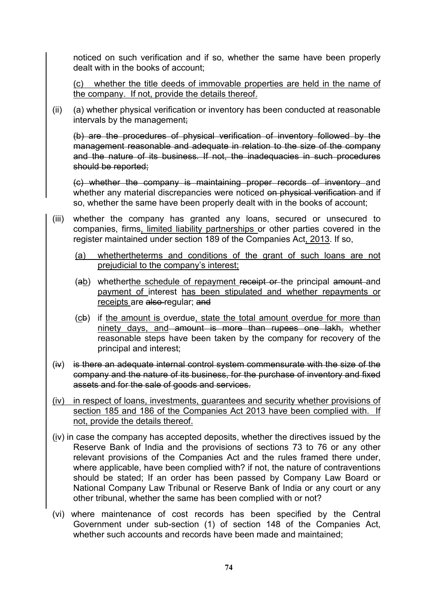noticed on such verification and if so, whether the same have been properly dealt with in the books of account;

(c) whether the title deeds of immovable properties are held in the name of the company. If not, provide the details thereof.

(ii) (a) whether physical verification or inventory has been conducted at reasonable intervals by the management;

(b) are the procedures of physical verification of inventory followed by the management reasonable and adequate in relation to the size of the company and the nature of its business. If not, the inadequacies in such procedures should be reported;

(c) whether the company is maintaining proper records of inventory and whether any material discrepancies were noticed on physical verification and if so, whether the same have been properly dealt with in the books of account;

- (iii) whether the company has granted any loans, secured or unsecured to companies, firms, limited liability partnerships or other parties covered in the register maintained under section 189 of the Companies Act, 2013. If so,
	- (a) whethertheterms and conditions of the grant of such loans are not prejudicial to the company's interest;
	- $(a<sub>b</sub>)$  whetherthe schedule of repayment receipt or the principal amount and payment of interest has been stipulated and whether repayments or receipts are also-regular; and
	- (cb) if the amount is overdue, state the total amount overdue for more than ninety days, and amount is more than rupees one lakh, whether reasonable steps have been taken by the company for recovery of the principal and interest;
- (iv) is there an adequate internal control system commensurate with the size of the company and the nature of its business, for the purchase of inventory and fixed assets and for the sale of goods and services.
- (iv) in respect of loans, investments, guarantees and security whether provisions of section 185 and 186 of the Companies Act 2013 have been complied with. If not, provide the details thereof.
- (iv) in case the company has accepted deposits, whether the directives issued by the Reserve Bank of India and the provisions of sections 73 to 76 or any other relevant provisions of the Companies Act and the rules framed there under, where applicable, have been complied with? if not, the nature of contraventions should be stated; If an order has been passed by Company Law Board or National Company Law Tribunal or Reserve Bank of India or any court or any other tribunal, whether the same has been complied with or not?
- (vi) where maintenance of cost records has been specified by the Central Government under sub-section (1) of section 148 of the Companies Act, whether such accounts and records have been made and maintained;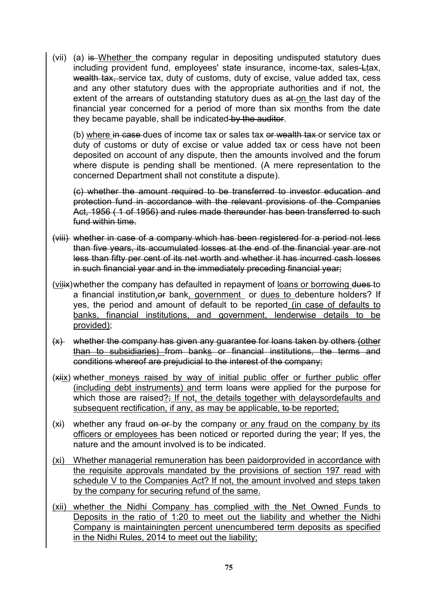(vii) (a) is Whether the company regular in depositing undisputed statutory dues including provident fund, employees' state insurance, income-tax, sales-Ltax, wealth tax, service tax, duty of customs, duty of excise, value added tax, cess and any other statutory dues with the appropriate authorities and if not, the extent of the arrears of outstanding statutory dues as at on the last day of the financial year concerned for a period of more than six months from the date they became payable, shall be indicated by the auditor.

(b) where in case dues of income tax or sales tax or wealth tax or service tax or duty of customs or duty of excise or value added tax or cess have not been deposited on account of any dispute, then the amounts involved and the forum where dispute is pending shall be mentioned. (A mere representation to the concerned Department shall not constitute a dispute).

(c) whether the amount required to be transferred to investor education and protection fund in accordance with the relevant provisions of the Companies Act, 1956 ( 1 of 1956) and rules made thereunder has been transferred to such fund within time.

- (viii) whether in case of a company which has been registered for a period not less than five years, its accumulated losses at the end of the financial year are not less than fifty per cent of its net worth and whether it has incurred cash losses in such financial year and in the immediately preceding financial year;
- (viiix)whether the company has defaulted in repayment of loans or borrowing dues to a financial institution, or bank, government or dues to debenture holders? If yes, the period and amount of default to be reported (in case of defaults to banks, financial institutions, and government, lenderwise details to be provided);
- (x) whether the company has given any guarantee for loans taken by others (other than to subsidiaries) from banks or financial institutions, the terms and conditions whereof are prejudicial to the interest of the company;
- (xiix) whether moneys raised by way of initial public offer or further public offer (including debt instruments) and term loans were applied for the purpose for which those are raised?; If not, the details together with delaysordefaults and subsequent rectification, if any, as may be applicable, to be reported;
- $(x<sub>i</sub>)$  whether any fraud on or by the company or any fraud on the company by its officers or employees has been noticed or reported during the year; If yes, the nature and the amount involved is to be indicated.
- (xi) Whether managerial remuneration has been paidorprovided in accordance with the requisite approvals mandated by the provisions of section 197 read with schedule V to the Companies Act? If not, the amount involved and steps taken by the company for securing refund of the same.
- (xii) whether the Nidhi Company has complied with the Net Owned Funds to Deposits in the ratio of 1:20 to meet out the liability and whether the Nidhi Company is maintainingten percent unencumbered term deposits as specified in the Nidhi Rules, 2014 to meet out the liability;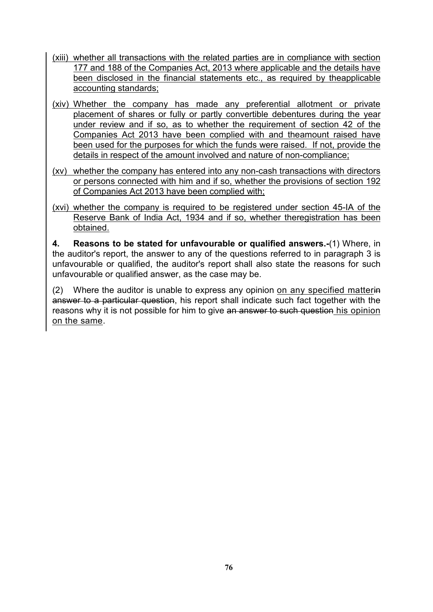- (xiii) whether all transactions with the related parties are in compliance with section 177 and 188 of the Companies Act, 2013 where applicable and the details have been disclosed in the financial statements etc., as required by theapplicable accounting standards;
- (xiv) Whether the company has made any preferential allotment or private placement of shares or fully or partly convertible debentures during the year under review and if so, as to whether the requirement of section 42 of the Companies Act 2013 have been complied with and theamount raised have been used for the purposes for which the funds were raised. If not, provide the details in respect of the amount involved and nature of non-compliance;
- (xv) whether the company has entered into any non-cash transactions with directors or persons connected with him and if so, whether the provisions of section 192 of Companies Act 2013 have been complied with;
- (xvi) whether the company is required to be registered under section 45-IA of the Reserve Bank of India Act, 1934 and if so, whether theregistration has been obtained.

4. Reasons to be stated for unfavourable or qualified answers.-(1) Where, in the auditor's report, the answer to any of the questions referred to in paragraph 3 is unfavourable or qualified, the auditor's report shall also state the reasons for such unfavourable or qualified answer, as the case may be.

(2) Where the auditor is unable to express any opinion on any specified matterin answer to a particular question, his report shall indicate such fact together with the reasons why it is not possible for him to give an answer to such question his opinion on the same.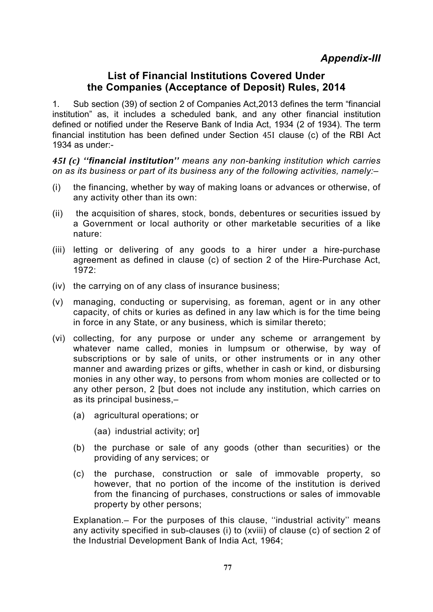## List of Financial Institutions Covered Under the Companies (Acceptance of Deposit) Rules, 2014

1. Sub section (39) of section 2 of Companies Act,2013 defines the term "financial institution" as, it includes a scheduled bank, and any other financial institution defined or notified under the Reserve Bank of India Act, 1934 (2 of 1934). The term financial institution has been defined under Section 45I clause (c) of the RBI Act 1934 as under:-

*45I (c) ''financial institution'' means any non-banking institution which carries on as its business or part of its business any of the following activities, namely:–*

- (i) the financing, whether by way of making loans or advances or otherwise, of any activity other than its own:
- (ii) the acquisition of shares, stock, bonds, debentures or securities issued by a Government or local authority or other marketable securities of a like nature:
- (iii) letting or delivering of any goods to a hirer under a hire-purchase agreement as defined in clause (c) of section 2 of the Hire-Purchase Act, 1972:
- (iv) the carrying on of any class of insurance business;
- (v) managing, conducting or supervising, as foreman, agent or in any other capacity, of chits or kuries as defined in any law which is for the time being in force in any State, or any business, which is similar thereto;
- (vi) collecting, for any purpose or under any scheme or arrangement by whatever name called, monies in lumpsum or otherwise, by way of subscriptions or by sale of units, or other instruments or in any other manner and awarding prizes or gifts, whether in cash or kind, or disbursing monies in any other way, to persons from whom monies are collected or to any other person, 2 [but does not include any institution, which carries on as its principal business,–
	- (a) agricultural operations; or

(aa) industrial activity; or]

- (b) the purchase or sale of any goods (other than securities) or the providing of any services; or
- (c) the purchase, construction or sale of immovable property, so however, that no portion of the income of the institution is derived from the financing of purchases, constructions or sales of immovable property by other persons;

Explanation.– For the purposes of this clause, ''industrial activity'' means any activity specified in sub-clauses (i) to (xviii) of clause (c) of section 2 of the Industrial Development Bank of India Act, 1964;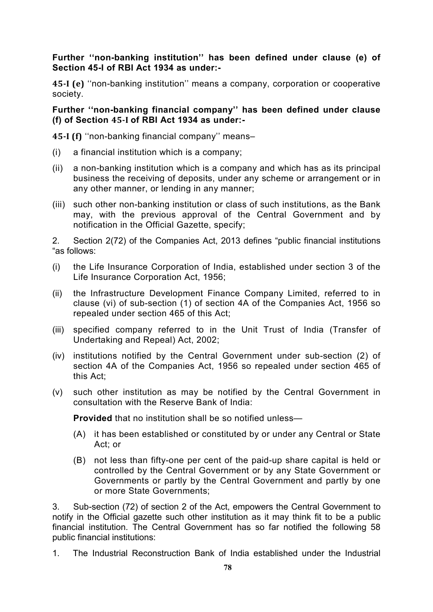### Further ''non-banking institution'' has been defined under clause (e) of Section 45-I of RBI Act 1934 as under:-

45-I (e) ''non-banking institution'' means a company, corporation or cooperative society.

Further ''non-banking financial company'' has been defined under clause (f) of Section 45-I of RBI Act 1934 as under:-

45-I (f) ''non-banking financial company'' means–

- (i) a financial institution which is a company;
- (ii) a non-banking institution which is a company and which has as its principal business the receiving of deposits, under any scheme or arrangement or in any other manner, or lending in any manner;
- (iii) such other non-banking institution or class of such institutions, as the Bank may, with the previous approval of the Central Government and by notification in the Official Gazette, specify;

2. Section 2(72) of the Companies Act, 2013 defines "public financial institutions "as follows:

- (i) the Life Insurance Corporation of India, established under section 3 of the Life Insurance Corporation Act, 1956;
- (ii) the Infrastructure Development Finance Company Limited, referred to in clause (vi) of sub-section (1) of section 4A of the Companies Act, 1956 so repealed under section 465 of this Act;
- (iii) specified company referred to in the Unit Trust of India (Transfer of Undertaking and Repeal) Act, 2002;
- (iv) institutions notified by the Central Government under sub-section (2) of section 4A of the Companies Act, 1956 so repealed under section 465 of this Act;
- (v) such other institution as may be notified by the Central Government in consultation with the Reserve Bank of India:

Provided that no institution shall be so notified unless—

- (A) it has been established or constituted by or under any Central or State Act; or
- (B) not less than fifty-one per cent of the paid-up share capital is held or controlled by the Central Government or by any State Government or Governments or partly by the Central Government and partly by one or more State Governments;

3. Sub-section (72) of section 2 of the Act, empowers the Central Government to notify in the Official gazette such other institution as it may think fit to be a public financial institution. The Central Government has so far notified the following 58 public financial institutions:

1. The Industrial Reconstruction Bank of India established under the Industrial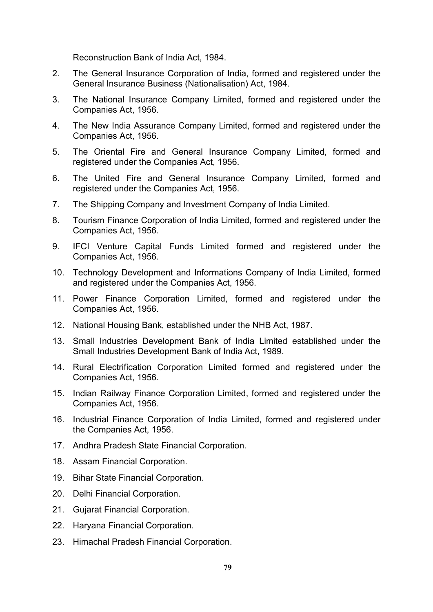Reconstruction Bank of India Act, 1984.

- 2. The General Insurance Corporation of India, formed and registered under the General Insurance Business (Nationalisation) Act, 1984.
- 3. The National Insurance Company Limited, formed and registered under the Companies Act, 1956.
- 4. The New India Assurance Company Limited, formed and registered under the Companies Act, 1956.
- 5. The Oriental Fire and General Insurance Company Limited, formed and registered under the Companies Act, 1956.
- 6. The United Fire and General Insurance Company Limited, formed and registered under the Companies Act, 1956.
- 7. The Shipping Company and Investment Company of India Limited.
- 8. Tourism Finance Corporation of India Limited, formed and registered under the Companies Act, 1956.
- 9. IFCI Venture Capital Funds Limited formed and registered under the Companies Act, 1956.
- 10. Technology Development and Informations Company of India Limited, formed and registered under the Companies Act, 1956.
- 11. Power Finance Corporation Limited, formed and registered under the Companies Act, 1956.
- 12. National Housing Bank, established under the NHB Act, 1987.
- 13. Small Industries Development Bank of India Limited established under the Small Industries Development Bank of India Act, 1989.
- 14. Rural Electrification Corporation Limited formed and registered under the Companies Act, 1956.
- 15. Indian Railway Finance Corporation Limited, formed and registered under the Companies Act, 1956.
- 16. Industrial Finance Corporation of India Limited, formed and registered under the Companies Act, 1956.
- 17. Andhra Pradesh State Financial Corporation.
- 18. Assam Financial Corporation.
- 19. Bihar State Financial Corporation.
- 20. Delhi Financial Corporation.
- 21. Gujarat Financial Corporation.
- 22. Haryana Financial Corporation.
- 23. Himachal Pradesh Financial Corporation.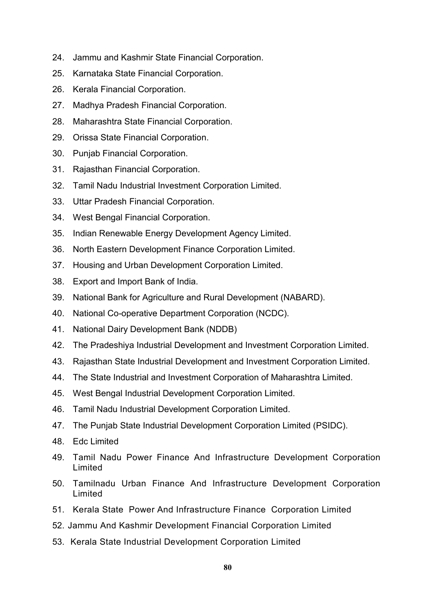- 24. Jammu and Kashmir State Financial Corporation.
- 25. Karnataka State Financial Corporation.
- 26. Kerala Financial Corporation.
- 27. Madhya Pradesh Financial Corporation.
- 28. Maharashtra State Financial Corporation.
- 29. Orissa State Financial Corporation.
- 30. Punjab Financial Corporation.
- 31. Rajasthan Financial Corporation.
- 32. Tamil Nadu Industrial Investment Corporation Limited.
- 33. Uttar Pradesh Financial Corporation.
- 34. West Bengal Financial Corporation.
- 35. Indian Renewable Energy Development Agency Limited.
- 36. North Eastern Development Finance Corporation Limited.
- 37. Housing and Urban Development Corporation Limited.
- 38. Export and Import Bank of India.
- 39. National Bank for Agriculture and Rural Development (NABARD).
- 40. National Co-operative Department Corporation (NCDC).
- 41. National Dairy Development Bank (NDDB)
- 42. The Pradeshiya Industrial Development and Investment Corporation Limited.
- 43. Rajasthan State Industrial Development and Investment Corporation Limited.
- 44. The State Industrial and Investment Corporation of Maharashtra Limited.
- 45. West Bengal Industrial Development Corporation Limited.
- 46. Tamil Nadu Industrial Development Corporation Limited.
- 47. The Punjab State Industrial Development Corporation Limited (PSIDC).
- 48. Edc Limited
- 49. Tamil Nadu Power Finance And Infrastructure Development Corporation Limited
- 50. Tamilnadu Urban Finance And Infrastructure Development Corporation Limited
- 51. Kerala State Power And Infrastructure Finance Corporation Limited
- 52. Jammu And Kashmir Development Financial Corporation Limited
- 53. Kerala State Industrial Development Corporation Limited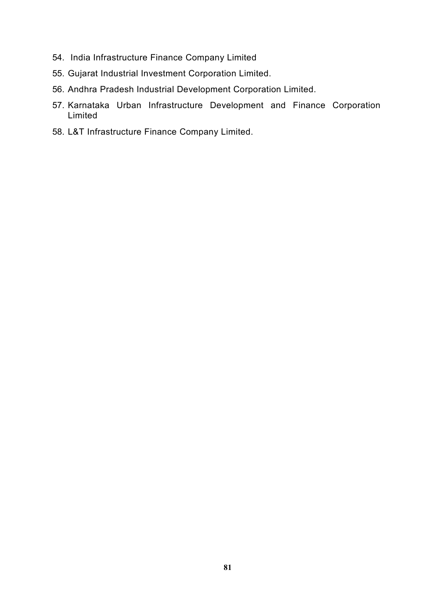- 54. India Infrastructure Finance Company Limited
- 55. Gujarat Industrial Investment Corporation Limited.
- 56. Andhra Pradesh Industrial Development Corporation Limited.
- 57. Karnataka Urban Infrastructure Development and Finance Corporation Limited
- 58. L&T Infrastructure Finance Company Limited.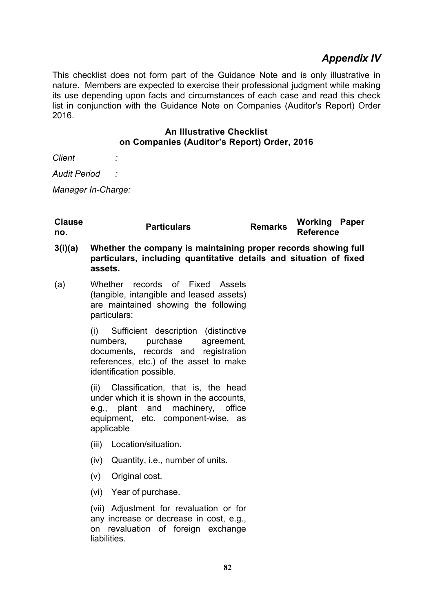# *Appendix IV*

This checklist does not form part of the Guidance Note and is only illustrative in nature. Members are expected to exercise their professional judgment while making its use depending upon facts and circumstances of each case and read this check list in conjunction with the Guidance Note on Companies (Auditor's Report) Order 2016.

### An Illustrative Checklist on Companies (Auditor's Report) Order, 2016

*Client :*

*Audit Period :*

*Manager In-Charge:*

Clause no. Particulars Remarks Working Paper Reference

- 3(i)(a) Whether the company is maintaining proper records showing full particulars, including quantitative details and situation of fixed assets.
- (a) Whether records of Fixed Assets (tangible, intangible and leased assets) are maintained showing the following particulars:

(i) Sufficient description (distinctive numbers, purchase agreement, documents, records and registration references, etc.) of the asset to make identification possible.

(ii) Classification, that is, the head under which it is shown in the accounts, e.g., plant and machinery, office equipment, etc. component-wise, as applicable

- (iii) Location/situation.
- (iv) Quantity, i.e., number of units.
- (v) Original cost.
- (vi) Year of purchase.

(vii) Adjustment for revaluation or for any increase or decrease in cost, e.g., on revaluation of foreign exchange **liabilities**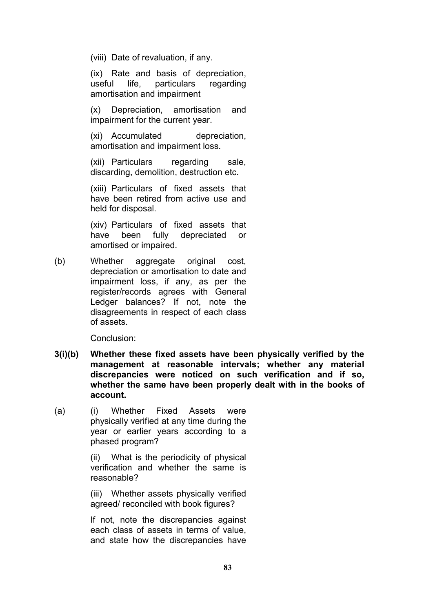(viii) Date of revaluation, if any.

(ix) Rate and basis of depreciation, useful life, particulars regarding amortisation and impairment

(x) Depreciation, amortisation and impairment for the current year.

(xi) Accumulated depreciation, amortisation and impairment loss.

(xii) Particulars regarding sale, discarding, demolition, destruction etc.

(xiii) Particulars of fixed assets that have been retired from active use and held for disposal.

(xiv) Particulars of fixed assets that have been fully depreciated or amortised or impaired.

(b) Whether aggregate original cost, depreciation or amortisation to date and impairment loss, if any, as per the register/records agrees with General Ledger balances? If not, note the disagreements in respect of each class of assets.

Conclusion:

- 3(i)(b) Whether these fixed assets have been physically verified by the management at reasonable intervals; whether any material discrepancies were noticed on such verification and if so, whether the same have been properly dealt with in the books of account.
- (a) (i) Whether Fixed Assets were physically verified at any time during the year or earlier years according to a phased program?

(ii) What is the periodicity of physical verification and whether the same is reasonable?

(iii) Whether assets physically verified agreed/ reconciled with book figures?

If not, note the discrepancies against each class of assets in terms of value, and state how the discrepancies have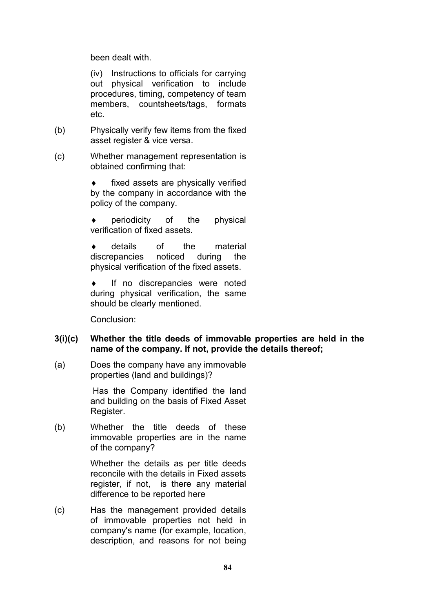been dealt with.

(iv) Instructions to officials for carrying out physical verification to include procedures, timing, competency of team members, countsheets/tags, formats etc.

- (b) Physically verify few items from the fixed asset register & vice versa.
- (c) Whether management representation is obtained confirming that:

 $\bullet$  fixed assets are physically verified by the company in accordance with the policy of the company.

 periodicity of the physical verification of fixed assets.

 details of the material discrepancies noticed during the physical verification of the fixed assets.

 $\bullet$  If no discrepancies were noted during physical verification, the same should be clearly mentioned.

Conclusion:

#### 3(i)(c) Whether the title deeds of immovable properties are held in the name of the company. If not, provide the details thereof;

(a) Does the company have any immovable properties (land and buildings)?

> Has the Company identified the land and building on the basis of Fixed Asset Register.

(b) Whether the title deeds of these immovable properties are in the name of the company?

> Whether the details as per title deeds reconcile with the details in Fixed assets register, if not, is there any material difference to be reported here

(c) Has the management provided details of immovable properties not held in company's name (for example, location, description, and reasons for not being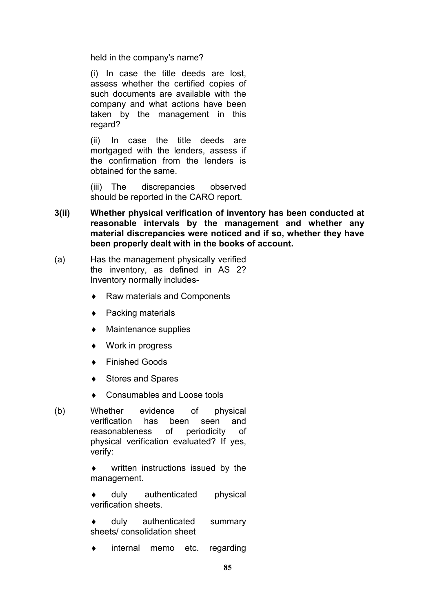held in the company's name?

(i) In case the title deeds are lost, assess whether the certified copies of such documents are available with the company and what actions have been taken by the management in this regard?

(ii) In case the title deeds are mortgaged with the lenders, assess if the confirmation from the lenders is obtained for the same.

(iii) The discrepancies observed should be reported in the CARO report.

- 3(ii) Whether physical verification of inventory has been conducted at reasonable intervals by the management and whether any material discrepancies were noticed and if so, whether they have been properly dealt with in the books of account.
- (a) Has the management physically verified the inventory, as defined in AS 2? Inventory normally includes-
	- Raw materials and Components
	- ◆ Packing materials
	- Maintenance supplies
	- ◆ Work in progress
	- ◆ Finished Goods
	- ◆ Stores and Spares
	- ◆ Consumables and Loose tools
- (b) Whether evidence of physical verification has been seen and reasonableness of periodicity of physical verification evaluated? If yes, verify:

 written instructions issued by the management.

 duly authenticated physical verification sheets.

 duly authenticated summary sheets/ consolidation sheet

internal memo etc. regarding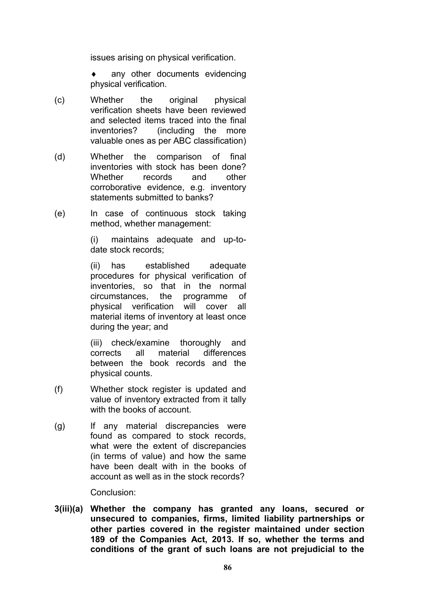issues arising on physical verification.

• any other documents evidencing physical verification.

- (c) Whether the original physical verification sheets have been reviewed and selected items traced into the final inventories? (including the more valuable ones as per ABC classification)
- (d) Whether the comparison of final inventories with stock has been done? Whether records and other corroborative evidence, e.g. inventory statements submitted to banks?
- (e) In case of continuous stock taking method, whether management:

(i) maintains adequate and up-todate stock records;

(ii) has established adequate procedures for physical verification of inventories, so that in the normal circumstances, the programme of physical verification will cover all material items of inventory at least once during the year; and

(iii) check/examine thoroughly and corrects all material differences between the book records and the physical counts.

- (f) Whether stock register is updated and value of inventory extracted from it tally with the books of account.
- (g) If any material discrepancies were found as compared to stock records, what were the extent of discrepancies (in terms of value) and how the same have been dealt with in the books of account as well as in the stock records?

Conclusion:

3(iii)(a) Whether the company has granted any loans, secured or unsecured to companies, firms, limited liability partnerships or other parties covered in the register maintained under section 189 of the Companies Act, 2013. If so, whether the terms and conditions of the grant of such loans are not prejudicial to the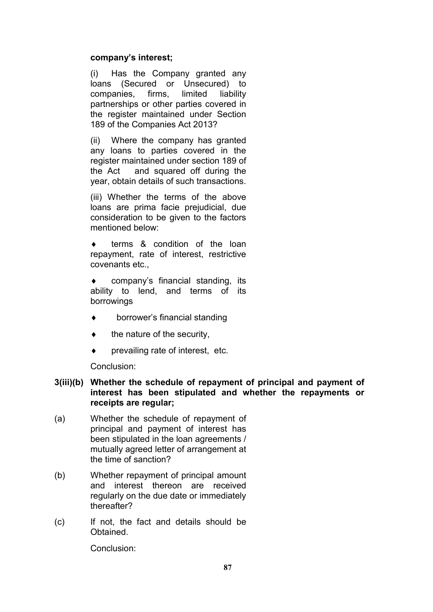#### company's interest;

(i) Has the Company granted any loans (Secured or Unsecured) to companies, firms, limited liability partnerships or other parties covered in the register maintained under Section 189 of the Companies Act 2013?

(ii) Where the company has granted any loans to parties covered in the register maintained under section 189 of the Act and squared off during the year, obtain details of such transactions.

(iii) Whether the terms of the above loans are prima facie prejudicial, due consideration to be given to the factors mentioned below:

 terms & condition of the loan repayment, rate of interest, restrictive covenants etc.,

 company's financial standing, its ability to lend, and terms of its borrowings

- borrower's financial standing
- $\bullet$  the nature of the security,
- prevailing rate of interest, etc.

Conclusion:

- 3(iii)(b) Whether the schedule of repayment of principal and payment of interest has been stipulated and whether the repayments or receipts are regular;
- (a) Whether the schedule of repayment of principal and payment of interest has been stipulated in the loan agreements / mutually agreed letter of arrangement at the time of sanction?
- (b) Whether repayment of principal amount and interest thereon are received regularly on the due date or immediately thereafter?
- (c) If not, the fact and details should be **Obtained.**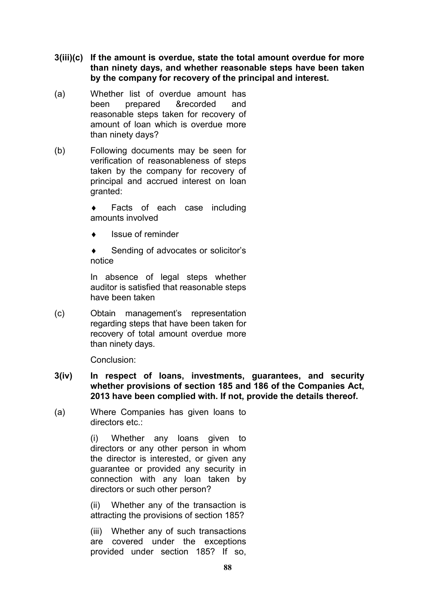- 3(iii)(c) If the amount is overdue, state the total amount overdue for more than ninety days, and whether reasonable steps have been taken by the company for recovery of the principal and interest.
- (a) Whether list of overdue amount has been prepared &recorded and reasonable steps taken for recovery of amount of loan which is overdue more than ninety days?
- (b) Following documents may be seen for verification of reasonableness of steps taken by the company for recovery of principal and accrued interest on loan granted:

 Facts of each case including amounts involved

◆ Issue of reminder

◆ Sending of advocates or solicitor's notice

In absence of legal steps whether auditor is satisfied that reasonable steps have been taken

(c) Obtain management's representation regarding steps that have been taken for recovery of total amount overdue more than ninety days.

Conclusion:

- 3(iv) In respect of loans, investments, guarantees, and security whether provisions of section 185 and 186 of the Companies Act, 2013 have been complied with. If not, provide the details thereof.
- (a) Where Companies has given loans to directors etc.:

(i) Whether any loans given to directors or any other person in whom the director is interested, or given any guarantee or provided any security in connection with any loan taken by directors or such other person?

(ii) Whether any of the transaction is attracting the provisions of section 185?

(iii) Whether any of such transactions are covered under the exceptions provided under section 185? If so,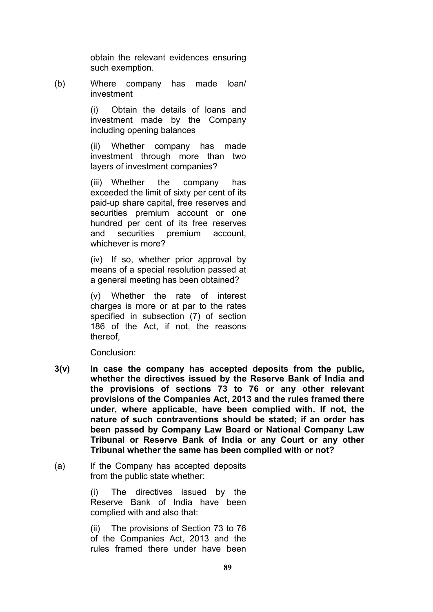obtain the relevant evidences ensuring such exemption.

(b) Where company has made loan/ investment

> (i) Obtain the details of loans and investment made by the Company including opening balances

> (ii) Whether company has made investment through more than two layers of investment companies?

> (iii) Whether the company has exceeded the limit of sixty per cent of its paid-up share capital, free reserves and securities premium account or one hundred per cent of its free reserves and securities premium account, whichever is more?

(iv) If so, whether prior approval by means of a special resolution passed at a general meeting has been obtained?

(v) Whether the rate of interest charges is more or at par to the rates specified in subsection (7) of section 186 of the Act, if not, the reasons thereof,

Conclusion:

- $3(v)$  In case the company has accepted deposits from the public, whether the directives issued by the Reserve Bank of India and the provisions of sections 73 to 76 or any other relevant provisions of the Companies Act, 2013 and the rules framed there under, where applicable, have been complied with. If not, the nature of such contraventions should be stated; if an order has been passed by Company Law Board or National Company Law Tribunal or Reserve Bank of India or any Court or any other Tribunal whether the same has been complied with or not?
- (a) If the Company has accepted deposits from the public state whether:

(i) The directives issued by the Reserve Bank of India have been complied with and also that:

(ii) The provisions of Section 73 to 76 of the Companies Act, 2013 and the rules framed there under have been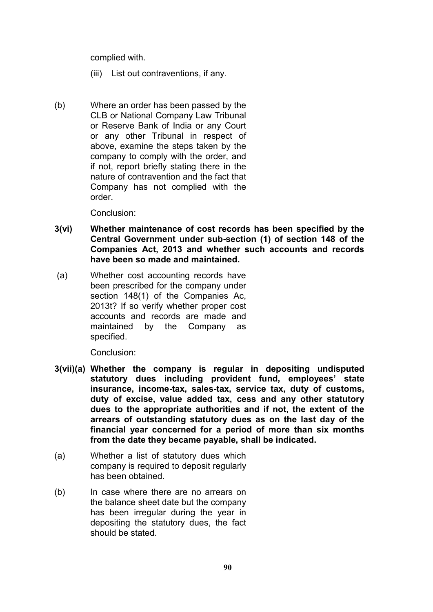complied with.

- (iii) List out contraventions, if any.
- (b) Where an order has been passed by the CLB or National Company Law Tribunal or Reserve Bank of India or any Court or any other Tribunal in respect of above, examine the steps taken by the company to comply with the order, and if not, report briefly stating there in the nature of contravention and the fact that Company has not complied with the order.

Conclusion:

- 3(vi) Whether maintenance of cost records has been specified by the Central Government under sub-section (1) of section 148 of the Companies Act, 2013 and whether such accounts and records have been so made and maintained.
- (a) Whether cost accounting records have been prescribed for the company under section 148(1) of the Companies Ac, 2013t? If so verify whether proper cost accounts and records are made and maintained by the Company as specified.

- 3(vii)(a) Whether the company is regular in depositing undisputed statutory dues including provident fund, employees' state insurance, income-tax, sales-tax, service tax, duty of customs, duty of excise, value added tax, cess and any other statutory dues to the appropriate authorities and if not, the extent of the arrears of outstanding statutory dues as on the last day of the financial year concerned for a period of more than six months from the date they became payable, shall be indicated.
- (a) Whether a list of statutory dues which company is required to deposit regularly has been obtained.
- (b) In case where there are no arrears on the balance sheet date but the company has been irregular during the year in depositing the statutory dues, the fact should be stated.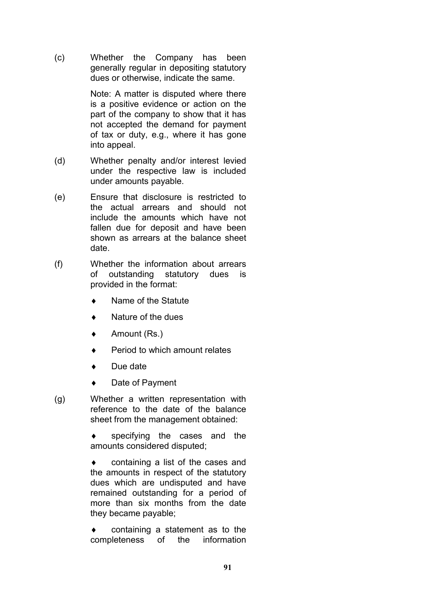(c) Whether the Company has been generally regular in depositing statutory dues or otherwise, indicate the same.

> Note: A matter is disputed where there is a positive evidence or action on the part of the company to show that it has not accepted the demand for payment of tax or duty, e.g., where it has gone into appeal.

- (d) Whether penalty and/or interest levied under the respective law is included under amounts payable.
- (e) Ensure that disclosure is restricted to the actual arrears and should not include the amounts which have not fallen due for deposit and have been shown as arrears at the balance sheet date.
- (f) Whether the information about arrears of outstanding statutory dues is provided in the format:
	- Name of the Statute
	- ◆ Nature of the dues
	- $\triangleleft$  Amount (Rs.)
	- ◆ Period to which amount relates
	- ◆ Due date
	- ◆ Date of Payment
- (g) Whether a written representation with reference to the date of the balance sheet from the management obtained:

 specifying the cases and the amounts considered disputed;

 containing a list of the cases and the amounts in respect of the statutory dues which are undisputed and have remained outstanding for a period of more than six months from the date they became payable;

 containing a statement as to the completeness of the information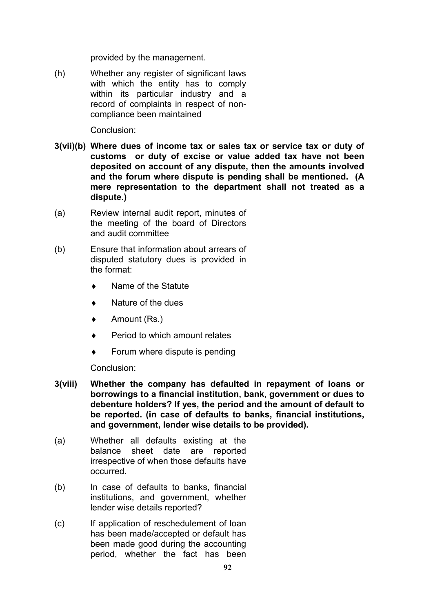provided by the management.

(h) Whether any register of significant laws with which the entity has to comply within its particular industry and a record of complaints in respect of noncompliance been maintained

Conclusion:

- 3(vii)(b) Where dues of income tax or sales tax or service tax or duty of customs or duty of excise or value added tax have not been deposited on account of any dispute, then the amounts involved and the forum where dispute is pending shall be mentioned. (A mere representation to the department shall not treated as a dispute.)
- (a) Review internal audit report, minutes of the meeting of the board of Directors and audit committee
- (b) Ensure that information about arrears of disputed statutory dues is provided in the format:
	- Name of the Statute
	- ◆ Nature of the dues
	- $\triangleleft$  Amount (Rs.)
	- ◆ Period to which amount relates
	- Forum where dispute is pending

- 3(viii) Whether the company has defaulted in repayment of loans or borrowings to a financial institution, bank, government or dues to debenture holders? If yes, the period and the amount of default to be reported. (in case of defaults to banks, financial institutions, and government, lender wise details to be provided).
- (a) Whether all defaults existing at the balance sheet date are reported irrespective of when those defaults have occurred.
- (b) In case of defaults to banks, financial institutions, and government, whether lender wise details reported?
- (c) If application of reschedulement of loan has been made/accepted or default has been made good during the accounting period, whether the fact has been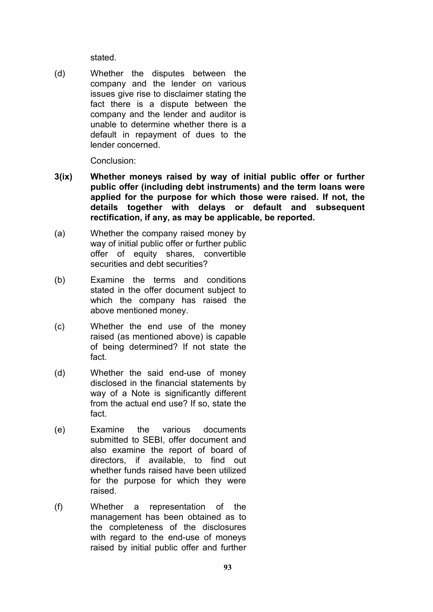stated.

(d) Whether the disputes between the company and the lender on various issues give rise to disclaimer stating the fact there is a dispute between the company and the lender and auditor is unable to determine whether there is a default in repayment of dues to the lender concerned.

- 3(ix) Whether moneys raised by way of initial public offer or further public offer (including debt instruments) and the term loans were applied for the purpose for which those were raised. If not, the details together with delays or default and subsequent rectification, if any, as may be applicable, be reported.
- (a) Whether the company raised money by way of initial public offer or further public offer of equity shares, convertible securities and debt securities?
- (b) Examine the terms and conditions stated in the offer document subject to which the company has raised the above mentioned money.
- (c) Whether the end use of the money raised (as mentioned above) is capable of being determined? If not state the fact.
- (d) Whether the said end-use of money disclosed in the financial statements by way of a Note is significantly different from the actual end use? If so, state the fact.
- (e) Examine the various documents submitted to SEBI, offer document and also examine the report of board of directors, if available, to find out whether funds raised have been utilized for the purpose for which they were raised.
- (f) Whether a representation of the management has been obtained as to the completeness of the disclosures with regard to the end-use of moneys raised by initial public offer and further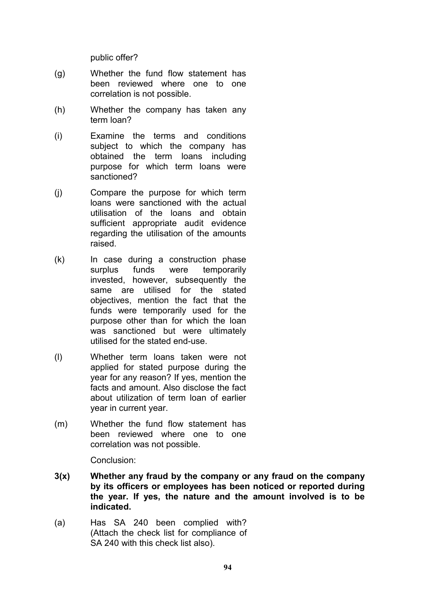public offer?

- (g) Whether the fund flow statement has been reviewed where one to one correlation is not possible.
- (h) Whether the company has taken any term loan?
- (i) Examine the terms and conditions subject to which the company has obtained the term loans including purpose for which term loans were sanctioned?
- (j) Compare the purpose for which term loans were sanctioned with the actual utilisation of the loans and obtain sufficient appropriate audit evidence regarding the utilisation of the amounts raised.
- (k) In case during a construction phase surplus funds were temporarily invested, however, subsequently the same are utilised for the stated objectives, mention the fact that the funds were temporarily used for the purpose other than for which the loan was sanctioned but were ultimately utilised for the stated end-use.
- (l) Whether term loans taken were not applied for stated purpose during the year for any reason? If yes, mention the facts and amount. Also disclose the fact about utilization of term loan of earlier year in current year.
- (m) Whether the fund flow statement has been reviewed where one to one correlation was not possible.

- $3(x)$  Whether any fraud by the company or any fraud on the company by its officers or employees has been noticed or reported during the year. If yes, the nature and the amount involved is to be indicated.
- (a) Has SA 240 been complied with? (Attach the check list for compliance of SA 240 with this check list also).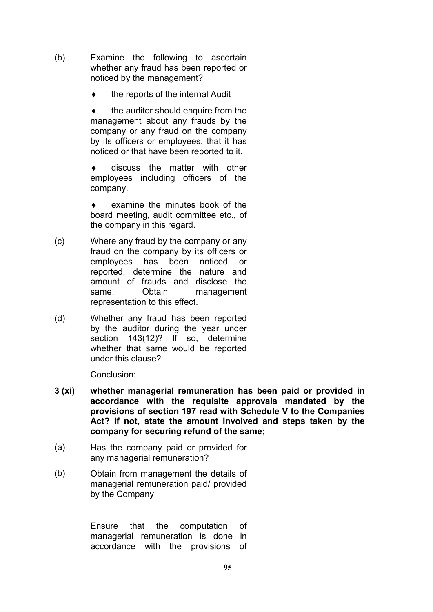- (b) Examine the following to ascertain whether any fraud has been reported or noticed by the management?
	- $\bullet$  the reports of the internal Audit

 $\bullet$  the auditor should enquire from the management about any frauds by the company or any fraud on the company by its officers or employees, that it has noticed or that have been reported to it.

• discuss the matter with other employees including officers of the company.

 $\bullet$  examine the minutes book of the board meeting, audit committee etc., of the company in this regard.

- (c) Where any fraud by the company or any fraud on the company by its officers or employees has been noticed or reported, determine the nature and amount of frauds and disclose the same. Obtain management representation to this effect.
- (d) Whether any fraud has been reported by the auditor during the year under section 143(12)? If so, determine whether that same would be reported under this clause?

Conclusion:

- 3 (xi) whether managerial remuneration has been paid or provided in accordance with the requisite approvals mandated by the provisions of section 197 read with Schedule V to the Companies Act? If not, state the amount involved and steps taken by the company for securing refund of the same;
- (a) Has the company paid or provided for any managerial remuneration?
- (b) Obtain from management the details of managerial remuneration paid/ provided by the Company

Ensure that the computation of managerial remuneration is done in accordance with the provisions of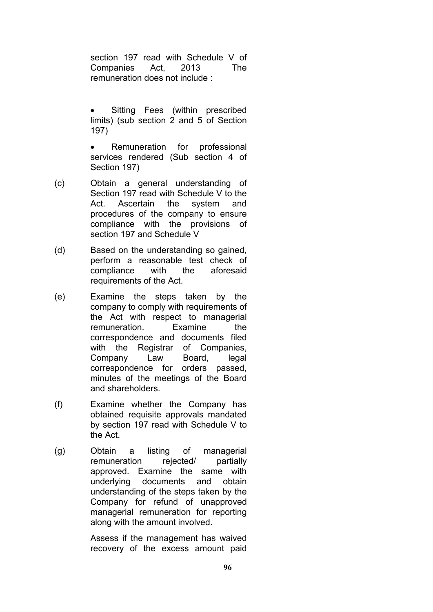section 197 read with Schedule V of Companies Act, 2013 The remuneration does not include :

 Sitting Fees (within prescribed limits) (sub section 2 and 5 of Section 197)

• Remuneration for professional services rendered (Sub section 4 of Section 197)

- (c) Obtain a general understanding of Section 197 read with Schedule V to the Act. Ascertain the system and procedures of the company to ensure compliance with the provisions of section 197 and Schedule V
- (d) Based on the understanding so gained, perform a reasonable test check of compliance with the aforesaid requirements of the Act.
- (e) Examine the steps taken by the company to comply with requirements of the Act with respect to managerial remuneration. Examine the correspondence and documents filed with the Registrar of Companies, Company Law Board, legal correspondence for orders passed, minutes of the meetings of the Board and shareholders.
- (f) Examine whether the Company has obtained requisite approvals mandated by section 197 read with Schedule V to the Act.
- (g) Obtain a listing of managerial remuneration rejected/ partially approved. Examine the same with underlying documents and obtain understanding of the steps taken by the Company for refund of unapproved managerial remuneration for reporting along with the amount involved.

Assess if the management has waived recovery of the excess amount paid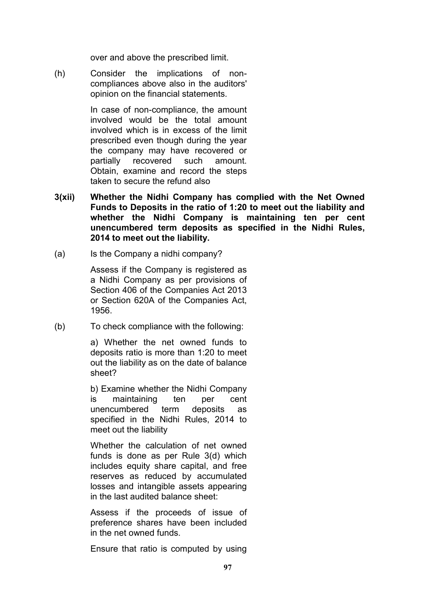over and above the prescribed limit.

(h) Consider the implications of noncompliances above also in the auditors' opinion on the financial statements.

> In case of non-compliance, the amount involved would be the total amount involved which is in excess of the limit prescribed even though during the year the company may have recovered or partially recovered such amount. Obtain, examine and record the steps taken to secure the refund also

- 3(xii) Whether the Nidhi Company has complied with the Net Owned Funds to Deposits in the ratio of 1:20 to meet out the liability and whether the Nidhi Company is maintaining ten per cent unencumbered term deposits as specified in the Nidhi Rules, 2014 to meet out the liability.
- (a) Is the Company a nidhi company?

Assess if the Company is registered as a Nidhi Company as per provisions of Section 406 of the Companies Act 2013 or Section 620A of the Companies Act, 1956.

(b) To check compliance with the following:

a) Whether the net owned funds to deposits ratio is more than 1:20 to meet out the liability as on the date of balance sheet?

b) Examine whether the Nidhi Company is maintaining ten per cent unencumbered term deposits as specified in the Nidhi Rules, 2014 to meet out the liability

Whether the calculation of net owned funds is done as per Rule 3(d) which includes equity share capital, and free reserves as reduced by accumulated losses and intangible assets appearing in the last audited balance sheet:

Assess if the proceeds of issue of preference shares have been included in the net owned funds.

Ensure that ratio is computed by using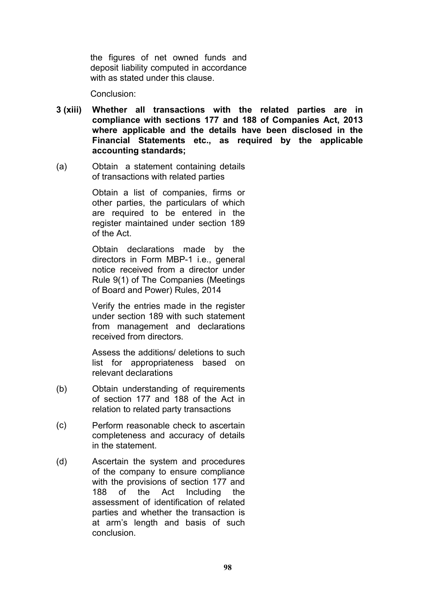the figures of net owned funds and deposit liability computed in accordance with as stated under this clause.

Conclusion:

- 3 (xiii) Whether all transactions with the related parties are in compliance with sections 177 and 188 of Companies Act, 2013 where applicable and the details have been disclosed in the Financial Statements etc., as required by the applicable accounting standards;
- (a) Obtain a statement containing details of transactions with related parties

Obtain a list of companies, firms or other parties, the particulars of which are required to be entered in the register maintained under section 189 of the Act.

Obtain declarations made by the directors in Form MBP-1 i.e., general notice received from a director under Rule 9(1) of The Companies (Meetings of Board and Power) Rules, 2014

Verify the entries made in the register under section 189 with such statement from management and declarations received from directors.

Assess the additions/ deletions to such list for appropriateness based on relevant declarations

- (b) Obtain understanding of requirements of section 177 and 188 of the Act in relation to related party transactions
- (c) Perform reasonable check to ascertain completeness and accuracy of details in the statement.
- (d) Ascertain the system and procedures of the company to ensure compliance with the provisions of section 177 and 188 of the Act Including the assessment of identification of related parties and whether the transaction is at arm's length and basis of such conclusion.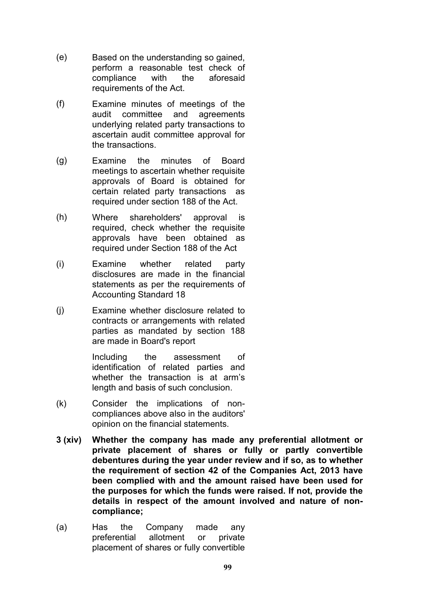- (e) Based on the understanding so gained, perform a reasonable test check of compliance with the aforesaid requirements of the Act.
- (f) Examine minutes of meetings of the audit committee and agreements underlying related party transactions to ascertain audit committee approval for the transactions.
- (g) Examine the minutes of Board meetings to ascertain whether requisite approvals of Board is obtained for certain related party transactions as required under section 188 of the Act.
- (h) Where shareholders' approval is required, check whether the requisite approvals have been obtained as required under Section 188 of the Act
- (i) Examine whether related party disclosures are made in the financial statements as per the requirements of Accounting Standard 18
- (j) Examine whether disclosure related to contracts or arrangements with related parties as mandated by section 188 are made in Board's report

Including the assessment of identification of related parties and whether the transaction is at arm's length and basis of such conclusion.

- (k) Consider the implications of noncompliances above also in the auditors' opinion on the financial statements.
- 3 (xiv) Whether the company has made any preferential allotment or private placement of shares or fully or partly convertible debentures during the year under review and if so, as to whether the requirement of section 42 of the Companies Act, 2013 have been complied with and the amount raised have been used for the purposes for which the funds were raised. If not, provide the details in respect of the amount involved and nature of noncompliance;
- (a) Has the Company made any preferential allotment or private placement of shares or fully convertible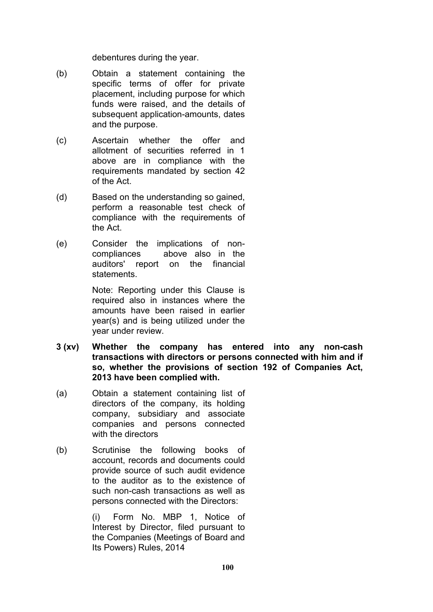debentures during the year.

- (b) Obtain a statement containing the specific terms of offer for private placement, including purpose for which funds were raised, and the details of subsequent application-amounts, dates and the purpose.
- (c) Ascertain whether the offer and allotment of securities referred in 1 above are in compliance with the requirements mandated by section 42 of the Act.
- (d) Based on the understanding so gained, perform a reasonable test check of compliance with the requirements of the Act.
- (e) Consider the implications of noncompliances above also in the auditors' report on the financial statements.

Note: Reporting under this Clause is required also in instances where the amounts have been raised in earlier year(s) and is being utilized under the year under review.

- 3 (xv) Whether the company has entered into any non-cash transactions with directors or persons connected with him and if so, whether the provisions of section 192 of Companies Act, 2013 have been complied with.
- (a) Obtain a statement containing list of directors of the company, its holding company, subsidiary and associate companies and persons connected with the directors
- (b) Scrutinise the following books of account, records and documents could provide source of such audit evidence to the auditor as to the existence of such non-cash transactions as well as persons connected with the Directors:

(i) Form No. MBP 1, Notice of Interest by Director, filed pursuant to the Companies (Meetings of Board and Its Powers) Rules, 2014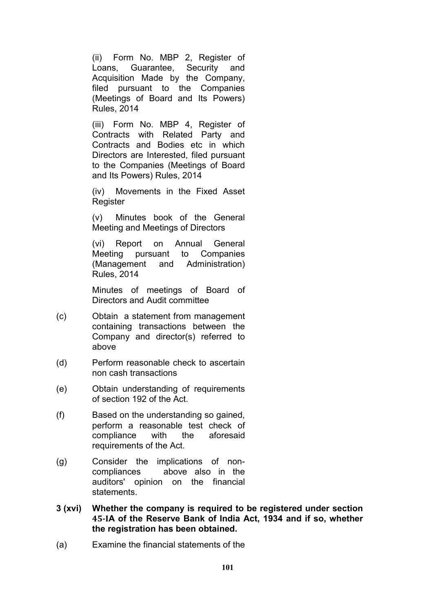(ii) Form No. MBP 2, Register of Loans, Guarantee, Security and Acquisition Made by the Company, filed pursuant to the Companies (Meetings of Board and Its Powers) Rules, 2014

(iii) Form No. MBP 4, Register of Contracts with Related Party and Contracts and Bodies etc in which Directors are Interested, filed pursuant to the Companies (Meetings of Board and Its Powers) Rules, 2014

(iv) Movements in the Fixed Asset **Register** 

(v) Minutes book of the General Meeting and Meetings of Directors

(vi) Report on Annual General Meeting pursuant to Companies (Management and Administration) Rules, 2014

Minutes of meetings of Board of Directors and Audit committee

- (c) Obtain a statement from management containing transactions between the Company and director(s) referred to above
- (d) Perform reasonable check to ascertain non cash transactions
- (e) Obtain understanding of requirements of section 192 of the Act.
- (f) Based on the understanding so gained, perform a reasonable test check of compliance with the aforesaid requirements of the Act.
- (g) Consider the implications of noncompliances above also in the auditors' opinion on the financial statements.
- 3 (xvi) Whether the company is required to be registered under section 45-IA of the Reserve Bank of India Act, 1934 and if so, whether the registration has been obtained.
- (a) Examine the financial statements of the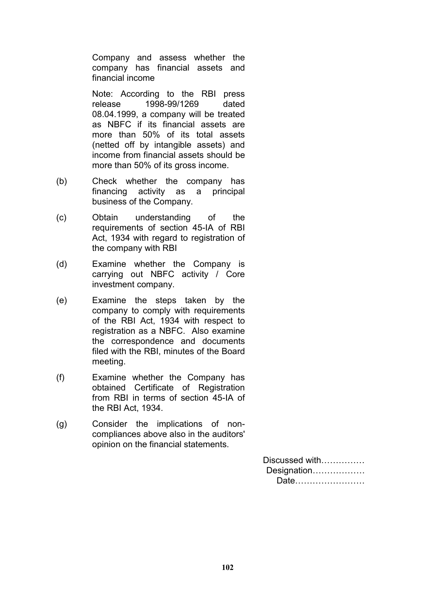Company and assess whether the company has financial assets and financial income

Note: According to the RBI press release 1998-99/1269 dated 08.04.1999, a company will be treated as NBFC if its financial assets are more than 50% of its total assets (netted off by intangible assets) and income from financial assets should be more than 50% of its gross income.

- (b) Check whether the company has financing activity as a principal business of the Company.
- (c) Obtain understanding of the requirements of section 45-IA of RBI Act, 1934 with regard to registration of the company with RBI
- (d) Examine whether the Company is carrying out NBFC activity / Core investment company.
- (e) Examine the steps taken by the company to comply with requirements of the RBI Act, 1934 with respect to registration as a NBFC. Also examine the correspondence and documents filed with the RBI, minutes of the Board meeting.
- (f) Examine whether the Company has obtained Certificate of Registration from RBI in terms of section 45-IA of the RBI Act, 1934.
- (g) Consider the implications of noncompliances above also in the auditors' opinion on the financial statements.

Discussed with…………… Designation……………… Date……………………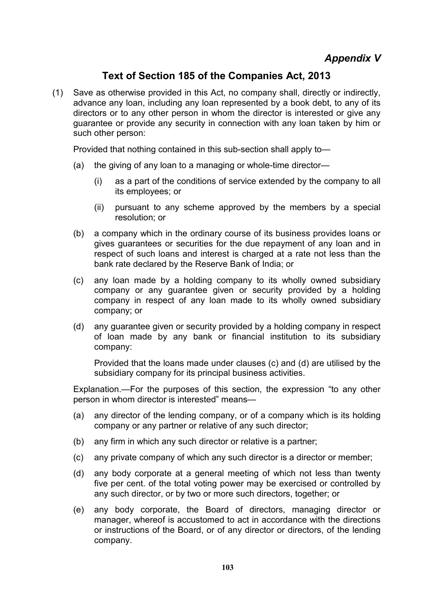## *Appendix V*

## Text of Section 185 of the Companies Act, 2013

(1) Save as otherwise provided in this Act, no company shall, directly or indirectly, advance any loan, including any loan represented by a book debt, to any of its directors or to any other person in whom the director is interested or give any guarantee or provide any security in connection with any loan taken by him or such other person:

Provided that nothing contained in this sub-section shall apply to—

- (a) the giving of any loan to a managing or whole-time director—
	- (i) as a part of the conditions of service extended by the company to all its employees; or
	- (ii) pursuant to any scheme approved by the members by a special resolution; or
- (b) a company which in the ordinary course of its business provides loans or gives guarantees or securities for the due repayment of any loan and in respect of such loans and interest is charged at a rate not less than the bank rate declared by the Reserve Bank of India; or
- (c) any loan made by a holding company to its wholly owned subsidiary company or any guarantee given or security provided by a holding company in respect of any loan made to its wholly owned subsidiary company; or
- (d) any guarantee given or security provided by a holding company in respect of loan made by any bank or financial institution to its subsidiary company:

Provided that the loans made under clauses (c) and (d) are utilised by the subsidiary company for its principal business activities.

Explanation.—For the purposes of this section, the expression "to any other person in whom director is interested" means—

- (a) any director of the lending company, or of a company which is its holding company or any partner or relative of any such director;
- (b) any firm in which any such director or relative is a partner;
- (c) any private company of which any such director is a director or member;
- (d) any body corporate at a general meeting of which not less than twenty five per cent. of the total voting power may be exercised or controlled by any such director, or by two or more such directors, together; or
- (e) any body corporate, the Board of directors, managing director or manager, whereof is accustomed to act in accordance with the directions or instructions of the Board, or of any director or directors, of the lending company.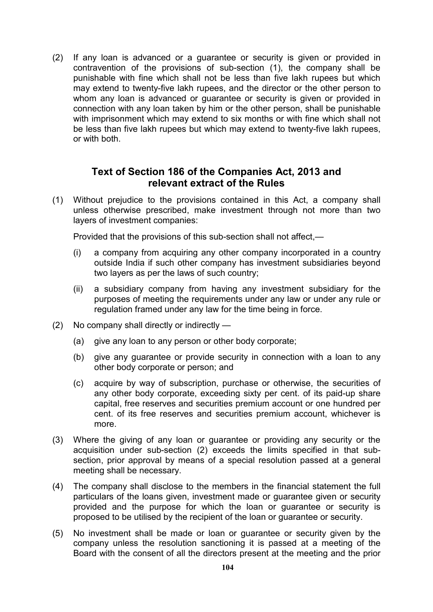(2) If any loan is advanced or a guarantee or security is given or provided in contravention of the provisions of sub-section (1), the company shall be punishable with fine which shall not be less than five lakh rupees but which may extend to twenty-five lakh rupees, and the director or the other person to whom any loan is advanced or guarantee or security is given or provided in connection with any loan taken by him or the other person, shall be punishable with imprisonment which may extend to six months or with fine which shall not be less than five lakh rupees but which may extend to twenty-five lakh rupees, or with both.

## Text of Section 186 of the Companies Act, 2013 and relevant extract of the Rules

(1) Without prejudice to the provisions contained in this Act, a company shall unless otherwise prescribed, make investment through not more than two layers of investment companies:

Provided that the provisions of this sub-section shall not affect,—

- (i) a company from acquiring any other company incorporated in a country outside India if such other company has investment subsidiaries beyond two layers as per the laws of such country;
- (ii) a subsidiary company from having any investment subsidiary for the purposes of meeting the requirements under any law or under any rule or regulation framed under any law for the time being in force.
- (2) No company shall directly or indirectly
	- (a) give any loan to any person or other body corporate;
	- (b) give any guarantee or provide security in connection with a loan to any other body corporate or person; and
	- (c) acquire by way of subscription, purchase or otherwise, the securities of any other body corporate, exceeding sixty per cent. of its paid-up share capital, free reserves and securities premium account or one hundred per cent. of its free reserves and securities premium account, whichever is more.
- (3) Where the giving of any loan or guarantee or providing any security or the acquisition under sub-section (2) exceeds the limits specified in that subsection, prior approval by means of a special resolution passed at a general meeting shall be necessary.
- (4) The company shall disclose to the members in the financial statement the full particulars of the loans given, investment made or guarantee given or security provided and the purpose for which the loan or guarantee or security is proposed to be utilised by the recipient of the loan or guarantee or security.
- (5) No investment shall be made or loan or guarantee or security given by the company unless the resolution sanctioning it is passed at a meeting of the Board with the consent of all the directors present at the meeting and the prior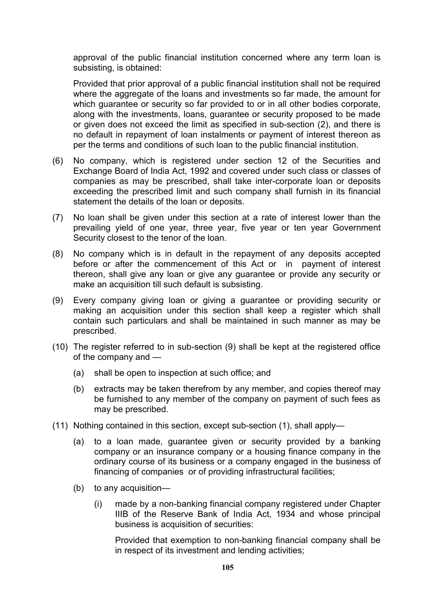approval of the public financial institution concerned where any term loan is subsisting, is obtained:

Provided that prior approval of a public financial institution shall not be required where the aggregate of the loans and investments so far made, the amount for which guarantee or security so far provided to or in all other bodies corporate, along with the investments, loans, guarantee or security proposed to be made or given does not exceed the limit as specified in sub-section (2), and there is no default in repayment of loan instalments or payment of interest thereon as per the terms and conditions of such loan to the public financial institution.

- (6) No company, which is registered under section 12 of the Securities and Exchange Board of India Act, 1992 and covered under such class or classes of companies as may be prescribed, shall take inter-corporate loan or deposits exceeding the prescribed limit and such company shall furnish in its financial statement the details of the loan or deposits.
- (7) No loan shall be given under this section at a rate of interest lower than the prevailing yield of one year, three year, five year or ten year Government Security closest to the tenor of the loan.
- (8) No company which is in default in the repayment of any deposits accepted before or after the commencement of this Act or in payment of interest thereon, shall give any loan or give any guarantee or provide any security or make an acquisition till such default is subsisting.
- (9) Every company giving loan or giving a guarantee or providing security or making an acquisition under this section shall keep a register which shall contain such particulars and shall be maintained in such manner as may be prescribed.
- (10) The register referred to in sub-section (9) shall be kept at the registered office of the company and —
	- (a) shall be open to inspection at such office; and
	- (b) extracts may be taken therefrom by any member, and copies thereof may be furnished to any member of the company on payment of such fees as may be prescribed.
- (11) Nothing contained in this section, except sub-section (1), shall apply—
	- (a) to a loan made, guarantee given or security provided by a banking company or an insurance company or a housing finance company in the ordinary course of its business or a company engaged in the business of financing of companies or of providing infrastructural facilities;
	- (b) to any acquisition—
		- (i) made by a non-banking financial company registered under Chapter IIIB of the Reserve Bank of India Act, 1934 and whose principal business is acquisition of securities:

Provided that exemption to non-banking financial company shall be in respect of its investment and lending activities;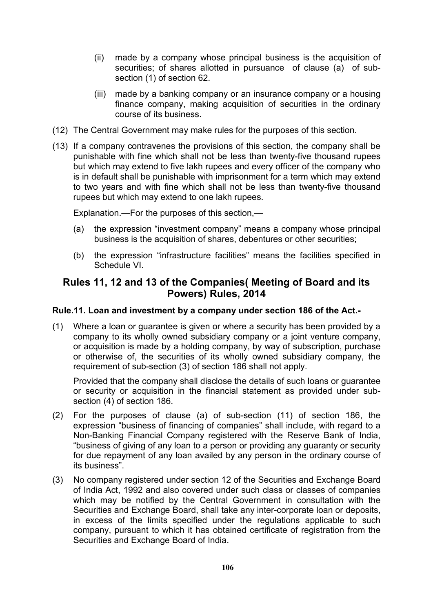- (ii) made by a company whose principal business is the acquisition of securities; of shares allotted in pursuance of clause (a) of subsection (1) of section 62.
- (iii) made by a banking company or an insurance company or a housing finance company, making acquisition of securities in the ordinary course of its business.
- (12) The Central Government may make rules for the purposes of this section.
- (13) If a company contravenes the provisions of this section, the company shall be punishable with fine which shall not be less than twenty-five thousand rupees but which may extend to five lakh rupees and every officer of the company who is in default shall be punishable with imprisonment for a term which may extend to two years and with fine which shall not be less than twenty-five thousand rupees but which may extend to one lakh rupees.

Explanation.—For the purposes of this section,—

- (a) the expression "investment company" means a company whose principal business is the acquisition of shares, debentures or other securities;
- (b) the expression "infrastructure facilities" means the facilities specified in Schedule VI.

## Rules 11, 12 and 13 of the Companies( Meeting of Board and its Powers) Rules, 2014

#### Rule.11. Loan and investment by a company under section 186 of the Act.-

(1) Where a loan or guarantee is given or where a security has been provided by a company to its wholly owned subsidiary company or a joint venture company, or acquisition is made by a holding company, by way of subscription, purchase or otherwise of, the securities of its wholly owned subsidiary company, the requirement of sub-section (3) of section 186 shall not apply.

Provided that the company shall disclose the details of such loans or guarantee or security or acquisition in the financial statement as provided under subsection (4) of section 186.

- (2) For the purposes of clause (a) of sub-section (11) of section 186, the expression "business of financing of companies" shall include, with regard to a Non-Banking Financial Company registered with the Reserve Bank of India, "business of giving of any loan to a person or providing any guaranty or security for due repayment of any loan availed by any person in the ordinary course of its business".
- (3) No company registered under section 12 of the Securities and Exchange Board of India Act, 1992 and also covered under such class or classes of companies which may be notified by the Central Government in consultation with the Securities and Exchange Board, shall take any inter-corporate loan or deposits, in excess of the limits specified under the regulations applicable to such company, pursuant to which it has obtained certificate of registration from the Securities and Exchange Board of India.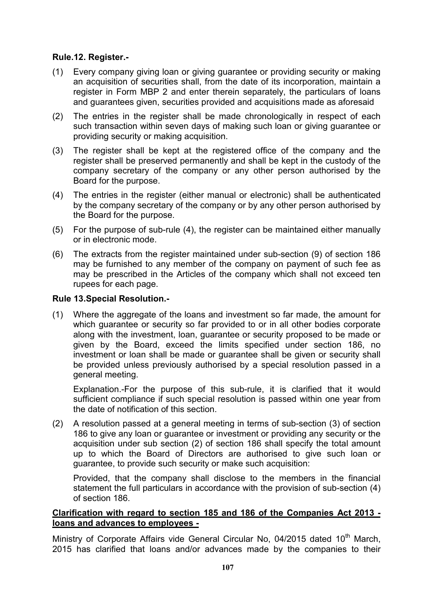### Rule.12. Register.-

- (1) Every company giving loan or giving guarantee or providing security or making an acquisition of securities shall, from the date of its incorporation, maintain a register in Form MBP 2 and enter therein separately, the particulars of loans and guarantees given, securities provided and acquisitions made as aforesaid
- (2) The entries in the register shall be made chronologically in respect of each such transaction within seven days of making such loan or giving guarantee or providing security or making acquisition.
- (3) The register shall be kept at the registered office of the company and the register shall be preserved permanently and shall be kept in the custody of the company secretary of the company or any other person authorised by the Board for the purpose.
- (4) The entries in the register (either manual or electronic) shall be authenticated by the company secretary of the company or by any other person authorised by the Board for the purpose.
- (5) For the purpose of sub-rule (4), the register can be maintained either manually or in electronic mode.
- (6) The extracts from the register maintained under sub-section (9) of section 186 may be furnished to any member of the company on payment of such fee as may be prescribed in the Articles of the company which shall not exceed ten rupees for each page.

#### Rule 13.Special Resolution.-

(1) Where the aggregate of the loans and investment so far made, the amount for which quarantee or security so far provided to or in all other bodies corporate along with the investment, loan, guarantee or security proposed to be made or given by the Board, exceed the limits specified under section 186, no investment or loan shall be made or guarantee shall be given or security shall be provided unless previously authorised by a special resolution passed in a general meeting.

Explanation.-For the purpose of this sub-rule, it is clarified that it would sufficient compliance if such special resolution is passed within one year from the date of notification of this section.

(2) A resolution passed at a general meeting in terms of sub-section (3) of section 186 to give any loan or guarantee or investment or providing any security or the acquisition under sub section (2) of section 186 shall specify the total amount up to which the Board of Directors are authorised to give such loan or guarantee, to provide such security or make such acquisition:

Provided, that the company shall disclose to the members in the financial statement the full particulars in accordance with the provision of sub-section (4) of section 186.

#### Clarification with regard to section 185 and 186 of the Companies Act 2013 loans and advances to employees -

Ministry of Corporate Affairs vide General Circular No. 04/2015 dated 10<sup>th</sup> March. 2015 has clarified that loans and/or advances made by the companies to their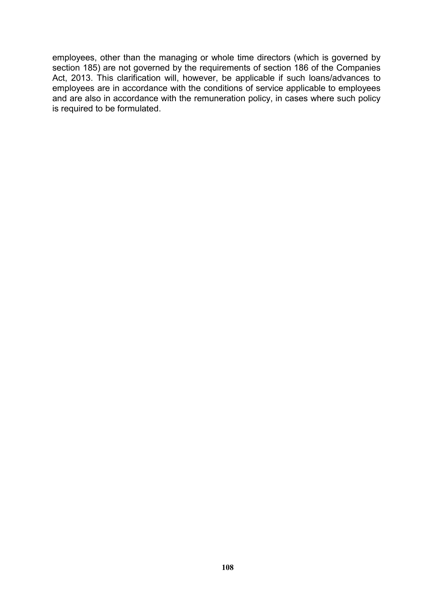employees, other than the managing or whole time directors (which is governed by section 185) are not governed by the requirements of section 186 of the Companies Act, 2013. This clarification will, however, be applicable if such loans/advances to employees are in accordance with the conditions of service applicable to employees and are also in accordance with the remuneration policy, in cases where such policy is required to be formulated.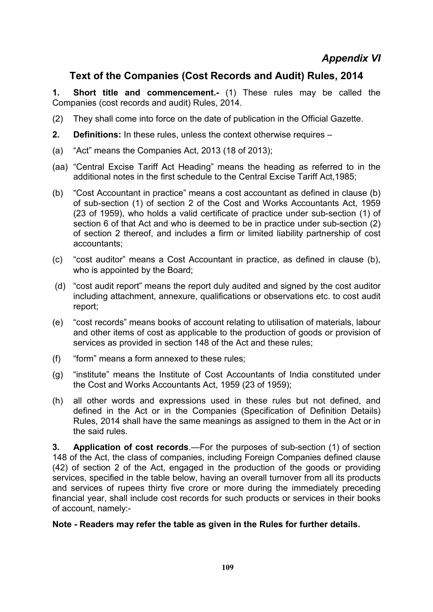# *Appendix VI*

# Text of the Companies (Cost Records and Audit) Rules, 2014

1. Short title and commencement.- (1) These rules may be called the Companies (cost records and audit) Rules, 2014.

- (2) They shall come into force on the date of publication in the Official Gazette.
- 2. Definitions: In these rules, unless the context otherwise requires –
- (a) "Act" means the Companies Act, 2013 (18 of 2013);
- (aa) "Central Excise Tariff Act Heading" means the heading as referred to in the additional notes in the first schedule to the Central Excise Tariff Act,1985;
- (b) "Cost Accountant in practice" means a cost accountant as defined in clause (b) of sub-section (1) of section 2 of the Cost and Works Accountants Act, 1959 (23 of 1959), who holds a valid certificate of practice under sub-section (1) of section 6 of that Act and who is deemed to be in practice under sub-section (2) of section 2 thereof, and includes a firm or limited liability partnership of cost accountants;
- (c) "cost auditor" means a Cost Accountant in practice, as defined in clause (b), who is appointed by the Board;
- (d) "cost audit report" means the report duly audited and signed by the cost auditor including attachment, annexure, qualifications or observations etc. to cost audit report;
- (e) "cost records" means books of account relating to utilisation of materials, labour and other items of cost as applicable to the production of goods or provision of services as provided in section 148 of the Act and these rules;
- (f) "form" means a form annexed to these rules;
- (g) "institute" means the Institute of Cost Accountants of India constituted under the Cost and Works Accountants Act, 1959 (23 of 1959);
- (h) all other words and expressions used in these rules but not defined, and defined in the Act or in the Companies (Specification of Definition Details) Rules, 2014 shall have the same meanings as assigned to them in the Act or in the said rules.

3. Application of cost records.—For the purposes of sub-section (1) of section 148 of the Act, the class of companies, including Foreign Companies defined clause (42) of section 2 of the Act, engaged in the production of the goods or providing services, specified in the table below, having an overall turnover from all its products and services of rupees thirty five crore or more during the immediately preceding financial year, shall include cost records for such products or services in their books of account, namely:-

#### Note - Readers may refer the table as given in the Rules for further details.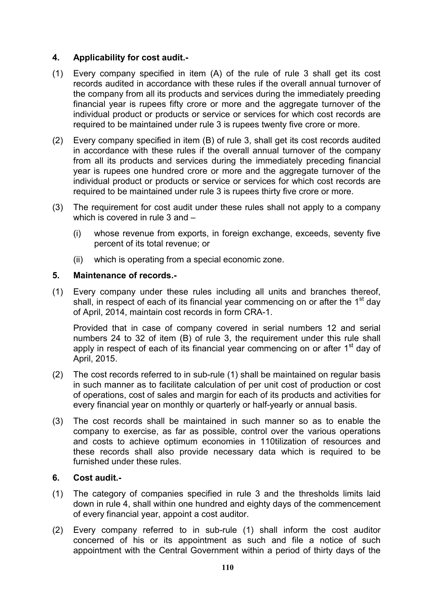### 4. Applicability for cost audit.-

- (1) Every company specified in item (A) of the rule of rule 3 shall get its cost records audited in accordance with these rules if the overall annual turnover of the company from all its products and services during the immediately preeding financial year is rupees fifty crore or more and the aggregate turnover of the individual product or products or service or services for which cost records are required to be maintained under rule 3 is rupees twenty five crore or more.
- (2) Every company specified in item (B) of rule 3, shall get its cost records audited in accordance with these rules if the overall annual turnover of the company from all its products and services during the immediately preceding financial year is rupees one hundred crore or more and the aggregate turnover of the individual product or products or service or services for which cost records are required to be maintained under rule 3 is rupees thirty five crore or more.
- (3) The requirement for cost audit under these rules shall not apply to a company which is covered in rule 3 and –
	- (i) whose revenue from exports, in foreign exchange, exceeds, seventy five percent of its total revenue; or
	- (ii) which is operating from a special economic zone.

### 5. Maintenance of records.-

(1) Every company under these rules including all units and branches thereof, shall, in respect of each of its financial year commencing on or after the 1<sup>st</sup> day of April, 2014, maintain cost records in form CRA-1.

Provided that in case of company covered in serial numbers 12 and serial numbers 24 to 32 of item (B) of rule 3, the requirement under this rule shall apply in respect of each of its financial year commencing on or after  $1<sup>st</sup>$  day of April, 2015.

- (2) The cost records referred to in sub-rule (1) shall be maintained on regular basis in such manner as to facilitate calculation of per unit cost of production or cost of operations, cost of sales and margin for each of its products and activities for every financial year on monthly or quarterly or half-yearly or annual basis.
- (3) The cost records shall be maintained in such manner so as to enable the company to exercise, as far as possible, control over the various operations and costs to achieve optimum economies in 110tilization of resources and these records shall also provide necessary data which is required to be furnished under these rules.

### 6. Cost audit.-

- (1) The category of companies specified in rule 3 and the thresholds limits laid down in rule 4, shall within one hundred and eighty days of the commencement of every financial year, appoint a cost auditor.
- (2) Every company referred to in sub-rule (1) shall inform the cost auditor concerned of his or its appointment as such and file a notice of such appointment with the Central Government within a period of thirty days of the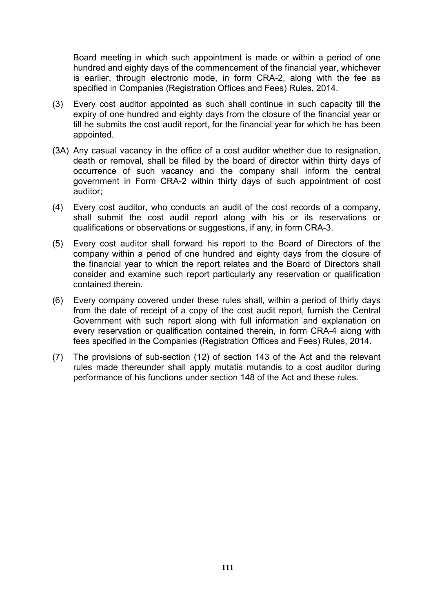Board meeting in which such appointment is made or within a period of one hundred and eighty days of the commencement of the financial year, whichever is earlier, through electronic mode, in form CRA-2, along with the fee as specified in Companies (Registration Offices and Fees) Rules, 2014.

- (3) Every cost auditor appointed as such shall continue in such capacity till the expiry of one hundred and eighty days from the closure of the financial year or till he submits the cost audit report, for the financial year for which he has been appointed.
- (3A) Any casual vacancy in the office of a cost auditor whether due to resignation, death or removal, shall be filled by the board of director within thirty days of occurrence of such vacancy and the company shall inform the central government in Form CRA-2 within thirty days of such appointment of cost auditor;
- (4) Every cost auditor, who conducts an audit of the cost records of a company, shall submit the cost audit report along with his or its reservations or qualifications or observations or suggestions, if any, in form CRA-3.
- (5) Every cost auditor shall forward his report to the Board of Directors of the company within a period of one hundred and eighty days from the closure of the financial year to which the report relates and the Board of Directors shall consider and examine such report particularly any reservation or qualification contained therein.
- (6) Every company covered under these rules shall, within a period of thirty days from the date of receipt of a copy of the cost audit report, furnish the Central Government with such report along with full information and explanation on every reservation or qualification contained therein, in form CRA-4 along with fees specified in the Companies (Registration Offices and Fees) Rules, 2014.
- (7) The provisions of sub-section (12) of section 143 of the Act and the relevant rules made thereunder shall apply mutatis mutandis to a cost auditor during performance of his functions under section 148 of the Act and these rules.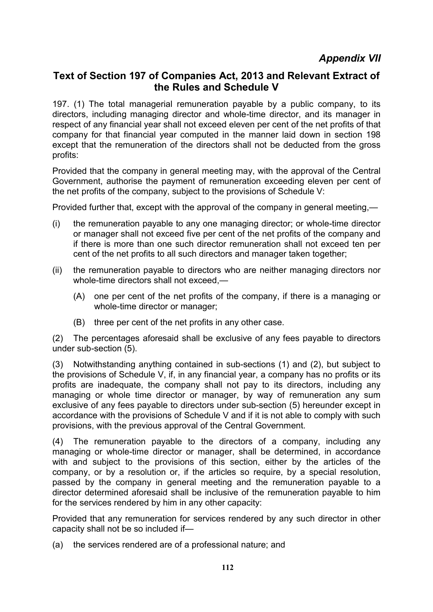## Text of Section 197 of Companies Act, 2013 and Relevant Extract of the Rules and Schedule V

197. (1) The total managerial remuneration payable by a public company, to its directors, including managing director and whole-time director, and its manager in respect of any financial year shall not exceed eleven per cent of the net profits of that company for that financial year computed in the manner laid down in section 198 except that the remuneration of the directors shall not be deducted from the gross profits:

Provided that the company in general meeting may, with the approval of the Central Government, authorise the payment of remuneration exceeding eleven per cent of the net profits of the company, subject to the provisions of Schedule V:

Provided further that, except with the approval of the company in general meeting,—

- (i) the remuneration payable to any one managing director; or whole-time director or manager shall not exceed five per cent of the net profits of the company and if there is more than one such director remuneration shall not exceed ten per cent of the net profits to all such directors and manager taken together;
- (ii) the remuneration payable to directors who are neither managing directors nor whole-time directors shall not exceed,—
	- (A) one per cent of the net profits of the company, if there is a managing or whole-time director or manager;
	- (B) three per cent of the net profits in any other case.

(2) The percentages aforesaid shall be exclusive of any fees payable to directors under sub-section (5).

(3) Notwithstanding anything contained in sub-sections (1) and (2), but subject to the provisions of Schedule V, if, in any financial year, a company has no profits or its profits are inadequate, the company shall not pay to its directors, including any managing or whole time director or manager, by way of remuneration any sum exclusive of any fees payable to directors under sub-section (5) hereunder except in accordance with the provisions of Schedule V and if it is not able to comply with such provisions, with the previous approval of the Central Government.

(4) The remuneration payable to the directors of a company, including any managing or whole-time director or manager, shall be determined, in accordance with and subject to the provisions of this section, either by the articles of the company, or by a resolution or, if the articles so require, by a special resolution, passed by the company in general meeting and the remuneration payable to a director determined aforesaid shall be inclusive of the remuneration payable to him for the services rendered by him in any other capacity:

Provided that any remuneration for services rendered by any such director in other capacity shall not be so included if—

(a) the services rendered are of a professional nature; and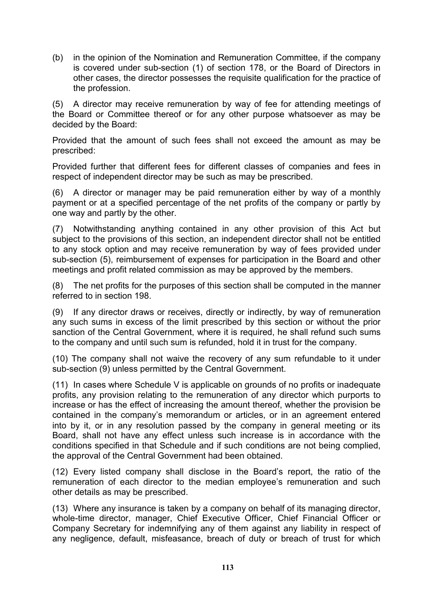(b) in the opinion of the Nomination and Remuneration Committee, if the company is covered under sub-section (1) of section 178, or the Board of Directors in other cases, the director possesses the requisite qualification for the practice of the profession.

(5) A director may receive remuneration by way of fee for attending meetings of the Board or Committee thereof or for any other purpose whatsoever as may be decided by the Board:

Provided that the amount of such fees shall not exceed the amount as may be prescribed:

Provided further that different fees for different classes of companies and fees in respect of independent director may be such as may be prescribed.

(6) A director or manager may be paid remuneration either by way of a monthly payment or at a specified percentage of the net profits of the company or partly by one way and partly by the other.

(7) Notwithstanding anything contained in any other provision of this Act but subject to the provisions of this section, an independent director shall not be entitled to any stock option and may receive remuneration by way of fees provided under sub-section (5), reimbursement of expenses for participation in the Board and other meetings and profit related commission as may be approved by the members.

(8) The net profits for the purposes of this section shall be computed in the manner referred to in section 198.

(9) If any director draws or receives, directly or indirectly, by way of remuneration any such sums in excess of the limit prescribed by this section or without the prior sanction of the Central Government, where it is required, he shall refund such sums to the company and until such sum is refunded, hold it in trust for the company.

(10) The company shall not waive the recovery of any sum refundable to it under sub-section (9) unless permitted by the Central Government.

(11) In cases where Schedule V is applicable on grounds of no profits or inadequate profits, any provision relating to the remuneration of any director which purports to increase or has the effect of increasing the amount thereof, whether the provision be contained in the company's memorandum or articles, or in an agreement entered into by it, or in any resolution passed by the company in general meeting or its Board, shall not have any effect unless such increase is in accordance with the conditions specified in that Schedule and if such conditions are not being complied, the approval of the Central Government had been obtained.

(12) Every listed company shall disclose in the Board's report, the ratio of the remuneration of each director to the median employee's remuneration and such other details as may be prescribed.

(13) Where any insurance is taken by a company on behalf of its managing director, whole-time director, manager, Chief Executive Officer, Chief Financial Officer or Company Secretary for indemnifying any of them against any liability in respect of any negligence, default, misfeasance, breach of duty or breach of trust for which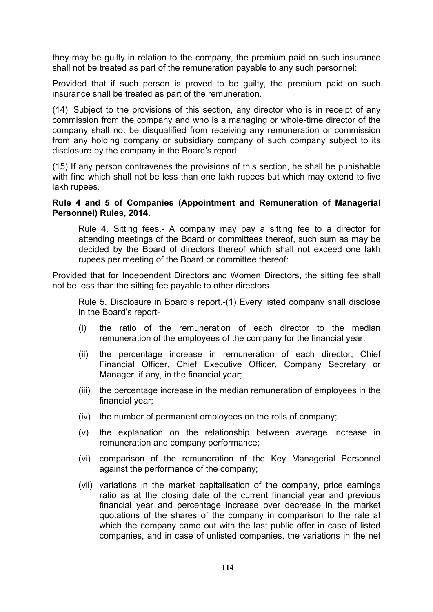they may be guilty in relation to the company, the premium paid on such insurance shall not be treated as part of the remuneration payable to any such personnel:

Provided that if such person is proved to be guilty, the premium paid on such insurance shall be treated as part of the remuneration.

(14) Subject to the provisions of this section, any director who is in receipt of any commission from the company and who is a managing or whole-time director of the company shall not be disqualified from receiving any remuneration or commission from any holding company or subsidiary company of such company subject to its disclosure by the company in the Board's report.

(15) If any person contravenes the provisions of this section, he shall be punishable with fine which shall not be less than one lakh rupees but which may extend to five lakh rupees.

#### Rule 4 and 5 of Companies (Appointment and Remuneration of Managerial Personnel) Rules, 2014.

Rule 4. Sitting fees.- A company may pay a sitting fee to a director for attending meetings of the Board or committees thereof, such sum as may be decided by the Board of directors thereof which shall not exceed one lakh rupees per meeting of the Board or committee thereof:

Provided that for Independent Directors and Women Directors, the sitting fee shall not be less than the sitting fee payable to other directors.

Rule 5. Disclosure in Board's report.-(1) Every listed company shall disclose in the Board's report-

- (i) the ratio of the remuneration of each director to the median remuneration of the employees of the company for the financial year;
- (ii) the percentage increase in remuneration of each director, Chief Financial Officer, Chief Executive Officer, Company Secretary or Manager, if any, in the financial year;
- (iii) the percentage increase in the median remuneration of employees in the financial year;
- (iv) the number of permanent employees on the rolls of company;
- (v) the explanation on the relationship between average increase in remuneration and company performance;
- (vi) comparison of the remuneration of the Key Managerial Personnel against the performance of the company;
- (vii) variations in the market capitalisation of the company, price earnings ratio as at the closing date of the current financial year and previous financial year and percentage increase over decrease in the market quotations of the shares of the company in comparison to the rate at which the company came out with the last public offer in case of listed companies, and in case of unlisted companies, the variations in the net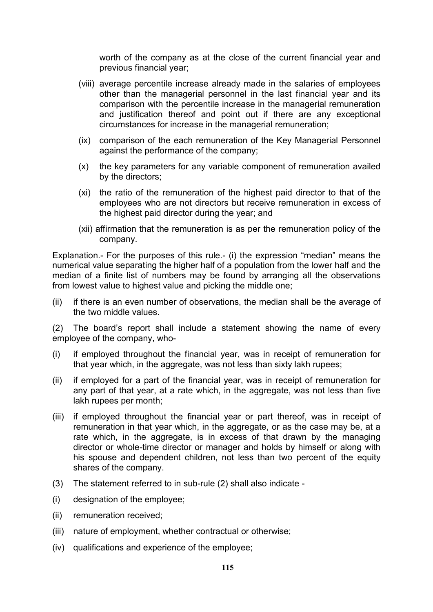worth of the company as at the close of the current financial year and previous financial year;

- (viii) average percentile increase already made in the salaries of employees other than the managerial personnel in the last financial year and its comparison with the percentile increase in the managerial remuneration and justification thereof and point out if there are any exceptional circumstances for increase in the managerial remuneration;
- (ix) comparison of the each remuneration of the Key Managerial Personnel against the performance of the company;
- (x) the key parameters for any variable component of remuneration availed by the directors;
- (xi) the ratio of the remuneration of the highest paid director to that of the employees who are not directors but receive remuneration in excess of the highest paid director during the year; and
- (xii) affirmation that the remuneration is as per the remuneration policy of the company.

Explanation.- For the purposes of this rule.- (i) the expression "median" means the numerical value separating the higher half of a population from the lower half and the median of a finite list of numbers may be found by arranging all the observations from lowest value to highest value and picking the middle one;

(ii) if there is an even number of observations, the median shall be the average of the two middle values.

(2) The board's report shall include a statement showing the name of every employee of the company, who-

- (i) if employed throughout the financial year, was in receipt of remuneration for that year which, in the aggregate, was not less than sixty lakh rupees;
- (ii) if employed for a part of the financial year, was in receipt of remuneration for any part of that year, at a rate which, in the aggregate, was not less than five lakh rupees per month;
- (iii) if employed throughout the financial year or part thereof, was in receipt of remuneration in that year which, in the aggregate, or as the case may be, at a rate which, in the aggregate, is in excess of that drawn by the managing director or whole-time director or manager and holds by himself or along with his spouse and dependent children, not less than two percent of the equity shares of the company.
- (3) The statement referred to in sub-rule (2) shall also indicate -
- (i) designation of the employee;
- (ii) remuneration received;
- (iii) nature of employment, whether contractual or otherwise;
- (iv) qualifications and experience of the employee;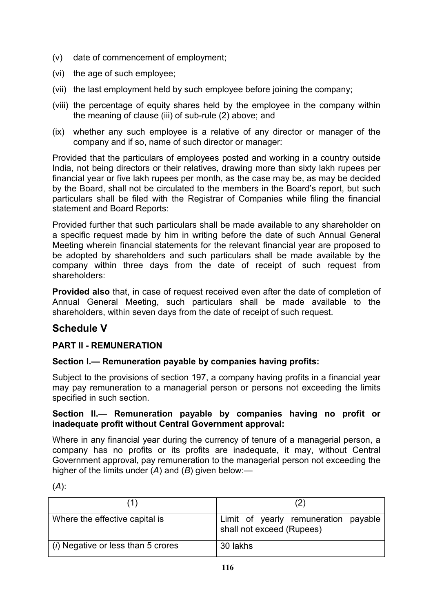- (v) date of commencement of employment;
- (vi) the age of such employee;
- (vii) the last employment held by such employee before joining the company;
- (viii) the percentage of equity shares held by the employee in the company within the meaning of clause (iii) of sub-rule (2) above; and
- (ix) whether any such employee is a relative of any director or manager of the company and if so, name of such director or manager:

Provided that the particulars of employees posted and working in a country outside India, not being directors or their relatives, drawing more than sixty lakh rupees per financial year or five lakh rupees per month, as the case may be, as may be decided by the Board, shall not be circulated to the members in the Board's report, but such particulars shall be filed with the Registrar of Companies while filing the financial statement and Board Reports:

Provided further that such particulars shall be made available to any shareholder on a specific request made by him in writing before the date of such Annual General Meeting wherein financial statements for the relevant financial year are proposed to be adopted by shareholders and such particulars shall be made available by the company within three days from the date of receipt of such request from shareholders:

Provided also that, in case of request received even after the date of completion of Annual General Meeting, such particulars shall be made available to the shareholders, within seven days from the date of receipt of such request.

## Schedule V

## PART II - REMUNERATION

### Section I.— Remuneration payable by companies having profits:

Subject to the provisions of section 197, a company having profits in a financial year may pay remuneration to a managerial person or persons not exceeding the limits specified in such section.

### Section II.— Remuneration payable by companies having no profit or inadequate profit without Central Government approval:

Where in any financial year during the currency of tenure of a managerial person, a company has no profits or its profits are inadequate, it may, without Central Government approval, pay remuneration to the managerial person not exceeding the higher of the limits under (*A*) and (*B*) given below:—

| Where the effective capital is     | Limit of yearly remuneration payable<br>shall not exceed (Rupees) |
|------------------------------------|-------------------------------------------------------------------|
| (i) Negative or less than 5 crores | 30 lakhs                                                          |

(*A*):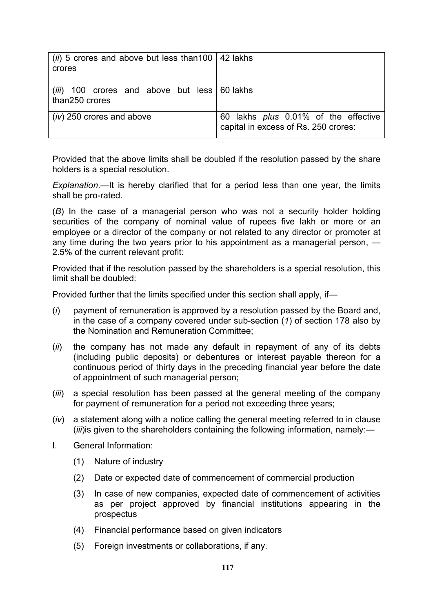| $\vert$ (ii) 5 crores and above but less than 100   42 lakhs<br>crores |                                                                                     |
|------------------------------------------------------------------------|-------------------------------------------------------------------------------------|
| $(iii)$ 100 crores and above but less $\frac{1}{10}$ 60 lakhs          |                                                                                     |
| than250 crores                                                         |                                                                                     |
| $\int$ (iv) 250 crores and above                                       | 60 lakhs <i>plus</i> 0.01% of the effective<br>capital in excess of Rs. 250 crores: |

Provided that the above limits shall be doubled if the resolution passed by the share holders is a special resolution.

*Explanation*.—It is hereby clarified that for a period less than one year, the limits shall be pro-rated.

(*B*) In the case of a managerial person who was not a security holder holding securities of the company of nominal value of rupees five lakh or more or an employee or a director of the company or not related to any director or promoter at any time during the two years prior to his appointment as a managerial person, — 2.5% of the current relevant profit:

Provided that if the resolution passed by the shareholders is a special resolution, this limit shall be doubled:

Provided further that the limits specified under this section shall apply, if—

- (*i*) payment of remuneration is approved by a resolution passed by the Board and, in the case of a company covered under sub-section (*1*) of section 178 also by the Nomination and Remuneration Committee;
- (*ii*) the company has not made any default in repayment of any of its debts (including public deposits) or debentures or interest payable thereon for a continuous period of thirty days in the preceding financial year before the date of appointment of such managerial person;
- (*iii*) a special resolution has been passed at the general meeting of the company for payment of remuneration for a period not exceeding three years;
- (*iv*) a statement along with a notice calling the general meeting referred to in clause (*iii*)is given to the shareholders containing the following information, namely:—
- I. General Information:
	- (1) Nature of industry
	- (2) Date or expected date of commencement of commercial production
	- (3) In case of new companies, expected date of commencement of activities as per project approved by financial institutions appearing in the prospectus
	- (4) Financial performance based on given indicators
	- (5) Foreign investments or collaborations, if any.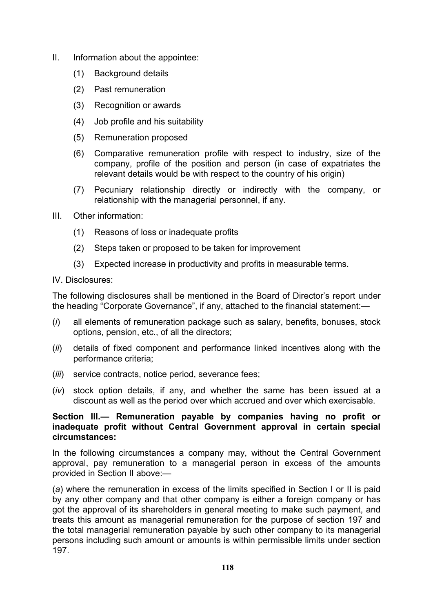- II. Information about the appointee:
	- (1) Background details
	- (2) Past remuneration
	- (3) Recognition or awards
	- (4) Job profile and his suitability
	- (5) Remuneration proposed
	- (6) Comparative remuneration profile with respect to industry, size of the company, profile of the position and person (in case of expatriates the relevant details would be with respect to the country of his origin)
	- (7) Pecuniary relationship directly or indirectly with the company, or relationship with the managerial personnel, if any.
- III. Other information:
	- (1) Reasons of loss or inadequate profits
	- (2) Steps taken or proposed to be taken for improvement
	- (3) Expected increase in productivity and profits in measurable terms.

#### IV. Disclosures:

The following disclosures shall be mentioned in the Board of Director's report under the heading "Corporate Governance", if any, attached to the financial statement:—

- (*i*) all elements of remuneration package such as salary, benefits, bonuses, stock options, pension, etc., of all the directors;
- (*ii*) details of fixed component and performance linked incentives along with the performance criteria;
- (*iii*) service contracts, notice period, severance fees;
- (*iv*) stock option details, if any, and whether the same has been issued at a discount as well as the period over which accrued and over which exercisable.

#### Section III.— Remuneration payable by companies having no profit or inadequate profit without Central Government approval in certain special circumstances:

In the following circumstances a company may, without the Central Government approval, pay remuneration to a managerial person in excess of the amounts provided in Section II above:—

(*a*) where the remuneration in excess of the limits specified in Section I or II is paid by any other company and that other company is either a foreign company or has got the approval of its shareholders in general meeting to make such payment, and treats this amount as managerial remuneration for the purpose of section 197 and the total managerial remuneration payable by such other company to its managerial persons including such amount or amounts is within permissible limits under section 197.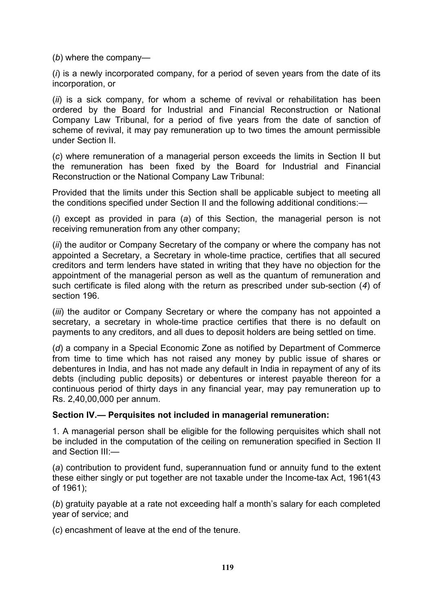(*b*) where the company—

(*i*) is a newly incorporated company, for a period of seven years from the date of its incorporation, or

(*ii*) is a sick company, for whom a scheme of revival or rehabilitation has been ordered by the Board for Industrial and Financial Reconstruction or National Company Law Tribunal, for a period of five years from the date of sanction of scheme of revival, it may pay remuneration up to two times the amount permissible under Section II.

(*c*) where remuneration of a managerial person exceeds the limits in Section II but the remuneration has been fixed by the Board for Industrial and Financial Reconstruction or the National Company Law Tribunal:

Provided that the limits under this Section shall be applicable subject to meeting all the conditions specified under Section II and the following additional conditions:—

(*i*) except as provided in para (*a*) of this Section, the managerial person is not receiving remuneration from any other company;

(*ii*) the auditor or Company Secretary of the company or where the company has not appointed a Secretary, a Secretary in whole-time practice, certifies that all secured creditors and term lenders have stated in writing that they have no objection for the appointment of the managerial person as well as the quantum of remuneration and such certificate is filed along with the return as prescribed under sub-section (*4*) of section 196.

(*iii*) the auditor or Company Secretary or where the company has not appointed a secretary, a secretary in whole-time practice certifies that there is no default on payments to any creditors, and all dues to deposit holders are being settled on time.

(*d*) a company in a Special Economic Zone as notified by Department of Commerce from time to time which has not raised any money by public issue of shares or debentures in India, and has not made any default in India in repayment of any of its debts (including public deposits) or debentures or interest payable thereon for a continuous period of thirty days in any financial year, may pay remuneration up to Rs. 2,40,00,000 per annum.

#### Section IV.— Perquisites not included in managerial remuneration:

1. A managerial person shall be eligible for the following perquisites which shall not be included in the computation of the ceiling on remuneration specified in Section II and Section III:—

(*a*) contribution to provident fund, superannuation fund or annuity fund to the extent these either singly or put together are not taxable under the Income-tax Act, 1961(43 of 1961);

(*b*) gratuity payable at a rate not exceeding half a month's salary for each completed year of service; and

(*c*) encashment of leave at the end of the tenure.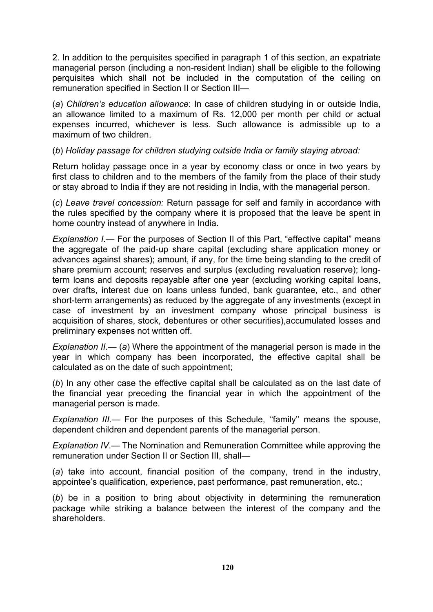2. In addition to the perquisites specified in paragraph 1 of this section, an expatriate managerial person (including a non-resident Indian) shall be eligible to the following perquisites which shall not be included in the computation of the ceiling on remuneration specified in Section II or Section III—

(*a*) *Children's education allowance*: In case of children studying in or outside India, an allowance limited to a maximum of Rs. 12,000 per month per child or actual expenses incurred, whichever is less. Such allowance is admissible up to a maximum of two children.

#### (*b*) *Holiday passage for children studying outside India or family staying abroad:*

Return holiday passage once in a year by economy class or once in two years by first class to children and to the members of the family from the place of their study or stay abroad to India if they are not residing in India, with the managerial person.

(*c*) *Leave travel concession:* Return passage for self and family in accordance with the rules specified by the company where it is proposed that the leave be spent in home country instead of anywhere in India.

*Explanation I.*— For the purposes of Section II of this Part, "effective capital" means the aggregate of the paid-up share capital (excluding share application money or advances against shares); amount, if any, for the time being standing to the credit of share premium account; reserves and surplus (excluding revaluation reserve); longterm loans and deposits repayable after one year (excluding working capital loans, over drafts, interest due on loans unless funded, bank guarantee, etc., and other short-term arrangements) as reduced by the aggregate of any investments (except in case of investment by an investment company whose principal business is acquisition of shares, stock, debentures or other securities),accumulated losses and preliminary expenses not written off.

*Explanation II*.— (*a*) Where the appointment of the managerial person is made in the year in which company has been incorporated, the effective capital shall be calculated as on the date of such appointment;

(*b*) In any other case the effective capital shall be calculated as on the last date of the financial year preceding the financial year in which the appointment of the managerial person is made.

*Explanation III*.— For the purposes of this Schedule, ''family'' means the spouse, dependent children and dependent parents of the managerial person.

*Explanation IV*.— The Nomination and Remuneration Committee while approving the remuneration under Section II or Section III, shall—

(*a*) take into account, financial position of the company, trend in the industry, appointee's qualification, experience, past performance, past remuneration, etc.;

(*b*) be in a position to bring about objectivity in determining the remuneration package while striking a balance between the interest of the company and the shareholders.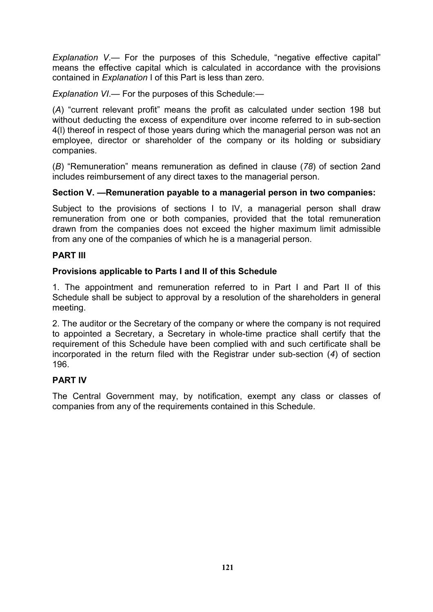*Explanation V*.— For the purposes of this Schedule, "negative effective capital" means the effective capital which is calculated in accordance with the provisions contained in *Explanation* I of this Part is less than zero.

*Explanation VI*.— For the purposes of this Schedule:—

(*A*) "current relevant profit" means the profit as calculated under section 198 but without deducting the excess of expenditure over income referred to in sub-section 4(l) thereof in respect of those years during which the managerial person was not an employee, director or shareholder of the company or its holding or subsidiary companies.

(*B*) "Remuneration" means remuneration as defined in clause (*78*) of section 2and includes reimbursement of any direct taxes to the managerial person.

### Section V. —Remuneration payable to a managerial person in two companies:

Subject to the provisions of sections I to IV, a managerial person shall draw remuneration from one or both companies, provided that the total remuneration drawn from the companies does not exceed the higher maximum limit admissible from any one of the companies of which he is a managerial person.

### PART III

### Provisions applicable to Parts I and II of this Schedule

1. The appointment and remuneration referred to in Part I and Part II of this Schedule shall be subject to approval by a resolution of the shareholders in general meeting.

2. The auditor or the Secretary of the company or where the company is not required to appointed a Secretary, a Secretary in whole-time practice shall certify that the requirement of this Schedule have been complied with and such certificate shall be incorporated in the return filed with the Registrar under sub-section (*4*) of section 196.

### PART IV

The Central Government may, by notification, exempt any class or classes of companies from any of the requirements contained in this Schedule.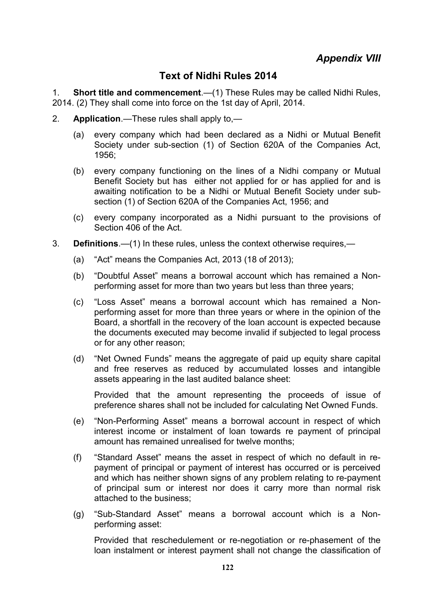## Text of Nidhi Rules 2014

1. Short title and commencement.—(1) These Rules may be called Nidhi Rules, 2014. (2) They shall come into force on the 1st day of April, 2014.

- 2. **Application.**—These rules shall apply to,—
	- (a) every company which had been declared as a Nidhi or Mutual Benefit Society under sub-section (1) of Section 620A of the Companies Act, 1956;
	- (b) every company functioning on the lines of a Nidhi company or Mutual Benefit Society but has either not applied for or has applied for and is awaiting notification to be a Nidhi or Mutual Benefit Society under subsection (1) of Section 620A of the Companies Act, 1956; and
	- (c) every company incorporated as a Nidhi pursuant to the provisions of Section 406 of the Act.
- 3. Definitions.—(1) In these rules, unless the context otherwise requires,—
	- (a) "Act" means the Companies Act, 2013 (18 of 2013);
	- (b) "Doubtful Asset" means a borrowal account which has remained a Nonperforming asset for more than two years but less than three years;
	- (c) "Loss Asset" means a borrowal account which has remained a Nonperforming asset for more than three years or where in the opinion of the Board, a shortfall in the recovery of the loan account is expected because the documents executed may become invalid if subjected to legal process or for any other reason;
	- (d) "Net Owned Funds" means the aggregate of paid up equity share capital and free reserves as reduced by accumulated losses and intangible assets appearing in the last audited balance sheet:

Provided that the amount representing the proceeds of issue of preference shares shall not be included for calculating Net Owned Funds.

- (e) "Non-Performing Asset" means a borrowal account in respect of which interest income or instalment of loan towards re payment of principal amount has remained unrealised for twelve months;
- (f) "Standard Asset" means the asset in respect of which no default in repayment of principal or payment of interest has occurred or is perceived and which has neither shown signs of any problem relating to re-payment of principal sum or interest nor does it carry more than normal risk attached to the business;
- (g) "Sub-Standard Asset" means a borrowal account which is a Nonperforming asset:

Provided that reschedulement or re-negotiation or re-phasement of the loan instalment or interest payment shall not change the classification of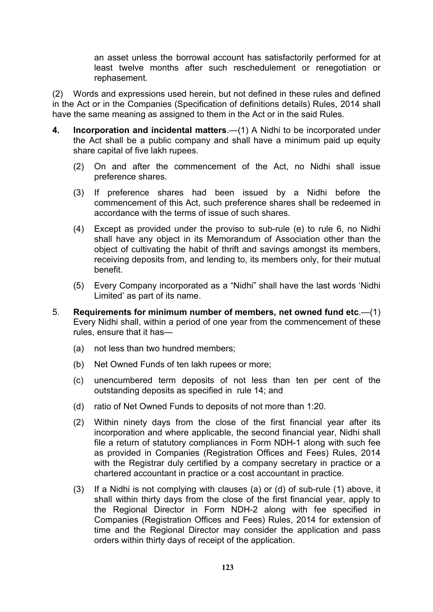an asset unless the borrowal account has satisfactorily performed for at least twelve months after such reschedulement or renegotiation or rephasement.

(2) Words and expressions used herein, but not defined in these rules and defined in the Act or in the Companies (Specification of definitions details) Rules, 2014 shall have the same meaning as assigned to them in the Act or in the said Rules.

- 4. Incorporation and incidental matters.—(1) A Nidhi to be incorporated under the Act shall be a public company and shall have a minimum paid up equity share capital of five lakh rupees.
	- (2) On and after the commencement of the Act, no Nidhi shall issue preference shares.
	- (3) If preference shares had been issued by a Nidhi before the commencement of this Act, such preference shares shall be redeemed in accordance with the terms of issue of such shares.
	- (4) Except as provided under the proviso to sub-rule (e) to rule 6, no Nidhi shall have any object in its Memorandum of Association other than the object of cultivating the habit of thrift and savings amongst its members, receiving deposits from, and lending to, its members only, for their mutual benefit.
	- (5) Every Company incorporated as a "Nidhi" shall have the last words 'Nidhi Limited' as part of its name.
- 5. Requirements for minimum number of members, net owned fund etc.—(1) Every Nidhi shall, within a period of one year from the commencement of these rules, ensure that it has—
	- (a) not less than two hundred members;
	- (b) Net Owned Funds of ten lakh rupees or more;
	- (c) unencumbered term deposits of not less than ten per cent of the outstanding deposits as specified in rule 14; and
	- (d) ratio of Net Owned Funds to deposits of not more than 1:20.
	- (2) Within ninety days from the close of the first financial year after its incorporation and where applicable, the second financial year, Nidhi shall file a return of statutory compliances in Form NDH-1 along with such fee as provided in Companies (Registration Offices and Fees) Rules, 2014 with the Registrar duly certified by a company secretary in practice or a chartered accountant in practice or a cost accountant in practice.
	- (3) If a Nidhi is not complying with clauses (a) or (d) of sub-rule (1) above, it shall within thirty days from the close of the first financial year, apply to the Regional Director in Form NDH-2 along with fee specified in Companies (Registration Offices and Fees) Rules, 2014 for extension of time and the Regional Director may consider the application and pass orders within thirty days of receipt of the application.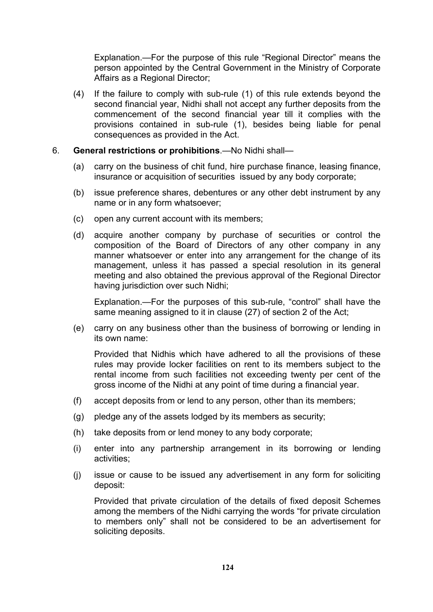Explanation.—For the purpose of this rule "Regional Director" means the person appointed by the Central Government in the Ministry of Corporate Affairs as a Regional Director;

- (4) If the failure to comply with sub-rule (1) of this rule extends beyond the second financial year, Nidhi shall not accept any further deposits from the commencement of the second financial year till it complies with the provisions contained in sub-rule (1), besides being liable for penal consequences as provided in the Act.
- 6. General restrictions or prohibitions.—No Nidhi shall—
	- (a) carry on the business of chit fund, hire purchase finance, leasing finance, insurance or acquisition of securities issued by any body corporate;
	- (b) issue preference shares, debentures or any other debt instrument by any name or in any form whatsoever;
	- (c) open any current account with its members;
	- (d) acquire another company by purchase of securities or control the composition of the Board of Directors of any other company in any manner whatsoever or enter into any arrangement for the change of its management, unless it has passed a special resolution in its general meeting and also obtained the previous approval of the Regional Director having jurisdiction over such Nidhi;

Explanation.—For the purposes of this sub-rule, "control" shall have the same meaning assigned to it in clause (27) of section 2 of the Act;

(e) carry on any business other than the business of borrowing or lending in its own name:

Provided that Nidhis which have adhered to all the provisions of these rules may provide locker facilities on rent to its members subject to the rental income from such facilities not exceeding twenty per cent of the gross income of the Nidhi at any point of time during a financial year.

- (f) accept deposits from or lend to any person, other than its members;
- (g) pledge any of the assets lodged by its members as security;
- (h) take deposits from or lend money to any body corporate;
- (i) enter into any partnership arrangement in its borrowing or lending activities;
- (j) issue or cause to be issued any advertisement in any form for soliciting deposit:

Provided that private circulation of the details of fixed deposit Schemes among the members of the Nidhi carrying the words "for private circulation to members only" shall not be considered to be an advertisement for soliciting deposits.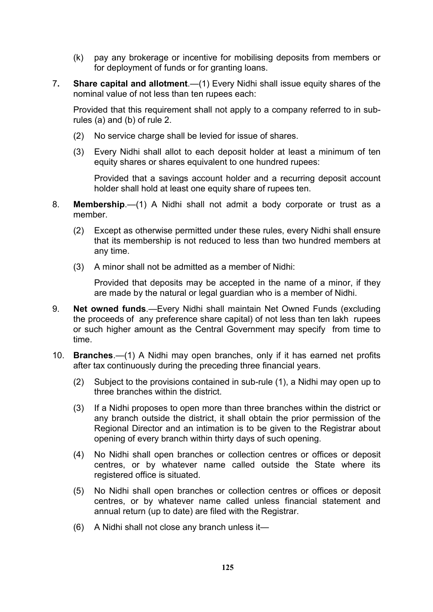- (k) pay any brokerage or incentive for mobilising deposits from members or for deployment of funds or for granting loans.
- 7. Share capital and allotment.—(1) Every Nidhi shall issue equity shares of the nominal value of not less than ten rupees each:

Provided that this requirement shall not apply to a company referred to in subrules (a) and (b) of rule 2.

- (2) No service charge shall be levied for issue of shares.
- (3) Every Nidhi shall allot to each deposit holder at least a minimum of ten equity shares or shares equivalent to one hundred rupees:

Provided that a savings account holder and a recurring deposit account holder shall hold at least one equity share of rupees ten.

- 8. Membership.—(1) A Nidhi shall not admit a body corporate or trust as a member.
	- (2) Except as otherwise permitted under these rules, every Nidhi shall ensure that its membership is not reduced to less than two hundred members at any time.
	- (3) A minor shall not be admitted as a member of Nidhi:

Provided that deposits may be accepted in the name of a minor, if they are made by the natural or legal guardian who is a member of Nidhi.

- 9. Net owned funds.—Every Nidhi shall maintain Net Owned Funds (excluding the proceeds of any preference share capital) of not less than ten lakh rupees or such higher amount as the Central Government may specify from time to time.
- 10. Branches.—(1) A Nidhi may open branches, only if it has earned net profits after tax continuously during the preceding three financial years.
	- (2) Subject to the provisions contained in sub-rule (1), a Nidhi may open up to three branches within the district.
	- (3) If a Nidhi proposes to open more than three branches within the district or any branch outside the district, it shall obtain the prior permission of the Regional Director and an intimation is to be given to the Registrar about opening of every branch within thirty days of such opening.
	- (4) No Nidhi shall open branches or collection centres or offices or deposit centres, or by whatever name called outside the State where its registered office is situated.
	- (5) No Nidhi shall open branches or collection centres or offices or deposit centres, or by whatever name called unless financial statement and annual return (up to date) are filed with the Registrar.
	- (6) A Nidhi shall not close any branch unless it—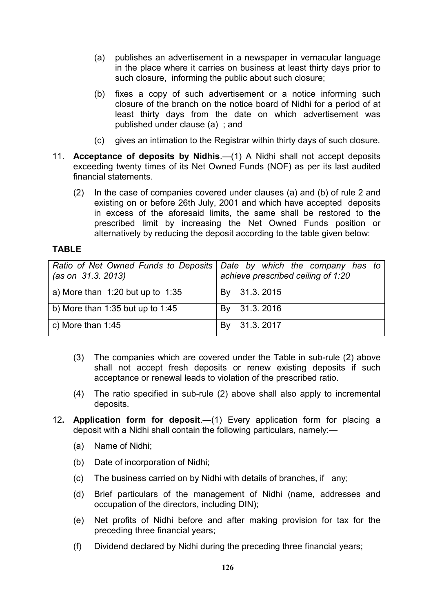- (a) publishes an advertisement in a newspaper in vernacular language in the place where it carries on business at least thirty days prior to such closure, informing the public about such closure;
- (b) fixes a copy of such advertisement or a notice informing such closure of the branch on the notice board of Nidhi for a period of at least thirty days from the date on which advertisement was published under clause (a) ; and
- (c) gives an intimation to the Registrar within thirty days of such closure.
- 11. **Acceptance of deposits by Nidhis.**—(1) A Nidhi shall not accept deposits exceeding twenty times of its Net Owned Funds (NOF) as per its last audited financial statements.
	- (2) In the case of companies covered under clauses (a) and (b) of rule 2 and existing on or before 26th July, 2001 and which have accepted deposits in excess of the aforesaid limits, the same shall be restored to the prescribed limit by increasing the Net Owned Funds position or alternatively by reducing the deposit according to the table given below:

#### TABLE

| $(as \, on \, 31.3 \, 2013)$         | Ratio of Net Owned Funds to Deposits   Date by which the company has to  <br>achieve prescribed ceiling of 1:20 |
|--------------------------------------|-----------------------------------------------------------------------------------------------------------------|
| a) More than $1:20$ but up to $1:35$ | By 31.3.2015                                                                                                    |
| b) More than 1:35 but up to $1:45$   | By 31.3.2016                                                                                                    |
| c) More than $1:45$                  | 31.3.2017<br>Bv                                                                                                 |

- (3) The companies which are covered under the Table in sub-rule (2) above shall not accept fresh deposits or renew existing deposits if such acceptance or renewal leads to violation of the prescribed ratio.
- (4) The ratio specified in sub-rule (2) above shall also apply to incremental deposits.
- 12. Application form for deposit.—(1) Every application form for placing a deposit with a Nidhi shall contain the following particulars, namely:—
	- (a) Name of Nidhi;
	- (b) Date of incorporation of Nidhi;
	- (c) The business carried on by Nidhi with details of branches, if any;
	- (d) Brief particulars of the management of Nidhi (name, addresses and occupation of the directors, including DIN);
	- (e) Net profits of Nidhi before and after making provision for tax for the preceding three financial years;
	- (f) Dividend declared by Nidhi during the preceding three financial years;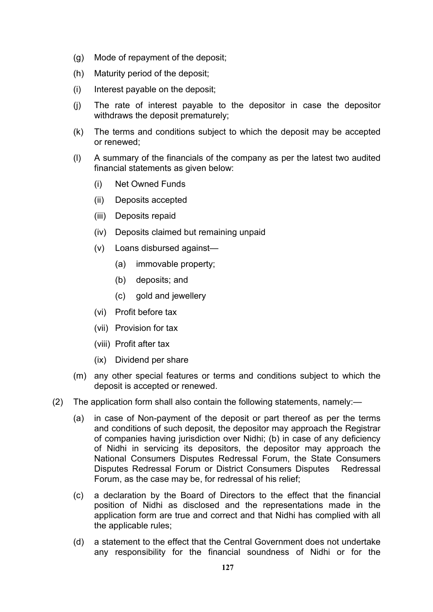- (g) Mode of repayment of the deposit;
- (h) Maturity period of the deposit;
- (i) Interest payable on the deposit;
- (j) The rate of interest payable to the depositor in case the depositor withdraws the deposit prematurely;
- (k) The terms and conditions subject to which the deposit may be accepted or renewed;
- (l) A summary of the financials of the company as per the latest two audited financial statements as given below:
	- (i) Net Owned Funds
	- (ii) Deposits accepted
	- (iii) Deposits repaid
	- (iv) Deposits claimed but remaining unpaid
	- (v) Loans disbursed against—
		- (a) immovable property;
		- (b) deposits; and
		- (c) gold and jewellery
	- (vi) Profit before tax
	- (vii) Provision for tax
	- (viii) Profit after tax
	- (ix) Dividend per share
- (m) any other special features or terms and conditions subject to which the deposit is accepted or renewed.
- (2) The application form shall also contain the following statements, namely:—
	- (a) in case of Non-payment of the deposit or part thereof as per the terms and conditions of such deposit, the depositor may approach the Registrar of companies having jurisdiction over Nidhi; (b) in case of any deficiency of Nidhi in servicing its depositors, the depositor may approach the National Consumers Disputes Redressal Forum, the State Consumers Disputes Redressal Forum or District Consumers Disputes Redressal Forum, as the case may be, for redressal of his relief;
	- (c) a declaration by the Board of Directors to the effect that the financial position of Nidhi as disclosed and the representations made in the application form are true and correct and that Nidhi has complied with all the applicable rules;
	- (d) a statement to the effect that the Central Government does not undertake any responsibility for the financial soundness of Nidhi or for the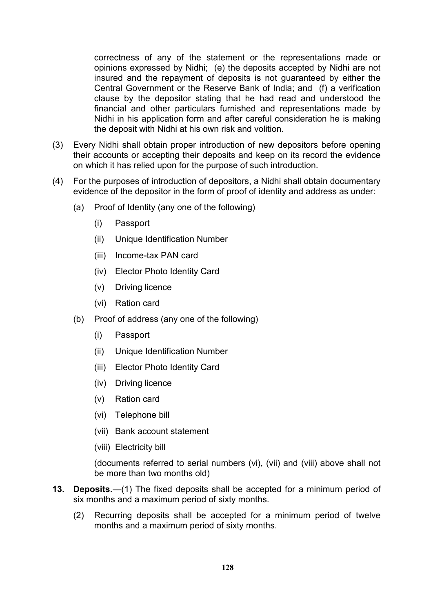correctness of any of the statement or the representations made or opinions expressed by Nidhi; (e) the deposits accepted by Nidhi are not insured and the repayment of deposits is not guaranteed by either the Central Government or the Reserve Bank of India; and (f) a verification clause by the depositor stating that he had read and understood the financial and other particulars furnished and representations made by Nidhi in his application form and after careful consideration he is making the deposit with Nidhi at his own risk and volition.

- (3) Every Nidhi shall obtain proper introduction of new depositors before opening their accounts or accepting their deposits and keep on its record the evidence on which it has relied upon for the purpose of such introduction.
- (4) For the purposes of introduction of depositors, a Nidhi shall obtain documentary evidence of the depositor in the form of proof of identity and address as under:
	- (a) Proof of Identity (any one of the following)
		- (i) Passport
		- (ii) Unique Identification Number
		- (iii) Income-tax PAN card
		- (iv) Elector Photo Identity Card
		- (v) Driving licence
		- (vi) Ration card
	- (b) Proof of address (any one of the following)
		- (i) Passport
		- (ii) Unique Identification Number
		- (iii) Elector Photo Identity Card
		- (iv) Driving licence
		- (v) Ration card
		- (vi) Telephone bill
		- (vii) Bank account statement
		- (viii) Electricity bill

(documents referred to serial numbers (vi), (vii) and (viii) above shall not be more than two months old)

- 13. **Deposits.**—(1) The fixed deposits shall be accepted for a minimum period of six months and a maximum period of sixty months.
	- (2) Recurring deposits shall be accepted for a minimum period of twelve months and a maximum period of sixty months.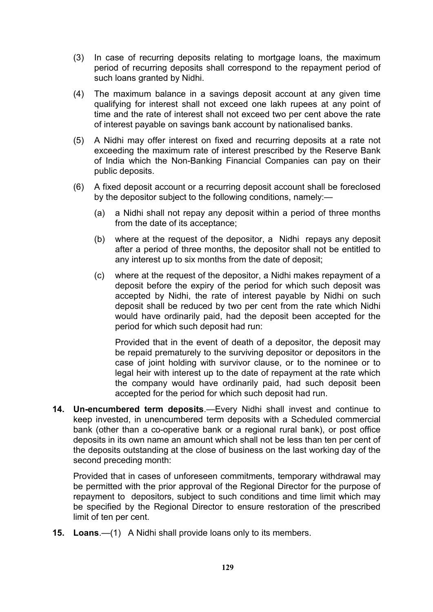- (3) In case of recurring deposits relating to mortgage loans, the maximum period of recurring deposits shall correspond to the repayment period of such loans granted by Nidhi.
- (4) The maximum balance in a savings deposit account at any given time qualifying for interest shall not exceed one lakh rupees at any point of time and the rate of interest shall not exceed two per cent above the rate of interest payable on savings bank account by nationalised banks.
- (5) A Nidhi may offer interest on fixed and recurring deposits at a rate not exceeding the maximum rate of interest prescribed by the Reserve Bank of India which the Non-Banking Financial Companies can pay on their public deposits.
- (6) A fixed deposit account or a recurring deposit account shall be foreclosed by the depositor subject to the following conditions, namely:—
	- (a) a Nidhi shall not repay any deposit within a period of three months from the date of its acceptance;
	- (b) where at the request of the depositor, a Nidhi repays any deposit after a period of three months, the depositor shall not be entitled to any interest up to six months from the date of deposit;
	- (c) where at the request of the depositor, a Nidhi makes repayment of a deposit before the expiry of the period for which such deposit was accepted by Nidhi, the rate of interest payable by Nidhi on such deposit shall be reduced by two per cent from the rate which Nidhi would have ordinarily paid, had the deposit been accepted for the period for which such deposit had run:

Provided that in the event of death of a depositor, the deposit may be repaid prematurely to the surviving depositor or depositors in the case of joint holding with survivor clause, or to the nominee or to legal heir with interest up to the date of repayment at the rate which the company would have ordinarily paid, had such deposit been accepted for the period for which such deposit had run.

14. Un-encumbered term deposits.—Every Nidhi shall invest and continue to keep invested, in unencumbered term deposits with a Scheduled commercial bank (other than a co-operative bank or a regional rural bank), or post office deposits in its own name an amount which shall not be less than ten per cent of the deposits outstanding at the close of business on the last working day of the second preceding month:

Provided that in cases of unforeseen commitments, temporary withdrawal may be permitted with the prior approval of the Regional Director for the purpose of repayment to depositors, subject to such conditions and time limit which may be specified by the Regional Director to ensure restoration of the prescribed limit of ten per cent.

15. Loans.—(1) A Nidhi shall provide loans only to its members.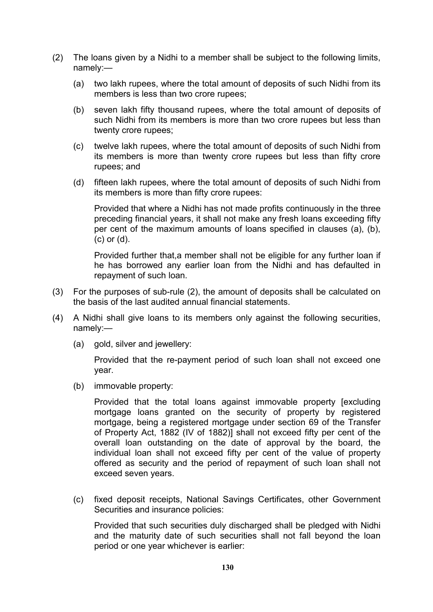- (2) The loans given by a Nidhi to a member shall be subject to the following limits, namely:—
	- (a) two lakh rupees, where the total amount of deposits of such Nidhi from its members is less than two crore rupees;
	- (b) seven lakh fifty thousand rupees, where the total amount of deposits of such Nidhi from its members is more than two crore rupees but less than twenty crore rupees;
	- (c) twelve lakh rupees, where the total amount of deposits of such Nidhi from its members is more than twenty crore rupees but less than fifty crore rupees; and
	- (d) fifteen lakh rupees, where the total amount of deposits of such Nidhi from its members is more than fifty crore rupees:

Provided that where a Nidhi has not made profits continuously in the three preceding financial years, it shall not make any fresh loans exceeding fifty per cent of the maximum amounts of loans specified in clauses (a), (b), (c) or (d).

Provided further that,a member shall not be eligible for any further loan if he has borrowed any earlier loan from the Nidhi and has defaulted in repayment of such loan.

- (3) For the purposes of sub-rule (2), the amount of deposits shall be calculated on the basis of the last audited annual financial statements.
- (4) A Nidhi shall give loans to its members only against the following securities, namely:—
	- (a) gold, silver and jewellery:

Provided that the re-payment period of such loan shall not exceed one year.

(b) immovable property:

Provided that the total loans against immovable property [excluding mortgage loans granted on the security of property by registered mortgage, being a registered mortgage under section 69 of the Transfer of Property Act, 1882 (IV of 1882)] shall not exceed fifty per cent of the overall loan outstanding on the date of approval by the board, the individual loan shall not exceed fifty per cent of the value of property offered as security and the period of repayment of such loan shall not exceed seven years.

(c) fixed deposit receipts, National Savings Certificates, other Government Securities and insurance policies:

Provided that such securities duly discharged shall be pledged with Nidhi and the maturity date of such securities shall not fall beyond the loan period or one year whichever is earlier: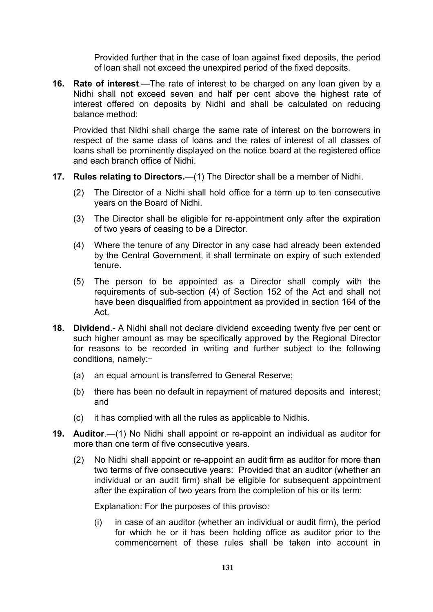Provided further that in the case of loan against fixed deposits, the period of loan shall not exceed the unexpired period of the fixed deposits.

16. Rate of interest.—The rate of interest to be charged on any loan given by a Nidhi shall not exceed seven and half per cent above the highest rate of interest offered on deposits by Nidhi and shall be calculated on reducing balance method:

Provided that Nidhi shall charge the same rate of interest on the borrowers in respect of the same class of loans and the rates of interest of all classes of loans shall be prominently displayed on the notice board at the registered office and each branch office of Nidhi.

- 17. Rules relating to Directors.—(1) The Director shall be a member of Nidhi.
	- (2) The Director of a Nidhi shall hold office for a term up to ten consecutive years on the Board of Nidhi.
	- (3) The Director shall be eligible for re-appointment only after the expiration of two years of ceasing to be a Director.
	- (4) Where the tenure of any Director in any case had already been extended by the Central Government, it shall terminate on expiry of such extended tenure.
	- (5) The person to be appointed as a Director shall comply with the requirements of sub-section (4) of Section 152 of the Act and shall not have been disqualified from appointment as provided in section 164 of the Act.
- 18. Dividend.- A Nidhi shall not declare dividend exceeding twenty five per cent or such higher amount as may be specifically approved by the Regional Director for reasons to be recorded in writing and further subject to the following conditions, namely:—
	- (a) an equal amount is transferred to General Reserve;
	- (b) there has been no default in repayment of matured deposits and interest; and
	- (c) it has complied with all the rules as applicable to Nidhis.
- 19. Auditor.—(1) No Nidhi shall appoint or re-appoint an individual as auditor for more than one term of five consecutive years.
	- (2) No Nidhi shall appoint or re-appoint an audit firm as auditor for more than two terms of five consecutive years: Provided that an auditor (whether an individual or an audit firm) shall be eligible for subsequent appointment after the expiration of two years from the completion of his or its term:

Explanation: For the purposes of this proviso:

(i) in case of an auditor (whether an individual or audit firm), the period for which he or it has been holding office as auditor prior to the commencement of these rules shall be taken into account in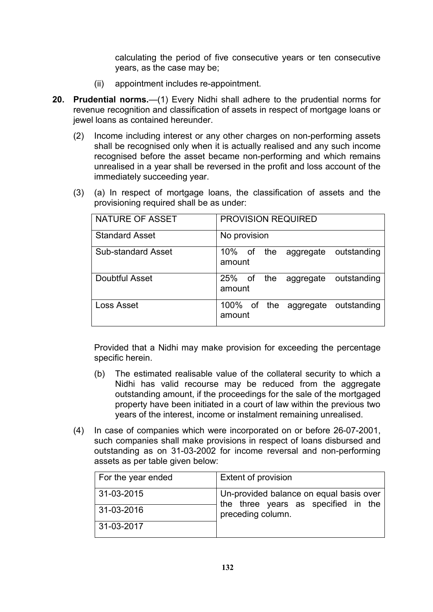calculating the period of five consecutive years or ten consecutive years, as the case may be;

- (ii) appointment includes re-appointment.
- 20. Prudential norms.—(1) Every Nidhi shall adhere to the prudential norms for revenue recognition and classification of assets in respect of mortgage loans or jewel loans as contained hereunder.
	- (2) Income including interest or any other charges on non-performing assets shall be recognised only when it is actually realised and any such income recognised before the asset became non-performing and which remains unrealised in a year shall be reversed in the profit and loss account of the immediately succeeding year.
	- (3) (a) In respect of mortgage loans, the classification of assets and the provisioning required shall be as under:

| NATURE OF ASSET       | <b>PROVISION REQUIRED</b>                     |
|-----------------------|-----------------------------------------------|
| <b>Standard Asset</b> | No provision                                  |
| Sub-standard Asset    | 10% of the aggregate<br>outstanding<br>amount |
| Doubtful Asset        | 25% of the aggregate outstanding<br>amount    |
| Loss Asset            | 100% of the aggregate outstanding<br>amount   |

Provided that a Nidhi may make provision for exceeding the percentage specific herein.

- (b) The estimated realisable value of the collateral security to which a Nidhi has valid recourse may be reduced from the aggregate outstanding amount, if the proceedings for the sale of the mortgaged property have been initiated in a court of law within the previous two years of the interest, income or instalment remaining unrealised.
- (4) In case of companies which were incorporated on or before 26-07-2001, such companies shall make provisions in respect of loans disbursed and outstanding as on 31-03-2002 for income reversal and non-performing assets as per table given below:

| For the year ended | <b>Extent of provision</b>                                                     |
|--------------------|--------------------------------------------------------------------------------|
| 31-03-2015         | Un-provided balance on equal basis over<br>the three years as specified in the |
| 31-03-2016         | preceding column.                                                              |
| 31-03-2017         |                                                                                |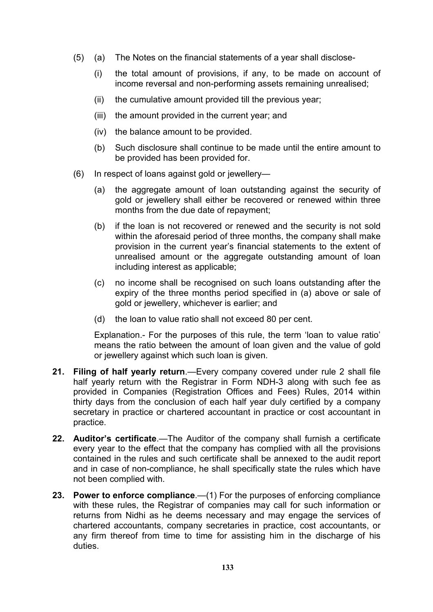- (5) (a) The Notes on the financial statements of a year shall disclose-
	- (i) the total amount of provisions, if any, to be made on account of income reversal and non-performing assets remaining unrealised;
	- (ii) the cumulative amount provided till the previous year;
	- (iii) the amount provided in the current year; and
	- (iv) the balance amount to be provided.
	- (b) Such disclosure shall continue to be made until the entire amount to be provided has been provided for.
- (6) In respect of loans against gold or jewellery—
	- (a) the aggregate amount of loan outstanding against the security of gold or jewellery shall either be recovered or renewed within three months from the due date of repayment;
	- (b) if the loan is not recovered or renewed and the security is not sold within the aforesaid period of three months, the company shall make provision in the current year's financial statements to the extent of unrealised amount or the aggregate outstanding amount of loan including interest as applicable;
	- (c) no income shall be recognised on such loans outstanding after the expiry of the three months period specified in (a) above or sale of gold or jewellery, whichever is earlier; and
	- (d) the loan to value ratio shall not exceed 80 per cent.

Explanation.- For the purposes of this rule, the term 'loan to value ratio' means the ratio between the amount of loan given and the value of gold or jewellery against which such loan is given.

- 21. Filing of half yearly return.—Every company covered under rule 2 shall file half yearly return with the Registrar in Form NDH-3 along with such fee as provided in Companies (Registration Offices and Fees) Rules, 2014 within thirty days from the conclusion of each half year duly certified by a company secretary in practice or chartered accountant in practice or cost accountant in practice.
- 22. Auditor's certificate.—The Auditor of the company shall furnish a certificate every year to the effect that the company has complied with all the provisions contained in the rules and such certificate shall be annexed to the audit report and in case of non-compliance, he shall specifically state the rules which have not been complied with.
- 23. Power to enforce compliance.—(1) For the purposes of enforcing compliance with these rules, the Registrar of companies may call for such information or returns from Nidhi as he deems necessary and may engage the services of chartered accountants, company secretaries in practice, cost accountants, or any firm thereof from time to time for assisting him in the discharge of his duties.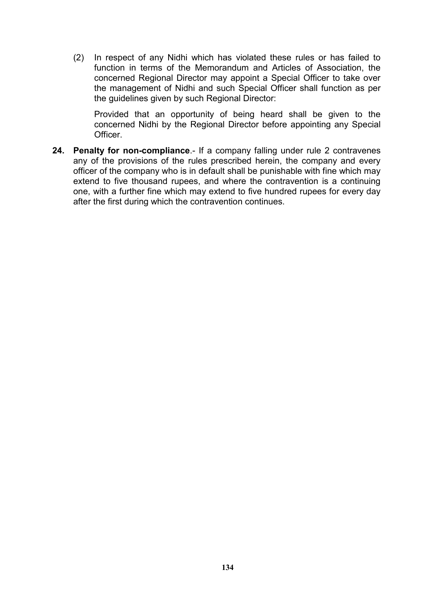(2) In respect of any Nidhi which has violated these rules or has failed to function in terms of the Memorandum and Articles of Association, the concerned Regional Director may appoint a Special Officer to take over the management of Nidhi and such Special Officer shall function as per the guidelines given by such Regional Director:

Provided that an opportunity of being heard shall be given to the concerned Nidhi by the Regional Director before appointing any Special Officer.

24. Penalty for non-compliance.- If a company falling under rule 2 contravenes any of the provisions of the rules prescribed herein, the company and every officer of the company who is in default shall be punishable with fine which may extend to five thousand rupees, and where the contravention is a continuing one, with a further fine which may extend to five hundred rupees for every day after the first during which the contravention continues.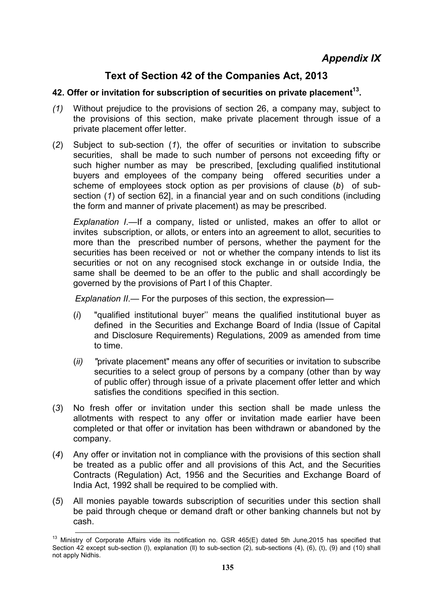# Text of Section 42 of the Companies Act, 2013

## 42. Offer or invitation for subscription of securities on private placement<sup>13</sup>.

- *(1)* Without prejudice to the provisions of section 26, a company may, subject to the provisions of this section, make private placement through issue of a private placement offer letter.
- (*2*) Subject to sub-section (*1*), the offer of securities or invitation to subscribe securities, shall be made to such number of persons not exceeding fifty or such higher number as may be prescribed, [excluding qualified institutional buyers and employees of the company being offered securities under a scheme of employees stock option as per provisions of clause (*b*) of subsection (*1*) of section 62], in a financial year and on such conditions (including the form and manner of private placement) as may be prescribed.

*Explanation I*.—If a company, listed or unlisted, makes an offer to allot or invites subscription, or allots, or enters into an agreement to allot, securities to more than the prescribed number of persons, whether the payment for the securities has been received or not or whether the company intends to list its securities or not on any recognised stock exchange in or outside India, the same shall be deemed to be an offer to the public and shall accordingly be governed by the provisions of Part I of this Chapter.

*Explanation II*.— For the purposes of this section, the expression—

- (*i*) "qualified institutional buyer'' means the qualified institutional buyer as defined in the Securities and Exchange Board of India (Issue of Capital and Disclosure Requirements) Regulations, 2009 as amended from time to time.
- (*ii) "*private placement" means any offer of securities or invitation to subscribe securities to a select group of persons by a company (other than by way of public offer) through issue of a private placement offer letter and which satisfies the conditions specified in this section.
- (*3*) No fresh offer or invitation under this section shall be made unless the allotments with respect to any offer or invitation made earlier have been completed or that offer or invitation has been withdrawn or abandoned by the company.
- (*4*) Any offer or invitation not in compliance with the provisions of this section shall be treated as a public offer and all provisions of this Act, and the Securities Contracts (Regulation) Act, 1956 and the Securities and Exchange Board of India Act, 1992 shall be required to be complied with.
- (*5*) All monies payable towards subscription of securities under this section shall be paid through cheque or demand draft or other banking channels but not by cash.

<sup>&</sup>lt;sup>13</sup> Ministry of Corporate Affairs vide its notification no. GSR 465(E) dated 5th June, 2015 has specified that Section 42 except sub-section (I), explanation (II) to sub-section (2), sub-sections (4), (6), (t), (9) and (10) shall not apply Nidhis.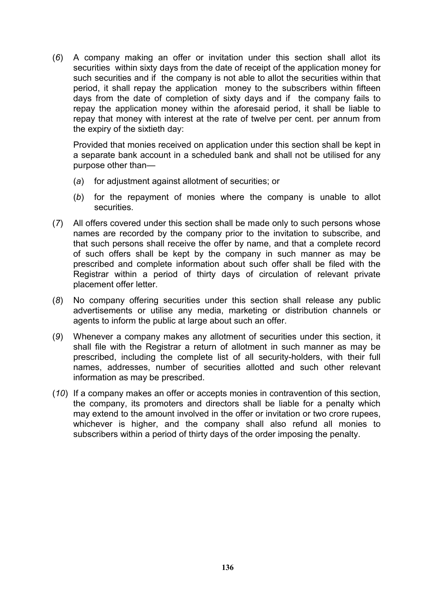(*6*) A company making an offer or invitation under this section shall allot its securities within sixty days from the date of receipt of the application money for such securities and if the company is not able to allot the securities within that period, it shall repay the application money to the subscribers within fifteen days from the date of completion of sixty days and if the company fails to repay the application money within the aforesaid period, it shall be liable to repay that money with interest at the rate of twelve per cent. per annum from the expiry of the sixtieth day:

Provided that monies received on application under this section shall be kept in a separate bank account in a scheduled bank and shall not be utilised for any purpose other than—

- (*a*) for adjustment against allotment of securities; or
- (*b*) for the repayment of monies where the company is unable to allot securities.
- (*7*) All offers covered under this section shall be made only to such persons whose names are recorded by the company prior to the invitation to subscribe, and that such persons shall receive the offer by name, and that a complete record of such offers shall be kept by the company in such manner as may be prescribed and complete information about such offer shall be filed with the Registrar within a period of thirty days of circulation of relevant private placement offer letter.
- (*8*) No company offering securities under this section shall release any public advertisements or utilise any media, marketing or distribution channels or agents to inform the public at large about such an offer.
- (*9*) Whenever a company makes any allotment of securities under this section, it shall file with the Registrar a return of allotment in such manner as may be prescribed, including the complete list of all security-holders, with their full names, addresses, number of securities allotted and such other relevant information as may be prescribed.
- (*10*) If a company makes an offer or accepts monies in contravention of this section, the company, its promoters and directors shall be liable for a penalty which may extend to the amount involved in the offer or invitation or two crore rupees, whichever is higher, and the company shall also refund all monies to subscribers within a period of thirty days of the order imposing the penalty.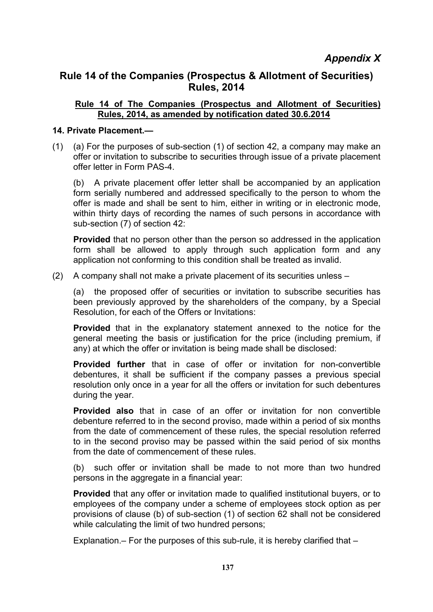## Rule 14 of the Companies (Prospectus & Allotment of Securities) Rules, 2014

### Rule 14 of The Companies (Prospectus and Allotment of Securities) Rules, 2014, as amended by notification dated 30.6.2014

#### 14. Private Placement.—

(1) (a) For the purposes of sub-section (1) of section 42, a company may make an offer or invitation to subscribe to securities through issue of a private placement offer letter in Form PAS-4.

(b) A private placement offer letter shall be accompanied by an application form serially numbered and addressed specifically to the person to whom the offer is made and shall be sent to him, either in writing or in electronic mode, within thirty days of recording the names of such persons in accordance with sub-section (7) of section 42:

Provided that no person other than the person so addressed in the application form shall be allowed to apply through such application form and any application not conforming to this condition shall be treated as invalid.

(2) A company shall not make a private placement of its securities unless –

(a) the proposed offer of securities or invitation to subscribe securities has been previously approved by the shareholders of the company, by a Special Resolution, for each of the Offers or Invitations:

Provided that in the explanatory statement annexed to the notice for the general meeting the basis or justification for the price (including premium, if any) at which the offer or invitation is being made shall be disclosed:

Provided further that in case of offer or invitation for non-convertible debentures, it shall be sufficient if the company passes a previous special resolution only once in a year for all the offers or invitation for such debentures during the year.

Provided also that in case of an offer or invitation for non convertible debenture referred to in the second proviso, made within a period of six months from the date of commencement of these rules, the special resolution referred to in the second proviso may be passed within the said period of six months from the date of commencement of these rules.

(b) such offer or invitation shall be made to not more than two hundred persons in the aggregate in a financial year:

Provided that any offer or invitation made to qualified institutional buyers, or to employees of the company under a scheme of employees stock option as per provisions of clause (b) of sub-section (1) of section 62 shall not be considered while calculating the limit of two hundred persons;

Explanation.– For the purposes of this sub-rule, it is hereby clarified that –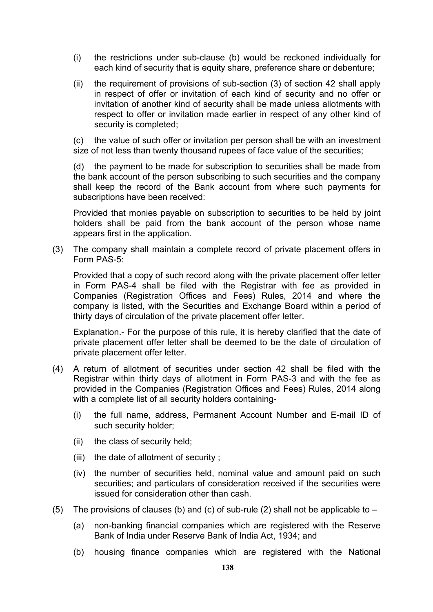- (i) the restrictions under sub-clause (b) would be reckoned individually for each kind of security that is equity share, preference share or debenture;
- (ii) the requirement of provisions of sub-section (3) of section 42 shall apply in respect of offer or invitation of each kind of security and no offer or invitation of another kind of security shall be made unless allotments with respect to offer or invitation made earlier in respect of any other kind of security is completed;

(c) the value of such offer or invitation per person shall be with an investment size of not less than twenty thousand rupees of face value of the securities;

(d) the payment to be made for subscription to securities shall be made from the bank account of the person subscribing to such securities and the company shall keep the record of the Bank account from where such payments for subscriptions have been received:

Provided that monies payable on subscription to securities to be held by joint holders shall be paid from the bank account of the person whose name appears first in the application.

(3) The company shall maintain a complete record of private placement offers in Form PAS-5:

Provided that a copy of such record along with the private placement offer letter in Form PAS-4 shall be filed with the Registrar with fee as provided in Companies (Registration Offices and Fees) Rules, 2014 and where the company is listed, with the Securities and Exchange Board within a period of thirty days of circulation of the private placement offer letter.

Explanation.- For the purpose of this rule, it is hereby clarified that the date of private placement offer letter shall be deemed to be the date of circulation of private placement offer letter.

- (4) A return of allotment of securities under section 42 shall be filed with the Registrar within thirty days of allotment in Form PAS-3 and with the fee as provided in the Companies (Registration Offices and Fees) Rules, 2014 along with a complete list of all security holders containing-
	- (i) the full name, address, Permanent Account Number and E-mail ID of such security holder;
	- (ii) the class of security held;
	- (iii) the date of allotment of security ;
	- (iv) the number of securities held, nominal value and amount paid on such securities; and particulars of consideration received if the securities were issued for consideration other than cash.
- (5) The provisions of clauses (b) and (c) of sub-rule (2) shall not be applicable to  $-$ 
	- (a) non-banking financial companies which are registered with the Reserve Bank of India under Reserve Bank of India Act, 1934; and
	- (b) housing finance companies which are registered with the National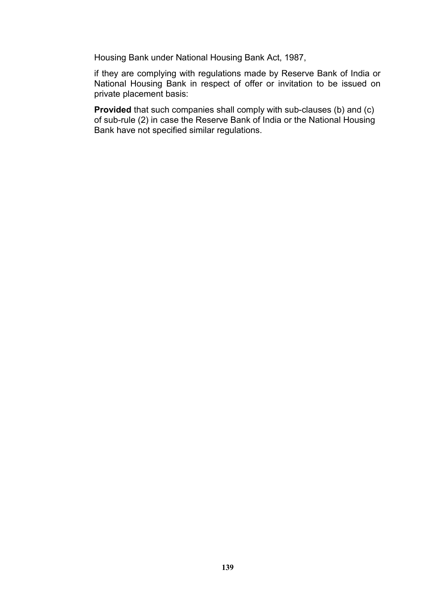Housing Bank under National Housing Bank Act, 1987,

if they are complying with regulations made by Reserve Bank of India or National Housing Bank in respect of offer or invitation to be issued on private placement basis:

Provided that such companies shall comply with sub-clauses (b) and (c) of sub-rule (2) in case the Reserve Bank of India or the National Housing Bank have not specified similar regulations.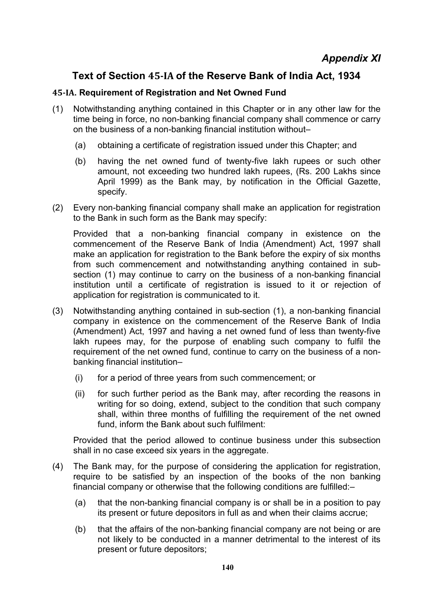# Text of Section 45-IA of the Reserve Bank of India Act, 1934

### 45-IA. Requirement of Registration and Net Owned Fund

- (1) Notwithstanding anything contained in this Chapter or in any other law for the time being in force, no non-banking financial company shall commence or carry on the business of a non-banking financial institution without–
	- (a) obtaining a certificate of registration issued under this Chapter; and
	- (b) having the net owned fund of twenty-five lakh rupees or such other amount, not exceeding two hundred lakh rupees, (Rs. 200 Lakhs since April 1999) as the Bank may, by notification in the Official Gazette, specify.
- (2) Every non-banking financial company shall make an application for registration to the Bank in such form as the Bank may specify:

Provided that a non-banking financial company in existence on the commencement of the Reserve Bank of India (Amendment) Act, 1997 shall make an application for registration to the Bank before the expiry of six months from such commencement and notwithstanding anything contained in subsection (1) may continue to carry on the business of a non-banking financial institution until a certificate of registration is issued to it or rejection of application for registration is communicated to it.

- (3) Notwithstanding anything contained in sub-section (1), a non-banking financial company in existence on the commencement of the Reserve Bank of India (Amendment) Act, 1997 and having a net owned fund of less than twenty-five lakh rupees may, for the purpose of enabling such company to fulfil the requirement of the net owned fund, continue to carry on the business of a nonbanking financial institution–
	- (i) for a period of three years from such commencement; or
	- (ii) for such further period as the Bank may, after recording the reasons in writing for so doing, extend, subject to the condition that such company shall, within three months of fulfilling the requirement of the net owned fund, inform the Bank about such fulfilment:

Provided that the period allowed to continue business under this subsection shall in no case exceed six years in the aggregate.

- (4) The Bank may, for the purpose of considering the application for registration, require to be satisfied by an inspection of the books of the non banking financial company or otherwise that the following conditions are fulfilled:–
	- (a) that the non-banking financial company is or shall be in a position to pay its present or future depositors in full as and when their claims accrue;
	- (b) that the affairs of the non-banking financial company are not being or are not likely to be conducted in a manner detrimental to the interest of its present or future depositors;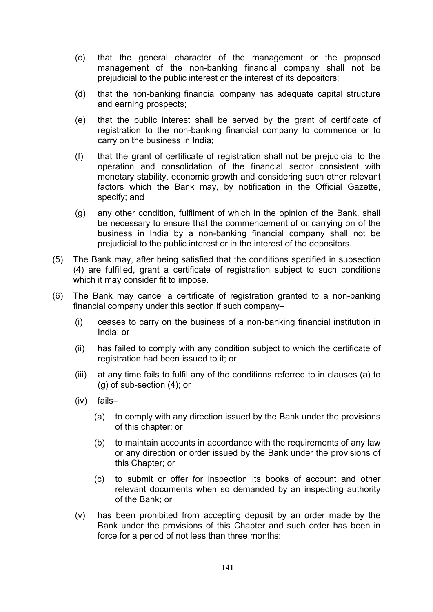- (c) that the general character of the management or the proposed management of the non-banking financial company shall not be prejudicial to the public interest or the interest of its depositors;
- (d) that the non-banking financial company has adequate capital structure and earning prospects;
- (e) that the public interest shall be served by the grant of certificate of registration to the non-banking financial company to commence or to carry on the business in India;
- (f) that the grant of certificate of registration shall not be prejudicial to the operation and consolidation of the financial sector consistent with monetary stability, economic growth and considering such other relevant factors which the Bank may, by notification in the Official Gazette, specify; and
- (g) any other condition, fulfilment of which in the opinion of the Bank, shall be necessary to ensure that the commencement of or carrying on of the business in India by a non-banking financial company shall not be prejudicial to the public interest or in the interest of the depositors.
- (5) The Bank may, after being satisfied that the conditions specified in subsection (4) are fulfilled, grant a certificate of registration subject to such conditions which it may consider fit to impose.
- (6) The Bank may cancel a certificate of registration granted to a non-banking financial company under this section if such company–
	- (i) ceases to carry on the business of a non-banking financial institution in India; or
	- (ii) has failed to comply with any condition subject to which the certificate of registration had been issued to it; or
	- (iii) at any time fails to fulfil any of the conditions referred to in clauses (a) to (g) of sub-section (4); or
	- (iv) fails–
		- (a) to comply with any direction issued by the Bank under the provisions of this chapter; or
		- (b) to maintain accounts in accordance with the requirements of any law or any direction or order issued by the Bank under the provisions of this Chapter; or
		- (c) to submit or offer for inspection its books of account and other relevant documents when so demanded by an inspecting authority of the Bank; or
	- (v) has been prohibited from accepting deposit by an order made by the Bank under the provisions of this Chapter and such order has been in force for a period of not less than three months: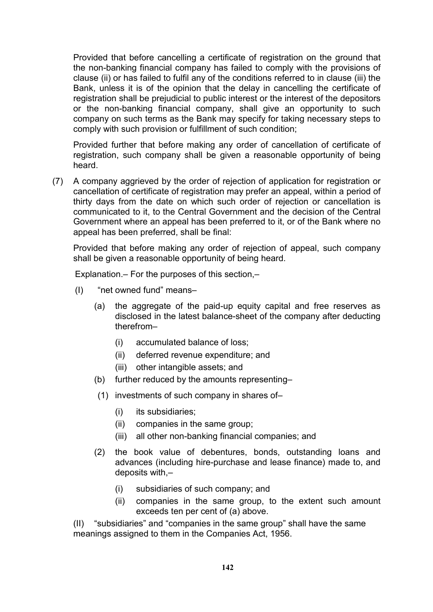Provided that before cancelling a certificate of registration on the ground that the non-banking financial company has failed to comply with the provisions of clause (ii) or has failed to fulfil any of the conditions referred to in clause (iii) the Bank, unless it is of the opinion that the delay in cancelling the certificate of registration shall be prejudicial to public interest or the interest of the depositors or the non-banking financial company, shall give an opportunity to such company on such terms as the Bank may specify for taking necessary steps to comply with such provision or fulfillment of such condition;

Provided further that before making any order of cancellation of certificate of registration, such company shall be given a reasonable opportunity of being heard.

(7) A company aggrieved by the order of rejection of application for registration or cancellation of certificate of registration may prefer an appeal, within a period of thirty days from the date on which such order of rejection or cancellation is communicated to it, to the Central Government and the decision of the Central Government where an appeal has been preferred to it, or of the Bank where no appeal has been preferred, shall be final:

Provided that before making any order of rejection of appeal, such company shall be given a reasonable opportunity of being heard.

Explanation.– For the purposes of this section,–

- (I) "net owned fund" means–
	- (a) the aggregate of the paid-up equity capital and free reserves as disclosed in the latest balance-sheet of the company after deducting therefrom–
		- (i) accumulated balance of loss;
		- (ii) deferred revenue expenditure; and
		- (iii) other intangible assets; and
	- (b) further reduced by the amounts representing–
	- (1) investments of such company in shares of–
		- (i) its subsidiaries;
		- (ii) companies in the same group;
		- (iii) all other non-banking financial companies; and
	- (2) the book value of debentures, bonds, outstanding loans and advances (including hire-purchase and lease finance) made to, and deposits with,–
		- (i) subsidiaries of such company; and
		- (ii) companies in the same group, to the extent such amount exceeds ten per cent of (a) above.

(II) "subsidiaries" and "companies in the same group" shall have the same meanings assigned to them in the Companies Act, 1956.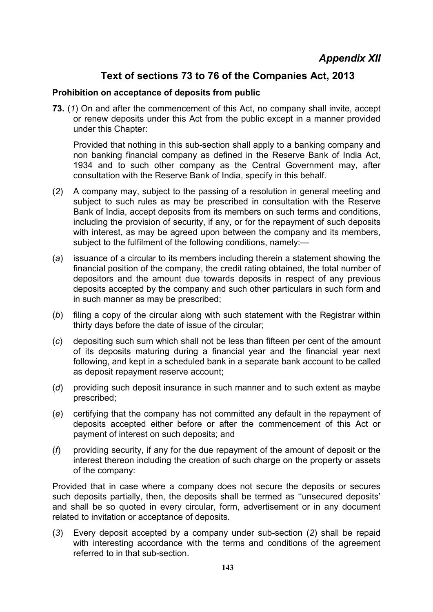## Text of sections 73 to 76 of the Companies Act, 2013

#### Prohibition on acceptance of deposits from public

73. (*1*) On and after the commencement of this Act, no company shall invite, accept or renew deposits under this Act from the public except in a manner provided under this Chapter:

Provided that nothing in this sub-section shall apply to a banking company and non banking financial company as defined in the Reserve Bank of India Act, 1934 and to such other company as the Central Government may, after consultation with the Reserve Bank of India, specify in this behalf.

- (*2*) A company may, subject to the passing of a resolution in general meeting and subject to such rules as may be prescribed in consultation with the Reserve Bank of India, accept deposits from its members on such terms and conditions, including the provision of security, if any, or for the repayment of such deposits with interest, as may be agreed upon between the company and its members, subject to the fulfilment of the following conditions, namely:—
- (*a*) issuance of a circular to its members including therein a statement showing the financial position of the company, the credit rating obtained, the total number of depositors and the amount due towards deposits in respect of any previous deposits accepted by the company and such other particulars in such form and in such manner as may be prescribed;
- (*b*) filing a copy of the circular along with such statement with the Registrar within thirty days before the date of issue of the circular;
- (*c*) depositing such sum which shall not be less than fifteen per cent of the amount of its deposits maturing during a financial year and the financial year next following, and kept in a scheduled bank in a separate bank account to be called as deposit repayment reserve account;
- (*d*) providing such deposit insurance in such manner and to such extent as maybe prescribed;
- (*e*) certifying that the company has not committed any default in the repayment of deposits accepted either before or after the commencement of this Act or payment of interest on such deposits; and
- (*f*) providing security, if any for the due repayment of the amount of deposit or the interest thereon including the creation of such charge on the property or assets of the company:

Provided that in case where a company does not secure the deposits or secures such deposits partially, then, the deposits shall be termed as ''unsecured deposits' and shall be so quoted in every circular, form, advertisement or in any document related to invitation or acceptance of deposits.

(*3*) Every deposit accepted by a company under sub-section (*2*) shall be repaid with interesting accordance with the terms and conditions of the agreement referred to in that sub-section.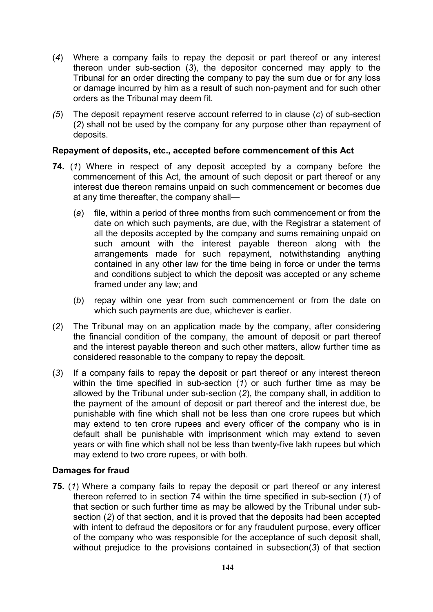- (*4*) Where a company fails to repay the deposit or part thereof or any interest thereon under sub-section (*3*), the depositor concerned may apply to the Tribunal for an order directing the company to pay the sum due or for any loss or damage incurred by him as a result of such non-payment and for such other orders as the Tribunal may deem fit.
- *(5*) The deposit repayment reserve account referred to in clause (*c*) of sub-section (*2*) shall not be used by the company for any purpose other than repayment of deposits.

#### Repayment of deposits, etc., accepted before commencement of this Act

- 74. (*1*) Where in respect of any deposit accepted by a company before the commencement of this Act, the amount of such deposit or part thereof or any interest due thereon remains unpaid on such commencement or becomes due at any time thereafter, the company shall—
	- (*a*) file, within a period of three months from such commencement or from the date on which such payments, are due, with the Registrar a statement of all the deposits accepted by the company and sums remaining unpaid on such amount with the interest payable thereon along with the arrangements made for such repayment, notwithstanding anything contained in any other law for the time being in force or under the terms and conditions subject to which the deposit was accepted or any scheme framed under any law; and
	- (*b*) repay within one year from such commencement or from the date on which such payments are due, whichever is earlier.
- (*2*) The Tribunal may on an application made by the company, after considering the financial condition of the company, the amount of deposit or part thereof and the interest payable thereon and such other matters, allow further time as considered reasonable to the company to repay the deposit.
- (*3*) If a company fails to repay the deposit or part thereof or any interest thereon within the time specified in sub-section (*1*) or such further time as may be allowed by the Tribunal under sub-section (*2*), the company shall, in addition to the payment of the amount of deposit or part thereof and the interest due, be punishable with fine which shall not be less than one crore rupees but which may extend to ten crore rupees and every officer of the company who is in default shall be punishable with imprisonment which may extend to seven years or with fine which shall not be less than twenty-five lakh rupees but which may extend to two crore rupees, or with both.

#### Damages for fraud

75. (*1*) Where a company fails to repay the deposit or part thereof or any interest thereon referred to in section 74 within the time specified in sub-section (*1*) of that section or such further time as may be allowed by the Tribunal under subsection (*2*) of that section, and it is proved that the deposits had been accepted with intent to defraud the depositors or for any fraudulent purpose, every officer of the company who was responsible for the acceptance of such deposit shall, without prejudice to the provisions contained in subsection(*3*) of that section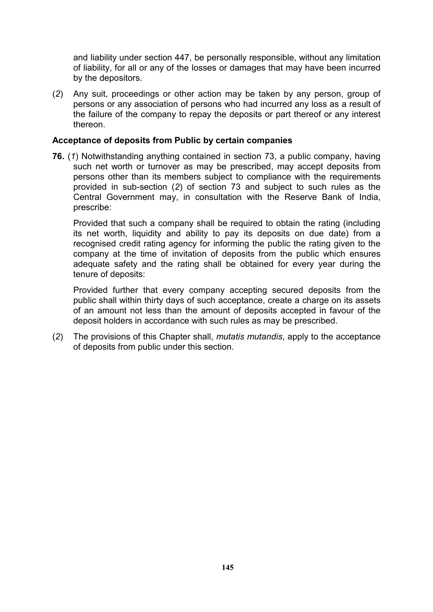and liability under section 447, be personally responsible, without any limitation of liability, for all or any of the losses or damages that may have been incurred by the depositors.

(*2*) Any suit, proceedings or other action may be taken by any person, group of persons or any association of persons who had incurred any loss as a result of the failure of the company to repay the deposits or part thereof or any interest thereon.

#### Acceptance of deposits from Public by certain companies

76. (*1*) Notwithstanding anything contained in section 73, a public company, having such net worth or turnover as may be prescribed, may accept deposits from persons other than its members subject to compliance with the requirements provided in sub-section (*2*) of section 73 and subject to such rules as the Central Government may, in consultation with the Reserve Bank of India, prescribe:

Provided that such a company shall be required to obtain the rating (including its net worth, liquidity and ability to pay its deposits on due date) from a recognised credit rating agency for informing the public the rating given to the company at the time of invitation of deposits from the public which ensures adequate safety and the rating shall be obtained for every year during the tenure of deposits:

Provided further that every company accepting secured deposits from the public shall within thirty days of such acceptance, create a charge on its assets of an amount not less than the amount of deposits accepted in favour of the deposit holders in accordance with such rules as may be prescribed.

(*2*) The provisions of this Chapter shall, *mutatis mutandis*, apply to the acceptance of deposits from public under this section.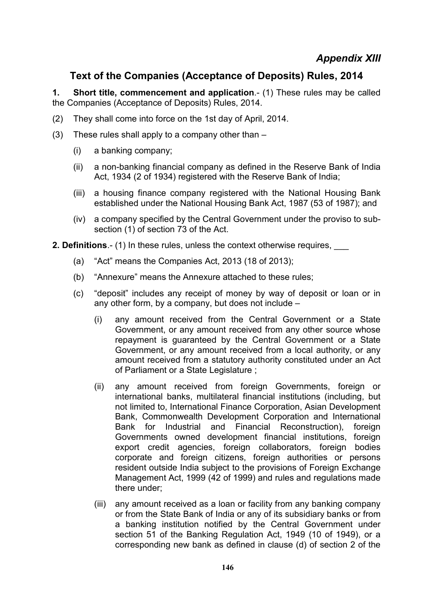## *Appendix XIII*

## Text of the Companies (Acceptance of Deposits) Rules, 2014

1. Short title, commencement and application.- (1) These rules may be called the Companies (Acceptance of Deposits) Rules, 2014.

- (2) They shall come into force on the 1st day of April, 2014.
- (3) These rules shall apply to a company other than
	- (i) a banking company;
	- (ii) a non-banking financial company as defined in the Reserve Bank of India Act, 1934 (2 of 1934) registered with the Reserve Bank of India;
	- (iii) a housing finance company registered with the National Housing Bank established under the National Housing Bank Act, 1987 (53 of 1987); and
	- (iv) a company specified by the Central Government under the proviso to subsection (1) of section 73 of the Act.
- 2. Definitions.- (1) In these rules, unless the context otherwise requires,  $\_\_$ 
	- (a) "Act" means the Companies Act, 2013 (18 of 2013);
	- (b) "Annexure" means the Annexure attached to these rules;
	- (c) "deposit" includes any receipt of money by way of deposit or loan or in any other form, by a company, but does not include –
		- (i) any amount received from the Central Government or a State Government, or any amount received from any other source whose repayment is guaranteed by the Central Government or a State Government, or any amount received from a local authority, or any amount received from a statutory authority constituted under an Act of Parliament or a State Legislature ;
		- (ii) any amount received from foreign Governments, foreign or international banks, multilateral financial institutions (including, but not limited to, International Finance Corporation, Asian Development Bank, Commonwealth Development Corporation and International Bank for Industrial and Financial Reconstruction), foreign Governments owned development financial institutions, foreign export credit agencies, foreign collaborators, foreign bodies corporate and foreign citizens, foreign authorities or persons resident outside India subject to the provisions of Foreign Exchange Management Act, 1999 (42 of 1999) and rules and regulations made there under;
		- (iii) any amount received as a loan or facility from any banking company or from the State Bank of India or any of its subsidiary banks or from a banking institution notified by the Central Government under section 51 of the Banking Regulation Act, 1949 (10 of 1949), or a corresponding new bank as defined in clause (d) of section 2 of the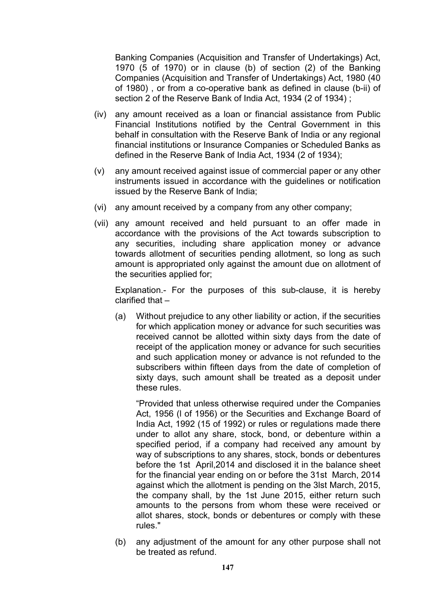Banking Companies (Acquisition and Transfer of Undertakings) Act, 1970 (5 of 1970) or in clause (b) of section (2) of the Banking Companies (Acquisition and Transfer of Undertakings) Act, 1980 (40 of 1980) , or from a co-operative bank as defined in clause (b-ii) of section 2 of the Reserve Bank of India Act, 1934 (2 of 1934) ;

- (iv) any amount received as a loan or financial assistance from Public Financial Institutions notified by the Central Government in this behalf in consultation with the Reserve Bank of India or any regional financial institutions or Insurance Companies or Scheduled Banks as defined in the Reserve Bank of India Act, 1934 (2 of 1934);
- (v) any amount received against issue of commercial paper or any other instruments issued in accordance with the guidelines or notification issued by the Reserve Bank of India;
- (vi) any amount received by a company from any other company;
- (vii) any amount received and held pursuant to an offer made in accordance with the provisions of the Act towards subscription to any securities, including share application money or advance towards allotment of securities pending allotment, so long as such amount is appropriated only against the amount due on allotment of the securities applied for;

Explanation.- For the purposes of this sub-clause, it is hereby clarified that –

(a) Without prejudice to any other liability or action, if the securities for which application money or advance for such securities was received cannot be allotted within sixty days from the date of receipt of the application money or advance for such securities and such application money or advance is not refunded to the subscribers within fifteen days from the date of completion of sixty days, such amount shall be treated as a deposit under these rules.

"Provided that unless otherwise required under the Companies Act, 1956 (l of 1956) or the Securities and Exchange Board of India Act, 1992 (15 of 1992) or rules or regulations made there under to allot any share, stock, bond, or debenture within a specified period, if a company had received any amount by way of subscriptions to any shares, stock, bonds or debentures before the 1st April,2014 and disclosed it in the balance sheet for the financial year ending on or before the 31st March, 2014 against which the allotment is pending on the 3lst March, 2015, the company shall, by the 1st June 2015, either return such amounts to the persons from whom these were received or allot shares, stock, bonds or debentures or comply with these rules."

(b) any adjustment of the amount for any other purpose shall not be treated as refund.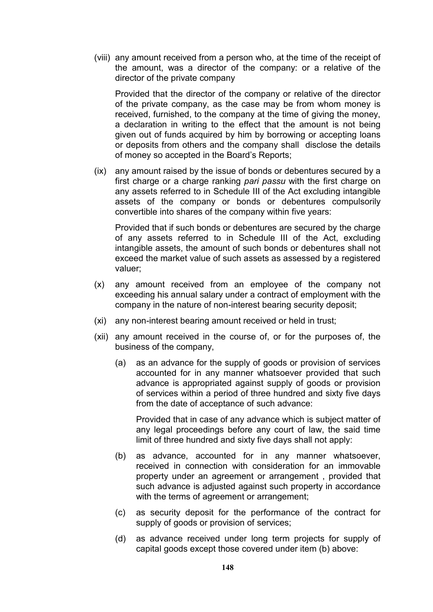(viii) any amount received from a person who, at the time of the receipt of the amount, was a director of the company: or a relative of the director of the private company

Provided that the director of the company or relative of the director of the private company, as the case may be from whom money is received, furnished, to the company at the time of giving the money, a declaration in writing to the effect that the amount is not being given out of funds acquired by him by borrowing or accepting loans or deposits from others and the company shall disclose the details of money so accepted in the Board's Reports;

(ix) any amount raised by the issue of bonds or debentures secured by a first charge or a charge ranking *pari passu* with the first charge on any assets referred to in Schedule III of the Act excluding intangible assets of the company or bonds or debentures compulsorily convertible into shares of the company within five years:

Provided that if such bonds or debentures are secured by the charge of any assets referred to in Schedule III of the Act, excluding intangible assets, the amount of such bonds or debentures shall not exceed the market value of such assets as assessed by a registered valuer;

- (x) any amount received from an employee of the company not exceeding his annual salary under a contract of employment with the company in the nature of non-interest bearing security deposit;
- (xi) any non-interest bearing amount received or held in trust;
- (xii) any amount received in the course of, or for the purposes of, the business of the company,
	- (a) as an advance for the supply of goods or provision of services accounted for in any manner whatsoever provided that such advance is appropriated against supply of goods or provision of services within a period of three hundred and sixty five days from the date of acceptance of such advance:

Provided that in case of any advance which is subject matter of any legal proceedings before any court of law, the said time limit of three hundred and sixty five days shall not apply:

- (b) as advance, accounted for in any manner whatsoever, received in connection with consideration for an immovable property under an agreement or arrangement , provided that such advance is adjusted against such property in accordance with the terms of agreement or arrangement;
- (c) as security deposit for the performance of the contract for supply of goods or provision of services;
- (d) as advance received under long term projects for supply of capital goods except those covered under item (b) above: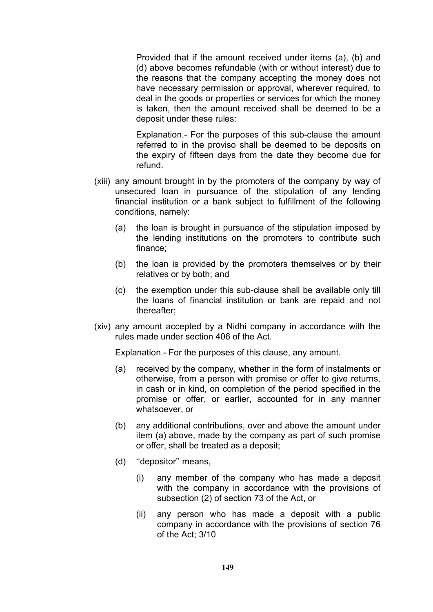Provided that if the amount received under items (a), (b) and (d) above becomes refundable (with or without interest) due to the reasons that the company accepting the money does not have necessary permission or approval, wherever required, to deal in the goods or properties or services for which the money is taken, then the amount received shall be deemed to be a deposit under these rules:

Explanation.- For the purposes of this sub-clause the amount referred to in the proviso shall be deemed to be deposits on the expiry of fifteen days from the date they become due for refund.

- (xiii) any amount brought in by the promoters of the company by way of unsecured loan in pursuance of the stipulation of any lending financial institution or a bank subject to fulfillment of the following conditions, namely:
	- (a) the loan is brought in pursuance of the stipulation imposed by the lending institutions on the promoters to contribute such finance;
	- (b) the loan is provided by the promoters themselves or by their relatives or by both; and
	- (c) the exemption under this sub-clause shall be available only till the loans of financial institution or bank are repaid and not thereafter;
- (xiv) any amount accepted by a Nidhi company in accordance with the rules made under section 406 of the Act.

Explanation.- For the purposes of this clause, any amount.

- (a) received by the company, whether in the form of instalments or otherwise, from a person with promise or offer to give returns, in cash or in kind, on completion of the period specified in the promise or offer, or earlier, accounted for in any manner whatsoever, or
- (b) any additional contributions, over and above the amount under item (a) above, made by the company as part of such promise or offer, shall be treated as a deposit;
- (d) ''depositor'' means,
	- (i) any member of the company who has made a deposit with the company in accordance with the provisions of subsection (2) of section 73 of the Act, or
	- (ii) any person who has made a deposit with a public company in accordance with the provisions of section 76 of the Act; 3/10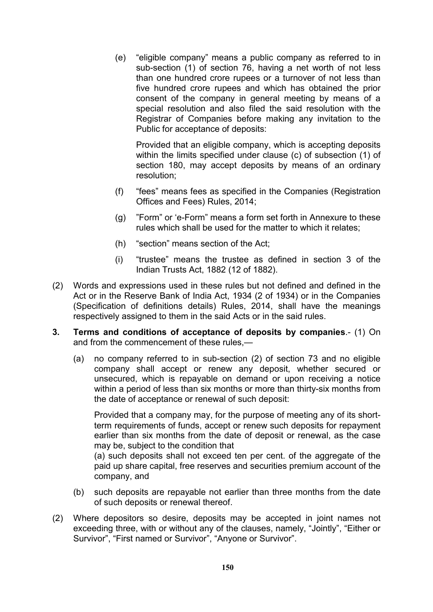(e) "eligible company" means a public company as referred to in sub-section (1) of section 76, having a net worth of not less than one hundred crore rupees or a turnover of not less than five hundred crore rupees and which has obtained the prior consent of the company in general meeting by means of a special resolution and also filed the said resolution with the Registrar of Companies before making any invitation to the Public for acceptance of deposits:

Provided that an eligible company, which is accepting deposits within the limits specified under clause (c) of subsection (1) of section 180, may accept deposits by means of an ordinary resolution;

- (f) "fees" means fees as specified in the Companies (Registration Offices and Fees) Rules, 2014;
- (g) "Form" or 'e-Form" means a form set forth in Annexure to these rules which shall be used for the matter to which it relates;
- (h) "section" means section of the Act;
- (i) "trustee" means the trustee as defined in section 3 of the Indian Trusts Act, 1882 (12 of 1882).
- (2) Words and expressions used in these rules but not defined and defined in the Act or in the Reserve Bank of India Act, 1934 (2 of 1934) or in the Companies (Specification of definitions details) Rules, 2014, shall have the meanings respectively assigned to them in the said Acts or in the said rules.
- 3. Terms and conditions of acceptance of deposits by companies.- (1) On and from the commencement of these rules,—
	- (a) no company referred to in sub-section (2) of section 73 and no eligible company shall accept or renew any deposit, whether secured or unsecured, which is repayable on demand or upon receiving a notice within a period of less than six months or more than thirty-six months from the date of acceptance or renewal of such deposit:

Provided that a company may, for the purpose of meeting any of its shortterm requirements of funds, accept or renew such deposits for repayment earlier than six months from the date of deposit or renewal, as the case may be, subject to the condition that

(a) such deposits shall not exceed ten per cent. of the aggregate of the paid up share capital, free reserves and securities premium account of the company, and

- (b) such deposits are repayable not earlier than three months from the date of such deposits or renewal thereof.
- (2) Where depositors so desire, deposits may be accepted in joint names not exceeding three, with or without any of the clauses, namely, "Jointly", "Either or Survivor", "First named or Survivor", "Anyone or Survivor".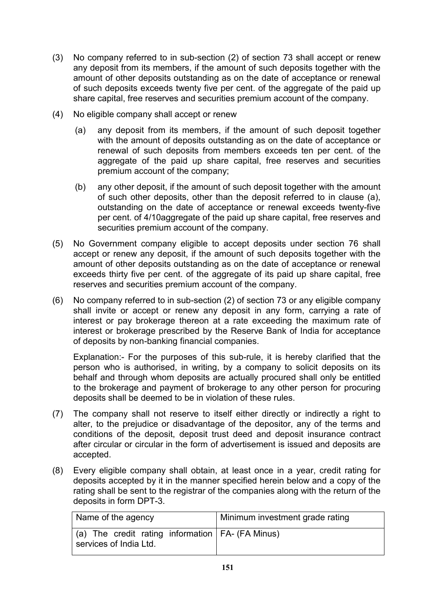- (3) No company referred to in sub-section (2) of section 73 shall accept or renew any deposit from its members, if the amount of such deposits together with the amount of other deposits outstanding as on the date of acceptance or renewal of such deposits exceeds twenty five per cent. of the aggregate of the paid up share capital, free reserves and securities premium account of the company.
- (4) No eligible company shall accept or renew
	- (a) any deposit from its members, if the amount of such deposit together with the amount of deposits outstanding as on the date of acceptance or renewal of such deposits from members exceeds ten per cent. of the aggregate of the paid up share capital, free reserves and securities premium account of the company;
	- (b) any other deposit, if the amount of such deposit together with the amount of such other deposits, other than the deposit referred to in clause (a), outstanding on the date of acceptance or renewal exceeds twenty-five per cent. of 4/10aggregate of the paid up share capital, free reserves and securities premium account of the company.
- (5) No Government company eligible to accept deposits under section 76 shall accept or renew any deposit, if the amount of such deposits together with the amount of other deposits outstanding as on the date of acceptance or renewal exceeds thirty five per cent. of the aggregate of its paid up share capital, free reserves and securities premium account of the company.
- (6) No company referred to in sub-section (2) of section 73 or any eligible company shall invite or accept or renew any deposit in any form, carrying a rate of interest or pay brokerage thereon at a rate exceeding the maximum rate of interest or brokerage prescribed by the Reserve Bank of India for acceptance of deposits by non-banking financial companies.

Explanation:- For the purposes of this sub-rule, it is hereby clarified that the person who is authorised, in writing, by a company to solicit deposits on its behalf and through whom deposits are actually procured shall only be entitled to the brokerage and payment of brokerage to any other person for procuring deposits shall be deemed to be in violation of these rules.

- (7) The company shall not reserve to itself either directly or indirectly a right to alter, to the prejudice or disadvantage of the depositor, any of the terms and conditions of the deposit, deposit trust deed and deposit insurance contract after circular or circular in the form of advertisement is issued and deposits are accepted.
- (8) Every eligible company shall obtain, at least once in a year, credit rating for deposits accepted by it in the manner specified herein below and a copy of the rating shall be sent to the registrar of the companies along with the return of the deposits in form DPT-3.

| Name of the agency                                                            | Minimum investment grade rating |
|-------------------------------------------------------------------------------|---------------------------------|
| (a) The credit rating information $FA$ - (FA Minus)<br>services of India Ltd. |                                 |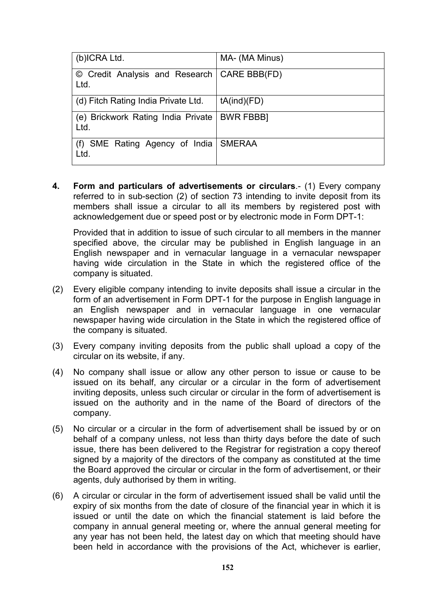| (b)ICRA Ltd.                                          | MA- (MA Minus)   |
|-------------------------------------------------------|------------------|
| © Credit Analysis and Research   CARE BBB(FD)<br>Ltd. |                  |
| (d) Fitch Rating India Private Ltd.                   | $tA$ (ind)(FD)   |
| <b>Brickwork Rating India Private</b><br>e)<br>Ltd.   | <b>BWR FBBBI</b> |
| SME Rating Agency of India<br>(f)<br>Ltd.             | <b>SMERAA</b>    |

4. Form and particulars of advertisements or circulars.- (1) Every company referred to in sub-section (2) of section 73 intending to invite deposit from its members shall issue a circular to all its members by registered post with acknowledgement due or speed post or by electronic mode in Form DPT-1:

Provided that in addition to issue of such circular to all members in the manner specified above, the circular may be published in English language in an English newspaper and in vernacular language in a vernacular newspaper having wide circulation in the State in which the registered office of the company is situated.

- (2) Every eligible company intending to invite deposits shall issue a circular in the form of an advertisement in Form DPT-1 for the purpose in English language in an English newspaper and in vernacular language in one vernacular newspaper having wide circulation in the State in which the registered office of the company is situated.
- (3) Every company inviting deposits from the public shall upload a copy of the circular on its website, if any.
- (4) No company shall issue or allow any other person to issue or cause to be issued on its behalf, any circular or a circular in the form of advertisement inviting deposits, unless such circular or circular in the form of advertisement is issued on the authority and in the name of the Board of directors of the company.
- (5) No circular or a circular in the form of advertisement shall be issued by or on behalf of a company unless, not less than thirty days before the date of such issue, there has been delivered to the Registrar for registration a copy thereof signed by a majority of the directors of the company as constituted at the time the Board approved the circular or circular in the form of advertisement, or their agents, duly authorised by them in writing.
- (6) A circular or circular in the form of advertisement issued shall be valid until the expiry of six months from the date of closure of the financial year in which it is issued or until the date on which the financial statement is laid before the company in annual general meeting or, where the annual general meeting for any year has not been held, the latest day on which that meeting should have been held in accordance with the provisions of the Act, whichever is earlier,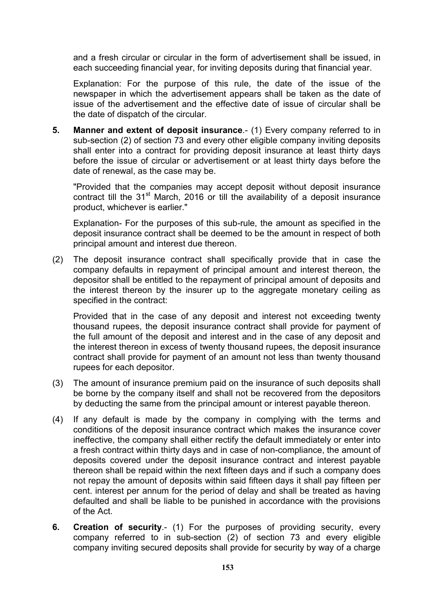and a fresh circular or circular in the form of advertisement shall be issued, in each succeeding financial year, for inviting deposits during that financial year.

Explanation: For the purpose of this rule, the date of the issue of the newspaper in which the advertisement appears shall be taken as the date of issue of the advertisement and the effective date of issue of circular shall be the date of dispatch of the circular.

5. Manner and extent of deposit insurance.- (1) Every company referred to in sub-section (2) of section 73 and every other eligible company inviting deposits shall enter into a contract for providing deposit insurance at least thirty days before the issue of circular or advertisement or at least thirty days before the date of renewal, as the case may be.

"Provided that the companies may accept deposit without deposit insurance contract till the  $31<sup>st</sup>$  March, 2016 or till the availability of a deposit insurance product, whichever is earlier."

Explanation- For the purposes of this sub-rule, the amount as specified in the deposit insurance contract shall be deemed to be the amount in respect of both principal amount and interest due thereon.

(2) The deposit insurance contract shall specifically provide that in case the company defaults in repayment of principal amount and interest thereon, the depositor shall be entitled to the repayment of principal amount of deposits and the interest thereon by the insurer up to the aggregate monetary ceiling as specified in the contract:

Provided that in the case of any deposit and interest not exceeding twenty thousand rupees, the deposit insurance contract shall provide for payment of the full amount of the deposit and interest and in the case of any deposit and the interest thereon in excess of twenty thousand rupees, the deposit insurance contract shall provide for payment of an amount not less than twenty thousand rupees for each depositor.

- (3) The amount of insurance premium paid on the insurance of such deposits shall be borne by the company itself and shall not be recovered from the depositors by deducting the same from the principal amount or interest payable thereon.
- (4) If any default is made by the company in complying with the terms and conditions of the deposit insurance contract which makes the insurance cover ineffective, the company shall either rectify the default immediately or enter into a fresh contract within thirty days and in case of non-compliance, the amount of deposits covered under the deposit insurance contract and interest payable thereon shall be repaid within the next fifteen days and if such a company does not repay the amount of deposits within said fifteen days it shall pay fifteen per cent. interest per annum for the period of delay and shall be treated as having defaulted and shall be liable to be punished in accordance with the provisions of the Act.
- 6. Creation of security.- (1) For the purposes of providing security, every company referred to in sub-section (2) of section 73 and every eligible company inviting secured deposits shall provide for security by way of a charge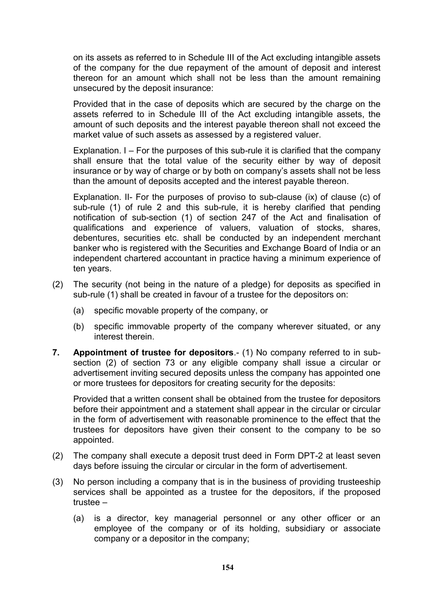on its assets as referred to in Schedule III of the Act excluding intangible assets of the company for the due repayment of the amount of deposit and interest thereon for an amount which shall not be less than the amount remaining unsecured by the deposit insurance:

Provided that in the case of deposits which are secured by the charge on the assets referred to in Schedule III of the Act excluding intangible assets, the amount of such deposits and the interest payable thereon shall not exceed the market value of such assets as assessed by a registered valuer.

Explanation. I – For the purposes of this sub-rule it is clarified that the company shall ensure that the total value of the security either by way of deposit insurance or by way of charge or by both on company's assets shall not be less than the amount of deposits accepted and the interest payable thereon.

Explanation. II- For the purposes of proviso to sub-clause (ix) of clause (c) of sub-rule (1) of rule 2 and this sub-rule, it is hereby clarified that pending notification of sub-section (1) of section 247 of the Act and finalisation of qualifications and experience of valuers, valuation of stocks, shares, debentures, securities etc. shall be conducted by an independent merchant banker who is registered with the Securities and Exchange Board of India or an independent chartered accountant in practice having a minimum experience of ten years.

- (2) The security (not being in the nature of a pledge) for deposits as specified in sub-rule (1) shall be created in favour of a trustee for the depositors on:
	- (a) specific movable property of the company, or
	- (b) specific immovable property of the company wherever situated, or any interest therein.
- 7. Appointment of trustee for depositors.- (1) No company referred to in subsection (2) of section 73 or any eligible company shall issue a circular or advertisement inviting secured deposits unless the company has appointed one or more trustees for depositors for creating security for the deposits:

Provided that a written consent shall be obtained from the trustee for depositors before their appointment and a statement shall appear in the circular or circular in the form of advertisement with reasonable prominence to the effect that the trustees for depositors have given their consent to the company to be so appointed.

- (2) The company shall execute a deposit trust deed in Form DPT-2 at least seven days before issuing the circular or circular in the form of advertisement.
- (3) No person including a company that is in the business of providing trusteeship services shall be appointed as a trustee for the depositors, if the proposed trustee –
	- (a) is a director, key managerial personnel or any other officer or an employee of the company or of its holding, subsidiary or associate company or a depositor in the company;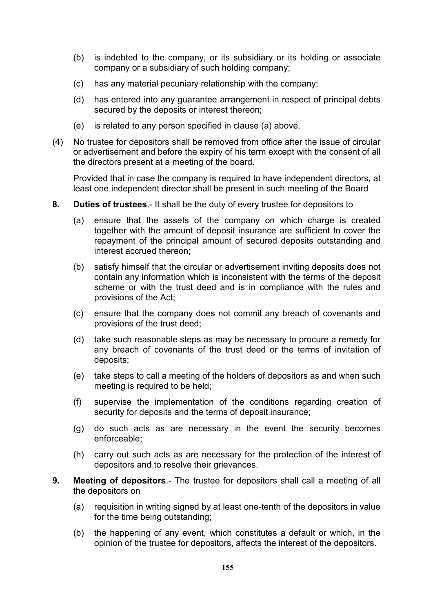- (b) is indebted to the company, or its subsidiary or its holding or associate company or a subsidiary of such holding company;
- (c) has any material pecuniary relationship with the company;
- (d) has entered into any guarantee arrangement in respect of principal debts secured by the deposits or interest thereon;
- (e) is related to any person specified in clause (a) above.
- (4) No trustee for depositors shall be removed from office after the issue of circular or advertisement and before the expiry of his term except with the consent of all the directors present at a meeting of the board.

Provided that in case the company is required to have independent directors, at least one independent director shall be present in such meeting of the Board

- 8. **Duties of trustees**.- It shall be the duty of every trustee for depositors to
	- (a) ensure that the assets of the company on which charge is created together with the amount of deposit insurance are sufficient to cover the repayment of the principal amount of secured deposits outstanding and interest accrued thereon;
	- (b) satisfy himself that the circular or advertisement inviting deposits does not contain any information which is inconsistent with the terms of the deposit scheme or with the trust deed and is in compliance with the rules and provisions of the Act;
	- (c) ensure that the company does not commit any breach of covenants and provisions of the trust deed;
	- (d) take such reasonable steps as may be necessary to procure a remedy for any breach of covenants of the trust deed or the terms of invitation of deposits;
	- (e) take steps to call a meeting of the holders of depositors as and when such meeting is required to be held;
	- (f) supervise the implementation of the conditions regarding creation of security for deposits and the terms of deposit insurance;
	- (g) do such acts as are necessary in the event the security becomes enforceable;
	- (h) carry out such acts as are necessary for the protection of the interest of depositors and to resolve their grievances.
- 9. Meeting of depositors.- The trustee for depositors shall call a meeting of all the depositors on
	- (a) requisition in writing signed by at least one-tenth of the depositors in value for the time being outstanding;
	- (b) the happening of any event, which constitutes a default or which, in the opinion of the trustee for depositors, affects the interest of the depositors.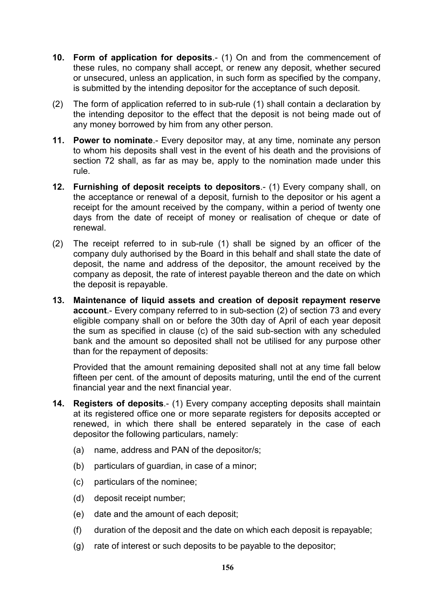- 10. Form of application for deposits.- (1) On and from the commencement of these rules, no company shall accept, or renew any deposit, whether secured or unsecured, unless an application, in such form as specified by the company, is submitted by the intending depositor for the acceptance of such deposit.
- (2) The form of application referred to in sub-rule (1) shall contain a declaration by the intending depositor to the effect that the deposit is not being made out of any money borrowed by him from any other person.
- 11. Power to nominate.- Every depositor may, at any time, nominate any person to whom his deposits shall vest in the event of his death and the provisions of section 72 shall, as far as may be, apply to the nomination made under this rule.
- 12. Furnishing of deposit receipts to depositors.- (1) Every company shall, on the acceptance or renewal of a deposit, furnish to the depositor or his agent a receipt for the amount received by the company, within a period of twenty one days from the date of receipt of money or realisation of cheque or date of renewal.
- (2) The receipt referred to in sub-rule (1) shall be signed by an officer of the company duly authorised by the Board in this behalf and shall state the date of deposit, the name and address of the depositor, the amount received by the company as deposit, the rate of interest payable thereon and the date on which the deposit is repayable.
- 13. Maintenance of liquid assets and creation of deposit repayment reserve account.- Every company referred to in sub-section (2) of section 73 and every eligible company shall on or before the 30th day of April of each year deposit the sum as specified in clause (c) of the said sub-section with any scheduled bank and the amount so deposited shall not be utilised for any purpose other than for the repayment of deposits:

Provided that the amount remaining deposited shall not at any time fall below fifteen per cent. of the amount of deposits maturing, until the end of the current financial year and the next financial year.

- 14. Registers of deposits.- (1) Every company accepting deposits shall maintain at its registered office one or more separate registers for deposits accepted or renewed, in which there shall be entered separately in the case of each depositor the following particulars, namely:
	- (a) name, address and PAN of the depositor/s;
	- (b) particulars of guardian, in case of a minor;
	- (c) particulars of the nominee;
	- (d) deposit receipt number;
	- (e) date and the amount of each deposit;
	- (f) duration of the deposit and the date on which each deposit is repayable;
	- (g) rate of interest or such deposits to be payable to the depositor;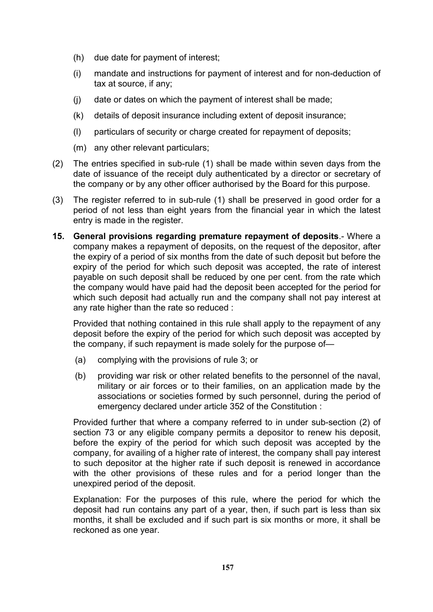- (h) due date for payment of interest;
- (i) mandate and instructions for payment of interest and for non-deduction of tax at source, if any;
- (j) date or dates on which the payment of interest shall be made;
- (k) details of deposit insurance including extent of deposit insurance;
- (l) particulars of security or charge created for repayment of deposits;
- (m) any other relevant particulars;
- (2) The entries specified in sub-rule (1) shall be made within seven days from the date of issuance of the receipt duly authenticated by a director or secretary of the company or by any other officer authorised by the Board for this purpose.
- (3) The register referred to in sub-rule (1) shall be preserved in good order for a period of not less than eight years from the financial year in which the latest entry is made in the register.
- 15. General provisions regarding premature repayment of deposits.- Where a company makes a repayment of deposits, on the request of the depositor, after the expiry of a period of six months from the date of such deposit but before the expiry of the period for which such deposit was accepted, the rate of interest payable on such deposit shall be reduced by one per cent. from the rate which the company would have paid had the deposit been accepted for the period for which such deposit had actually run and the company shall not pay interest at any rate higher than the rate so reduced :

Provided that nothing contained in this rule shall apply to the repayment of any deposit before the expiry of the period for which such deposit was accepted by the company, if such repayment is made solely for the purpose of—

- (a) complying with the provisions of rule 3; or
- (b) providing war risk or other related benefits to the personnel of the naval, military or air forces or to their families, on an application made by the associations or societies formed by such personnel, during the period of emergency declared under article 352 of the Constitution :

Provided further that where a company referred to in under sub-section (2) of section 73 or any eligible company permits a depositor to renew his deposit, before the expiry of the period for which such deposit was accepted by the company, for availing of a higher rate of interest, the company shall pay interest to such depositor at the higher rate if such deposit is renewed in accordance with the other provisions of these rules and for a period longer than the unexpired period of the deposit.

Explanation: For the purposes of this rule, where the period for which the deposit had run contains any part of a year, then, if such part is less than six months, it shall be excluded and if such part is six months or more, it shall be reckoned as one year.